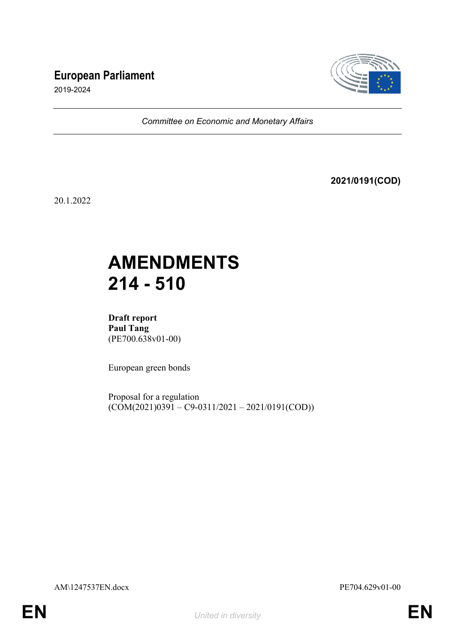## **European Parliament**



2019-2024

*Committee on Economic and Monetary Affairs*

**2021/0191(COD)**

20.1.2022

# **AMENDMENTS 214 - 510**

**Draft report Paul Tang** (PE700.638v01-00)

European green bonds

Proposal for a regulation  $(COM(2021)0391 - C9 - 0311/2021 - 2021/0191(COD))$ 

AM\1247537EN.docx PE704.629v01-00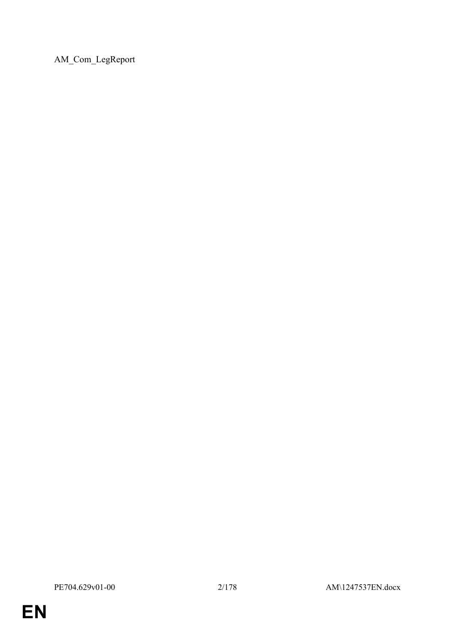AM\_Com\_LegReport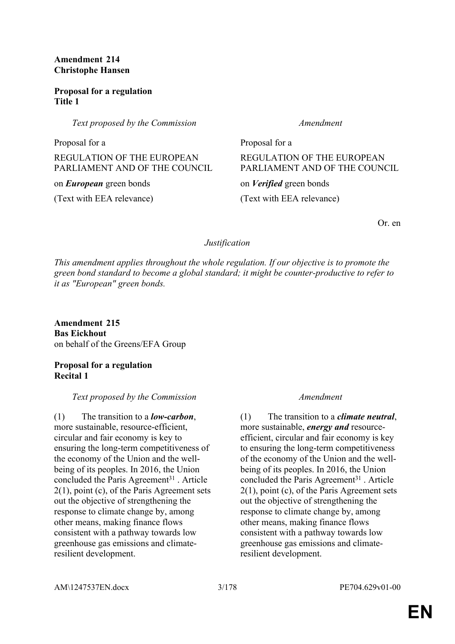**Amendment 214 Christophe Hansen**

**Proposal for a regulation Title 1**

*Text proposed by the Commission Amendment*

Proposal for a Proposal for a Proposal for a Proposal for a Proposal for a Proposal for a Proposal for a Proposal for a  $P$ REGULATION OF THE EUROPEAN PARLIAMENT AND OF THE COUNCIL

on *European* green bonds on *Verified* green bonds

(Text with EEA relevance) (Text with EEA relevance)

REGULATION OF THE EUROPEAN PARLIAMENT AND OF THE COUNCIL

Or. en

### *Justification*

*This amendment applies throughout the whole regulation. If our objective is to promote the green bond standard to become a global standard; it might be counter-productive to refer to it as "European" green bonds.*

**Amendment 215 Bas Eickhout** on behalf of the Greens/EFA Group

**Proposal for a regulation Recital 1**

### *Text proposed by the Commission Amendment*

(1) The transition to a *low-carbon*, more sustainable, resource-efficient, circular and fair economy is key to ensuring the long-term competitiveness of the economy of the Union and the wellbeing of its peoples. In 2016, the Union concluded the Paris Agreement<sup>31</sup>. Article 2(1), point (c), of the Paris Agreement sets out the objective of strengthening the response to climate change by, among other means, making finance flows consistent with a pathway towards low greenhouse gas emissions and climateresilient development.

(1) The transition to a *climate neutral*, more sustainable, *energy and* resourceefficient, circular and fair economy is key to ensuring the long-term competitiveness of the economy of the Union and the wellbeing of its peoples. In 2016, the Union concluded the Paris Agreement<sup>31</sup>. Article 2(1), point (c), of the Paris Agreement sets out the objective of strengthening the response to climate change by, among other means, making finance flows consistent with a pathway towards low greenhouse gas emissions and climateresilient development.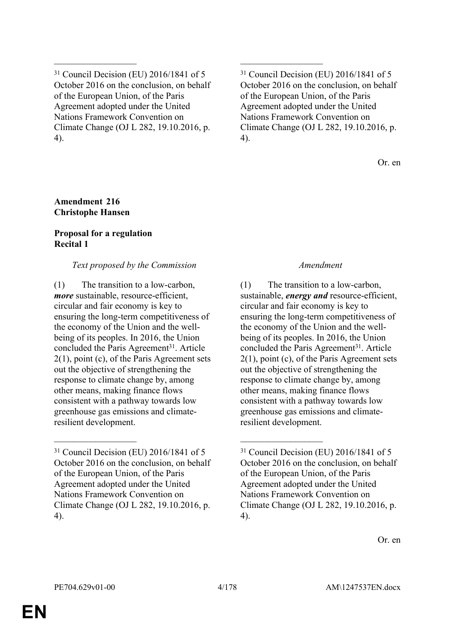<sup>31</sup> Council Decision (EU) 2016/1841 of 5 October 2016 on the conclusion, on behalf of the European Union, of the Paris Agreement adopted under the United Nations Framework Convention on Climate Change (OJ L 282, 19.10.2016, p. 4).

 $\mathcal{L}_\text{max}$  , and the contract of the contract of the contract of the contract of the contract of the contract of

<sup>31</sup> Council Decision (EU) 2016/1841 of 5 October 2016 on the conclusion, on behalf of the European Union, of the Paris Agreement adopted under the United Nations Framework Convention on Climate Change (OJ L 282, 19.10.2016, p. 4).

Or. en

#### **Amendment 216 Christophe Hansen**

### **Proposal for a regulation Recital 1**

### *Text proposed by the Commission Amendment*

(1) The transition to a low-carbon, *more* sustainable, resource-efficient, circular and fair economy is key to ensuring the long-term competitiveness of the economy of the Union and the wellbeing of its peoples. In 2016, the Union concluded the Paris Agreement<sup>31</sup>. Article 2(1), point (c), of the Paris Agreement sets out the objective of strengthening the response to climate change by, among other means, making finance flows consistent with a pathway towards low greenhouse gas emissions and climateresilient development.

 $\mathcal{L}_\text{max}$  , and the contract of the contract of the contract of the contract of the contract of the contract of

(1) The transition to a low-carbon, sustainable, *energy and* resource-efficient, circular and fair economy is key to ensuring the long-term competitiveness of the economy of the Union and the wellbeing of its peoples. In 2016, the Union concluded the Paris Agreement<sup>31</sup>. Article 2(1), point (c), of the Paris Agreement sets out the objective of strengthening the response to climate change by, among other means, making finance flows consistent with a pathway towards low greenhouse gas emissions and climateresilient development.

Or. en

<sup>31</sup> Council Decision (EU) 2016/1841 of 5 October 2016 on the conclusion, on behalf of the European Union, of the Paris Agreement adopted under the United Nations Framework Convention on Climate Change (OJ L 282, 19.10.2016, p. 4).

<sup>31</sup> Council Decision (EU) 2016/1841 of 5 October 2016 on the conclusion, on behalf of the European Union, of the Paris Agreement adopted under the United Nations Framework Convention on Climate Change (OJ L 282, 19.10.2016, p. 4).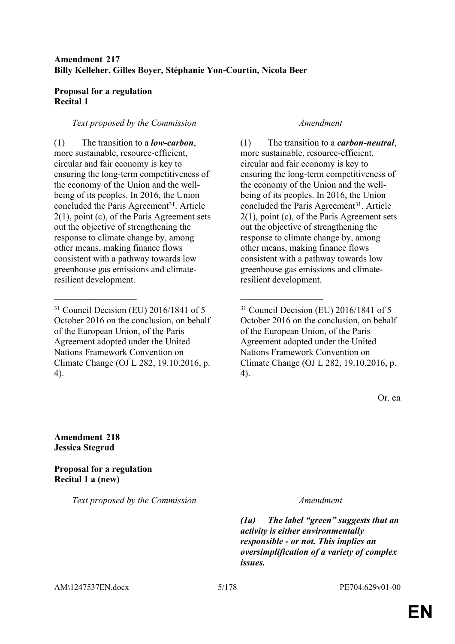### **Amendment 217 Billy Kelleher, Gilles Boyer, Stéphanie Yon-Courtin, Nicola Beer**

 $\mathcal{L}_\text{max}$  , and the contract of the contract of the contract of the contract of the contract of the contract of

### **Proposal for a regulation Recital 1**

### *Text proposed by the Commission Amendment*

(1) The transition to a *low-carbon*, more sustainable, resource-efficient, circular and fair economy is key to ensuring the long-term competitiveness of the economy of the Union and the wellbeing of its peoples. In 2016, the Union concluded the Paris Agreement<sup>31</sup>. Article 2(1), point (c), of the Paris Agreement sets out the objective of strengthening the response to climate change by, among other means, making finance flows consistent with a pathway towards low greenhouse gas emissions and climateresilient development.

(1) The transition to a *carbon-neutral*, more sustainable, resource-efficient, circular and fair economy is key to ensuring the long-term competitiveness of the economy of the Union and the wellbeing of its peoples. In 2016, the Union concluded the Paris Agreement<sup>31</sup>. Article 2(1), point (c), of the Paris Agreement sets out the objective of strengthening the response to climate change by, among other means, making finance flows consistent with a pathway towards low greenhouse gas emissions and climateresilient development.

<sup>31</sup> Council Decision (EU) 2016/1841 of 5 October 2016 on the conclusion, on behalf of the European Union, of the Paris Agreement adopted under the United Nations Framework Convention on Climate Change (OJ L 282, 19.10.2016, p. 4).

Or. en

**Amendment 218 Jessica Stegrud**

**Proposal for a regulation Recital 1 a (new)**

*Text proposed by the Commission Amendment*

*(1a) The label "green" suggests that an activity is either environmentally responsible - or not. This implies an oversimplification of a variety of complex issues.*

AM\1247537EN.docx 5/178 PE704.629v01-00

<sup>31</sup> Council Decision (EU) 2016/1841 of 5 October 2016 on the conclusion, on behalf of the European Union, of the Paris Agreement adopted under the United Nations Framework Convention on Climate Change (OJ L 282, 19.10.2016, p. 4).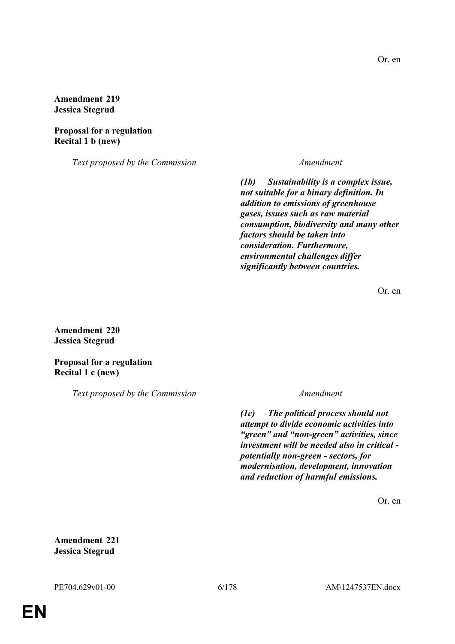**Amendment 219 Jessica Stegrud**

**Proposal for a regulation Recital 1 b (new)**

*Text proposed by the Commission Amendment*

*(1b) Sustainability is a complex issue, not suitable for a binary definition. In addition to emissions of greenhouse gases, issues such as raw material consumption, biodiversity and many other factors should be taken into consideration. Furthermore, environmental challenges differ significantly between countries.*

Or. en

**Amendment 220 Jessica Stegrud**

**Proposal for a regulation Recital 1 c (new)**

*Text proposed by the Commission Amendment*

*(1c) The political process should not attempt to divide economic activities into "green" and "non-green" activities, since investment will be needed also in critical potentially non-green - sectors, for modernisation, development, innovation and reduction of harmful emissions.*

Or. en

**Amendment 221 Jessica Stegrud**

PE704.629v01-00 6/178 AM\1247537EN.docx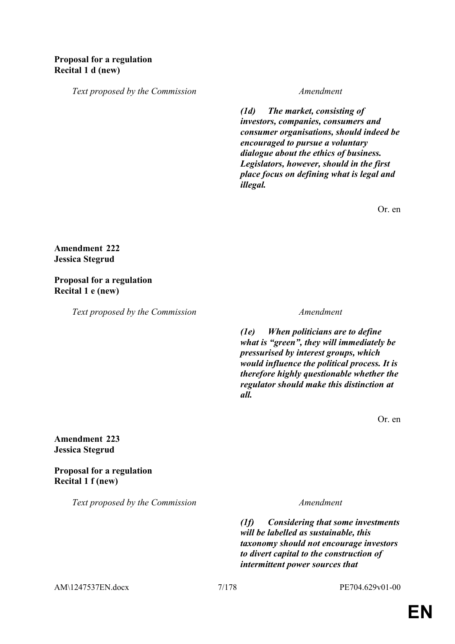### **Proposal for a regulation Recital 1 d (new)**

*Text proposed by the Commission Amendment*

*(1d) The market, consisting of investors, companies, consumers and consumer organisations, should indeed be encouraged to pursue a voluntary dialogue about the ethics of business. Legislators, however, should in the first place focus on defining what is legal and illegal.*

Or. en

**Amendment 222 Jessica Stegrud**

**Proposal for a regulation Recital 1 e (new)**

*Text proposed by the Commission Amendment*

*(1e) When politicians are to define what is "green", they will immediately be pressurised by interest groups, which would influence the political process. It is therefore highly questionable whether the regulator should make this distinction at all.*

Or. en

**Amendment 223 Jessica Stegrud**

**Proposal for a regulation Recital 1 f (new)**

*Text proposed by the Commission Amendment*

*(1f) Considering that some investments will be labelled as sustainable, this taxonomy should not encourage investors to divert capital to the construction of intermittent power sources that* 

AM\1247537EN.docx  $7/178$  PE704.629v01-00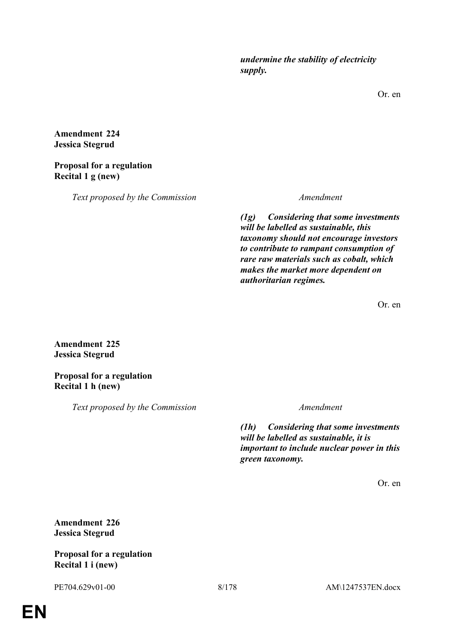*undermine the stability of electricity supply.*

Or. en

**Amendment 224 Jessica Stegrud**

#### **Proposal for a regulation Recital 1 g (new)**

*Text proposed by the Commission Amendment*

*(1g) Considering that some investments will be labelled as sustainable, this taxonomy should not encourage investors to contribute to rampant consumption of rare raw materials such as cobalt, which makes the market more dependent on authoritarian regimes.*

Or. en

**Amendment 225 Jessica Stegrud**

**Proposal for a regulation Recital 1 h (new)**

*Text proposed by the Commission Amendment*

*(1h) Considering that some investments will be labelled as sustainable, it is important to include nuclear power in this green taxonomy.*

Or. en

**Amendment 226 Jessica Stegrud**

### **Proposal for a regulation Recital 1 i (new)**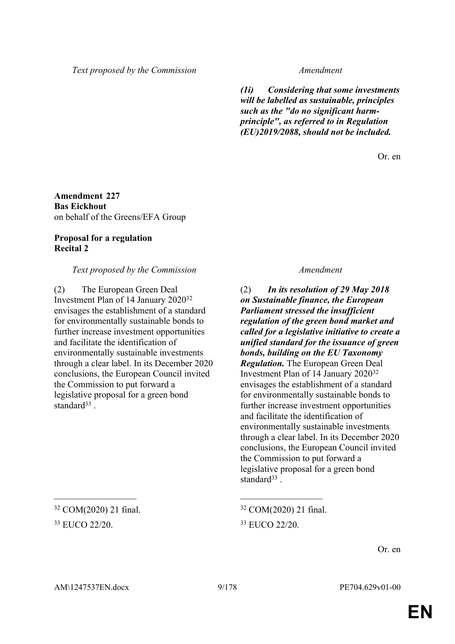*Text proposed by the Commission Amendment*

*(1i) Considering that some investments will be labelled as sustainable, principles such as the "do no significant harmprinciple", as referred to in Regulation (EU)2019/2088, should not be included.*

Or. en

**Amendment 227 Bas Eickhout** on behalf of the Greens/EFA Group

### **Proposal for a regulation Recital 2**

#### *Text proposed by the Commission Amendment*

(2) The European Green Deal Investment Plan of 14 January 2020<sup>32</sup> envisages the establishment of a standard for environmentally sustainable bonds to further increase investment opportunities and facilitate the identification of environmentally sustainable investments through a clear label. In its December 2020 conclusions, the European Council invited the Commission to put forward a legislative proposal for a green bond standard<sup>33</sup>.

 $32 \text{ COM}(2020)$  21 final.  $32 \text{ COM}(2020)$  21 final.

<sup>33</sup> EUCO 22/20. <sup>33</sup> EUCO 22/20.

(2) *In its resolution of 29 May 2018 on Sustainable finance, the European Parliament stressed the insufficient regulation of the green bond market and called for a legislative initiative to create a unified standard for the issuance of green bonds, building on the EU Taxonomy Regulation.* The European Green Deal Investment Plan of 14 January 2020<sup>32</sup> envisages the establishment of a standard for environmentally sustainable bonds to further increase investment opportunities and facilitate the identification of environmentally sustainable investments through a clear label. In its December 2020 conclusions, the European Council invited the Commission to put forward a legislative proposal for a green bond standard<sup>33</sup>.

Or. en

AM\1247537EN.docx 9/178 PE704.629v01-00

 $\mathcal{L}_\text{max}$  , and the contract of the contract of the contract of the contract of the contract of the contract of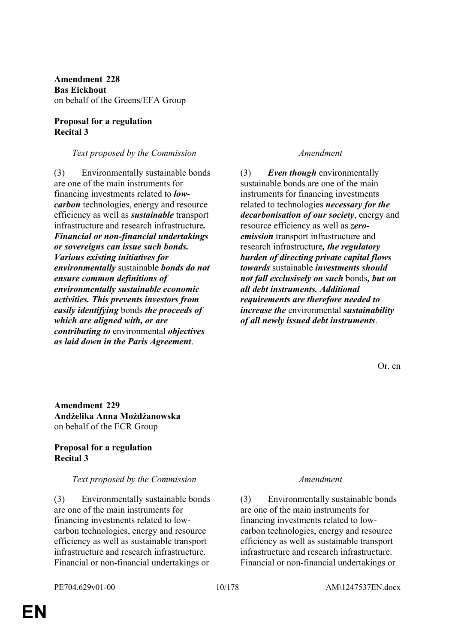**Amendment 228 Bas Eickhout** on behalf of the Greens/EFA Group

### **Proposal for a regulation Recital 3**

#### *Text proposed by the Commission Amendment*

(3) Environmentally sustainable bonds are one of the main instruments for financing investments related to *lowcarbon* technologies, energy and resource efficiency as well as *sustainable* transport infrastructure and research infrastructure*. Financial or non-financial undertakings or sovereigns can issue such bonds. Various existing initiatives for environmentally* sustainable *bonds do not ensure common definitions of environmentally sustainable economic activities. This prevents investors from easily identifying* bonds *the proceeds of which are aligned with, or are contributing to* environmental *objectives as laid down in the Paris Agreement*.

(3) *Even though* environmentally sustainable bonds are one of the main instruments for financing investments related to technologies *necessary for the decarbonisation of our society*, energy and resource efficiency as well as *zeroemission* transport infrastructure and research infrastructure*, the regulatory burden of directing private capital flows towards* sustainable *investments should not fall exclusively on such* bonds*, but on all debt instruments. Additional requirements are therefore needed to increase the* environmental *sustainability of all newly issued debt instruments*.

Or. en

### **Amendment 229 Andżelika Anna Możdżanowska** on behalf of the ECR Group

#### **Proposal for a regulation Recital 3**

### *Text proposed by the Commission Amendment*

(3) Environmentally sustainable bonds are one of the main instruments for financing investments related to lowcarbon technologies, energy and resource efficiency as well as sustainable transport infrastructure and research infrastructure. Financial or non-financial undertakings or

(3) Environmentally sustainable bonds are one of the main instruments for financing investments related to lowcarbon technologies, energy and resource efficiency as well as sustainable transport infrastructure and research infrastructure. Financial or non-financial undertakings or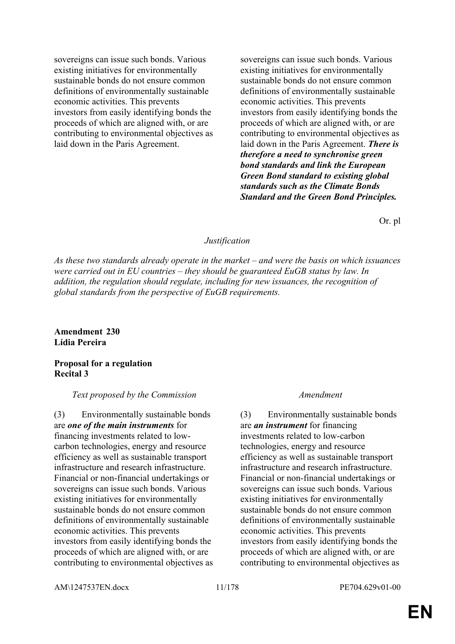sovereigns can issue such bonds. Various existing initiatives for environmentally sustainable bonds do not ensure common definitions of environmentally sustainable economic activities. This prevents investors from easily identifying bonds the proceeds of which are aligned with, or are contributing to environmental objectives as laid down in the Paris Agreement.

sovereigns can issue such bonds. Various existing initiatives for environmentally sustainable bonds do not ensure common definitions of environmentally sustainable economic activities. This prevents investors from easily identifying bonds the proceeds of which are aligned with, or are contributing to environmental objectives as laid down in the Paris Agreement. *There is therefore a need to synchronise green bond standards and link the European Green Bond standard to existing global standards such as the Climate Bonds Standard and the Green Bond Principles.*

Or. pl

#### *Justification*

*As these two standards already operate in the market – and were the basis on which issuances were carried out in EU countries – they should be guaranteed EuGB status by law. In addition, the regulation should regulate, including for new issuances, the recognition of global standards from the perspective of EuGB requirements.*

**Amendment 230 Lídia Pereira**

### **Proposal for a regulation Recital 3**

#### *Text proposed by the Commission Amendment*

(3) Environmentally sustainable bonds are *one of the main instruments* for financing investments related to lowcarbon technologies, energy and resource efficiency as well as sustainable transport infrastructure and research infrastructure. Financial or non-financial undertakings or sovereigns can issue such bonds. Various existing initiatives for environmentally sustainable bonds do not ensure common definitions of environmentally sustainable economic activities. This prevents investors from easily identifying bonds the proceeds of which are aligned with, or are contributing to environmental objectives as

(3) Environmentally sustainable bonds are *an instrument* for financing investments related to low-carbon technologies, energy and resource efficiency as well as sustainable transport infrastructure and research infrastructure. Financial or non-financial undertakings or sovereigns can issue such bonds. Various existing initiatives for environmentally sustainable bonds do not ensure common definitions of environmentally sustainable economic activities. This prevents investors from easily identifying bonds the proceeds of which are aligned with, or are contributing to environmental objectives as

AM\1247537EN.docx 11/178 PE704.629v01-00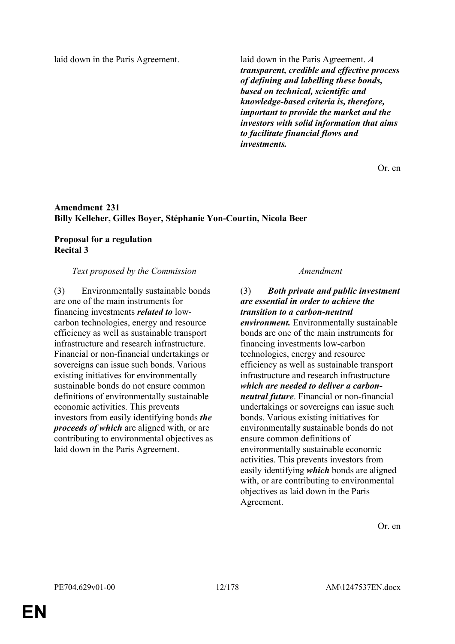laid down in the Paris Agreement. laid down in the Paris Agreement. *A transparent, credible and effective process of defining and labelling these bonds, based on technical, scientific and knowledge-based criteria is, therefore, important to provide the market and the investors with solid information that aims to facilitate financial flows and investments.*

Or. en

### **Amendment 231 Billy Kelleher, Gilles Boyer, Stéphanie Yon-Courtin, Nicola Beer**

### **Proposal for a regulation Recital 3**

#### *Text proposed by the Commission Amendment*

(3) Environmentally sustainable bonds are one of the main instruments for financing investments *related to* lowcarbon technologies, energy and resource efficiency as well as sustainable transport infrastructure and research infrastructure. Financial or non-financial undertakings or sovereigns can issue such bonds. Various existing initiatives for environmentally sustainable bonds do not ensure common definitions of environmentally sustainable economic activities. This prevents investors from easily identifying bonds *the proceeds of which* are aligned with, or are contributing to environmental objectives as laid down in the Paris Agreement.

(3) *Both private and public investment are essential in order to achieve the transition to a carbon-neutral environment.* Environmentally sustainable bonds are one of the main instruments for financing investments low-carbon technologies, energy and resource efficiency as well as sustainable transport infrastructure and research infrastructure *which are needed to deliver a carbonneutral future*. Financial or non-financial undertakings or sovereigns can issue such bonds. Various existing initiatives for environmentally sustainable bonds do not ensure common definitions of environmentally sustainable economic activities. This prevents investors from easily identifying *which* bonds are aligned with, or are contributing to environmental objectives as laid down in the Paris Agreement.

Or. en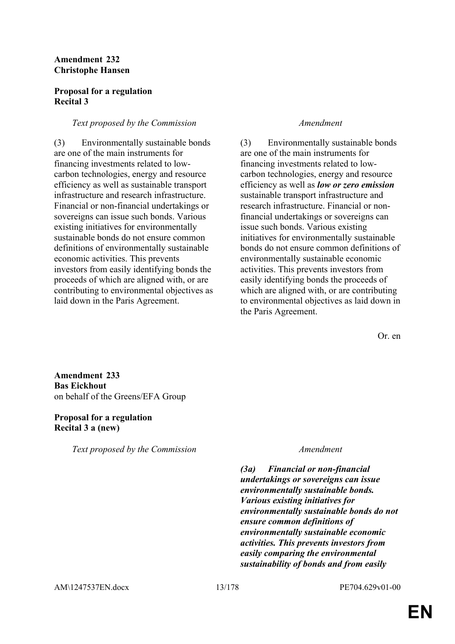#### **Amendment 232 Christophe Hansen**

### **Proposal for a regulation Recital 3**

### *Text proposed by the Commission Amendment*

(3) Environmentally sustainable bonds are one of the main instruments for financing investments related to lowcarbon technologies, energy and resource efficiency as well as sustainable transport infrastructure and research infrastructure. Financial or non-financial undertakings or sovereigns can issue such bonds. Various existing initiatives for environmentally sustainable bonds do not ensure common definitions of environmentally sustainable economic activities. This prevents investors from easily identifying bonds the proceeds of which are aligned with, or are contributing to environmental objectives as laid down in the Paris Agreement.

(3) Environmentally sustainable bonds are one of the main instruments for financing investments related to lowcarbon technologies, energy and resource efficiency as well as *low or zero emission* sustainable transport infrastructure and research infrastructure. Financial or nonfinancial undertakings or sovereigns can issue such bonds. Various existing initiatives for environmentally sustainable bonds do not ensure common definitions of environmentally sustainable economic activities. This prevents investors from easily identifying bonds the proceeds of which are aligned with, or are contributing to environmental objectives as laid down in the Paris Agreement.

Or. en

**Amendment 233 Bas Eickhout** on behalf of the Greens/EFA Group

#### **Proposal for a regulation Recital 3 a (new)**

*Text proposed by the Commission Amendment*

*(3a) Financial or non-financial undertakings or sovereigns can issue environmentally sustainable bonds. Various existing initiatives for environmentally sustainable bonds do not ensure common definitions of environmentally sustainable economic activities. This prevents investors from easily comparing the environmental sustainability of bonds and from easily*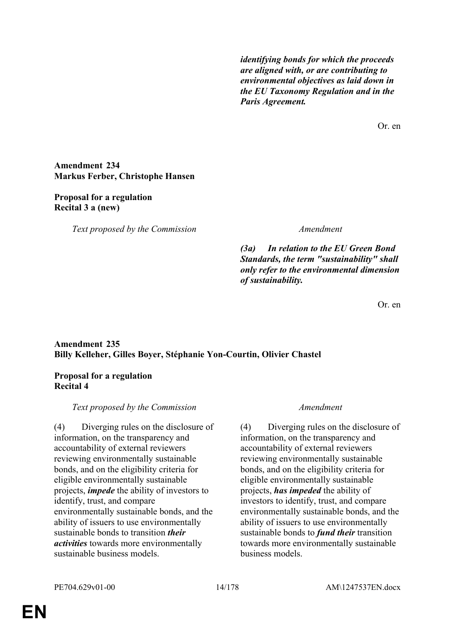*identifying bonds for which the proceeds are aligned with, or are contributing to environmental objectives as laid down in the EU Taxonomy Regulation and in the Paris Agreement.*

Or. en

### **Amendment 234 Markus Ferber, Christophe Hansen**

#### **Proposal for a regulation Recital 3 a (new)**

*Text proposed by the Commission Amendment*

*(3a) In relation to the EU Green Bond Standards, the term "sustainability" shall only refer to the environmental dimension of sustainability.*

Or. en

### **Amendment 235 Billy Kelleher, Gilles Boyer, Stéphanie Yon-Courtin, Olivier Chastel**

### **Proposal for a regulation Recital 4**

### *Text proposed by the Commission Amendment*

(4) Diverging rules on the disclosure of information, on the transparency and accountability of external reviewers reviewing environmentally sustainable bonds, and on the eligibility criteria for eligible environmentally sustainable projects, *impede* the ability of investors to identify, trust, and compare environmentally sustainable bonds, and the ability of issuers to use environmentally sustainable bonds to transition *their activities* towards more environmentally sustainable business models.

(4) Diverging rules on the disclosure of information, on the transparency and accountability of external reviewers reviewing environmentally sustainable bonds, and on the eligibility criteria for eligible environmentally sustainable projects, *has impeded* the ability of investors to identify, trust, and compare environmentally sustainable bonds, and the ability of issuers to use environmentally sustainable bonds to *fund their* transition towards more environmentally sustainable business models.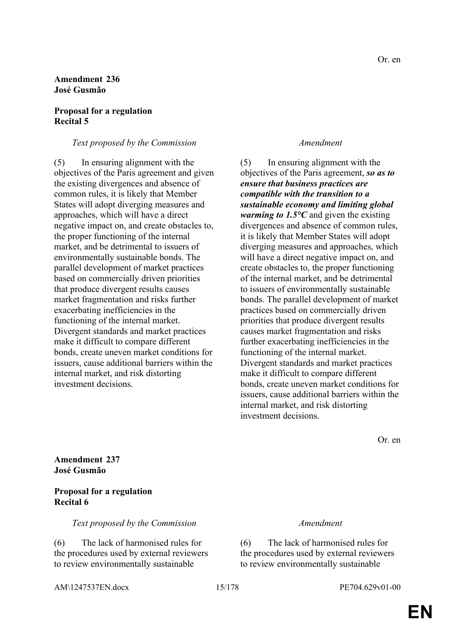#### **Amendment 236 José Gusmão**

#### **Proposal for a regulation Recital 5**

#### *Text proposed by the Commission Amendment*

(5) In ensuring alignment with the objectives of the Paris agreement and given the existing divergences and absence of common rules, it is likely that Member States will adopt diverging measures and approaches, which will have a direct negative impact on, and create obstacles to, the proper functioning of the internal market, and be detrimental to issuers of environmentally sustainable bonds. The parallel development of market practices based on commercially driven priorities that produce divergent results causes market fragmentation and risks further exacerbating inefficiencies in the functioning of the internal market. Divergent standards and market practices make it difficult to compare different bonds, create uneven market conditions for issuers, cause additional barriers within the internal market, and risk distorting investment decisions.

(5) In ensuring alignment with the objectives of the Paris agreement, *so as to ensure that business practices are compatible with the transition to a sustainable economy and limiting global warming to 1.5°C* and given the existing divergences and absence of common rules, it is likely that Member States will adopt diverging measures and approaches, which will have a direct negative impact on, and create obstacles to, the proper functioning of the internal market, and be detrimental to issuers of environmentally sustainable bonds. The parallel development of market practices based on commercially driven priorities that produce divergent results causes market fragmentation and risks further exacerbating inefficiencies in the functioning of the internal market. Divergent standards and market practices make it difficult to compare different bonds, create uneven market conditions for issuers, cause additional barriers within the internal market, and risk distorting investment decisions.

Or. en

**Amendment 237 José Gusmão**

#### **Proposal for a regulation Recital 6**

*Text proposed by the Commission Amendment*

(6) The lack of harmonised rules for the procedures used by external reviewers to review environmentally sustainable

(6) The lack of harmonised rules for the procedures used by external reviewers to review environmentally sustainable

AM\1247537EN.docx 15/178 PE704.629v01-00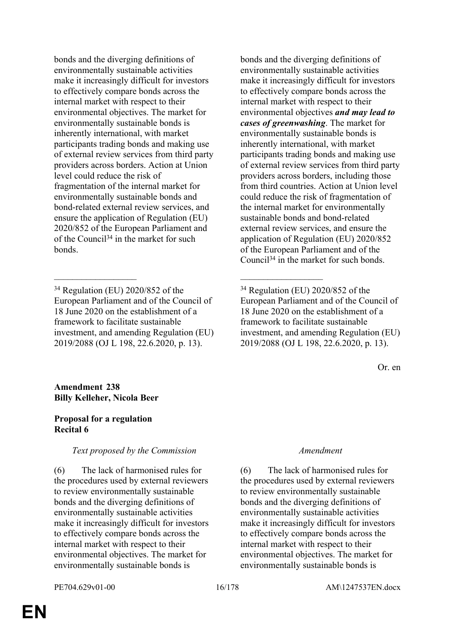bonds and the diverging definitions of environmentally sustainable activities make it increasingly difficult for investors to effectively compare bonds across the internal market with respect to their environmental objectives. The market for environmentally sustainable bonds is inherently international, with market participants trading bonds and making use of external review services from third party providers across borders. Action at Union level could reduce the risk of fragmentation of the internal market for environmentally sustainable bonds and bond-related external review services, and ensure the application of Regulation (EU) 2020/852 of the European Parliament and of the Council<sup>34</sup> in the market for such bonds.

 $\mathcal{L}_\text{max}$  , and the contract of the contract of the contract of the contract of the contract of the contract of

bonds and the diverging definitions of environmentally sustainable activities make it increasingly difficult for investors to effectively compare bonds across the internal market with respect to their environmental objectives *and may lead to cases of greenwashing*. The market for environmentally sustainable bonds is inherently international, with market participants trading bonds and making use of external review services from third party providers across borders, including those from third countries. Action at Union level could reduce the risk of fragmentation of the internal market for environmentally sustainable bonds and bond-related external review services, and ensure the application of Regulation (EU) 2020/852 of the European Parliament and of the Council<sup>34</sup> in the market for such bonds.

<sup>34</sup> Regulation (EU) 2020/852 of the European Parliament and of the Council of 18 June 2020 on the establishment of a framework to facilitate sustainable investment, and amending Regulation (EU) 2019/2088 (OJ L 198, 22.6.2020, p. 13).

Or. en

### **Amendment 238 Billy Kelleher, Nicola Beer**

### **Proposal for a regulation Recital 6**

### *Text proposed by the Commission Amendment*

(6) The lack of harmonised rules for the procedures used by external reviewers to review environmentally sustainable bonds and the diverging definitions of environmentally sustainable activities make it increasingly difficult for investors to effectively compare bonds across the internal market with respect to their environmental objectives. The market for environmentally sustainable bonds is

(6) The lack of harmonised rules for the procedures used by external reviewers to review environmentally sustainable bonds and the diverging definitions of environmentally sustainable activities make it increasingly difficult for investors to effectively compare bonds across the internal market with respect to their environmental objectives. The market for environmentally sustainable bonds is

<sup>34</sup> Regulation (EU) 2020/852 of the European Parliament and of the Council of 18 June 2020 on the establishment of a framework to facilitate sustainable investment, and amending Regulation (EU) 2019/2088 (OJ L 198, 22.6.2020, p. 13).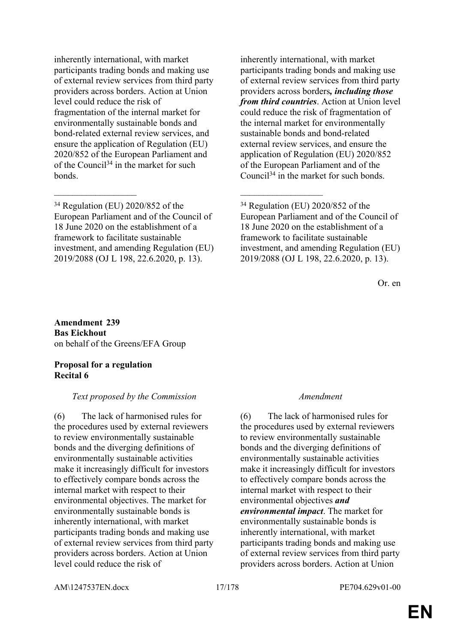inherently international, with market participants trading bonds and making use of external review services from third party providers across borders. Action at Union level could reduce the risk of fragmentation of the internal market for environmentally sustainable bonds and bond-related external review services, and ensure the application of Regulation (EU) 2020/852 of the European Parliament and of the Council<sup>34</sup> in the market for such bonds.

<sup>34</sup> Regulation (EU) 2020/852 of the European Parliament and of the Council of 18 June 2020 on the establishment of a framework to facilitate sustainable investment, and amending Regulation (EU) 2019/2088 (OJ L 198, 22.6.2020, p. 13).

 $\mathcal{L}_\text{max}$  , and the contract of the contract of the contract of the contract of the contract of the contract of

inherently international, with market participants trading bonds and making use of external review services from third party providers across borders*, including those from third countries*. Action at Union level could reduce the risk of fragmentation of the internal market for environmentally sustainable bonds and bond-related external review services, and ensure the application of Regulation (EU) 2020/852 of the European Parliament and of the Council<sup>34</sup> in the market for such bonds.

Or. en

**Amendment 239 Bas Eickhout** on behalf of the Greens/EFA Group

#### **Proposal for a regulation Recital 6**

### *Text proposed by the Commission Amendment*

(6) The lack of harmonised rules for the procedures used by external reviewers to review environmentally sustainable bonds and the diverging definitions of environmentally sustainable activities make it increasingly difficult for investors to effectively compare bonds across the internal market with respect to their environmental objectives. The market for environmentally sustainable bonds is inherently international, with market participants trading bonds and making use of external review services from third party providers across borders. Action at Union level could reduce the risk of

(6) The lack of harmonised rules for the procedures used by external reviewers to review environmentally sustainable bonds and the diverging definitions of environmentally sustainable activities make it increasingly difficult for investors to effectively compare bonds across the internal market with respect to their environmental objectives *and environmental impact*. The market for environmentally sustainable bonds is inherently international, with market participants trading bonds and making use of external review services from third party providers across borders. Action at Union

AM\1247537EN.docx 17/178 PE704.629v01-00

<sup>34</sup> Regulation (EU) 2020/852 of the European Parliament and of the Council of 18 June 2020 on the establishment of a framework to facilitate sustainable investment, and amending Regulation (EU) 2019/2088 (OJ L 198, 22.6.2020, p. 13).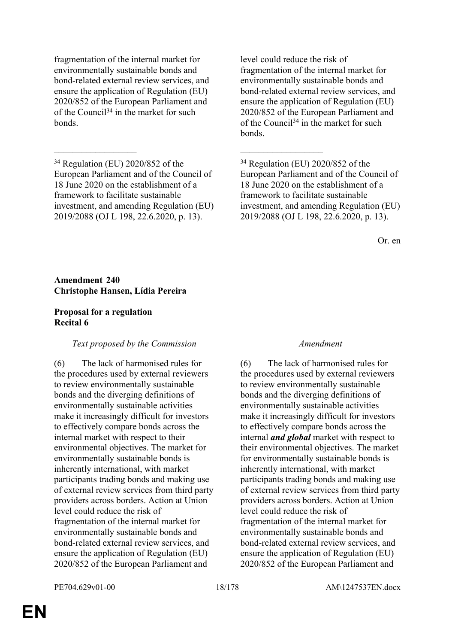fragmentation of the internal market for environmentally sustainable bonds and bond-related external review services, and ensure the application of Regulation (EU) 2020/852 of the European Parliament and of the Council<sup>34</sup> in the market for such bonds.

 $\mathcal{L}_\text{max}$  , and the contract of the contract of the contract of the contract of the contract of the contract of

level could reduce the risk of fragmentation of the internal market for environmentally sustainable bonds and bond-related external review services, and ensure the application of Regulation (EU) 2020/852 of the European Parliament and of the Council<sup>34</sup> in the market for such bonds.

<sup>34</sup> Regulation (EU) 2020/852 of the European Parliament and of the Council of 18 June 2020 on the establishment of a framework to facilitate sustainable investment, and amending Regulation (EU) 2019/2088 (OJ L 198, 22.6.2020, p. 13).

Or. en

#### **Amendment 240 Christophe Hansen, Lídia Pereira**

### **Proposal for a regulation Recital 6**

### *Text proposed by the Commission Amendment*

(6) The lack of harmonised rules for the procedures used by external reviewers to review environmentally sustainable bonds and the diverging definitions of environmentally sustainable activities make it increasingly difficult for investors to effectively compare bonds across the internal market with respect to their environmental objectives. The market for environmentally sustainable bonds is inherently international, with market participants trading bonds and making use of external review services from third party providers across borders. Action at Union level could reduce the risk of fragmentation of the internal market for environmentally sustainable bonds and bond-related external review services, and ensure the application of Regulation (EU) 2020/852 of the European Parliament and

(6) The lack of harmonised rules for the procedures used by external reviewers to review environmentally sustainable bonds and the diverging definitions of environmentally sustainable activities make it increasingly difficult for investors to effectively compare bonds across the internal *and global* market with respect to their environmental objectives. The market for environmentally sustainable bonds is inherently international, with market participants trading bonds and making use of external review services from third party providers across borders. Action at Union level could reduce the risk of fragmentation of the internal market for environmentally sustainable bonds and bond-related external review services, and ensure the application of Regulation (EU) 2020/852 of the European Parliament and

<sup>34</sup> Regulation (EU) 2020/852 of the European Parliament and of the Council of 18 June 2020 on the establishment of a framework to facilitate sustainable investment, and amending Regulation (EU) 2019/2088 (OJ L 198, 22.6.2020, p. 13).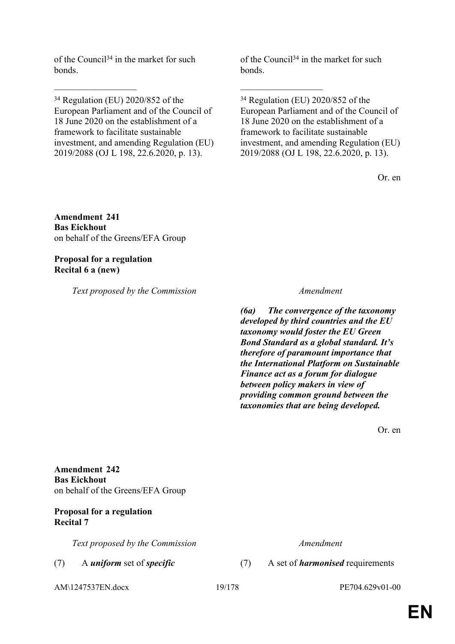of the Council<sup>34</sup> in the market for such bonds.

<sup>34</sup> Regulation (EU) 2020/852 of the European Parliament and of the Council of 18 June 2020 on the establishment of a framework to facilitate sustainable investment, and amending Regulation (EU) 2019/2088 (OJ L 198, 22.6.2020, p. 13).

 $\mathcal{L}_\text{max}$  , and the contract of the contract of the contract of the contract of the contract of the contract of

of the Council<sup>34</sup> in the market for such bonds.

<sup>34</sup> Regulation (EU) 2020/852 of the European Parliament and of the Council of 18 June 2020 on the establishment of a framework to facilitate sustainable investment, and amending Regulation (EU) 2019/2088 (OJ L 198, 22.6.2020, p. 13).

Or. en

**Amendment 241 Bas Eickhout** on behalf of the Greens/EFA Group

**Proposal for a regulation Recital 6 a (new)**

*Text proposed by the Commission Amendment*

*(6a) The convergence of the taxonomy developed by third countries and the EU taxonomy would foster the EU Green Bond Standard as a global standard. It's therefore of paramount importance that the International Platform on Sustainable Finance act as a forum for dialogue between policy makers in view of providing common ground between the taxonomies that are being developed.*

Or. en

**Amendment 242 Bas Eickhout** on behalf of the Greens/EFA Group

### **Proposal for a regulation Recital 7**

*Text proposed by the Commission Amendment*

- 
- AM\1247537EN.docx 19/178 PE704.629v01-00

(7) A *uniform* set of *specific* (7) A set of *harmonised* requirements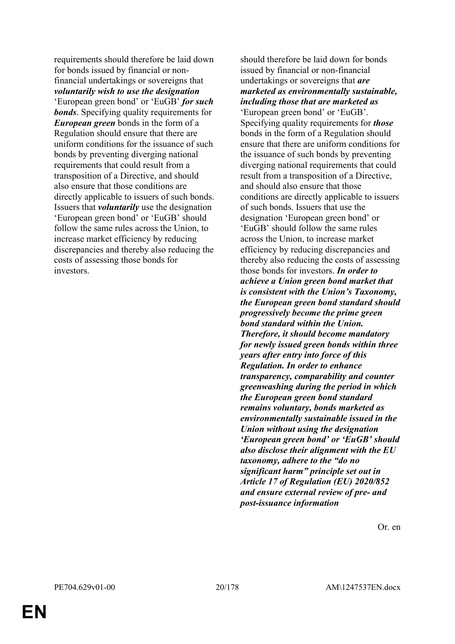requirements should therefore be laid down for bonds issued by financial or nonfinancial undertakings or sovereigns that *voluntarily wish to use the designation* 'European green bond' or 'EuGB' *for such bonds*. Specifying quality requirements for *European green* bonds in the form of a Regulation should ensure that there are uniform conditions for the issuance of such bonds by preventing diverging national requirements that could result from a transposition of a Directive, and should also ensure that those conditions are directly applicable to issuers of such bonds. Issuers that *voluntarily* use the designation 'European green bond' or 'EuGB' should follow the same rules across the Union, to increase market efficiency by reducing discrepancies and thereby also reducing the costs of assessing those bonds for investors.

should therefore be laid down for bonds issued by financial or non-financial undertakings or sovereigns that *are marketed as environmentally sustainable, including those that are marketed as* 'European green bond' or 'EuGB'. Specifying quality requirements for *those* bonds in the form of a Regulation should ensure that there are uniform conditions for the issuance of such bonds by preventing diverging national requirements that could result from a transposition of a Directive, and should also ensure that those conditions are directly applicable to issuers of such bonds. Issuers that use the designation 'European green bond' or 'EuGB' should follow the same rules across the Union, to increase market efficiency by reducing discrepancies and thereby also reducing the costs of assessing those bonds for investors. *In order to achieve a Union green bond market that is consistent with the Union's Taxonomy, the European green bond standard should progressively become the prime green bond standard within the Union. Therefore, it should become mandatory for newly issued green bonds within three years after entry into force of this Regulation. In order to enhance transparency, comparability and counter greenwashing during the period in which the European green bond standard remains voluntary, bonds marketed as environmentally sustainable issued in the Union without using the designation 'European green bond' or 'EuGB' should also disclose their alignment with the EU taxonomy, adhere to the "do no significant harm" principle set out in Article 17 of Regulation (EU) 2020/852 and ensure external review of pre- and post-issuance information*

Or. en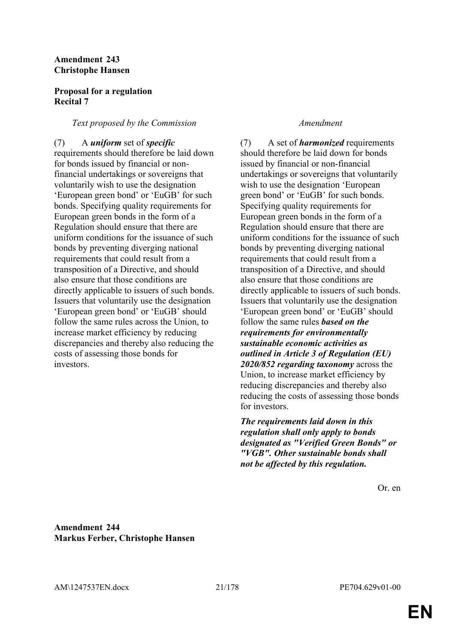### **Amendment 243 Christophe Hansen**

### **Proposal for a regulation Recital 7**

### *Text proposed by the Commission Amendment*

(7) A *uniform* set of *specific* requirements should therefore be laid down for bonds issued by financial or nonfinancial undertakings or sovereigns that voluntarily wish to use the designation 'European green bond' or 'EuGB' for such bonds. Specifying quality requirements for European green bonds in the form of a Regulation should ensure that there are uniform conditions for the issuance of such bonds by preventing diverging national requirements that could result from a transposition of a Directive, and should also ensure that those conditions are directly applicable to issuers of such bonds. Issuers that voluntarily use the designation 'European green bond' or 'EuGB' should follow the same rules across the Union, to increase market efficiency by reducing discrepancies and thereby also reducing the costs of assessing those bonds for investors.

(7) A set of *harmonized* requirements should therefore be laid down for bonds issued by financial or non-financial undertakings or sovereigns that voluntarily wish to use the designation 'European green bond' or 'EuGB' for such bonds. Specifying quality requirements for European green bonds in the form of a Regulation should ensure that there are uniform conditions for the issuance of such bonds by preventing diverging national requirements that could result from a transposition of a Directive, and should also ensure that those conditions are directly applicable to issuers of such bonds. Issuers that voluntarily use the designation 'European green bond' or 'EuGB' should follow the same rules *based on the requirements for environmentally sustainable economic activities as outlined in Article 3 of Regulation (EU) 2020/852 regarding taxonomy* across the Union, to increase market efficiency by reducing discrepancies and thereby also reducing the costs of assessing those bonds for investors.

*The requirements laid down in this regulation shall only apply to bonds designated as "Verified Green Bonds" or "VGB". Other sustainable bonds shall not be affected by this regulation.*

Or. en

**Amendment 244 Markus Ferber, Christophe Hansen**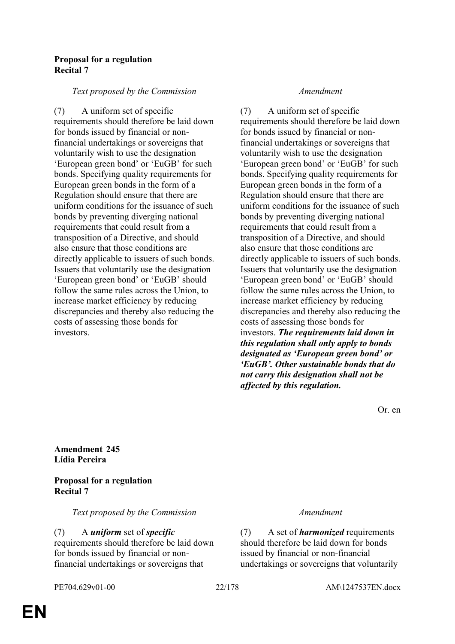### **Proposal for a regulation Recital 7**

#### *Text proposed by the Commission Amendment*

(7) A uniform set of specific requirements should therefore be laid down for bonds issued by financial or nonfinancial undertakings or sovereigns that voluntarily wish to use the designation 'European green bond' or 'EuGB' for such bonds. Specifying quality requirements for European green bonds in the form of a Regulation should ensure that there are uniform conditions for the issuance of such bonds by preventing diverging national requirements that could result from a transposition of a Directive, and should also ensure that those conditions are directly applicable to issuers of such bonds. Issuers that voluntarily use the designation 'European green bond' or 'EuGB' should follow the same rules across the Union, to increase market efficiency by reducing discrepancies and thereby also reducing the costs of assessing those bonds for investors.

(7) A uniform set of specific requirements should therefore be laid down for bonds issued by financial or nonfinancial undertakings or sovereigns that voluntarily wish to use the designation 'European green bond' or 'EuGB' for such bonds. Specifying quality requirements for European green bonds in the form of a Regulation should ensure that there are uniform conditions for the issuance of such bonds by preventing diverging national requirements that could result from a transposition of a Directive, and should also ensure that those conditions are directly applicable to issuers of such bonds. Issuers that voluntarily use the designation 'European green bond' or 'EuGB' should follow the same rules across the Union, to increase market efficiency by reducing discrepancies and thereby also reducing the costs of assessing those bonds for investors. *The requirements laid down in this regulation shall only apply to bonds designated as 'European green bond' or 'EuGB'. Other sustainable bonds that do not carry this designation shall not be affected by this regulation.*

Or. en

**Amendment 245 Lídia Pereira**

**Proposal for a regulation Recital 7**

*Text proposed by the Commission Amendment*

(7) A *uniform* set of *specific*

requirements should therefore be laid down for bonds issued by financial or nonfinancial undertakings or sovereigns that

(7) A set of *harmonized* requirements should therefore be laid down for bonds issued by financial or non-financial undertakings or sovereigns that voluntarily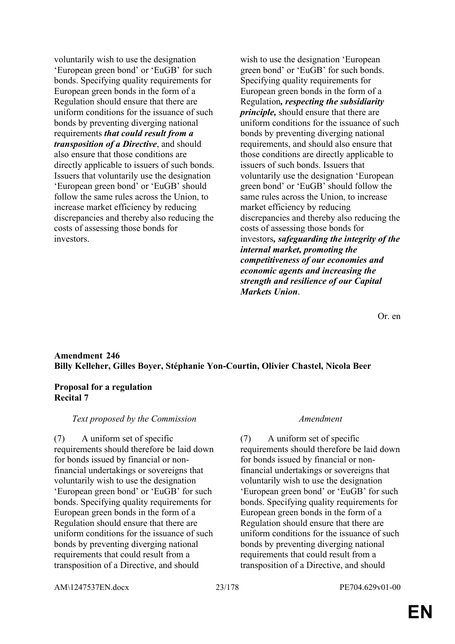voluntarily wish to use the designation 'European green bond' or 'EuGB' for such bonds. Specifying quality requirements for European green bonds in the form of a Regulation should ensure that there are uniform conditions for the issuance of such bonds by preventing diverging national requirements *that could result from a transposition of a Directive*, and should also ensure that those conditions are directly applicable to issuers of such bonds. Issuers that voluntarily use the designation 'European green bond' or 'EuGB' should follow the same rules across the Union, to increase market efficiency by reducing discrepancies and thereby also reducing the costs of assessing those bonds for investors.

wish to use the designation 'European green bond' or 'EuGB' for such bonds. Specifying quality requirements for European green bonds in the form of a Regulation*, respecting the subsidiarity principle,* should ensure that there are uniform conditions for the issuance of such bonds by preventing diverging national requirements, and should also ensure that those conditions are directly applicable to issuers of such bonds. Issuers that voluntarily use the designation 'European green bond' or 'EuGB' should follow the same rules across the Union, to increase market efficiency by reducing discrepancies and thereby also reducing the costs of assessing those bonds for investors*, safeguarding the integrity of the internal market, promoting the competitiveness of our economies and economic agents and increasing the strength and resilience of our Capital Markets Union*.

Or. en

### **Amendment 246 Billy Kelleher, Gilles Boyer, Stéphanie Yon-Courtin, Olivier Chastel, Nicola Beer**

#### **Proposal for a regulation Recital 7**

#### *Text proposed by the Commission Amendment*

(7) A uniform set of specific requirements should therefore be laid down for bonds issued by financial or nonfinancial undertakings or sovereigns that voluntarily wish to use the designation 'European green bond' or 'EuGB' for such bonds. Specifying quality requirements for European green bonds in the form of a Regulation should ensure that there are uniform conditions for the issuance of such bonds by preventing diverging national requirements that could result from a transposition of a Directive, and should

(7) A uniform set of specific requirements should therefore be laid down for bonds issued by financial or nonfinancial undertakings or sovereigns that voluntarily wish to use the designation 'European green bond' or 'EuGB' for such bonds. Specifying quality requirements for European green bonds in the form of a Regulation should ensure that there are uniform conditions for the issuance of such bonds by preventing diverging national requirements that could result from a transposition of a Directive, and should

AM\1247537EN.docx 23/178 PE704.629v01-00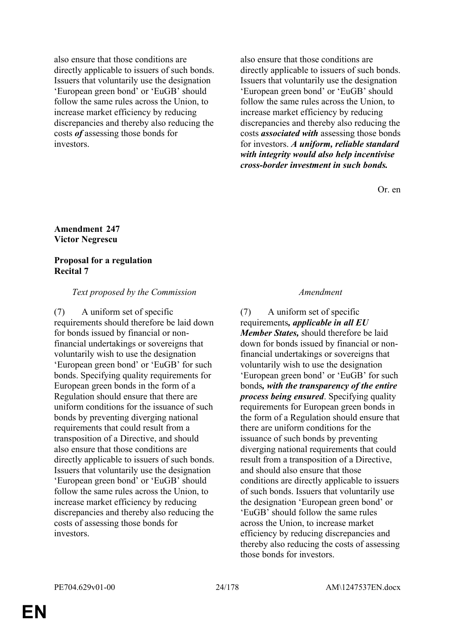also ensure that those conditions are directly applicable to issuers of such bonds. Issuers that voluntarily use the designation 'European green bond' or 'EuGB' should follow the same rules across the Union, to increase market efficiency by reducing discrepancies and thereby also reducing the costs *of* assessing those bonds for investors.

also ensure that those conditions are directly applicable to issuers of such bonds. Issuers that voluntarily use the designation 'European green bond' or 'EuGB' should follow the same rules across the Union, to increase market efficiency by reducing discrepancies and thereby also reducing the costs *associated with* assessing those bonds for investors. *A uniform, reliable standard with integrity would also help incentivise cross-border investment in such bonds.*

Or. en

### **Amendment 247 Victor Negrescu**

#### **Proposal for a regulation Recital 7**

#### *Text proposed by the Commission Amendment*

(7) A uniform set of specific requirements should therefore be laid down for bonds issued by financial or nonfinancial undertakings or sovereigns that voluntarily wish to use the designation 'European green bond' or 'EuGB' for such bonds. Specifying quality requirements for European green bonds in the form of a Regulation should ensure that there are uniform conditions for the issuance of such bonds by preventing diverging national requirements that could result from a transposition of a Directive, and should also ensure that those conditions are directly applicable to issuers of such bonds. Issuers that voluntarily use the designation 'European green bond' or 'EuGB' should follow the same rules across the Union, to increase market efficiency by reducing discrepancies and thereby also reducing the costs of assessing those bonds for investors.

(7) A uniform set of specific requirements*, applicable in all EU Member States,* should therefore be laid down for bonds issued by financial or nonfinancial undertakings or sovereigns that voluntarily wish to use the designation 'European green bond' or 'EuGB' for such bonds*, with the transparency of the entire process being ensured*. Specifying quality requirements for European green bonds in the form of a Regulation should ensure that there are uniform conditions for the issuance of such bonds by preventing diverging national requirements that could result from a transposition of a Directive, and should also ensure that those conditions are directly applicable to issuers of such bonds. Issuers that voluntarily use the designation 'European green bond' or 'EuGB' should follow the same rules across the Union, to increase market efficiency by reducing discrepancies and thereby also reducing the costs of assessing those bonds for investors.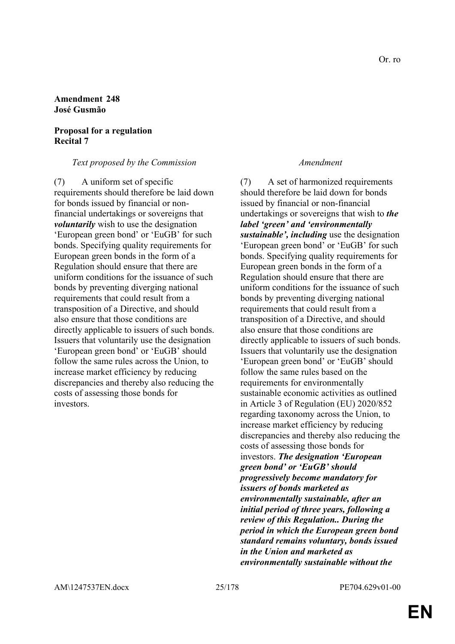#### **Amendment 248 José Gusmão**

#### **Proposal for a regulation Recital 7**

#### *Text proposed by the Commission Amendment*

(7) A uniform set of specific requirements should therefore be laid down for bonds issued by financial or nonfinancial undertakings or sovereigns that *voluntarily* wish to use the designation 'European green bond' or 'EuGB' for such bonds. Specifying quality requirements for European green bonds in the form of a Regulation should ensure that there are uniform conditions for the issuance of such bonds by preventing diverging national requirements that could result from a transposition of a Directive, and should also ensure that those conditions are directly applicable to issuers of such bonds. Issuers that voluntarily use the designation 'European green bond' or 'EuGB' should follow the same rules across the Union, to increase market efficiency by reducing discrepancies and thereby also reducing the costs of assessing those bonds for investors.

(7) A set of harmonized requirements should therefore be laid down for bonds issued by financial or non-financial undertakings or sovereigns that wish to *the label 'green' and 'environmentally sustainable', including* use the designation 'European green bond' or 'EuGB' for such bonds. Specifying quality requirements for European green bonds in the form of a Regulation should ensure that there are uniform conditions for the issuance of such bonds by preventing diverging national requirements that could result from a transposition of a Directive, and should also ensure that those conditions are directly applicable to issuers of such bonds. Issuers that voluntarily use the designation 'European green bond' or 'EuGB' should follow the same rules based on the requirements for environmentally sustainable economic activities as outlined in Article 3 of Regulation (EU) 2020/852 regarding taxonomy across the Union, to increase market efficiency by reducing discrepancies and thereby also reducing the costs of assessing those bonds for investors. *The designation 'European green bond' or 'EuGB' should progressively become mandatory for issuers of bonds marketed as environmentally sustainable, after an initial period of three years, following a review of this Regulation.. During the period in which the European green bond standard remains voluntary, bonds issued in the Union and marketed as environmentally sustainable without the*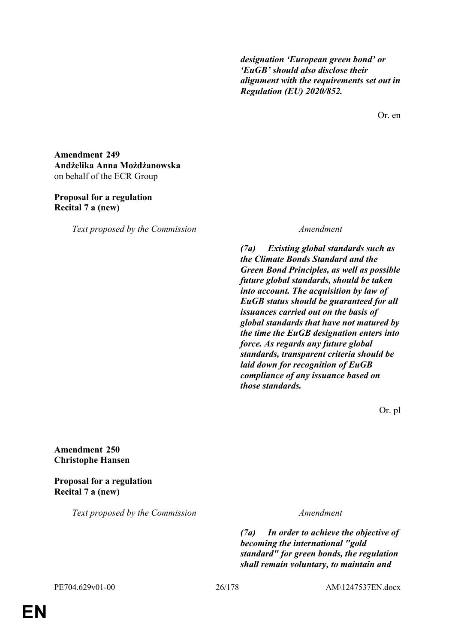*designation 'European green bond' or 'EuGB' should also disclose their alignment with the requirements set out in Regulation (EU) 2020/852.*

Or. en

**Amendment 249 Andżelika Anna Możdżanowska** on behalf of the ECR Group

#### **Proposal for a regulation Recital 7 a (new)**

*Text proposed by the Commission Amendment*

*(7a) Existing global standards such as the Climate Bonds Standard and the Green Bond Principles, as well as possible future global standards, should be taken into account. The acquisition by law of EuGB status should be guaranteed for all issuances carried out on the basis of global standards that have not matured by the time the EuGB designation enters into force. As regards any future global standards, transparent criteria should be laid down for recognition of EuGB compliance of any issuance based on those standards.*

Or. pl

**Amendment 250 Christophe Hansen**

**Proposal for a regulation Recital 7 a (new)**

*Text proposed by the Commission Amendment*

*(7a) In order to achieve the objective of becoming the international "gold standard" for green bonds, the regulation shall remain voluntary, to maintain and* 

**EN**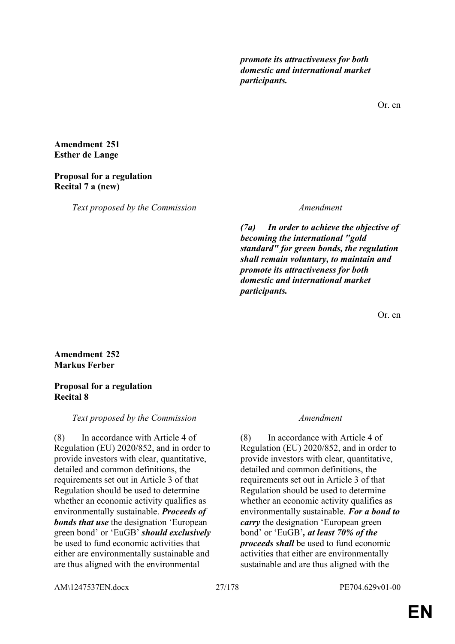*promote its attractiveness for both domestic and international market participants.*

Or. en

#### **Amendment 251 Esther de Lange**

#### **Proposal for a regulation Recital 7 a (new)**

*Text proposed by the Commission Amendment*

*(7a) In order to achieve the objective of becoming the international "gold standard" for green bonds, the regulation shall remain voluntary, to maintain and promote its attractiveness for both domestic and international market participants.*

Or. en

**Amendment 252 Markus Ferber**

#### **Proposal for a regulation Recital 8**

#### *Text proposed by the Commission Amendment*

(8) In accordance with Article 4 of Regulation (EU) 2020/852, and in order to provide investors with clear, quantitative, detailed and common definitions, the requirements set out in Article 3 of that Regulation should be used to determine whether an economic activity qualifies as environmentally sustainable. *Proceeds of bonds that use* the designation 'European green bond' or 'EuGB' *should exclusively* be used to fund economic activities that either are environmentally sustainable and are thus aligned with the environmental

(8) In accordance with Article 4 of Regulation (EU) 2020/852, and in order to provide investors with clear, quantitative, detailed and common definitions, the requirements set out in Article 3 of that Regulation should be used to determine whether an economic activity qualifies as environmentally sustainable. *For a bond to carry* the designation 'European green bond' or 'EuGB'*, at least 70% of the proceeds shall* be used to fund economic activities that either are environmentally sustainable and are thus aligned with the

AM\1247537EN.docx 27/178 PE704.629v01-00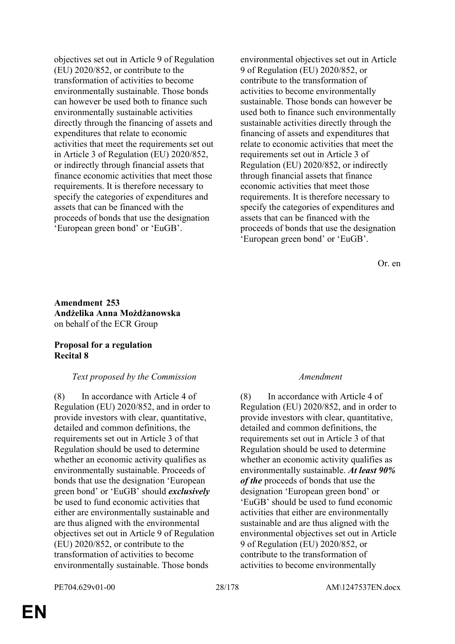objectives set out in Article 9 of Regulation (EU) 2020/852, or contribute to the transformation of activities to become environmentally sustainable. Those bonds can however be used both to finance such environmentally sustainable activities directly through the financing of assets and expenditures that relate to economic activities that meet the requirements set out in Article 3 of Regulation (EU) 2020/852, or indirectly through financial assets that finance economic activities that meet those requirements. It is therefore necessary to specify the categories of expenditures and assets that can be financed with the proceeds of bonds that use the designation 'European green bond' or 'EuGB'.

environmental objectives set out in Article 9 of Regulation (EU) 2020/852, or contribute to the transformation of activities to become environmentally sustainable. Those bonds can however be used both to finance such environmentally sustainable activities directly through the financing of assets and expenditures that relate to economic activities that meet the requirements set out in Article 3 of Regulation (EU) 2020/852, or indirectly through financial assets that finance economic activities that meet those requirements. It is therefore necessary to specify the categories of expenditures and assets that can be financed with the proceeds of bonds that use the designation 'European green bond' or 'EuGB'.

Or. en

### **Amendment 253 Andżelika Anna Możdżanowska** on behalf of the ECR Group

### **Proposal for a regulation Recital 8**

### *Text proposed by the Commission Amendment*

(8) In accordance with Article 4 of Regulation (EU) 2020/852, and in order to provide investors with clear, quantitative, detailed and common definitions, the requirements set out in Article 3 of that Regulation should be used to determine whether an economic activity qualifies as environmentally sustainable. Proceeds of bonds that use the designation 'European green bond' or 'EuGB' should *exclusively* be used to fund economic activities that either are environmentally sustainable and are thus aligned with the environmental objectives set out in Article 9 of Regulation (EU) 2020/852, or contribute to the transformation of activities to become environmentally sustainable. Those bonds

(8) In accordance with Article 4 of Regulation (EU) 2020/852, and in order to provide investors with clear, quantitative, detailed and common definitions, the requirements set out in Article 3 of that Regulation should be used to determine whether an economic activity qualifies as environmentally sustainable. *At least 90% of the* proceeds of bonds that use the designation 'European green bond' or 'EuGB' should be used to fund economic activities that either are environmentally sustainable and are thus aligned with the environmental objectives set out in Article 9 of Regulation (EU) 2020/852, or contribute to the transformation of activities to become environmentally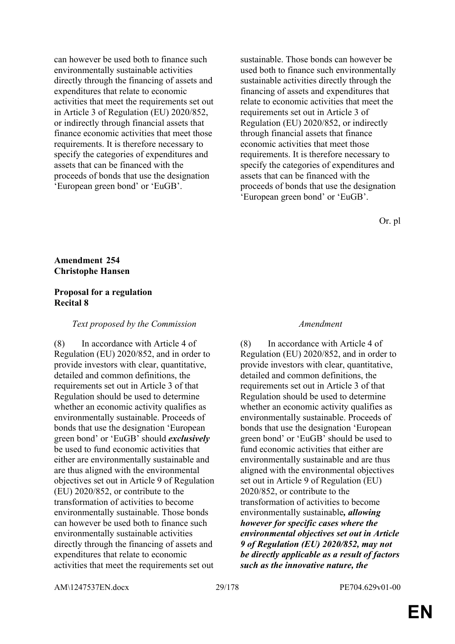can however be used both to finance such environmentally sustainable activities directly through the financing of assets and expenditures that relate to economic activities that meet the requirements set out in Article 3 of Regulation (EU) 2020/852, or indirectly through financial assets that finance economic activities that meet those requirements. It is therefore necessary to specify the categories of expenditures and assets that can be financed with the proceeds of bonds that use the designation 'European green bond' or 'EuGB'.

sustainable. Those bonds can however be used both to finance such environmentally sustainable activities directly through the financing of assets and expenditures that relate to economic activities that meet the requirements set out in Article 3 of Regulation (EU) 2020/852, or indirectly through financial assets that finance economic activities that meet those requirements. It is therefore necessary to specify the categories of expenditures and assets that can be financed with the proceeds of bonds that use the designation 'European green bond' or 'EuGB'.

Or. pl

### **Amendment 254 Christophe Hansen**

#### **Proposal for a regulation Recital 8**

#### *Text proposed by the Commission Amendment*

(8) In accordance with Article 4 of Regulation (EU) 2020/852, and in order to provide investors with clear, quantitative, detailed and common definitions, the requirements set out in Article 3 of that Regulation should be used to determine whether an economic activity qualifies as environmentally sustainable. Proceeds of bonds that use the designation 'European green bond' or 'EuGB' should *exclusively* be used to fund economic activities that either are environmentally sustainable and are thus aligned with the environmental objectives set out in Article 9 of Regulation (EU) 2020/852, or contribute to the transformation of activities to become environmentally sustainable. Those bonds can however be used both to finance such environmentally sustainable activities directly through the financing of assets and expenditures that relate to economic activities that meet the requirements set out

(8) In accordance with Article 4 of Regulation (EU) 2020/852, and in order to provide investors with clear, quantitative, detailed and common definitions, the requirements set out in Article 3 of that Regulation should be used to determine whether an economic activity qualifies as environmentally sustainable. Proceeds of bonds that use the designation 'European green bond' or 'EuGB' should be used to fund economic activities that either are environmentally sustainable and are thus aligned with the environmental objectives set out in Article 9 of Regulation (EU) 2020/852, or contribute to the transformation of activities to become environmentally sustainable*, allowing however for specific cases where the environmental objectives set out in Article 9 of Regulation (EU) 2020/852, may not be directly applicable as a result of factors such as the innovative nature, the* 

AM\1247537EN.docx 29/178 PE704.629v01-00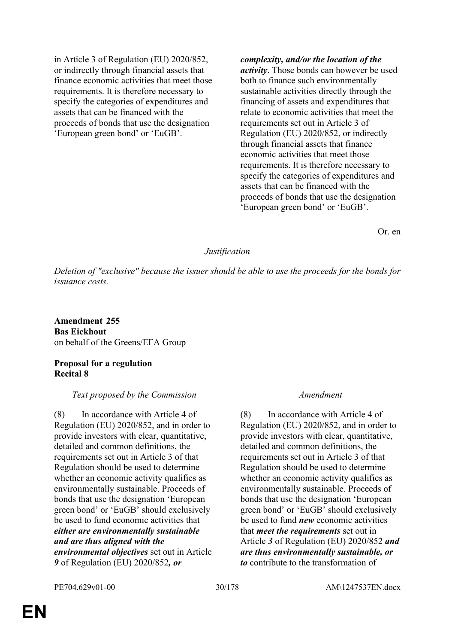in Article 3 of Regulation (EU) 2020/852, or indirectly through financial assets that finance economic activities that meet those requirements. It is therefore necessary to specify the categories of expenditures and assets that can be financed with the proceeds of bonds that use the designation 'European green bond' or 'EuGB'.

*complexity, and/or the location of the activity*. Those bonds can however be used both to finance such environmentally sustainable activities directly through the financing of assets and expenditures that relate to economic activities that meet the requirements set out in Article 3 of Regulation (EU) 2020/852, or indirectly through financial assets that finance economic activities that meet those requirements. It is therefore necessary to specify the categories of expenditures and assets that can be financed with the proceeds of bonds that use the designation 'European green bond' or 'EuGB'.

Or. en

#### *Justification*

*Deletion of "exclusive" because the issuer should be able to use the proceeds for the bonds for issuance costs.*

**Amendment 255 Bas Eickhout** on behalf of the Greens/EFA Group

#### **Proposal for a regulation Recital 8**

#### *Text proposed by the Commission Amendment*

(8) In accordance with Article 4 of Regulation (EU) 2020/852, and in order to provide investors with clear, quantitative, detailed and common definitions, the requirements set out in Article 3 of that Regulation should be used to determine whether an economic activity qualifies as environmentally sustainable. Proceeds of bonds that use the designation 'European green bond' or 'EuGB' should exclusively be used to fund economic activities that *either are environmentally sustainable and are thus aligned with the environmental objectives* set out in Article *9* of Regulation (EU) 2020/852*, or*

(8) In accordance with Article 4 of Regulation (EU) 2020/852, and in order to provide investors with clear, quantitative, detailed and common definitions, the requirements set out in Article 3 of that Regulation should be used to determine whether an economic activity qualifies as environmentally sustainable. Proceeds of bonds that use the designation 'European green bond' or 'EuGB' should exclusively be used to fund *new* economic activities that *meet the requirements* set out in Article *3* of Regulation (EU) 2020/852 *and are thus environmentally sustainable, or to* contribute to the transformation of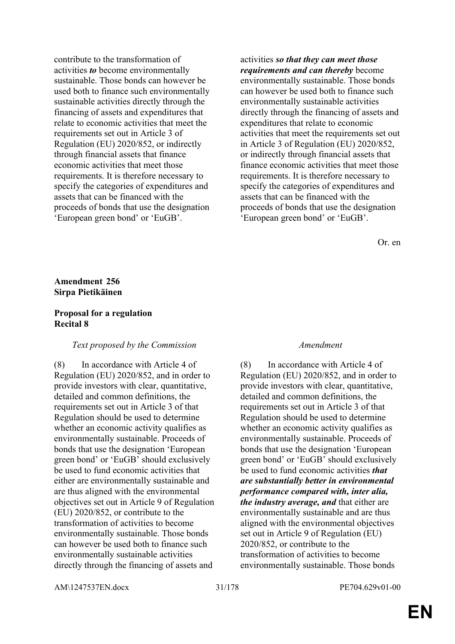contribute to the transformation of activities *to* become environmentally sustainable. Those bonds can however be used both to finance such environmentally sustainable activities directly through the financing of assets and expenditures that relate to economic activities that meet the requirements set out in Article 3 of Regulation (EU) 2020/852, or indirectly through financial assets that finance economic activities that meet those requirements. It is therefore necessary to specify the categories of expenditures and assets that can be financed with the proceeds of bonds that use the designation 'European green bond' or 'EuGB'.

activities *so that they can meet those requirements and can thereby* become environmentally sustainable. Those bonds can however be used both to finance such environmentally sustainable activities directly through the financing of assets and expenditures that relate to economic activities that meet the requirements set out in Article 3 of Regulation (EU) 2020/852, or indirectly through financial assets that finance economic activities that meet those requirements. It is therefore necessary to specify the categories of expenditures and assets that can be financed with the proceeds of bonds that use the designation 'European green bond' or 'EuGB'.

Or. en

#### **Amendment 256 Sirpa Pietikäinen**

#### **Proposal for a regulation Recital 8**

### *Text proposed by the Commission Amendment*

(8) In accordance with Article 4 of Regulation (EU) 2020/852, and in order to provide investors with clear, quantitative, detailed and common definitions, the requirements set out in Article 3 of that Regulation should be used to determine whether an economic activity qualifies as environmentally sustainable. Proceeds of bonds that use the designation 'European green bond' or 'EuGB' should exclusively be used to fund economic activities that either are environmentally sustainable and are thus aligned with the environmental objectives set out in Article 9 of Regulation (EU) 2020/852, or contribute to the transformation of activities to become environmentally sustainable. Those bonds can however be used both to finance such environmentally sustainable activities directly through the financing of assets and

(8) In accordance with Article 4 of Regulation (EU) 2020/852, and in order to provide investors with clear, quantitative, detailed and common definitions, the requirements set out in Article 3 of that Regulation should be used to determine whether an economic activity qualifies as environmentally sustainable. Proceeds of bonds that use the designation 'European green bond' or 'EuGB' should exclusively be used to fund economic activities *that are substantially better in environmental performance compared with, inter alia, the industry average, and* that either are environmentally sustainable and are thus aligned with the environmental objectives set out in Article 9 of Regulation (EU) 2020/852, or contribute to the transformation of activities to become environmentally sustainable. Those bonds

AM\1247537EN.docx 31/178 PE704.629v01-00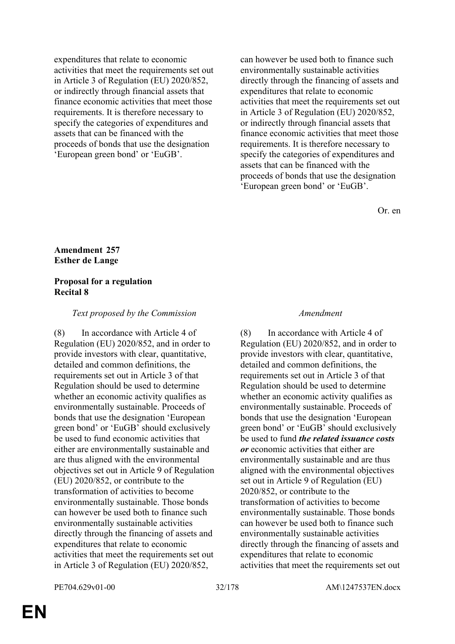expenditures that relate to economic activities that meet the requirements set out in Article 3 of Regulation (EU) 2020/852, or indirectly through financial assets that finance economic activities that meet those requirements. It is therefore necessary to specify the categories of expenditures and assets that can be financed with the proceeds of bonds that use the designation 'European green bond' or 'EuGB'.

can however be used both to finance such environmentally sustainable activities directly through the financing of assets and expenditures that relate to economic activities that meet the requirements set out in Article 3 of Regulation (EU) 2020/852, or indirectly through financial assets that finance economic activities that meet those requirements. It is therefore necessary to specify the categories of expenditures and assets that can be financed with the proceeds of bonds that use the designation 'European green bond' or 'EuGB'.

Or. en

#### **Amendment 257 Esther de Lange**

#### **Proposal for a regulation Recital 8**

#### *Text proposed by the Commission Amendment*

(8) In accordance with Article 4 of Regulation (EU) 2020/852, and in order to provide investors with clear, quantitative, detailed and common definitions, the requirements set out in Article 3 of that Regulation should be used to determine whether an economic activity qualifies as environmentally sustainable. Proceeds of bonds that use the designation 'European green bond' or 'EuGB' should exclusively be used to fund economic activities that either are environmentally sustainable and are thus aligned with the environmental objectives set out in Article 9 of Regulation (EU) 2020/852, or contribute to the transformation of activities to become environmentally sustainable. Those bonds can however be used both to finance such environmentally sustainable activities directly through the financing of assets and expenditures that relate to economic activities that meet the requirements set out in Article 3 of Regulation (EU) 2020/852,

(8) In accordance with Article 4 of Regulation (EU) 2020/852, and in order to provide investors with clear, quantitative, detailed and common definitions, the requirements set out in Article 3 of that Regulation should be used to determine whether an economic activity qualifies as environmentally sustainable. Proceeds of bonds that use the designation 'European green bond' or 'EuGB' should exclusively be used to fund *the related issuance costs or* economic activities that either are environmentally sustainable and are thus aligned with the environmental objectives set out in Article 9 of Regulation (EU) 2020/852, or contribute to the transformation of activities to become environmentally sustainable. Those bonds can however be used both to finance such environmentally sustainable activities directly through the financing of assets and expenditures that relate to economic activities that meet the requirements set out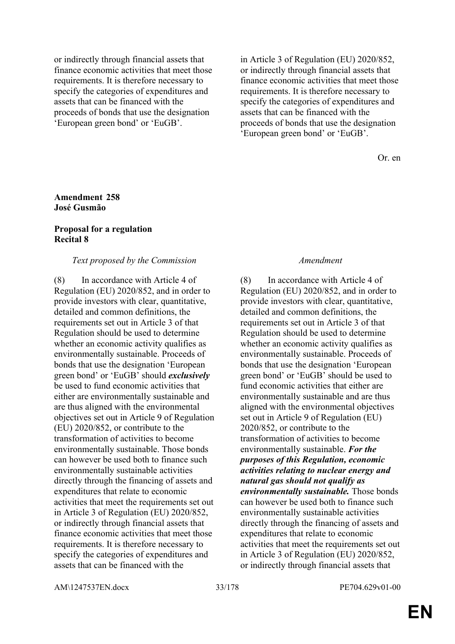or indirectly through financial assets that finance economic activities that meet those requirements. It is therefore necessary to specify the categories of expenditures and assets that can be financed with the proceeds of bonds that use the designation 'European green bond' or 'EuGB'.

in Article 3 of Regulation (EU) 2020/852, or indirectly through financial assets that finance economic activities that meet those requirements. It is therefore necessary to specify the categories of expenditures and assets that can be financed with the proceeds of bonds that use the designation 'European green bond' or 'EuGB'.

Or. en

#### **Amendment 258 José Gusmão**

### **Proposal for a regulation Recital 8**

#### *Text proposed by the Commission Amendment*

(8) In accordance with Article 4 of Regulation (EU) 2020/852, and in order to provide investors with clear, quantitative, detailed and common definitions, the requirements set out in Article 3 of that Regulation should be used to determine whether an economic activity qualifies as environmentally sustainable. Proceeds of bonds that use the designation 'European green bond' or 'EuGB' should *exclusively* be used to fund economic activities that either are environmentally sustainable and are thus aligned with the environmental objectives set out in Article 9 of Regulation (EU) 2020/852, or contribute to the transformation of activities to become environmentally sustainable. Those bonds can however be used both to finance such environmentally sustainable activities directly through the financing of assets and expenditures that relate to economic activities that meet the requirements set out in Article 3 of Regulation (EU) 2020/852, or indirectly through financial assets that finance economic activities that meet those requirements. It is therefore necessary to specify the categories of expenditures and assets that can be financed with the

(8) In accordance with Article 4 of Regulation (EU) 2020/852, and in order to provide investors with clear, quantitative, detailed and common definitions, the requirements set out in Article 3 of that Regulation should be used to determine whether an economic activity qualifies as environmentally sustainable. Proceeds of bonds that use the designation 'European green bond' or 'EuGB' should be used to fund economic activities that either are environmentally sustainable and are thus aligned with the environmental objectives set out in Article 9 of Regulation (EU) 2020/852, or contribute to the transformation of activities to become environmentally sustainable. *For the purposes of this Regulation, economic activities relating to nuclear energy and natural gas should not qualify as environmentally sustainable.* Those bonds can however be used both to finance such environmentally sustainable activities directly through the financing of assets and expenditures that relate to economic activities that meet the requirements set out in Article 3 of Regulation (EU) 2020/852, or indirectly through financial assets that

AM\1247537EN.docx 33/178 PE704.629v01-00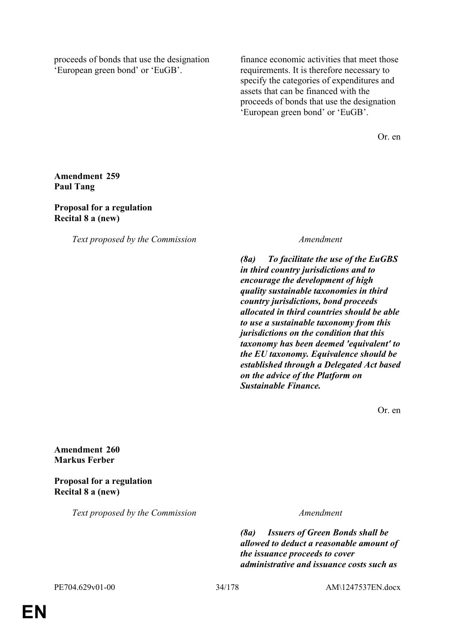proceeds of bonds that use the designation 'European green bond' or 'EuGB'.

finance economic activities that meet those requirements. It is therefore necessary to specify the categories of expenditures and assets that can be financed with the proceeds of bonds that use the designation 'European green bond' or 'EuGB'.

Or. en

### **Amendment 259 Paul Tang**

### **Proposal for a regulation Recital 8 a (new)**

*Text proposed by the Commission Amendment*

*(8a) To facilitate the use of the EuGBS in third country jurisdictions and to encourage the development of high quality sustainable taxonomies in third country jurisdictions, bond proceeds allocated in third countries should be able to use a sustainable taxonomy from this jurisdictions on the condition that this taxonomy has been deemed 'equivalent' to the EU taxonomy. Equivalence should be established through a Delegated Act based on the advice of the Platform on Sustainable Finance.*

Or. en

**Amendment 260 Markus Ferber**

**Proposal for a regulation Recital 8 a (new)**

*Text proposed by the Commission Amendment*

*(8a) Issuers of Green Bonds shall be allowed to deduct a reasonable amount of the issuance proceeds to cover administrative and issuance costs such as*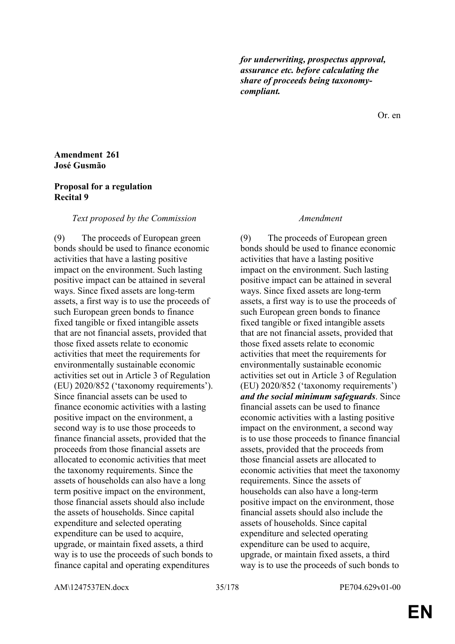*for underwriting, prospectus approval, assurance etc. before calculating the share of proceeds being taxonomycompliant.*

Or. en

#### **Amendment 261 José Gusmão**

#### **Proposal for a regulation Recital 9**

#### *Text proposed by the Commission Amendment*

(9) The proceeds of European green bonds should be used to finance economic activities that have a lasting positive impact on the environment. Such lasting positive impact can be attained in several ways. Since fixed assets are long-term assets, a first way is to use the proceeds of such European green bonds to finance fixed tangible or fixed intangible assets that are not financial assets, provided that those fixed assets relate to economic activities that meet the requirements for environmentally sustainable economic activities set out in Article 3 of Regulation (EU) 2020/852 ('taxonomy requirements'). Since financial assets can be used to finance economic activities with a lasting positive impact on the environment, a second way is to use those proceeds to finance financial assets, provided that the proceeds from those financial assets are allocated to economic activities that meet the taxonomy requirements. Since the assets of households can also have a long term positive impact on the environment, those financial assets should also include the assets of households. Since capital expenditure and selected operating expenditure can be used to acquire, upgrade, or maintain fixed assets, a third way is to use the proceeds of such bonds to finance capital and operating expenditures

(9) The proceeds of European green bonds should be used to finance economic activities that have a lasting positive impact on the environment. Such lasting positive impact can be attained in several ways. Since fixed assets are long-term assets, a first way is to use the proceeds of such European green bonds to finance fixed tangible or fixed intangible assets that are not financial assets, provided that those fixed assets relate to economic activities that meet the requirements for environmentally sustainable economic activities set out in Article 3 of Regulation (EU) 2020/852 ('taxonomy requirements') *and the social minimum safeguards*. Since financial assets can be used to finance economic activities with a lasting positive impact on the environment, a second way is to use those proceeds to finance financial assets, provided that the proceeds from those financial assets are allocated to economic activities that meet the taxonomy requirements. Since the assets of households can also have a long-term positive impact on the environment, those financial assets should also include the assets of households. Since capital expenditure and selected operating expenditure can be used to acquire, upgrade, or maintain fixed assets, a third way is to use the proceeds of such bonds to

AM\1247537EN.docx 35/178 PE704.629v01-00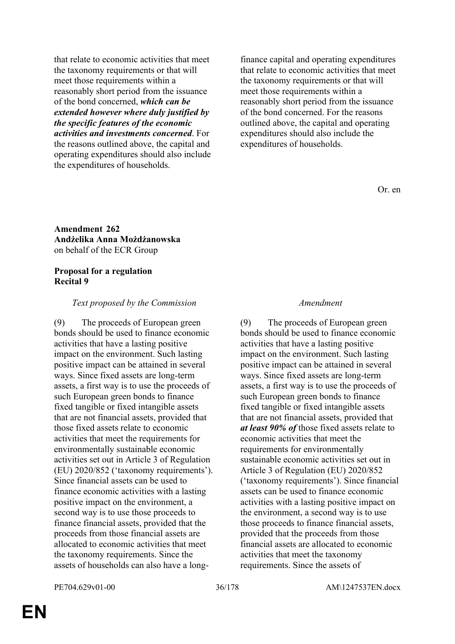that relate to economic activities that meet the taxonomy requirements or that will meet those requirements within a reasonably short period from the issuance of the bond concerned, *which can be extended however where duly justified by the specific features of the economic activities and investments concerned*. For the reasons outlined above, the capital and operating expenditures should also include the expenditures of households.

finance capital and operating expenditures that relate to economic activities that meet the taxonomy requirements or that will meet those requirements within a reasonably short period from the issuance of the bond concerned. For the reasons outlined above, the capital and operating expenditures should also include the expenditures of households.

Or. en

### **Amendment 262 Andżelika Anna Możdżanowska** on behalf of the ECR Group

#### **Proposal for a regulation Recital 9**

#### *Text proposed by the Commission Amendment*

(9) The proceeds of European green bonds should be used to finance economic activities that have a lasting positive impact on the environment. Such lasting positive impact can be attained in several ways. Since fixed assets are long-term assets, a first way is to use the proceeds of such European green bonds to finance fixed tangible or fixed intangible assets that are not financial assets, provided that those fixed assets relate to economic activities that meet the requirements for environmentally sustainable economic activities set out in Article 3 of Regulation (EU) 2020/852 ('taxonomy requirements'). Since financial assets can be used to finance economic activities with a lasting positive impact on the environment, a second way is to use those proceeds to finance financial assets, provided that the proceeds from those financial assets are allocated to economic activities that meet the taxonomy requirements. Since the assets of households can also have a long-

(9) The proceeds of European green bonds should be used to finance economic activities that have a lasting positive impact on the environment. Such lasting positive impact can be attained in several ways. Since fixed assets are long-term assets, a first way is to use the proceeds of such European green bonds to finance fixed tangible or fixed intangible assets that are not financial assets, provided that *at least 90% of* those fixed assets relate to economic activities that meet the requirements for environmentally sustainable economic activities set out in Article 3 of Regulation (EU) 2020/852 ('taxonomy requirements'). Since financial assets can be used to finance economic activities with a lasting positive impact on the environment, a second way is to use those proceeds to finance financial assets, provided that the proceeds from those financial assets are allocated to economic activities that meet the taxonomy requirements. Since the assets of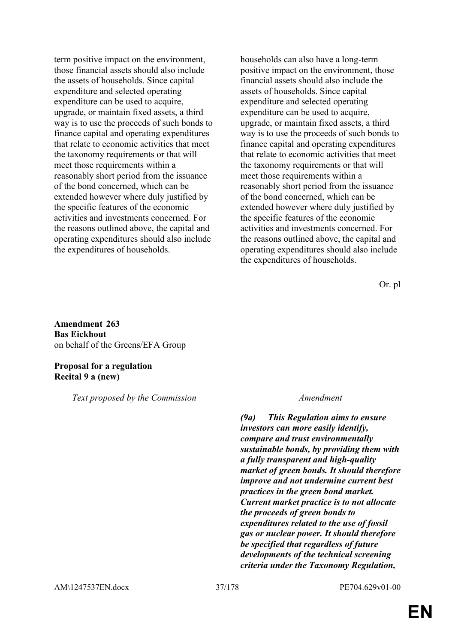term positive impact on the environment, those financial assets should also include the assets of households. Since capital expenditure and selected operating expenditure can be used to acquire, upgrade, or maintain fixed assets, a third way is to use the proceeds of such bonds to finance capital and operating expenditures that relate to economic activities that meet the taxonomy requirements or that will meet those requirements within a reasonably short period from the issuance of the bond concerned, which can be extended however where duly justified by the specific features of the economic activities and investments concerned. For the reasons outlined above, the capital and operating expenditures should also include the expenditures of households.

households can also have a long-term positive impact on the environment, those financial assets should also include the assets of households. Since capital expenditure and selected operating expenditure can be used to acquire, upgrade, or maintain fixed assets, a third way is to use the proceeds of such bonds to finance capital and operating expenditures that relate to economic activities that meet the taxonomy requirements or that will meet those requirements within a reasonably short period from the issuance of the bond concerned, which can be extended however where duly justified by the specific features of the economic activities and investments concerned. For the reasons outlined above, the capital and operating expenditures should also include the expenditures of households.

Or. pl

**Amendment 263 Bas Eickhout** on behalf of the Greens/EFA Group

### **Proposal for a regulation Recital 9 a (new)**

*Text proposed by the Commission Amendment*

*(9a) This Regulation aims to ensure investors can more easily identify, compare and trust environmentally sustainable bonds, by providing them with a fully transparent and high-quality market of green bonds. It should therefore improve and not undermine current best practices in the green bond market. Current market practice is to not allocate the proceeds of green bonds to expenditures related to the use of fossil gas or nuclear power. It should therefore be specified that regardless of future developments of the technical screening criteria under the Taxonomy Regulation,*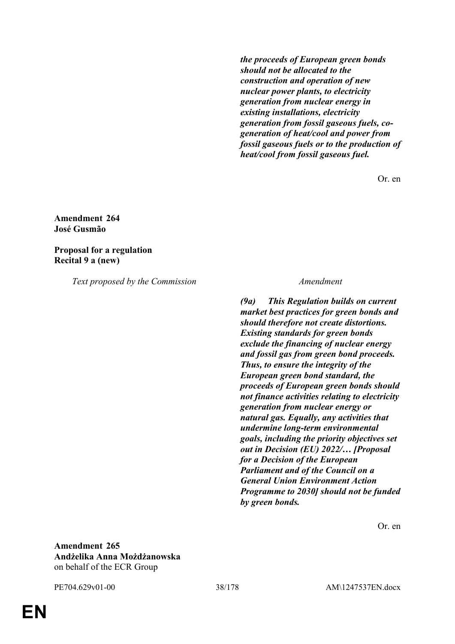*the proceeds of European green bonds should not be allocated to the construction and operation of new nuclear power plants, to electricity generation from nuclear energy in existing installations, electricity generation from fossil gaseous fuels, cogeneration of heat/cool and power from fossil gaseous fuels or to the production of heat/cool from fossil gaseous fuel.*

Or. en

### **Amendment 264 José Gusmão**

## **Proposal for a regulation Recital 9 a (new)**

*Text proposed by the Commission Amendment*

*(9a) This Regulation builds on current market best practices for green bonds and should therefore not create distortions. Existing standards for green bonds exclude the financing of nuclear energy and fossil gas from green bond proceeds. Thus, to ensure the integrity of the European green bond standard, the proceeds of European green bonds should not finance activities relating to electricity generation from nuclear energy or natural gas. Equally, any activities that undermine long-term environmental goals, including the priority objectives set out in Decision (EU) 2022/… [Proposal for a Decision of the European Parliament and of the Council on a General Union Environment Action Programme to 2030] should not be funded by green bonds.*

Or. en

**Amendment 265 Andżelika Anna Możdżanowska** on behalf of the ECR Group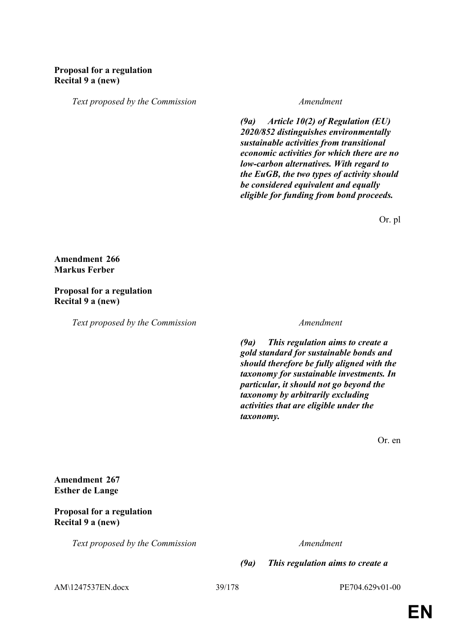## **Proposal for a regulation Recital 9 a (new)**

*Text proposed by the Commission Amendment*

*(9a) Article 10(2) of Regulation (EU) 2020/852 distinguishes environmentally sustainable activities from transitional economic activities for which there are no low-carbon alternatives. With regard to the EuGB, the two types of activity should be considered equivalent and equally eligible for funding from bond proceeds.*

Or. pl

**Amendment 266 Markus Ferber**

**Proposal for a regulation Recital 9 a (new)**

*Text proposed by the Commission Amendment*

*(9a) This regulation aims to create a gold standard for sustainable bonds and should therefore be fully aligned with the taxonomy for sustainable investments. In particular, it should not go beyond the taxonomy by arbitrarily excluding activities that are eligible under the taxonomy.*

Or. en

**Amendment 267 Esther de Lange**

**Proposal for a regulation Recital 9 a (new)**

*Text proposed by the Commission Amendment*

*(9a) This regulation aims to create a* 

AM\1247537EN.docx 39/178 PE704.629v01-00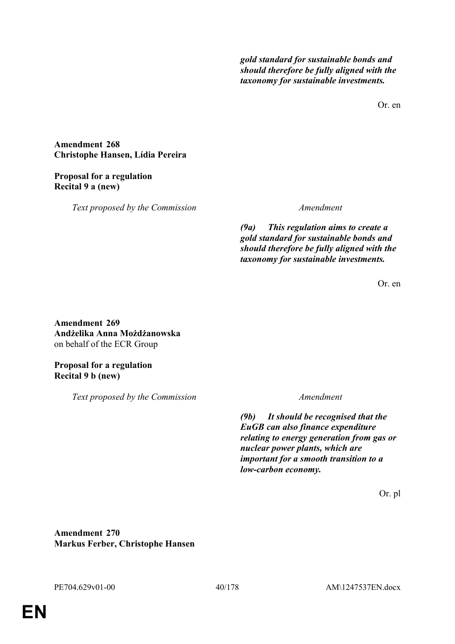*gold standard for sustainable bonds and should therefore be fully aligned with the taxonomy for sustainable investments.*

Or. en

**Amendment 268 Christophe Hansen, Lídia Pereira**

# **Proposal for a regulation Recital 9 a (new)**

*Text proposed by the Commission Amendment*

*(9a) This regulation aims to create a gold standard for sustainable bonds and should therefore be fully aligned with the taxonomy for sustainable investments.*

Or. en

**Amendment 269 Andżelika Anna Możdżanowska** on behalf of the ECR Group

**Proposal for a regulation Recital 9 b (new)**

*Text proposed by the Commission Amendment*

*(9b) It should be recognised that the EuGB can also finance expenditure relating to energy generation from gas or nuclear power plants, which are important for a smooth transition to a low-carbon economy.*

Or. pl

**Amendment 270 Markus Ferber, Christophe Hansen**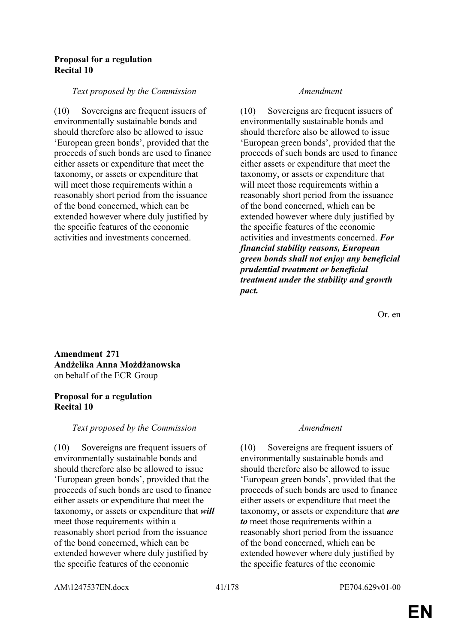## **Proposal for a regulation Recital 10**

### *Text proposed by the Commission Amendment*

(10) Sovereigns are frequent issuers of environmentally sustainable bonds and should therefore also be allowed to issue 'European green bonds', provided that the proceeds of such bonds are used to finance either assets or expenditure that meet the taxonomy, or assets or expenditure that will meet those requirements within a reasonably short period from the issuance of the bond concerned, which can be extended however where duly justified by the specific features of the economic activities and investments concerned.

(10) Sovereigns are frequent issuers of environmentally sustainable bonds and should therefore also be allowed to issue 'European green bonds', provided that the proceeds of such bonds are used to finance either assets or expenditure that meet the taxonomy, or assets or expenditure that will meet those requirements within a reasonably short period from the issuance of the bond concerned, which can be extended however where duly justified by the specific features of the economic activities and investments concerned. *For financial stability reasons, European green bonds shall not enjoy any beneficial prudential treatment or beneficial treatment under the stability and growth pact.*

Or. en

**Amendment 271 Andżelika Anna Możdżanowska** on behalf of the ECR Group

## **Proposal for a regulation Recital 10**

## *Text proposed by the Commission Amendment*

(10) Sovereigns are frequent issuers of environmentally sustainable bonds and should therefore also be allowed to issue 'European green bonds', provided that the proceeds of such bonds are used to finance either assets or expenditure that meet the taxonomy, or assets or expenditure that *will* meet those requirements within a reasonably short period from the issuance of the bond concerned, which can be extended however where duly justified by the specific features of the economic

(10) Sovereigns are frequent issuers of environmentally sustainable bonds and should therefore also be allowed to issue 'European green bonds', provided that the proceeds of such bonds are used to finance either assets or expenditure that meet the taxonomy, or assets or expenditure that *are to* meet those requirements within a reasonably short period from the issuance of the bond concerned, which can be extended however where duly justified by the specific features of the economic

AM\1247537EN.docx 41/178 PE704.629v01-00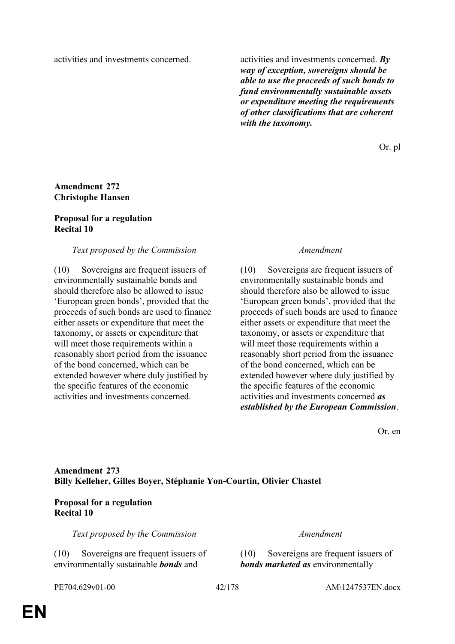activities and investments concerned. activities and investments concerned. *By way of exception, sovereigns should be able to use the proceeds of such bonds to fund environmentally sustainable assets or expenditure meeting the requirements of other classifications that are coherent with the taxonomy.*

Or. pl

## **Amendment 272 Christophe Hansen**

### **Proposal for a regulation Recital 10**

### *Text proposed by the Commission Amendment*

(10) Sovereigns are frequent issuers of environmentally sustainable bonds and should therefore also be allowed to issue 'European green bonds', provided that the proceeds of such bonds are used to finance either assets or expenditure that meet the taxonomy, or assets or expenditure that will meet those requirements within a reasonably short period from the issuance of the bond concerned, which can be extended however where duly justified by the specific features of the economic activities and investments concerned.

(10) Sovereigns are frequent issuers of environmentally sustainable bonds and should therefore also be allowed to issue 'European green bonds', provided that the proceeds of such bonds are used to finance either assets or expenditure that meet the taxonomy, or assets or expenditure that will meet those requirements within a reasonably short period from the issuance of the bond concerned, which can be extended however where duly justified by the specific features of the economic activities and investments concerned *as established by the European Commission*.

Or. en

# **Amendment 273 Billy Kelleher, Gilles Boyer, Stéphanie Yon-Courtin, Olivier Chastel**

## **Proposal for a regulation Recital 10**

*Text proposed by the Commission Amendment*

(10) Sovereigns are frequent issuers of environmentally sustainable *bonds* and

(10) Sovereigns are frequent issuers of *bonds marketed as* environmentally

PE704.629v01-00 42/178 AM\1247537EN.docx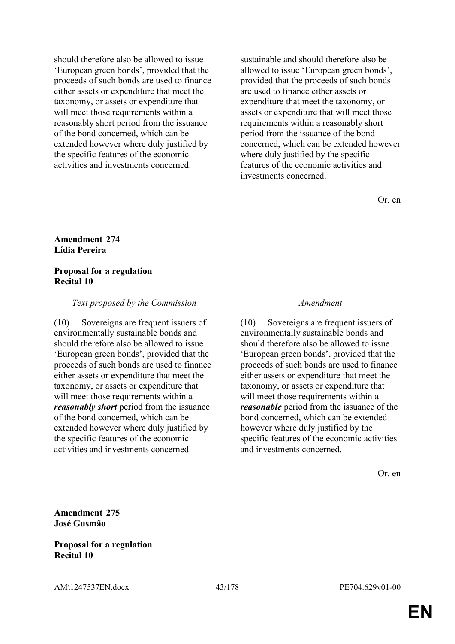should therefore also be allowed to issue 'European green bonds', provided that the proceeds of such bonds are used to finance either assets or expenditure that meet the taxonomy, or assets or expenditure that will meet those requirements within a reasonably short period from the issuance of the bond concerned, which can be extended however where duly justified by the specific features of the economic activities and investments concerned.

sustainable and should therefore also be allowed to issue 'European green bonds', provided that the proceeds of such bonds are used to finance either assets or expenditure that meet the taxonomy, or assets or expenditure that will meet those requirements within a reasonably short period from the issuance of the bond concerned, which can be extended however where duly justified by the specific features of the economic activities and investments concerned.

Or. en

## **Amendment 274 Lídia Pereira**

### **Proposal for a regulation Recital 10**

## *Text proposed by the Commission Amendment*

(10) Sovereigns are frequent issuers of environmentally sustainable bonds and should therefore also be allowed to issue 'European green bonds', provided that the proceeds of such bonds are used to finance either assets or expenditure that meet the taxonomy, or assets or expenditure that will meet those requirements within a *reasonably short* period from the issuance of the bond concerned, which can be extended however where duly justified by the specific features of the economic activities and investments concerned.

(10) Sovereigns are frequent issuers of environmentally sustainable bonds and should therefore also be allowed to issue 'European green bonds', provided that the proceeds of such bonds are used to finance either assets or expenditure that meet the taxonomy, or assets or expenditure that will meet those requirements within a *reasonable* period from the issuance of the bond concerned, which can be extended however where duly justified by the specific features of the economic activities and investments concerned.

Or. en

**Amendment 275 José Gusmão**

## **Proposal for a regulation Recital 10**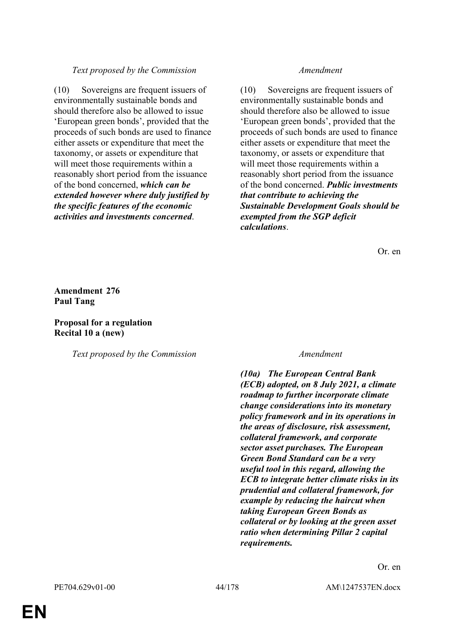## *Text proposed by the Commission Amendment*

(10) Sovereigns are frequent issuers of environmentally sustainable bonds and should therefore also be allowed to issue 'European green bonds', provided that the proceeds of such bonds are used to finance either assets or expenditure that meet the taxonomy, or assets or expenditure that will meet those requirements within a reasonably short period from the issuance of the bond concerned, *which can be extended however where duly justified by the specific features of the economic activities and investments concerned*.

(10) Sovereigns are frequent issuers of environmentally sustainable bonds and should therefore also be allowed to issue 'European green bonds', provided that the proceeds of such bonds are used to finance either assets or expenditure that meet the taxonomy, or assets or expenditure that will meet those requirements within a reasonably short period from the issuance of the bond concerned. *Public investments that contribute to achieving the Sustainable Development Goals should be exempted from the SGP deficit calculations*.

Or. en

**Amendment 276 Paul Tang**

## **Proposal for a regulation Recital 10 a (new)**

*Text proposed by the Commission Amendment*

*(10a) The European Central Bank (ECB) adopted, on 8 July 2021, a climate roadmap to further incorporate climate change considerations into its monetary policy framework and in its operations in the areas of disclosure, risk assessment, collateral framework, and corporate sector asset purchases. The European Green Bond Standard can be a very useful tool in this regard, allowing the ECB to integrate better climate risks in its prudential and collateral framework, for example by reducing the haircut when taking European Green Bonds as collateral or by looking at the green asset ratio when determining Pillar 2 capital requirements.*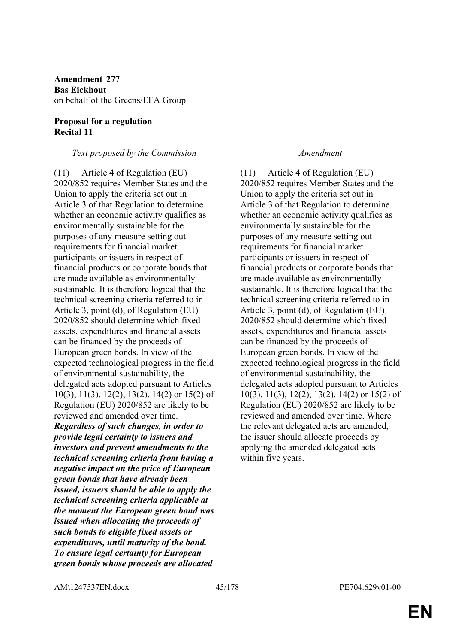**Amendment 277 Bas Eickhout** on behalf of the Greens/EFA Group

## **Proposal for a regulation Recital 11**

### *Text proposed by the Commission Amendment*

(11) Article 4 of Regulation (EU) 2020/852 requires Member States and the Union to apply the criteria set out in Article 3 of that Regulation to determine whether an economic activity qualifies as environmentally sustainable for the purposes of any measure setting out requirements for financial market participants or issuers in respect of financial products or corporate bonds that are made available as environmentally sustainable. It is therefore logical that the technical screening criteria referred to in Article 3, point (d), of Regulation (EU) 2020/852 should determine which fixed assets, expenditures and financial assets can be financed by the proceeds of European green bonds. In view of the expected technological progress in the field of environmental sustainability, the delegated acts adopted pursuant to Articles 10(3), 11(3), 12(2), 13(2), 14(2) or 15(2) of Regulation (EU) 2020/852 are likely to be reviewed and amended over time. *Regardless of such changes, in order to provide legal certainty to issuers and investors and prevent amendments to the technical screening criteria from having a negative impact on the price of European green bonds that have already been issued, issuers should be able to apply the technical screening criteria applicable at the moment the European green bond was issued when allocating the proceeds of such bonds to eligible fixed assets or expenditures, until maturity of the bond. To ensure legal certainty for European green bonds whose proceeds are allocated* 

(11) Article 4 of Regulation (EU) 2020/852 requires Member States and the Union to apply the criteria set out in Article 3 of that Regulation to determine whether an economic activity qualifies as environmentally sustainable for the purposes of any measure setting out requirements for financial market participants or issuers in respect of financial products or corporate bonds that are made available as environmentally sustainable. It is therefore logical that the technical screening criteria referred to in Article 3, point (d), of Regulation (EU) 2020/852 should determine which fixed assets, expenditures and financial assets can be financed by the proceeds of European green bonds. In view of the expected technological progress in the field of environmental sustainability, the delegated acts adopted pursuant to Articles 10(3), 11(3), 12(2), 13(2), 14(2) or 15(2) of Regulation (EU) 2020/852 are likely to be reviewed and amended over time. Where the relevant delegated acts are amended, the issuer should allocate proceeds by applying the amended delegated acts within five years.

AM\1247537EN.docx 45/178 PE704.629v01-00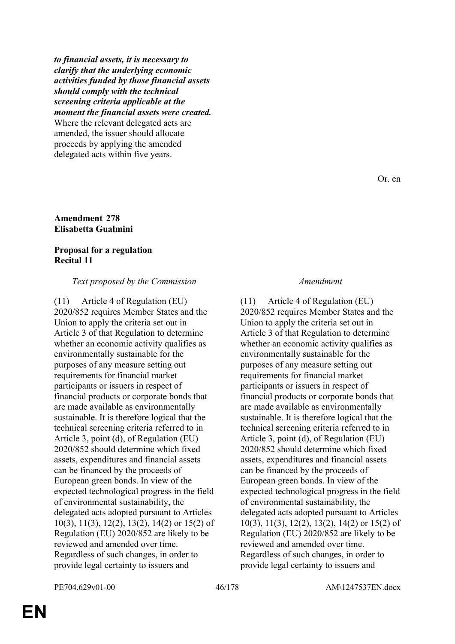*to financial assets, it is necessary to clarify that the underlying economic activities funded by those financial assets should comply with the technical screening criteria applicable at the moment the financial assets were created.* Where the relevant delegated acts are amended, the issuer should allocate proceeds by applying the amended delegated acts within five years.

## **Amendment 278 Elisabetta Gualmini**

## **Proposal for a regulation Recital 11**

### *Text proposed by the Commission Amendment*

(11) Article 4 of Regulation (EU) 2020/852 requires Member States and the Union to apply the criteria set out in Article 3 of that Regulation to determine whether an economic activity qualifies as environmentally sustainable for the purposes of any measure setting out requirements for financial market participants or issuers in respect of financial products or corporate bonds that are made available as environmentally sustainable. It is therefore logical that the technical screening criteria referred to in Article 3, point (d), of Regulation (EU) 2020/852 should determine which fixed assets, expenditures and financial assets can be financed by the proceeds of European green bonds. In view of the expected technological progress in the field of environmental sustainability, the delegated acts adopted pursuant to Articles 10(3), 11(3), 12(2), 13(2), 14(2) or 15(2) of Regulation (EU) 2020/852 are likely to be reviewed and amended over time. Regardless of such changes, in order to provide legal certainty to issuers and

Or. en

(11) Article 4 of Regulation (EU) 2020/852 requires Member States and the Union to apply the criteria set out in Article 3 of that Regulation to determine whether an economic activity qualifies as environmentally sustainable for the purposes of any measure setting out requirements for financial market participants or issuers in respect of financial products or corporate bonds that are made available as environmentally sustainable. It is therefore logical that the technical screening criteria referred to in Article 3, point (d), of Regulation (EU) 2020/852 should determine which fixed assets, expenditures and financial assets can be financed by the proceeds of European green bonds. In view of the expected technological progress in the field of environmental sustainability, the delegated acts adopted pursuant to Articles 10(3), 11(3), 12(2), 13(2), 14(2) or 15(2) of Regulation (EU) 2020/852 are likely to be reviewed and amended over time. Regardless of such changes, in order to provide legal certainty to issuers and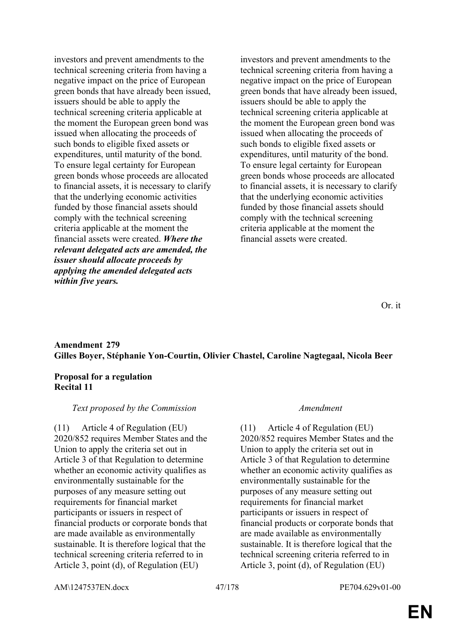investors and prevent amendments to the technical screening criteria from having a negative impact on the price of European green bonds that have already been issued, issuers should be able to apply the technical screening criteria applicable at the moment the European green bond was issued when allocating the proceeds of such bonds to eligible fixed assets or expenditures, until maturity of the bond. To ensure legal certainty for European green bonds whose proceeds are allocated to financial assets, it is necessary to clarify that the underlying economic activities funded by those financial assets should comply with the technical screening criteria applicable at the moment the financial assets were created. *Where the relevant delegated acts are amended, the issuer should allocate proceeds by applying the amended delegated acts within five years.*

investors and prevent amendments to the technical screening criteria from having a negative impact on the price of European green bonds that have already been issued, issuers should be able to apply the technical screening criteria applicable at the moment the European green bond was issued when allocating the proceeds of such bonds to eligible fixed assets or expenditures, until maturity of the bond. To ensure legal certainty for European green bonds whose proceeds are allocated to financial assets, it is necessary to clarify that the underlying economic activities funded by those financial assets should comply with the technical screening criteria applicable at the moment the financial assets were created.

Or. it

## **Amendment 279 Gilles Boyer, Stéphanie Yon-Courtin, Olivier Chastel, Caroline Nagtegaal, Nicola Beer**

## **Proposal for a regulation Recital 11**

## *Text proposed by the Commission Amendment*

(11) Article 4 of Regulation (EU) 2020/852 requires Member States and the Union to apply the criteria set out in Article 3 of that Regulation to determine whether an economic activity qualifies as environmentally sustainable for the purposes of any measure setting out requirements for financial market participants or issuers in respect of financial products or corporate bonds that are made available as environmentally sustainable. It is therefore logical that the technical screening criteria referred to in Article 3, point (d), of Regulation (EU)

(11) Article 4 of Regulation (EU) 2020/852 requires Member States and the Union to apply the criteria set out in Article 3 of that Regulation to determine whether an economic activity qualifies as environmentally sustainable for the purposes of any measure setting out requirements for financial market participants or issuers in respect of financial products or corporate bonds that are made available as environmentally sustainable. It is therefore logical that the technical screening criteria referred to in Article 3, point (d), of Regulation (EU)

AM\1247537EN.docx 47/178 PE704.629v01-00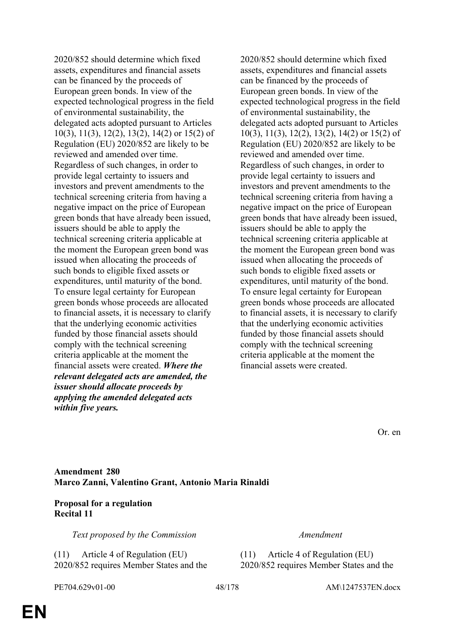2020/852 should determine which fixed assets, expenditures and financial assets can be financed by the proceeds of European green bonds. In view of the expected technological progress in the field of environmental sustainability, the delegated acts adopted pursuant to Articles 10(3), 11(3), 12(2), 13(2), 14(2) or 15(2) of Regulation (EU) 2020/852 are likely to be reviewed and amended over time. Regardless of such changes, in order to provide legal certainty to issuers and investors and prevent amendments to the technical screening criteria from having a negative impact on the price of European green bonds that have already been issued, issuers should be able to apply the technical screening criteria applicable at the moment the European green bond was issued when allocating the proceeds of such bonds to eligible fixed assets or expenditures, until maturity of the bond. To ensure legal certainty for European green bonds whose proceeds are allocated to financial assets, it is necessary to clarify that the underlying economic activities funded by those financial assets should comply with the technical screening criteria applicable at the moment the financial assets were created. *Where the relevant delegated acts are amended, the issuer should allocate proceeds by applying the amended delegated acts within five years.*

2020/852 should determine which fixed assets, expenditures and financial assets can be financed by the proceeds of European green bonds. In view of the expected technological progress in the field of environmental sustainability, the delegated acts adopted pursuant to Articles 10(3), 11(3), 12(2), 13(2), 14(2) or 15(2) of Regulation (EU) 2020/852 are likely to be reviewed and amended over time. Regardless of such changes, in order to provide legal certainty to issuers and investors and prevent amendments to the technical screening criteria from having a negative impact on the price of European green bonds that have already been issued, issuers should be able to apply the technical screening criteria applicable at the moment the European green bond was issued when allocating the proceeds of such bonds to eligible fixed assets or expenditures, until maturity of the bond. To ensure legal certainty for European green bonds whose proceeds are allocated to financial assets, it is necessary to clarify that the underlying economic activities funded by those financial assets should comply with the technical screening criteria applicable at the moment the financial assets were created.

Or. en

**Amendment 280 Marco Zanni, Valentino Grant, Antonio Maria Rinaldi**

## **Proposal for a regulation Recital 11**

*Text proposed by the Commission Amendment*

(11) Article 4 of Regulation (EU) 2020/852 requires Member States and the (11) Article 4 of Regulation (EU) 2020/852 requires Member States and the

PE704.629v01-00 48/178 AM\1247537EN.docx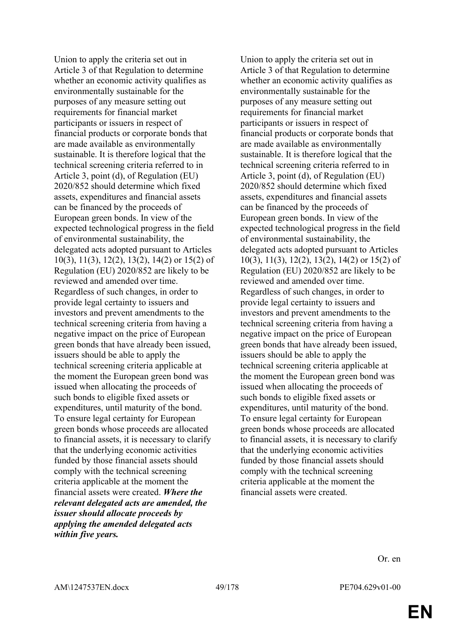Union to apply the criteria set out in Article 3 of that Regulation to determine whether an economic activity qualifies as environmentally sustainable for the purposes of any measure setting out requirements for financial market participants or issuers in respect of financial products or corporate bonds that are made available as environmentally sustainable. It is therefore logical that the technical screening criteria referred to in Article 3, point (d), of Regulation (EU) 2020/852 should determine which fixed assets, expenditures and financial assets can be financed by the proceeds of European green bonds. In view of the expected technological progress in the field of environmental sustainability, the delegated acts adopted pursuant to Articles 10(3), 11(3), 12(2), 13(2), 14(2) or 15(2) of Regulation (EU) 2020/852 are likely to be reviewed and amended over time. Regardless of such changes, in order to provide legal certainty to issuers and investors and prevent amendments to the technical screening criteria from having a negative impact on the price of European green bonds that have already been issued, issuers should be able to apply the technical screening criteria applicable at the moment the European green bond was issued when allocating the proceeds of such bonds to eligible fixed assets or expenditures, until maturity of the bond. To ensure legal certainty for European green bonds whose proceeds are allocated to financial assets, it is necessary to clarify that the underlying economic activities funded by those financial assets should comply with the technical screening criteria applicable at the moment the financial assets were created. *Where the relevant delegated acts are amended, the issuer should allocate proceeds by applying the amended delegated acts within five years.*

Union to apply the criteria set out in Article 3 of that Regulation to determine whether an economic activity qualifies as environmentally sustainable for the purposes of any measure setting out requirements for financial market participants or issuers in respect of financial products or corporate bonds that are made available as environmentally sustainable. It is therefore logical that the technical screening criteria referred to in Article 3, point (d), of Regulation (EU) 2020/852 should determine which fixed assets, expenditures and financial assets can be financed by the proceeds of European green bonds. In view of the expected technological progress in the field of environmental sustainability, the delegated acts adopted pursuant to Articles 10(3), 11(3), 12(2), 13(2), 14(2) or 15(2) of Regulation (EU) 2020/852 are likely to be reviewed and amended over time. Regardless of such changes, in order to provide legal certainty to issuers and investors and prevent amendments to the technical screening criteria from having a negative impact on the price of European green bonds that have already been issued, issuers should be able to apply the technical screening criteria applicable at the moment the European green bond was issued when allocating the proceeds of such bonds to eligible fixed assets or expenditures, until maturity of the bond. To ensure legal certainty for European green bonds whose proceeds are allocated to financial assets, it is necessary to clarify that the underlying economic activities funded by those financial assets should comply with the technical screening criteria applicable at the moment the financial assets were created.

Or. en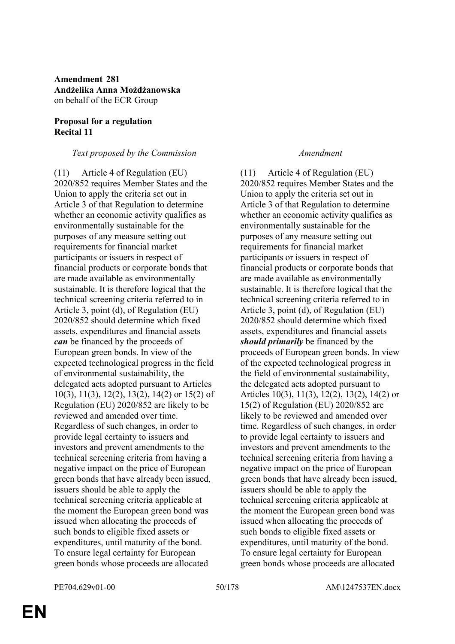## **Amendment 281 Andżelika Anna Możdżanowska** on behalf of the ECR Group

## **Proposal for a regulation Recital 11**

## *Text proposed by the Commission Amendment*

(11) Article 4 of Regulation (EU) 2020/852 requires Member States and the Union to apply the criteria set out in Article 3 of that Regulation to determine whether an economic activity qualifies as environmentally sustainable for the purposes of any measure setting out requirements for financial market participants or issuers in respect of financial products or corporate bonds that are made available as environmentally sustainable. It is therefore logical that the technical screening criteria referred to in Article 3, point (d), of Regulation (EU) 2020/852 should determine which fixed assets, expenditures and financial assets *can* be financed by the proceeds of European green bonds. In view of the expected technological progress in the field of environmental sustainability, the delegated acts adopted pursuant to Articles 10(3), 11(3), 12(2), 13(2), 14(2) or 15(2) of Regulation (EU) 2020/852 are likely to be reviewed and amended over time. Regardless of such changes, in order to provide legal certainty to issuers and investors and prevent amendments to the technical screening criteria from having a negative impact on the price of European green bonds that have already been issued, issuers should be able to apply the technical screening criteria applicable at the moment the European green bond was issued when allocating the proceeds of such bonds to eligible fixed assets or expenditures, until maturity of the bond. To ensure legal certainty for European green bonds whose proceeds are allocated

(11) Article 4 of Regulation (EU) 2020/852 requires Member States and the Union to apply the criteria set out in Article 3 of that Regulation to determine whether an economic activity qualifies as environmentally sustainable for the purposes of any measure setting out requirements for financial market participants or issuers in respect of financial products or corporate bonds that are made available as environmentally sustainable. It is therefore logical that the technical screening criteria referred to in Article 3, point (d), of Regulation (EU) 2020/852 should determine which fixed assets, expenditures and financial assets *should primarily* be financed by the proceeds of European green bonds. In view of the expected technological progress in the field of environmental sustainability, the delegated acts adopted pursuant to Articles 10(3), 11(3), 12(2), 13(2), 14(2) or 15(2) of Regulation (EU) 2020/852 are likely to be reviewed and amended over time. Regardless of such changes, in order to provide legal certainty to issuers and investors and prevent amendments to the technical screening criteria from having a negative impact on the price of European green bonds that have already been issued, issuers should be able to apply the technical screening criteria applicable at the moment the European green bond was issued when allocating the proceeds of such bonds to eligible fixed assets or expenditures, until maturity of the bond. To ensure legal certainty for European green bonds whose proceeds are allocated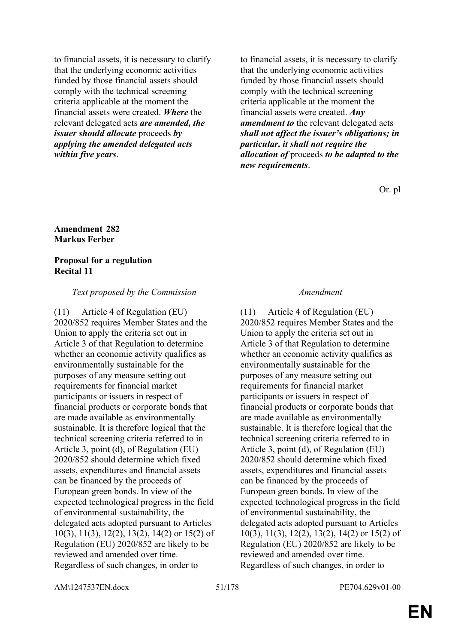to financial assets, it is necessary to clarify that the underlying economic activities funded by those financial assets should comply with the technical screening criteria applicable at the moment the financial assets were created. *Where* the relevant delegated acts *are amended, the issuer should allocate* proceeds *by applying the amended delegated acts within five years*.

to financial assets, it is necessary to clarify that the underlying economic activities funded by those financial assets should comply with the technical screening criteria applicable at the moment the financial assets were created. *Any amendment to* the relevant delegated acts *shall not affect the issuer's obligations; in particular, it shall not require the allocation of* proceeds *to be adapted to the new requirements*.

Or. pl

## **Amendment 282 Markus Ferber**

## **Proposal for a regulation Recital 11**

### *Text proposed by the Commission Amendment*

(11) Article 4 of Regulation (EU) 2020/852 requires Member States and the Union to apply the criteria set out in Article 3 of that Regulation to determine whether an economic activity qualifies as environmentally sustainable for the purposes of any measure setting out requirements for financial market participants or issuers in respect of financial products or corporate bonds that are made available as environmentally sustainable. It is therefore logical that the technical screening criteria referred to in Article 3, point (d), of Regulation (EU) 2020/852 should determine which fixed assets, expenditures and financial assets can be financed by the proceeds of European green bonds. In view of the expected technological progress in the field of environmental sustainability, the delegated acts adopted pursuant to Articles 10(3), 11(3), 12(2), 13(2), 14(2) or 15(2) of Regulation (EU) 2020/852 are likely to be reviewed and amended over time. Regardless of such changes, in order to

(11) Article 4 of Regulation (EU) 2020/852 requires Member States and the Union to apply the criteria set out in Article 3 of that Regulation to determine whether an economic activity qualifies as environmentally sustainable for the purposes of any measure setting out requirements for financial market participants or issuers in respect of financial products or corporate bonds that are made available as environmentally sustainable. It is therefore logical that the technical screening criteria referred to in Article 3, point (d), of Regulation (EU) 2020/852 should determine which fixed assets, expenditures and financial assets can be financed by the proceeds of European green bonds. In view of the expected technological progress in the field of environmental sustainability, the delegated acts adopted pursuant to Articles 10(3), 11(3), 12(2), 13(2), 14(2) or 15(2) of Regulation (EU) 2020/852 are likely to be reviewed and amended over time. Regardless of such changes, in order to

AM\1247537EN.docx 51/178 PE704.629v01-00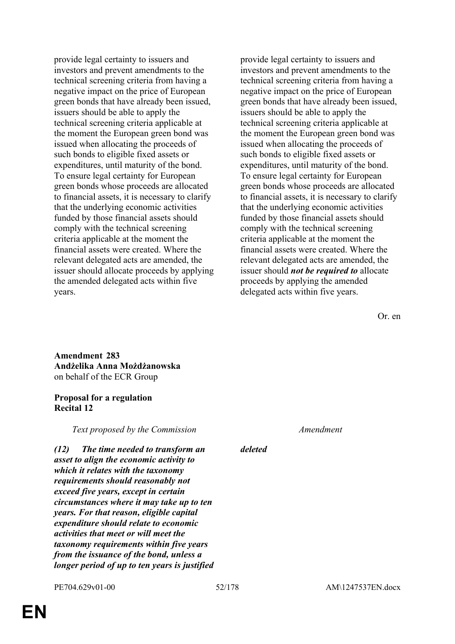provide legal certainty to issuers and investors and prevent amendments to the technical screening criteria from having a negative impact on the price of European green bonds that have already been issued, issuers should be able to apply the technical screening criteria applicable at the moment the European green bond was issued when allocating the proceeds of such bonds to eligible fixed assets or expenditures, until maturity of the bond. To ensure legal certainty for European green bonds whose proceeds are allocated to financial assets, it is necessary to clarify that the underlying economic activities funded by those financial assets should comply with the technical screening criteria applicable at the moment the financial assets were created. Where the relevant delegated acts are amended, the issuer should allocate proceeds by applying the amended delegated acts within five years.

provide legal certainty to issuers and investors and prevent amendments to the technical screening criteria from having a negative impact on the price of European green bonds that have already been issued, issuers should be able to apply the technical screening criteria applicable at the moment the European green bond was issued when allocating the proceeds of such bonds to eligible fixed assets or expenditures, until maturity of the bond. To ensure legal certainty for European green bonds whose proceeds are allocated to financial assets, it is necessary to clarify that the underlying economic activities funded by those financial assets should comply with the technical screening criteria applicable at the moment the financial assets were created. Where the relevant delegated acts are amended, the issuer should *not be required to* allocate proceeds by applying the amended delegated acts within five years.

Or. en

**Amendment 283 Andżelika Anna Możdżanowska** on behalf of the ECR Group

## **Proposal for a regulation Recital 12**

*Text proposed by the Commission Amendment*

*(12) The time needed to transform an asset to align the economic activity to which it relates with the taxonomy requirements should reasonably not exceed five years, except in certain circumstances where it may take up to ten years. For that reason, eligible capital expenditure should relate to economic activities that meet or will meet the taxonomy requirements within five years from the issuance of the bond, unless a longer period of up to ten years is justified* 

## *deleted*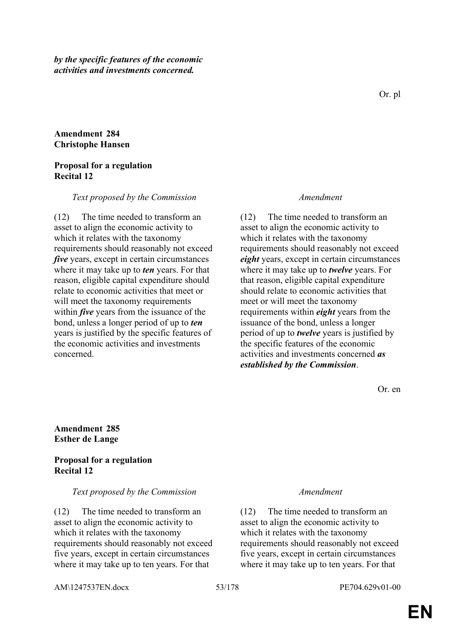*by the specific features of the economic activities and investments concerned.*

### **Amendment 284 Christophe Hansen**

### **Proposal for a regulation Recital 12**

### *Text proposed by the Commission Amendment*

(12) The time needed to transform an asset to align the economic activity to which it relates with the taxonomy requirements should reasonably not exceed *five* years, except in certain circumstances where it may take up to *ten* years. For that reason, eligible capital expenditure should relate to economic activities that meet or will meet the taxonomy requirements within *five* years from the issuance of the bond, unless a longer period of up to *ten* years is justified by the specific features of the economic activities and investments concerned.

(12) The time needed to transform an asset to align the economic activity to which it relates with the taxonomy requirements should reasonably not exceed *eight* years, except in certain circumstances where it may take up to *twelve* years. For that reason, eligible capital expenditure should relate to economic activities that meet or will meet the taxonomy requirements within *eight* years from the issuance of the bond, unless a longer period of up to *twelve* years is justified by the specific features of the economic activities and investments concerned *as established by the Commission*.

Or. en

### **Amendment 285 Esther de Lange**

## **Proposal for a regulation Recital 12**

### *Text proposed by the Commission Amendment*

(12) The time needed to transform an asset to align the economic activity to which it relates with the taxonomy requirements should reasonably not exceed five years, except in certain circumstances where it may take up to ten years. For that

(12) The time needed to transform an asset to align the economic activity to which it relates with the taxonomy requirements should reasonably not exceed five years, except in certain circumstances where it may take up to ten years. For that

AM\1247537EN.docx 53/178 PE704.629v01-00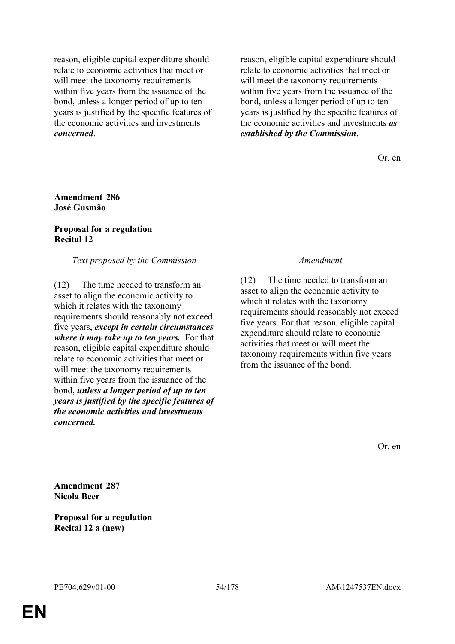reason, eligible capital expenditure should relate to economic activities that meet or will meet the taxonomy requirements within five years from the issuance of the bond, unless a longer period of up to ten years is justified by the specific features of the economic activities and investments *concerned*.

reason, eligible capital expenditure should relate to economic activities that meet or will meet the taxonomy requirements within five years from the issuance of the bond, unless a longer period of up to ten years is justified by the specific features of the economic activities and investments *as established by the Commission*.

Or. en

### **Amendment 286 José Gusmão**

## **Proposal for a regulation Recital 12**

## *Text proposed by the Commission Amendment*

(12) The time needed to transform an asset to align the economic activity to which it relates with the taxonomy requirements should reasonably not exceed five years, *except in certain circumstances where it may take up to ten years.* For that reason, eligible capital expenditure should relate to economic activities that meet or will meet the taxonomy requirements within five years from the issuance of the bond, *unless a longer period of up to ten years is justified by the specific features of the economic activities and investments concerned.*

(12) The time needed to transform an asset to align the economic activity to which it relates with the taxonomy requirements should reasonably not exceed five years. For that reason, eligible capital expenditure should relate to economic activities that meet or will meet the taxonomy requirements within five years from the issuance of the bond.

Or. en

**Amendment 287 Nicola Beer**

**Proposal for a regulation Recital 12 a (new)**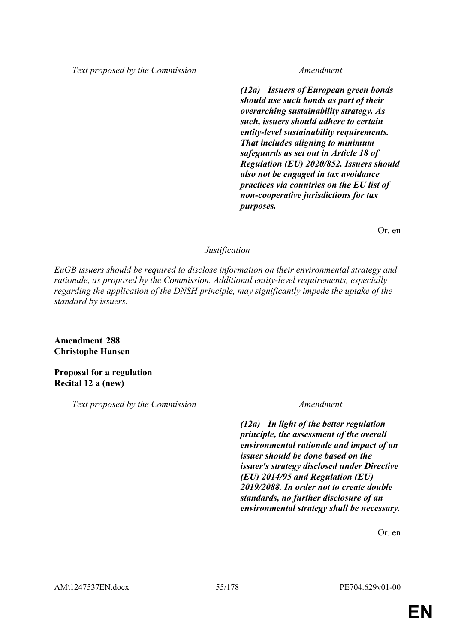*Text proposed by the Commission Amendment*

*(12a) Issuers of European green bonds should use such bonds as part of their overarching sustainability strategy. As such, issuers should adhere to certain entity-level sustainability requirements. That includes aligning to minimum safeguards as set out in Article 18 of Regulation (EU) 2020/852. Issuers should also not be engaged in tax avoidance practices via countries on the EU list of non-cooperative jurisdictions for tax purposes.*

Or. en

# *Justification*

*EuGB issuers should be required to disclose information on their environmental strategy and rationale, as proposed by the Commission. Additional entity-level requirements, especially regarding the application of the DNSH principle, may significantly impede the uptake of the standard by issuers.*

## **Amendment 288 Christophe Hansen**

**Proposal for a regulation Recital 12 a (new)**

*Text proposed by the Commission Amendment*

*(12a) In light of the better regulation principle, the assessment of the overall environmental rationale and impact of an issuer should be done based on the issuer's strategy disclosed under Directive (EU) 2014/95 and Regulation (EU) 2019/2088. In order not to create double standards, no further disclosure of an environmental strategy shall be necessary.*

Or. en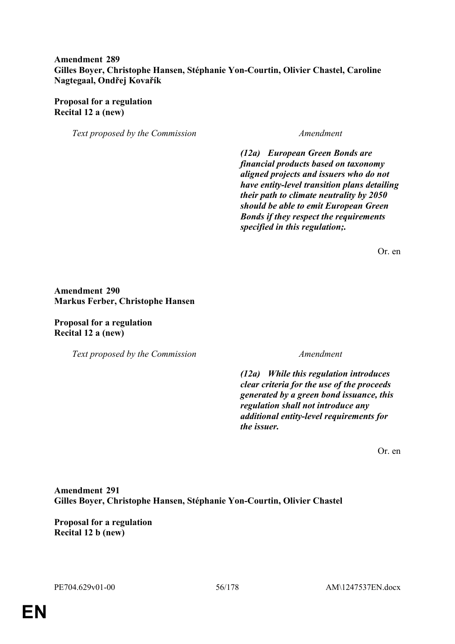# **Amendment 289 Gilles Boyer, Christophe Hansen, Stéphanie Yon-Courtin, Olivier Chastel, Caroline Nagtegaal, Ondřej Kovařík**

## **Proposal for a regulation Recital 12 a (new)**

*Text proposed by the Commission Amendment*

*(12a) European Green Bonds are financial products based on taxonomy aligned projects and issuers who do not have entity-level transition plans detailing their path to climate neutrality by 2050 should be able to emit European Green Bonds if they respect the requirements specified in this regulation;.*

Or. en

**Amendment 290 Markus Ferber, Christophe Hansen**

**Proposal for a regulation Recital 12 a (new)**

*Text proposed by the Commission Amendment*

*(12a) While this regulation introduces clear criteria for the use of the proceeds generated by a green bond issuance, this regulation shall not introduce any additional entity-level requirements for the issuer.*

Or. en

**Amendment 291 Gilles Boyer, Christophe Hansen, Stéphanie Yon-Courtin, Olivier Chastel**

**Proposal for a regulation Recital 12 b (new)**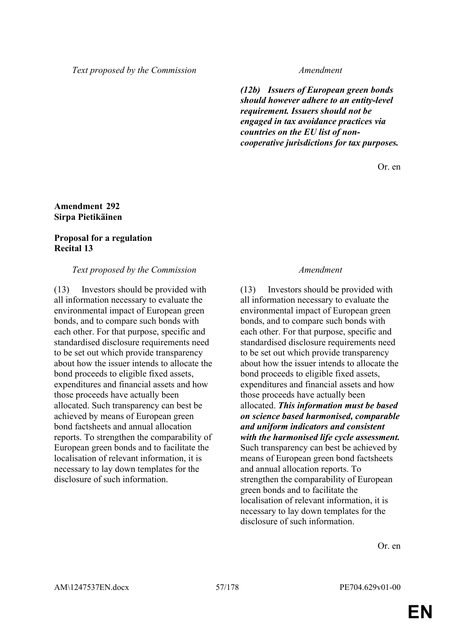*(12b) Issuers of European green bonds should however adhere to an entity-level requirement. Issuers should not be engaged in tax avoidance practices via countries on the EU list of noncooperative jurisdictions for tax purposes.*

Or. en

## **Amendment 292 Sirpa Pietikäinen**

# **Proposal for a regulation Recital 13**

## *Text proposed by the Commission Amendment*

(13) Investors should be provided with all information necessary to evaluate the environmental impact of European green bonds, and to compare such bonds with each other. For that purpose, specific and standardised disclosure requirements need to be set out which provide transparency about how the issuer intends to allocate the bond proceeds to eligible fixed assets, expenditures and financial assets and how those proceeds have actually been allocated. Such transparency can best be achieved by means of European green bond factsheets and annual allocation reports. To strengthen the comparability of European green bonds and to facilitate the localisation of relevant information, it is necessary to lay down templates for the disclosure of such information.

(13) Investors should be provided with all information necessary to evaluate the environmental impact of European green bonds, and to compare such bonds with each other. For that purpose, specific and standardised disclosure requirements need to be set out which provide transparency about how the issuer intends to allocate the bond proceeds to eligible fixed assets, expenditures and financial assets and how those proceeds have actually been allocated. *This information must be based on science based harmonised, comparable and uniform indicators and consistent with the harmonised life cycle assessment.* Such transparency can best be achieved by means of European green bond factsheets and annual allocation reports. To strengthen the comparability of European green bonds and to facilitate the localisation of relevant information, it is necessary to lay down templates for the disclosure of such information.

Or. en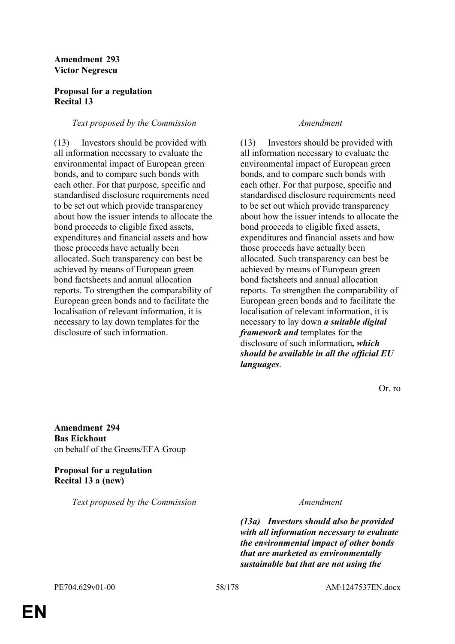## **Amendment 293 Victor Negrescu**

# **Proposal for a regulation Recital 13**

## *Text proposed by the Commission Amendment*

(13) Investors should be provided with all information necessary to evaluate the environmental impact of European green bonds, and to compare such bonds with each other. For that purpose, specific and standardised disclosure requirements need to be set out which provide transparency about how the issuer intends to allocate the bond proceeds to eligible fixed assets, expenditures and financial assets and how those proceeds have actually been allocated. Such transparency can best be achieved by means of European green bond factsheets and annual allocation reports. To strengthen the comparability of European green bonds and to facilitate the localisation of relevant information, it is necessary to lay down templates for the disclosure of such information.

(13) Investors should be provided with all information necessary to evaluate the environmental impact of European green bonds, and to compare such bonds with each other. For that purpose, specific and standardised disclosure requirements need to be set out which provide transparency about how the issuer intends to allocate the bond proceeds to eligible fixed assets, expenditures and financial assets and how those proceeds have actually been allocated. Such transparency can best be achieved by means of European green bond factsheets and annual allocation reports. To strengthen the comparability of European green bonds and to facilitate the localisation of relevant information, it is necessary to lay down *a suitable digital framework and* templates for the disclosure of such information*, which should be available in all the official EU languages*.

Or. ro

**Amendment 294 Bas Eickhout** on behalf of the Greens/EFA Group

**Proposal for a regulation Recital 13 a (new)**

*Text proposed by the Commission Amendment*

*(13a) Investors should also be provided with all information necessary to evaluate the environmental impact of other bonds that are marketed as environmentally sustainable but that are not using the*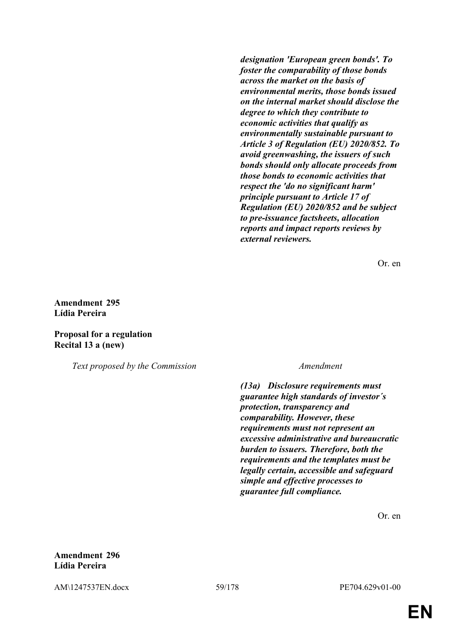*designation 'European green bonds'. To foster the comparability of those bonds across the market on the basis of environmental merits, those bonds issued on the internal market should disclose the degree to which they contribute to economic activities that qualify as environmentally sustainable pursuant to Article 3 of Regulation (EU) 2020/852. To avoid greenwashing, the issuers of such bonds should only allocate proceeds from those bonds to economic activities that respect the 'do no significant harm' principle pursuant to Article 17 of Regulation (EU) 2020/852 and be subject to pre-issuance factsheets, allocation reports and impact reports reviews by external reviewers.*

Or. en

**Amendment 295 Lídia Pereira**

**Proposal for a regulation Recital 13 a (new)**

*Text proposed by the Commission Amendment*

*(13a) Disclosure requirements must guarantee high standards of investor´s protection, transparency and comparability. However, these requirements must not represent an excessive administrative and bureaucratic burden to issuers. Therefore, both the requirements and the templates must be legally certain, accessible and safeguard simple and effective processes to guarantee full compliance.*

Or. en

**Amendment 296 Lídia Pereira**

AM\1247537EN.docx 59/178 PE704.629v01-00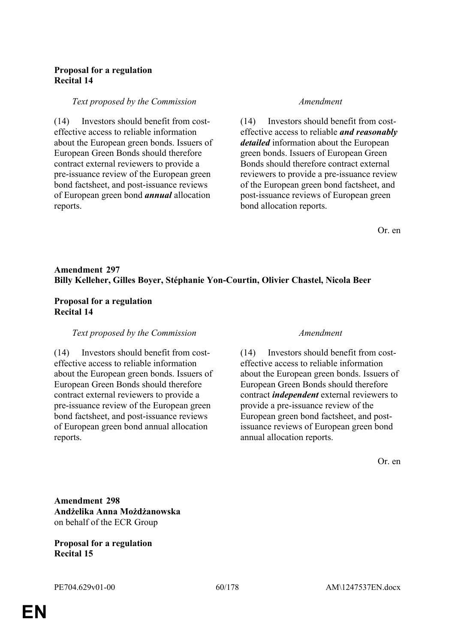# **Proposal for a regulation Recital 14**

## *Text proposed by the Commission Amendment*

(14) Investors should benefit from costeffective access to reliable information about the European green bonds. Issuers of European Green Bonds should therefore contract external reviewers to provide a pre-issuance review of the European green bond factsheet, and post-issuance reviews of European green bond *annual* allocation reports.

(14) Investors should benefit from costeffective access to reliable *and reasonably detailed* information about the European green bonds. Issuers of European Green Bonds should therefore contract external reviewers to provide a pre-issuance review of the European green bond factsheet, and post-issuance reviews of European green bond allocation reports.

Or. en

# **Amendment 297 Billy Kelleher, Gilles Boyer, Stéphanie Yon-Courtin, Olivier Chastel, Nicola Beer**

## **Proposal for a regulation Recital 14**

## *Text proposed by the Commission Amendment*

(14) Investors should benefit from costeffective access to reliable information about the European green bonds. Issuers of European Green Bonds should therefore contract external reviewers to provide a pre-issuance review of the European green bond factsheet, and post-issuance reviews of European green bond annual allocation reports.

(14) Investors should benefit from costeffective access to reliable information about the European green bonds. Issuers of European Green Bonds should therefore contract *independent* external reviewers to provide a pre-issuance review of the European green bond factsheet, and postissuance reviews of European green bond annual allocation reports.

Or. en

**Amendment 298 Andżelika Anna Możdżanowska** on behalf of the ECR Group

# **Proposal for a regulation Recital 15**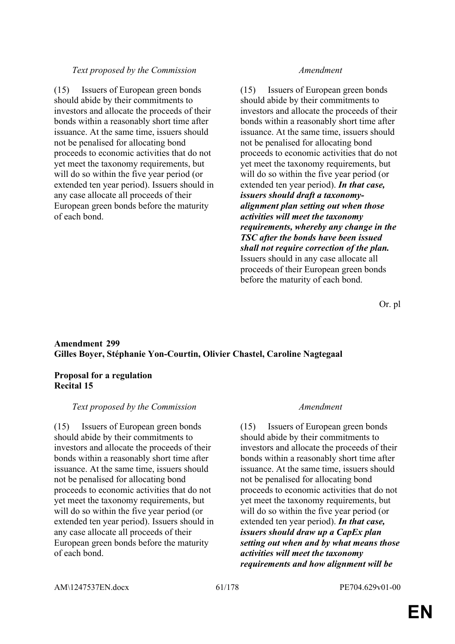## *Text proposed by the Commission Amendment*

(15) Issuers of European green bonds should abide by their commitments to investors and allocate the proceeds of their bonds within a reasonably short time after issuance. At the same time, issuers should not be penalised for allocating bond proceeds to economic activities that do not yet meet the taxonomy requirements, but will do so within the five year period (or extended ten year period). Issuers should in any case allocate all proceeds of their European green bonds before the maturity of each bond.

(15) Issuers of European green bonds should abide by their commitments to investors and allocate the proceeds of their bonds within a reasonably short time after issuance. At the same time, issuers should not be penalised for allocating bond proceeds to economic activities that do not yet meet the taxonomy requirements, but will do so within the five year period (or extended ten year period). *In that case, issuers should draft a taxonomyalignment plan setting out when those activities will meet the taxonomy requirements, whereby any change in the TSC after the bonds have been issued shall not require correction of the plan.* Issuers should in any case allocate all proceeds of their European green bonds before the maturity of each bond.

Or. pl

# **Amendment 299 Gilles Boyer, Stéphanie Yon-Courtin, Olivier Chastel, Caroline Nagtegaal**

## **Proposal for a regulation Recital 15**

## *Text proposed by the Commission Amendment*

(15) Issuers of European green bonds should abide by their commitments to investors and allocate the proceeds of their bonds within a reasonably short time after issuance. At the same time, issuers should not be penalised for allocating bond proceeds to economic activities that do not yet meet the taxonomy requirements, but will do so within the five year period (or extended ten year period). Issuers should in any case allocate all proceeds of their European green bonds before the maturity of each bond.

(15) Issuers of European green bonds should abide by their commitments to investors and allocate the proceeds of their bonds within a reasonably short time after issuance. At the same time, issuers should not be penalised for allocating bond proceeds to economic activities that do not yet meet the taxonomy requirements, but will do so within the five year period (or extended ten year period). *In that case, issuers should draw up a CapEx plan setting out when and by what means those activities will meet the taxonomy requirements and how alignment will be*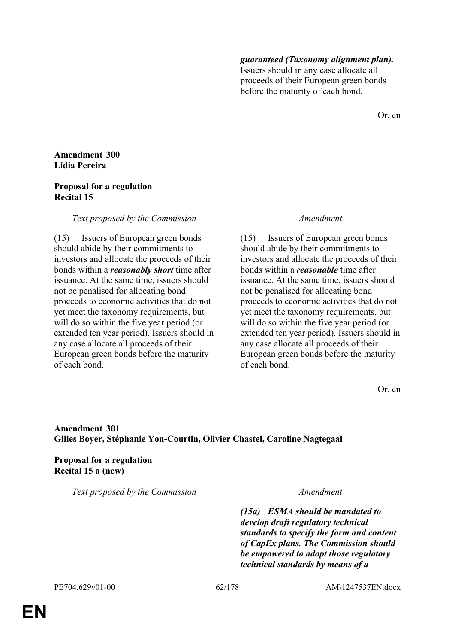## *guaranteed (Taxonomy alignment plan).*

Issuers should in any case allocate all proceeds of their European green bonds before the maturity of each bond.

Or. en

**Amendment 300 Lídia Pereira**

## **Proposal for a regulation Recital 15**

## *Text proposed by the Commission Amendment*

(15) Issuers of European green bonds should abide by their commitments to investors and allocate the proceeds of their bonds within a *reasonably short* time after issuance. At the same time, issuers should not be penalised for allocating bond proceeds to economic activities that do not yet meet the taxonomy requirements, but will do so within the five year period (or extended ten year period). Issuers should in any case allocate all proceeds of their European green bonds before the maturity of each bond.

(15) Issuers of European green bonds should abide by their commitments to investors and allocate the proceeds of their bonds within a *reasonable* time after issuance. At the same time, issuers should not be penalised for allocating bond proceeds to economic activities that do not yet meet the taxonomy requirements, but will do so within the five year period (or extended ten year period). Issuers should in any case allocate all proceeds of their European green bonds before the maturity of each bond.

Or. en

# **Amendment 301 Gilles Boyer, Stéphanie Yon-Courtin, Olivier Chastel, Caroline Nagtegaal**

**Proposal for a regulation Recital 15 a (new)**

*Text proposed by the Commission Amendment*

*(15a) ESMA should be mandated to develop draft regulatory technical standards to specify the form and content of CapEx plans. The Commission should be empowered to adopt those regulatory technical standards by means of a*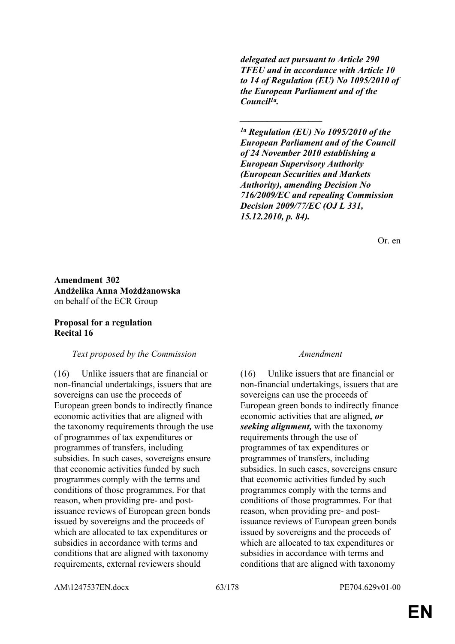*delegated act pursuant to Article 290 TFEU and in accordance with Article 10 to 14 of Regulation (EU) No 1095/2010 of the European Parliament and of the Council1a .*

*\_\_\_\_\_\_\_\_\_\_\_\_\_\_\_\_\_\_*

*1a Regulation (EU) No 1095/2010 of the European Parliament and of the Council of 24 November 2010 establishing a European Supervisory Authority (European Securities and Markets Authority), amending Decision No 716/2009/EC and repealing Commission Decision 2009/77/EC (OJ L 331, 15.12.2010, p. 84).*

Or. en

**Amendment 302 Andżelika Anna Możdżanowska** on behalf of the ECR Group

## **Proposal for a regulation Recital 16**

## *Text proposed by the Commission Amendment*

(16) Unlike issuers that are financial or non-financial undertakings, issuers that are sovereigns can use the proceeds of European green bonds to indirectly finance economic activities that are aligned with the taxonomy requirements through the use of programmes of tax expenditures or programmes of transfers, including subsidies. In such cases, sovereigns ensure that economic activities funded by such programmes comply with the terms and conditions of those programmes. For that reason, when providing pre- and postissuance reviews of European green bonds issued by sovereigns and the proceeds of which are allocated to tax expenditures or subsidies in accordance with terms and conditions that are aligned with taxonomy requirements, external reviewers should

(16) Unlike issuers that are financial or non-financial undertakings, issuers that are sovereigns can use the proceeds of European green bonds to indirectly finance economic activities that are aligned*, or seeking alignment,* with the taxonomy requirements through the use of programmes of tax expenditures or programmes of transfers, including subsidies. In such cases, sovereigns ensure that economic activities funded by such programmes comply with the terms and conditions of those programmes. For that reason, when providing pre- and postissuance reviews of European green bonds issued by sovereigns and the proceeds of which are allocated to tax expenditures or subsidies in accordance with terms and conditions that are aligned with taxonomy

AM\1247537EN.docx 63/178 PE704.629v01-00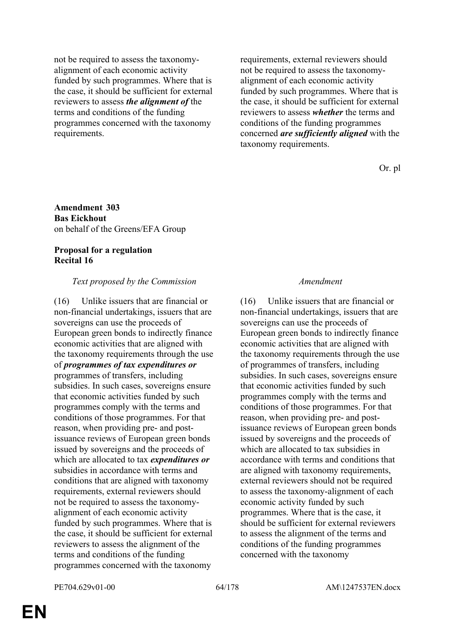not be required to assess the taxonomyalignment of each economic activity funded by such programmes. Where that is the case, it should be sufficient for external reviewers to assess *the alignment of* the terms and conditions of the funding programmes concerned with the taxonomy requirements.

requirements, external reviewers should not be required to assess the taxonomyalignment of each economic activity funded by such programmes. Where that is the case, it should be sufficient for external reviewers to assess *whether* the terms and conditions of the funding programmes concerned *are sufficiently aligned* with the taxonomy requirements.

Or. pl

### **Amendment 303 Bas Eickhout** on behalf of the Greens/EFA Group

# **Proposal for a regulation Recital 16**

## *Text proposed by the Commission Amendment*

(16) Unlike issuers that are financial or non-financial undertakings, issuers that are sovereigns can use the proceeds of European green bonds to indirectly finance economic activities that are aligned with the taxonomy requirements through the use of *programmes of tax expenditures or* programmes of transfers, including subsidies. In such cases, sovereigns ensure that economic activities funded by such programmes comply with the terms and conditions of those programmes. For that reason, when providing pre- and postissuance reviews of European green bonds issued by sovereigns and the proceeds of which are allocated to tax *expenditures or* subsidies in accordance with terms and conditions that are aligned with taxonomy requirements, external reviewers should not be required to assess the taxonomyalignment of each economic activity funded by such programmes. Where that is the case, it should be sufficient for external reviewers to assess the alignment of the terms and conditions of the funding programmes concerned with the taxonomy

(16) Unlike issuers that are financial or non-financial undertakings, issuers that are sovereigns can use the proceeds of European green bonds to indirectly finance economic activities that are aligned with the taxonomy requirements through the use of programmes of transfers, including subsidies. In such cases, sovereigns ensure that economic activities funded by such programmes comply with the terms and conditions of those programmes. For that reason, when providing pre- and postissuance reviews of European green bonds issued by sovereigns and the proceeds of which are allocated to tax subsidies in accordance with terms and conditions that are aligned with taxonomy requirements, external reviewers should not be required to assess the taxonomy-alignment of each economic activity funded by such programmes. Where that is the case, it should be sufficient for external reviewers to assess the alignment of the terms and conditions of the funding programmes concerned with the taxonomy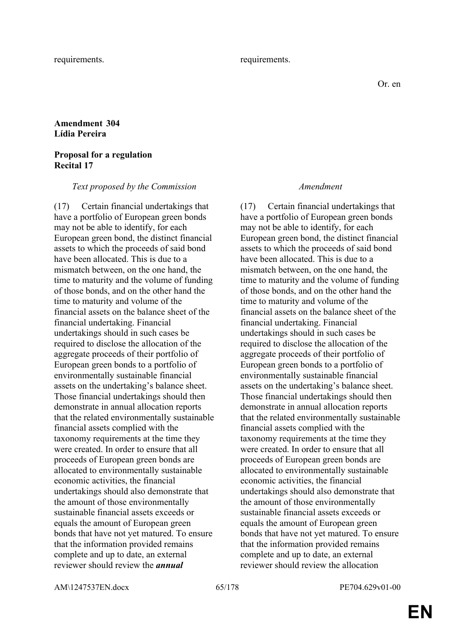### requirements. requirements.

# **Amendment 304 Lídia Pereira**

## **Proposal for a regulation Recital 17**

*Text proposed by the Commission Amendment*

(17) Certain financial undertakings that have a portfolio of European green bonds may not be able to identify, for each European green bond, the distinct financial assets to which the proceeds of said bond have been allocated. This is due to a mismatch between, on the one hand, the time to maturity and the volume of funding of those bonds, and on the other hand the time to maturity and volume of the financial assets on the balance sheet of the financial undertaking. Financial undertakings should in such cases be required to disclose the allocation of the aggregate proceeds of their portfolio of European green bonds to a portfolio of environmentally sustainable financial assets on the undertaking's balance sheet. Those financial undertakings should then demonstrate in annual allocation reports that the related environmentally sustainable financial assets complied with the taxonomy requirements at the time they were created. In order to ensure that all proceeds of European green bonds are allocated to environmentally sustainable economic activities, the financial undertakings should also demonstrate that the amount of those environmentally sustainable financial assets exceeds or equals the amount of European green bonds that have not yet matured. To ensure that the information provided remains complete and up to date, an external reviewer should review the *annual*

(17) Certain financial undertakings that have a portfolio of European green bonds may not be able to identify, for each European green bond, the distinct financial assets to which the proceeds of said bond have been allocated. This is due to a mismatch between, on the one hand, the time to maturity and the volume of funding of those bonds, and on the other hand the time to maturity and volume of the financial assets on the balance sheet of the financial undertaking. Financial undertakings should in such cases be required to disclose the allocation of the aggregate proceeds of their portfolio of European green bonds to a portfolio of environmentally sustainable financial assets on the undertaking's balance sheet. Those financial undertakings should then demonstrate in annual allocation reports that the related environmentally sustainable financial assets complied with the taxonomy requirements at the time they were created. In order to ensure that all proceeds of European green bonds are allocated to environmentally sustainable economic activities, the financial undertakings should also demonstrate that the amount of those environmentally sustainable financial assets exceeds or equals the amount of European green bonds that have not yet matured. To ensure that the information provided remains complete and up to date, an external reviewer should review the allocation

AM\1247537EN.docx 65/178 PE704.629v01-00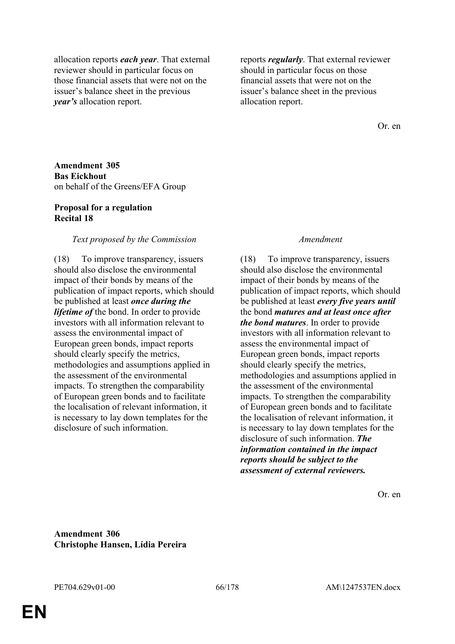allocation reports *each year*. That external reviewer should in particular focus on those financial assets that were not on the issuer's balance sheet in the previous *year's* allocation report.

reports *regularly*. That external reviewer should in particular focus on those financial assets that were not on the issuer's balance sheet in the previous allocation report.

Or. en

**Amendment 305 Bas Eickhout** on behalf of the Greens/EFA Group

### **Proposal for a regulation Recital 18**

### *Text proposed by the Commission Amendment*

(18) To improve transparency, issuers should also disclose the environmental impact of their bonds by means of the publication of impact reports, which should be published at least *once during the lifetime of* the bond. In order to provide investors with all information relevant to assess the environmental impact of European green bonds, impact reports should clearly specify the metrics, methodologies and assumptions applied in the assessment of the environmental impacts. To strengthen the comparability of European green bonds and to facilitate the localisation of relevant information, it is necessary to lay down templates for the disclosure of such information.

(18) To improve transparency, issuers should also disclose the environmental impact of their bonds by means of the publication of impact reports, which should be published at least *every five years until* the bond *matures and at least once after the bond matures*. In order to provide investors with all information relevant to assess the environmental impact of European green bonds, impact reports should clearly specify the metrics, methodologies and assumptions applied in the assessment of the environmental impacts. To strengthen the comparability of European green bonds and to facilitate the localisation of relevant information, it is necessary to lay down templates for the disclosure of such information. *The information contained in the impact reports should be subject to the assessment of external reviewers.*

Or. en

**Amendment 306 Christophe Hansen, Lídia Pereira**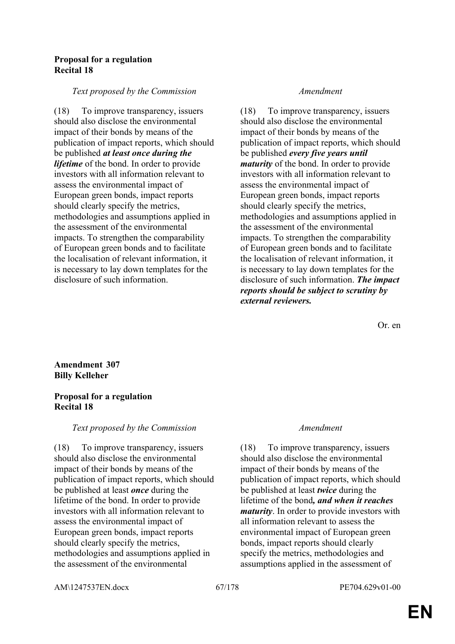## **Proposal for a regulation Recital 18**

### *Text proposed by the Commission Amendment*

(18) To improve transparency, issuers should also disclose the environmental impact of their bonds by means of the publication of impact reports, which should be published *at least once during the lifetime* of the bond. In order to provide investors with all information relevant to assess the environmental impact of European green bonds, impact reports should clearly specify the metrics, methodologies and assumptions applied in the assessment of the environmental impacts. To strengthen the comparability of European green bonds and to facilitate the localisation of relevant information, it is necessary to lay down templates for the disclosure of such information.

(18) To improve transparency, issuers should also disclose the environmental impact of their bonds by means of the publication of impact reports, which should be published *every five years until maturity* of the bond. In order to provide investors with all information relevant to assess the environmental impact of European green bonds, impact reports should clearly specify the metrics, methodologies and assumptions applied in the assessment of the environmental impacts. To strengthen the comparability of European green bonds and to facilitate the localisation of relevant information, it is necessary to lay down templates for the disclosure of such information. *The impact reports should be subject to scrutiny by external reviewers.*

Or. en

**Amendment 307 Billy Kelleher**

# **Proposal for a regulation Recital 18**

## *Text proposed by the Commission Amendment*

(18) To improve transparency, issuers should also disclose the environmental impact of their bonds by means of the publication of impact reports, which should be published at least *once* during the lifetime of the bond. In order to provide investors with all information relevant to assess the environmental impact of European green bonds, impact reports should clearly specify the metrics, methodologies and assumptions applied in the assessment of the environmental

(18) To improve transparency, issuers should also disclose the environmental impact of their bonds by means of the publication of impact reports, which should be published at least *twice* during the lifetime of the bond*, and when it reaches maturity*. In order to provide investors with all information relevant to assess the environmental impact of European green bonds, impact reports should clearly specify the metrics, methodologies and assumptions applied in the assessment of

AM\1247537EN.docx 67/178 PE704.629v01-00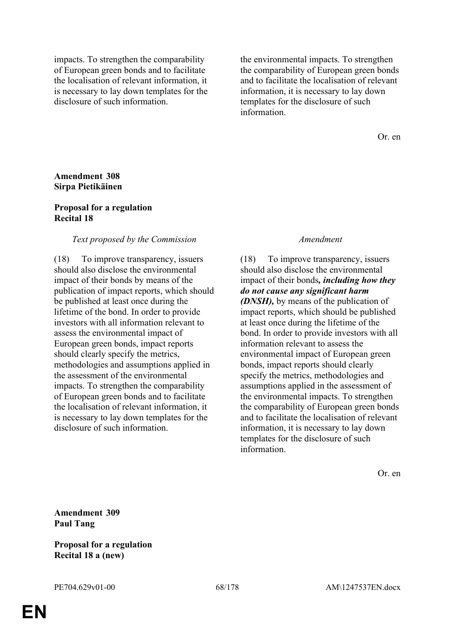impacts. To strengthen the comparability of European green bonds and to facilitate the localisation of relevant information, it is necessary to lay down templates for the disclosure of such information.

the environmental impacts. To strengthen the comparability of European green bonds and to facilitate the localisation of relevant information, it is necessary to lay down templates for the disclosure of such information.

Or. en

## **Amendment 308 Sirpa Pietikäinen**

### **Proposal for a regulation Recital 18**

### *Text proposed by the Commission Amendment*

(18) To improve transparency, issuers should also disclose the environmental impact of their bonds by means of the publication of impact reports, which should be published at least once during the lifetime of the bond. In order to provide investors with all information relevant to assess the environmental impact of European green bonds, impact reports should clearly specify the metrics, methodologies and assumptions applied in the assessment of the environmental impacts. To strengthen the comparability of European green bonds and to facilitate the localisation of relevant information, it is necessary to lay down templates for the disclosure of such information.

(18) To improve transparency, issuers should also disclose the environmental impact of their bonds*, including how they do not cause any significant harm (DNSH),* by means of the publication of impact reports, which should be published at least once during the lifetime of the bond. In order to provide investors with all information relevant to assess the environmental impact of European green bonds, impact reports should clearly specify the metrics, methodologies and assumptions applied in the assessment of the environmental impacts. To strengthen the comparability of European green bonds and to facilitate the localisation of relevant information, it is necessary to lay down templates for the disclosure of such information.

Or. en

**Amendment 309 Paul Tang**

**Proposal for a regulation Recital 18 a (new)**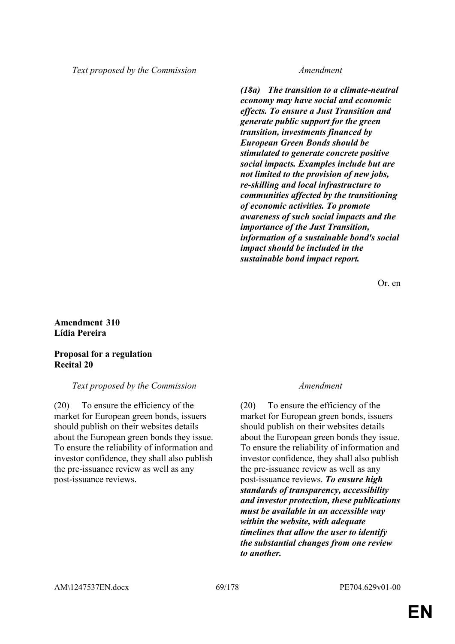*Text proposed by the Commission Amendment*

*(18a) The transition to a climate-neutral economy may have social and economic effects. To ensure a Just Transition and generate public support for the green transition, investments financed by European Green Bonds should be stimulated to generate concrete positive social impacts. Examples include but are not limited to the provision of new jobs, re-skilling and local infrastructure to communities affected by the transitioning of economic activities. To promote awareness of such social impacts and the importance of the Just Transition, information of a sustainable bond's social impact should be included in the sustainable bond impact report.*

Or. en

## **Amendment 310 Lídia Pereira**

## **Proposal for a regulation Recital 20**

## *Text proposed by the Commission Amendment*

(20) To ensure the efficiency of the market for European green bonds, issuers should publish on their websites details about the European green bonds they issue. To ensure the reliability of information and investor confidence, they shall also publish the pre-issuance review as well as any post-issuance reviews.

(20) To ensure the efficiency of the market for European green bonds, issuers should publish on their websites details about the European green bonds they issue. To ensure the reliability of information and investor confidence, they shall also publish the pre-issuance review as well as any post-issuance reviews. *To ensure high standards of transparency, accessibility and investor protection, these publications must be available in an accessible way within the website, with adequate timelines that allow the user to identify the substantial changes from one review to another.*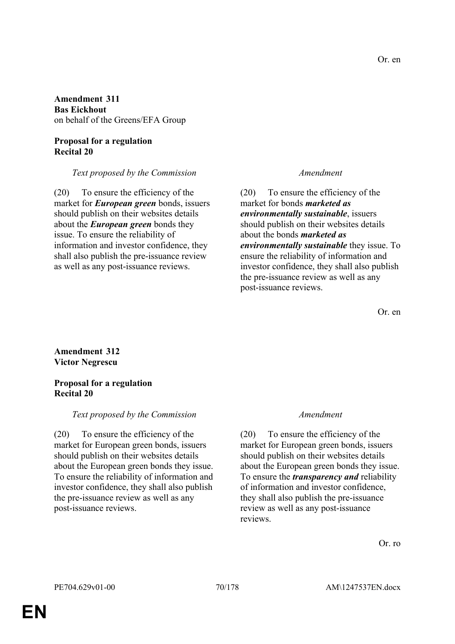**Amendment 311 Bas Eickhout** on behalf of the Greens/EFA Group

# **Proposal for a regulation Recital 20**

## *Text proposed by the Commission Amendment*

(20) To ensure the efficiency of the market for *European green* bonds, issuers should publish on their websites details about the *European green* bonds they issue. To ensure the reliability of information and investor confidence, they shall also publish the pre-issuance review as well as any post-issuance reviews.

(20) To ensure the efficiency of the market for bonds *marketed as environmentally sustainable*, issuers should publish on their websites details about the bonds *marketed as environmentally sustainable* they issue. To ensure the reliability of information and investor confidence, they shall also publish the pre-issuance review as well as any post-issuance reviews.

Or. en

# **Amendment 312 Victor Negrescu**

## **Proposal for a regulation Recital 20**

# *Text proposed by the Commission Amendment*

(20) To ensure the efficiency of the market for European green bonds, issuers should publish on their websites details about the European green bonds they issue. To ensure the reliability of information and investor confidence, they shall also publish the pre-issuance review as well as any post-issuance reviews.

(20) To ensure the efficiency of the market for European green bonds, issuers should publish on their websites details about the European green bonds they issue. To ensure the *transparency and* reliability of information and investor confidence, they shall also publish the pre-issuance review as well as any post-issuance reviews.

Or. ro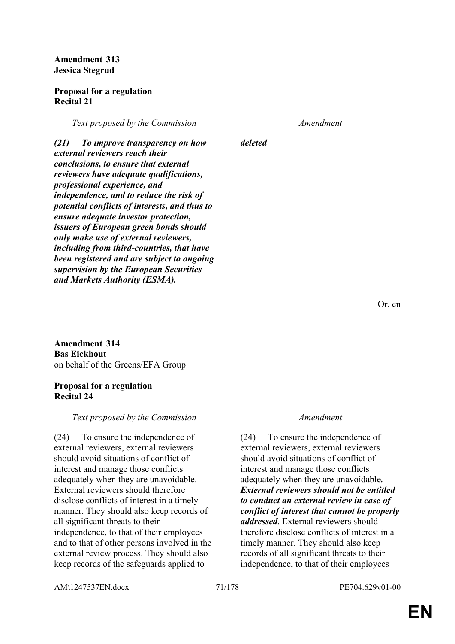**Amendment 313 Jessica Stegrud**

## **Proposal for a regulation Recital 21**

*Text proposed by the Commission Amendment*

*(21) To improve transparency on how external reviewers reach their conclusions, to ensure that external reviewers have adequate qualifications, professional experience, and independence, and to reduce the risk of potential conflicts of interests, and thus to ensure adequate investor protection, issuers of European green bonds should only make use of external reviewers, including from third-countries, that have been registered and are subject to ongoing supervision by the European Securities and Markets Authority (ESMA).*

**Amendment 314 Bas Eickhout** on behalf of the Greens/EFA Group

## **Proposal for a regulation Recital 24**

# *Text proposed by the Commission Amendment*

(24) To ensure the independence of external reviewers, external reviewers should avoid situations of conflict of interest and manage those conflicts adequately when they are unavoidable. External reviewers should therefore disclose conflicts of interest in a timely manner. They should also keep records of all significant threats to their independence, to that of their employees and to that of other persons involved in the external review process. They should also keep records of the safeguards applied to

*deleted*

Or. en

(24) To ensure the independence of external reviewers, external reviewers should avoid situations of conflict of interest and manage those conflicts adequately when they are unavoidable*. External reviewers should not be entitled to conduct an external review in case of conflict of interest that cannot be properly addressed*. External reviewers should therefore disclose conflicts of interest in a timely manner. They should also keep records of all significant threats to their independence, to that of their employees

AM\1247537EN.docx 71/178 PE704.629v01-00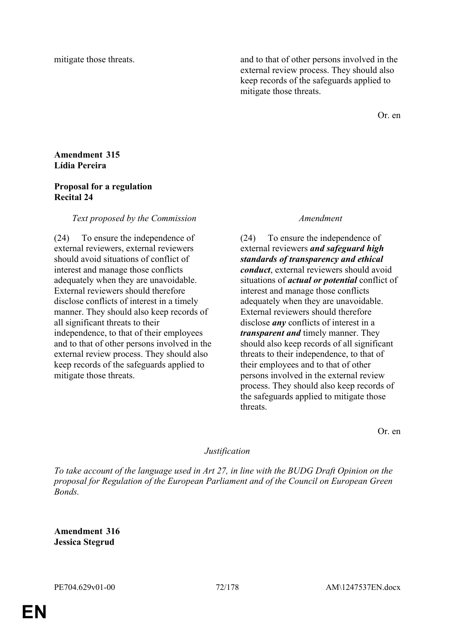mitigate those threats. and to that of other persons involved in the external review process. They should also keep records of the safeguards applied to mitigate those threats.

Or. en

## **Amendment 315 Lídia Pereira**

## **Proposal for a regulation Recital 24**

## *Text proposed by the Commission Amendment*

(24) To ensure the independence of external reviewers, external reviewers should avoid situations of conflict of interest and manage those conflicts adequately when they are unavoidable. External reviewers should therefore disclose conflicts of interest in a timely manner. They should also keep records of all significant threats to their independence, to that of their employees and to that of other persons involved in the external review process. They should also keep records of the safeguards applied to mitigate those threats.

(24) To ensure the independence of external reviewers *and safeguard high standards of transparency and ethical conduct*, external reviewers should avoid situations of *actual or potential* conflict of interest and manage those conflicts adequately when they are unavoidable. External reviewers should therefore disclose *any* conflicts of interest in a *transparent and* timely manner. They should also keep records of all significant threats to their independence, to that of their employees and to that of other persons involved in the external review process. They should also keep records of the safeguards applied to mitigate those threats.

Or. en

# *Justification*

*To take account of the language used in Art 27, in line with the BUDG Draft Opinion on the proposal for Regulation of the European Parliament and of the Council on European Green Bonds.*

**Amendment 316 Jessica Stegrud**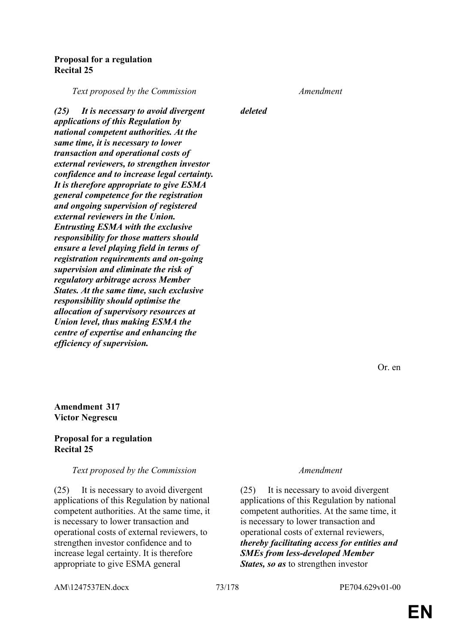### **Proposal for a regulation Recital 25**

*Text proposed by the Commission Amendment*

*(25) It is necessary to avoid divergent* 

*applications of this Regulation by national competent authorities. At the same time, it is necessary to lower transaction and operational costs of external reviewers, to strengthen investor confidence and to increase legal certainty. It is therefore appropriate to give ESMA general competence for the registration and ongoing supervision of registered* 

*external reviewers in the Union. Entrusting ESMA with the exclusive responsibility for those matters should ensure a level playing field in terms of registration requirements and on-going supervision and eliminate the risk of regulatory arbitrage across Member States. At the same time, such exclusive* 

*responsibility should optimise the allocation of supervisory resources at Union level, thus making ESMA the centre of expertise and enhancing the* 

*deleted*

Or. en

**Amendment 317 Victor Negrescu**

### **Proposal for a regulation Recital 25**

*efficiency of supervision.*

#### *Text proposed by the Commission Amendment*

(25) It is necessary to avoid divergent applications of this Regulation by national competent authorities. At the same time, it is necessary to lower transaction and operational costs of external reviewers, to strengthen investor confidence and to increase legal certainty. It is therefore appropriate to give ESMA general

(25) It is necessary to avoid divergent applications of this Regulation by national competent authorities. At the same time, it is necessary to lower transaction and operational costs of external reviewers, *thereby facilitating access for entities and SMEs from less-developed Member States, so as* to strengthen investor

AM\1247537EN.docx 73/178 PE704.629v01-00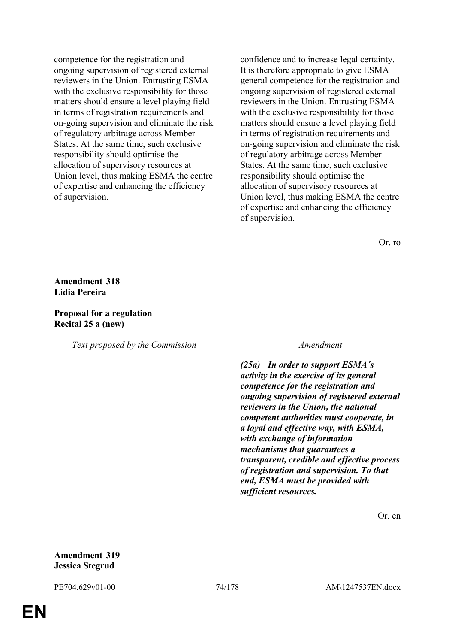competence for the registration and ongoing supervision of registered external reviewers in the Union. Entrusting ESMA with the exclusive responsibility for those matters should ensure a level playing field in terms of registration requirements and on-going supervision and eliminate the risk of regulatory arbitrage across Member States. At the same time, such exclusive responsibility should optimise the allocation of supervisory resources at Union level, thus making ESMA the centre of expertise and enhancing the efficiency of supervision.

confidence and to increase legal certainty. It is therefore appropriate to give ESMA general competence for the registration and ongoing supervision of registered external reviewers in the Union. Entrusting ESMA with the exclusive responsibility for those matters should ensure a level playing field in terms of registration requirements and on-going supervision and eliminate the risk of regulatory arbitrage across Member States. At the same time, such exclusive responsibility should optimise the allocation of supervisory resources at Union level, thus making ESMA the centre of expertise and enhancing the efficiency of supervision.

Or. ro

**Amendment 318 Lídia Pereira**

**Proposal for a regulation Recital 25 a (new)**

*Text proposed by the Commission Amendment*

*(25a) In order to support ESMA´s activity in the exercise of its general competence for the registration and ongoing supervision of registered external reviewers in the Union, the national competent authorities must cooperate, in a loyal and effective way, with ESMA, with exchange of information mechanisms that guarantees a transparent, credible and effective process of registration and supervision. To that end, ESMA must be provided with sufficient resources.*

Or. en

**Amendment 319 Jessica Stegrud**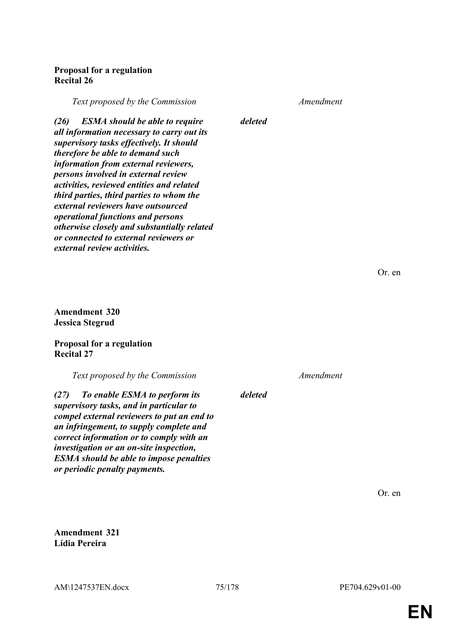# **Proposal for a regulation Recital 26**

*Text proposed by the Commission Amendment*

*(26) ESMA should be able to require all information necessary to carry out its supervisory tasks effectively. It should therefore be able to demand such information from external reviewers, persons involved in external review activities, reviewed entities and related third parties, third parties to whom the external reviewers have outsourced operational functions and persons otherwise closely and substantially related or connected to external reviewers or external review activities.*

Or. en

**Amendment 320 Jessica Stegrud**

## **Proposal for a regulation Recital 27**

*Text proposed by the Commission Amendment*

*(27) To enable ESMA to perform its supervisory tasks, and in particular to compel external reviewers to put an end to an infringement, to supply complete and correct information or to comply with an investigation or an on-site inspection, ESMA should be able to impose penalties or periodic penalty payments.*

*deleted*

*deleted*

Or. en

**Amendment 321 Lídia Pereira**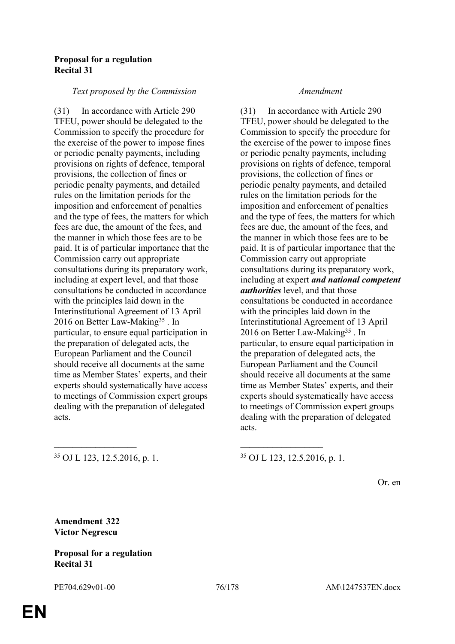### **Proposal for a regulation Recital 31**

#### *Text proposed by the Commission Amendment*

(31) In accordance with Article 290 TFEU, power should be delegated to the Commission to specify the procedure for the exercise of the power to impose fines or periodic penalty payments, including provisions on rights of defence, temporal provisions, the collection of fines or periodic penalty payments, and detailed rules on the limitation periods for the imposition and enforcement of penalties and the type of fees, the matters for which fees are due, the amount of the fees, and the manner in which those fees are to be paid. It is of particular importance that the Commission carry out appropriate consultations during its preparatory work, including at expert level, and that those consultations be conducted in accordance with the principles laid down in the Interinstitutional Agreement of 13 April 2016 on Better Law-Making<sup>35</sup> . In particular, to ensure equal participation in the preparation of delegated acts, the European Parliament and the Council should receive all documents at the same time as Member States' experts, and their experts should systematically have access to meetings of Commission expert groups dealing with the preparation of delegated acts.

(31) In accordance with Article 290 TFEU, power should be delegated to the Commission to specify the procedure for the exercise of the power to impose fines or periodic penalty payments, including provisions on rights of defence, temporal provisions, the collection of fines or periodic penalty payments, and detailed rules on the limitation periods for the imposition and enforcement of penalties and the type of fees, the matters for which fees are due, the amount of the fees, and the manner in which those fees are to be paid. It is of particular importance that the Commission carry out appropriate consultations during its preparatory work, including at expert *and national competent authorities* level, and that those consultations be conducted in accordance with the principles laid down in the Interinstitutional Agreement of 13 April 2016 on Better Law-Making<sup>35</sup> . In particular, to ensure equal participation in the preparation of delegated acts, the European Parliament and the Council should receive all documents at the same time as Member States' experts, and their experts should systematically have access to meetings of Commission expert groups dealing with the preparation of delegated acts.

<sup>35</sup> OJ L 123, 12.5.2016, p. 1. <sup>35</sup> OJ L 123, 12.5.2016, p. 1.

Or. en

**Amendment 322 Victor Negrescu**

### **Proposal for a regulation Recital 31**

 $\mathcal{L}_\text{max}$  , and the contract of the contract of the contract of the contract of the contract of the contract of

PE704.629v01-00 76/178 AM\1247537EN.docx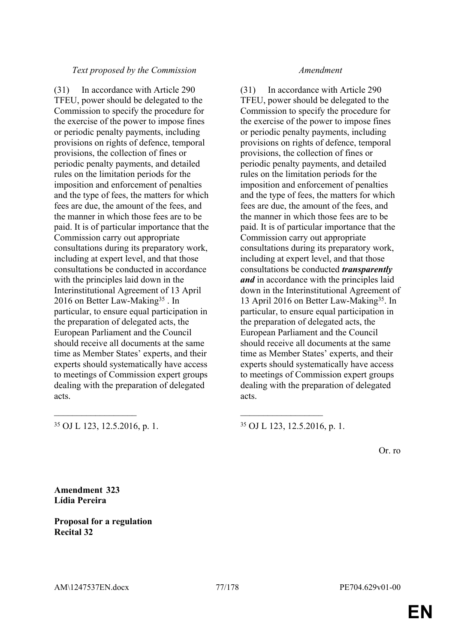### *Text proposed by the Commission Amendment*

(31) In accordance with Article 290 TFEU, power should be delegated to the Commission to specify the procedure for the exercise of the power to impose fines or periodic penalty payments, including provisions on rights of defence, temporal provisions, the collection of fines or periodic penalty payments, and detailed rules on the limitation periods for the imposition and enforcement of penalties and the type of fees, the matters for which fees are due, the amount of the fees, and the manner in which those fees are to be paid. It is of particular importance that the Commission carry out appropriate consultations during its preparatory work, including at expert level, and that those consultations be conducted in accordance with the principles laid down in the Interinstitutional Agreement of 13 April 2016 on Better Law-Making<sup>35</sup>. In particular, to ensure equal participation in the preparation of delegated acts, the European Parliament and the Council should receive all documents at the same time as Member States' experts, and their experts should systematically have access to meetings of Commission expert groups dealing with the preparation of delegated acts.

(31) In accordance with Article 290 TFEU, power should be delegated to the Commission to specify the procedure for the exercise of the power to impose fines or periodic penalty payments, including provisions on rights of defence, temporal provisions, the collection of fines or periodic penalty payments, and detailed rules on the limitation periods for the imposition and enforcement of penalties and the type of fees, the matters for which fees are due, the amount of the fees, and the manner in which those fees are to be paid. It is of particular importance that the Commission carry out appropriate consultations during its preparatory work, including at expert level, and that those consultations be conducted *transparently and* in accordance with the principles laid down in the Interinstitutional Agreement of 13 April 2016 on Better Law-Making<sup>35</sup>. In particular, to ensure equal participation in the preparation of delegated acts, the European Parliament and the Council should receive all documents at the same time as Member States' experts, and their experts should systematically have access to meetings of Commission expert groups dealing with the preparation of delegated acts.

 $35$  OJ L 123, 12.5.2016, p. 1.  $35$  OJ L 123, 12.5.2016, p. 1.

Or. ro

**Amendment 323 Lídia Pereira**

**Proposal for a regulation Recital 32**

 $\mathcal{L}_\text{max}$  , and the contract of the contract of the contract of the contract of the contract of the contract of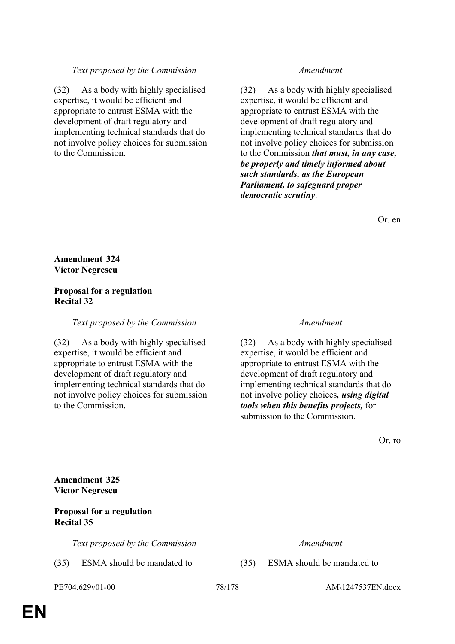# expertise, it would be efficient and

appropriate to entrust ESMA with the development of draft regulatory and implementing technical standards that do not involve policy choices for submission to the Commission.

(32) As a body with highly specialised

#### *Text proposed by the Commission Amendment*

(32) As a body with highly specialised expertise, it would be efficient and appropriate to entrust ESMA with the development of draft regulatory and implementing technical standards that do not involve policy choices for submission to the Commission *that must, in any case, be properly and timely informed about such standards, as the European Parliament, to safeguard proper democratic scrutiny*.

Or. en

**Amendment 324 Victor Negrescu**

#### **Proposal for a regulation Recital 32**

#### *Text proposed by the Commission Amendment*

(32) As a body with highly specialised expertise, it would be efficient and appropriate to entrust ESMA with the development of draft regulatory and implementing technical standards that do not involve policy choices for submission to the Commission.

(32) As a body with highly specialised expertise, it would be efficient and appropriate to entrust ESMA with the development of draft regulatory and implementing technical standards that do not involve policy choices*, using digital tools when this benefits projects,* for submission to the Commission.

Or. ro

**Amendment 325 Victor Negrescu**

### **Proposal for a regulation Recital 35**

*Text proposed by the Commission Amendment*

(35) ESMA should be mandated to (35) ESMA should be mandated to

PE704.629v01-00 78/178 AM\1247537EN.docx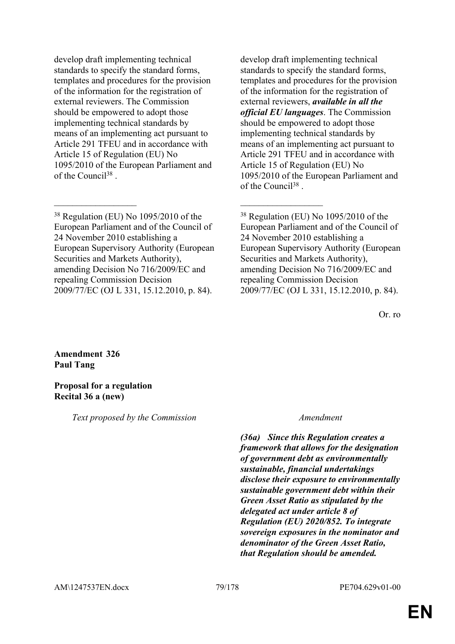develop draft implementing technical standards to specify the standard forms, templates and procedures for the provision of the information for the registration of external reviewers. The Commission should be empowered to adopt those implementing technical standards by means of an implementing act pursuant to Article 291 TFEU and in accordance with Article 15 of Regulation (EU) No 1095/2010 of the European Parliament and of the Council<sup>38</sup>.

 $\mathcal{L}_\text{max}$  and  $\mathcal{L}_\text{max}$  and  $\mathcal{L}_\text{max}$  and  $\mathcal{L}_\text{max}$ 

develop draft implementing technical standards to specify the standard forms, templates and procedures for the provision of the information for the registration of external reviewers, *available in all the official EU languages*. The Commission should be empowered to adopt those implementing technical standards by means of an implementing act pursuant to Article 291 TFEU and in accordance with Article 15 of Regulation (EU) No 1095/2010 of the European Parliament and of the Council<sup>38</sup>.

<sup>38</sup> Regulation (EU) No 1095/2010 of the European Parliament and of the Council of 24 November 2010 establishing a European Supervisory Authority (European Securities and Markets Authority), amending Decision No 716/2009/EC and repealing Commission Decision 2009/77/EC (OJ L 331, 15.12.2010, p. 84).

Or. ro

**Amendment 326 Paul Tang**

## **Proposal for a regulation Recital 36 a (new)**

*Text proposed by the Commission Amendment*

*(36a) Since this Regulation creates a framework that allows for the designation of government debt as environmentally sustainable, financial undertakings disclose their exposure to environmentally sustainable government debt within their Green Asset Ratio as stipulated by the delegated act under article 8 of Regulation (EU) 2020/852. To integrate sovereign exposures in the nominator and denominator of the Green Asset Ratio, that Regulation should be amended.*

<sup>38</sup> Regulation (EU) No 1095/2010 of the European Parliament and of the Council of 24 November 2010 establishing a European Supervisory Authority (European Securities and Markets Authority), amending Decision No 716/2009/EC and repealing Commission Decision 2009/77/EC (OJ L 331, 15.12.2010, p. 84).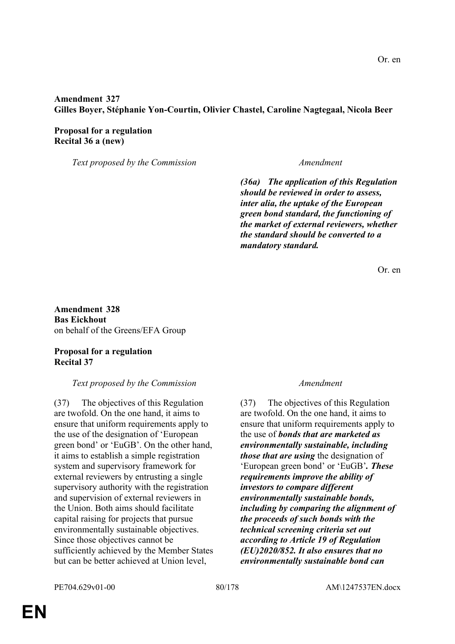# **Amendment 327 Gilles Boyer, Stéphanie Yon-Courtin, Olivier Chastel, Caroline Nagtegaal, Nicola Beer**

# **Proposal for a regulation Recital 36 a (new)**

*Text proposed by the Commission Amendment*

*(36a) The application of this Regulation should be reviewed in order to assess, inter alia, the uptake of the European green bond standard, the functioning of the market of external reviewers, whether the standard should be converted to a mandatory standard.*

Or. en

**Amendment 328 Bas Eickhout** on behalf of the Greens/EFA Group

## **Proposal for a regulation Recital 37**

# *Text proposed by the Commission Amendment*

(37) The objectives of this Regulation are twofold. On the one hand, it aims to ensure that uniform requirements apply to the use of the designation of 'European green bond' or 'EuGB'. On the other hand, it aims to establish a simple registration system and supervisory framework for external reviewers by entrusting a single supervisory authority with the registration and supervision of external reviewers in the Union. Both aims should facilitate capital raising for projects that pursue environmentally sustainable objectives. Since those objectives cannot be sufficiently achieved by the Member States but can be better achieved at Union level,

(37) The objectives of this Regulation are twofold. On the one hand, it aims to ensure that uniform requirements apply to the use of *bonds that are marketed as environmentally sustainable, including those that are using* the designation of 'European green bond' or 'EuGB'*. These requirements improve the ability of investors to compare different environmentally sustainable bonds, including by comparing the alignment of the proceeds of such bonds with the technical screening criteria set out according to Article 19 of Regulation (EU)2020/852. It also ensures that no environmentally sustainable bond can*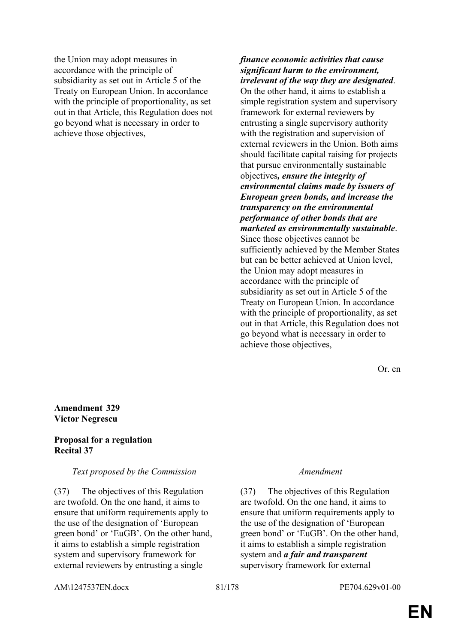the Union may adopt measures in accordance with the principle of subsidiarity as set out in Article 5 of the Treaty on European Union. In accordance with the principle of proportionality, as set out in that Article, this Regulation does not go beyond what is necessary in order to achieve those objectives,

# *finance economic activities that cause significant harm to the environment, irrelevant of the way they are designated*.

On the other hand, it aims to establish a simple registration system and supervisory framework for external reviewers by entrusting a single supervisory authority with the registration and supervision of external reviewers in the Union. Both aims should facilitate capital raising for projects that pursue environmentally sustainable objectives*, ensure the integrity of environmental claims made by issuers of European green bonds, and increase the transparency on the environmental performance of other bonds that are marketed as environmentally sustainable*. Since those objectives cannot be sufficiently achieved by the Member States but can be better achieved at Union level, the Union may adopt measures in accordance with the principle of subsidiarity as set out in Article 5 of the Treaty on European Union. In accordance with the principle of proportionality, as set out in that Article, this Regulation does not go beyond what is necessary in order to achieve those objectives,

Or. en

# **Amendment 329 Victor Negrescu**

# **Proposal for a regulation Recital 37**

# *Text proposed by the Commission Amendment*

(37) The objectives of this Regulation are twofold. On the one hand, it aims to ensure that uniform requirements apply to the use of the designation of 'European green bond' or 'EuGB'. On the other hand, it aims to establish a simple registration system and supervisory framework for external reviewers by entrusting a single

(37) The objectives of this Regulation are twofold. On the one hand, it aims to ensure that uniform requirements apply to the use of the designation of 'European green bond' or 'EuGB'. On the other hand, it aims to establish a simple registration system and *a fair and transparent*  supervisory framework for external

AM\1247537EN.docx 81/178 PE704.629v01-00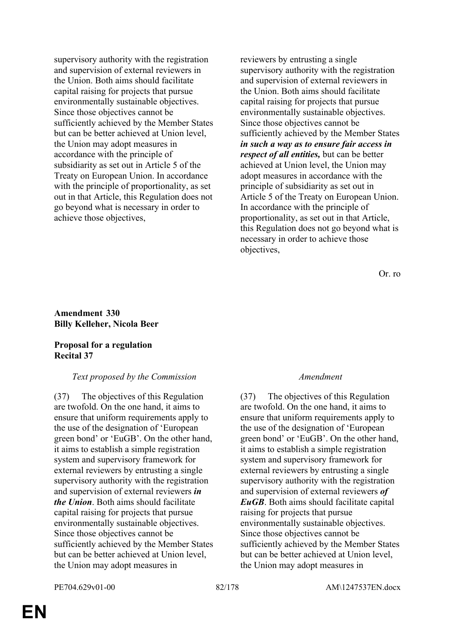supervisory authority with the registration and supervision of external reviewers in the Union. Both aims should facilitate capital raising for projects that pursue environmentally sustainable objectives. Since those objectives cannot be sufficiently achieved by the Member States but can be better achieved at Union level, the Union may adopt measures in accordance with the principle of subsidiarity as set out in Article 5 of the Treaty on European Union. In accordance with the principle of proportionality, as set out in that Article, this Regulation does not go beyond what is necessary in order to achieve those objectives,

reviewers by entrusting a single supervisory authority with the registration and supervision of external reviewers in the Union. Both aims should facilitate capital raising for projects that pursue environmentally sustainable objectives. Since those objectives cannot be sufficiently achieved by the Member States *in such a way as to ensure fair access in respect of all entities,* but can be better achieved at Union level, the Union may adopt measures in accordance with the principle of subsidiarity as set out in Article 5 of the Treaty on European Union. In accordance with the principle of proportionality, as set out in that Article, this Regulation does not go beyond what is necessary in order to achieve those objectives,

Or. ro

### **Amendment 330 Billy Kelleher, Nicola Beer**

## **Proposal for a regulation Recital 37**

# *Text proposed by the Commission Amendment*

(37) The objectives of this Regulation are twofold. On the one hand, it aims to ensure that uniform requirements apply to the use of the designation of 'European green bond' or 'EuGB'. On the other hand, it aims to establish a simple registration system and supervisory framework for external reviewers by entrusting a single supervisory authority with the registration and supervision of external reviewers *in the Union*. Both aims should facilitate capital raising for projects that pursue environmentally sustainable objectives. Since those objectives cannot be sufficiently achieved by the Member States but can be better achieved at Union level, the Union may adopt measures in

(37) The objectives of this Regulation are twofold. On the one hand, it aims to ensure that uniform requirements apply to the use of the designation of 'European green bond' or 'EuGB'. On the other hand, it aims to establish a simple registration system and supervisory framework for external reviewers by entrusting a single supervisory authority with the registration and supervision of external reviewers *of EuGB*. Both aims should facilitate capital raising for projects that pursue environmentally sustainable objectives. Since those objectives cannot be sufficiently achieved by the Member States but can be better achieved at Union level, the Union may adopt measures in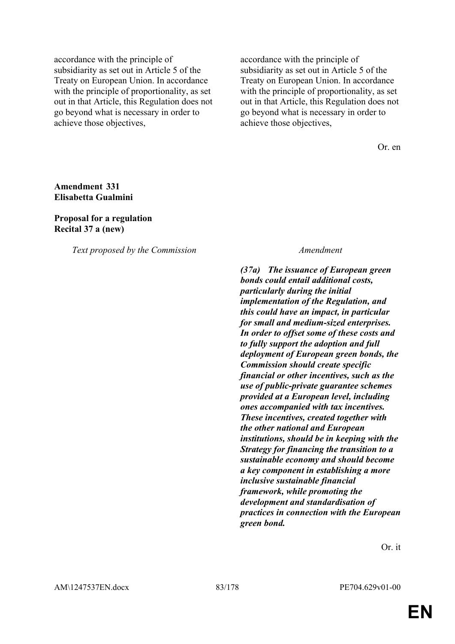accordance with the principle of subsidiarity as set out in Article 5 of the Treaty on European Union. In accordance with the principle of proportionality, as set out in that Article, this Regulation does not go beyond what is necessary in order to achieve those objectives,

accordance with the principle of subsidiarity as set out in Article 5 of the Treaty on European Union. In accordance with the principle of proportionality, as set out in that Article, this Regulation does not go beyond what is necessary in order to achieve those objectives,

Or. en

#### **Amendment 331 Elisabetta Gualmini**

#### **Proposal for a regulation Recital 37 a (new)**

*Text proposed by the Commission Amendment*

*(37a) The issuance of European green bonds could entail additional costs, particularly during the initial implementation of the Regulation, and this could have an impact, in particular for small and medium-sized enterprises. In order to offset some of these costs and to fully support the adoption and full deployment of European green bonds, the Commission should create specific financial or other incentives, such as the use of public-private guarantee schemes provided at a European level, including ones accompanied with tax incentives. These incentives, created together with the other national and European institutions, should be in keeping with the Strategy for financing the transition to a sustainable economy and should become a key component in establishing a more inclusive sustainable financial framework, while promoting the development and standardisation of practices in connection with the European green bond.*

Or. it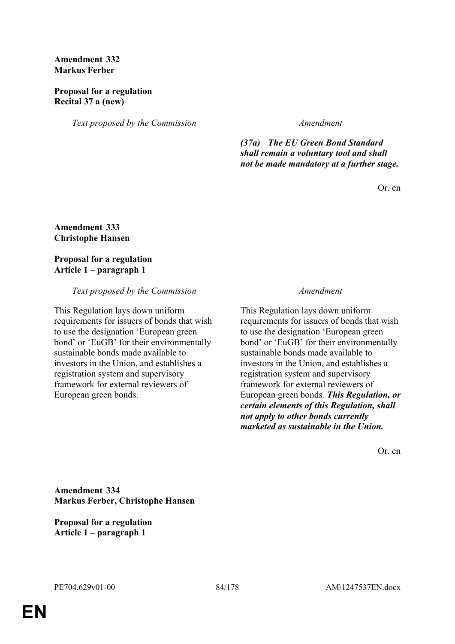## **Amendment 332 Markus Ferber**

## **Proposal for a regulation Recital 37 a (new)**

*Text proposed by the Commission Amendment*

*(37a) The EU Green Bond Standard shall remain a voluntary tool and shall not be made mandatory at a further stage.*

Or. en

### **Amendment 333 Christophe Hansen**

## **Proposal for a regulation Article 1 – paragraph 1**

#### *Text proposed by the Commission Amendment*

This Regulation lays down uniform requirements for issuers of bonds that wish to use the designation 'European green bond' or 'EuGB' for their environmentally sustainable bonds made available to investors in the Union, and establishes a registration system and supervisory framework for external reviewers of European green bonds.

This Regulation lays down uniform requirements for issuers of bonds that wish to use the designation 'European green bond' or 'EuGB' for their environmentally sustainable bonds made available to investors in the Union, and establishes a registration system and supervisory framework for external reviewers of European green bonds. *This Regulation, or certain elements of this Regulation, shall not apply to other bonds currently marketed as sustainable in the Union.*

Or. en

**Amendment 334 Markus Ferber, Christophe Hansen**

**Proposal for a regulation Article 1 – paragraph 1**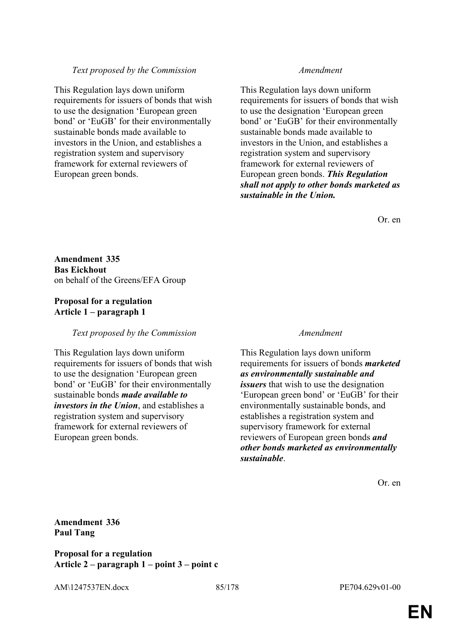### *Text proposed by the Commission Amendment*

This Regulation lays down uniform requirements for issuers of bonds that wish to use the designation 'European green bond' or 'EuGB' for their environmentally sustainable bonds made available to investors in the Union, and establishes a registration system and supervisory framework for external reviewers of European green bonds.

This Regulation lays down uniform requirements for issuers of bonds that wish to use the designation 'European green bond' or 'EuGB' for their environmentally sustainable bonds made available to investors in the Union, and establishes a registration system and supervisory framework for external reviewers of European green bonds. *This Regulation shall not apply to other bonds marketed as sustainable in the Union.*

Or. en

**Amendment 335 Bas Eickhout** on behalf of the Greens/EFA Group

### **Proposal for a regulation Article 1 – paragraph 1**

### *Text proposed by the Commission Amendment*

This Regulation lays down uniform requirements for issuers of bonds that wish to use the designation 'European green bond' or 'EuGB' for their environmentally sustainable bonds *made available to investors in the Union*, and establishes a registration system and supervisory framework for external reviewers of European green bonds.

This Regulation lays down uniform requirements for issuers of bonds *marketed as environmentally sustainable and issuers* that wish to use the designation 'European green bond' or 'EuGB' for their environmentally sustainable bonds, and establishes a registration system and supervisory framework for external reviewers of European green bonds *and other bonds marketed as environmentally sustainable*.

Or. en

**Amendment 336 Paul Tang**

**Proposal for a regulation Article 2 – paragraph 1 – point 3 – point c**

AM\1247537EN.docx 85/178 PE704.629v01-00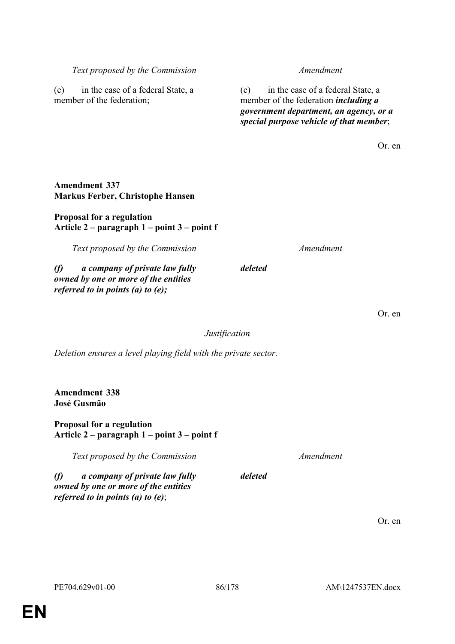#### *Text proposed by the Commission Amendment*

(c) in the case of a federal State, a member of the federation;

(c) in the case of a federal State, a member of the federation *including a government department, an agency, or a special purpose vehicle of that member*;

**Amendment 337 Markus Ferber, Christophe Hansen**

# **Proposal for a regulation Article 2 – paragraph 1 – point 3 – point f**

*Text proposed by the Commission Amendment*

*(f) a company of private law fully owned by one or more of the entities referred to in points (a) to (e);*

*Justification*

*deleted*

*Deletion ensures a level playing field with the private sector.*

**Amendment 338 José Gusmão**

**Proposal for a regulation Article 2 – paragraph 1 – point 3 – point f**

*Text proposed by the Commission Amendment*

*(f) a company of private law fully owned by one or more of the entities referred to in points (a) to (e)*;

Or. en

*deleted*

Or. en

Or. en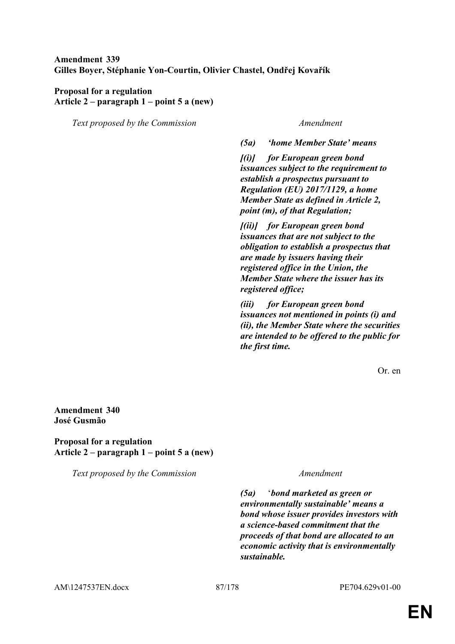# **Amendment 339 Gilles Boyer, Stéphanie Yon-Courtin, Olivier Chastel, Ondřej Kovařík**

### **Proposal for a regulation Article 2 – paragraph 1 – point 5 a (new)**

*Text proposed by the Commission Amendment*

*(5a) 'home Member State' means* 

*[(i)] for European green bond issuances subject to the requirement to establish a prospectus pursuant to Regulation (EU) 2017/1129, a home Member State as defined in Article 2, point (m), of that Regulation;*

*[(ii)] for European green bond issuances that are not subject to the obligation to establish a prospectus that are made by issuers having their registered office in the Union, the Member State where the issuer has its registered office;*

*(iii) for European green bond issuances not mentioned in points (i) and (ii), the Member State where the securities are intended to be offered to the public for the first time.*

Or. en

## **Amendment 340 José Gusmão**

**Proposal for a regulation Article 2 – paragraph 1 – point 5 a (new)**

*Text proposed by the Commission Amendment*

*(5a)* '*bond marketed as green or environmentally sustainable' means a bond whose issuer provides investors with a science-based commitment that the proceeds of that bond are allocated to an economic activity that is environmentally sustainable.*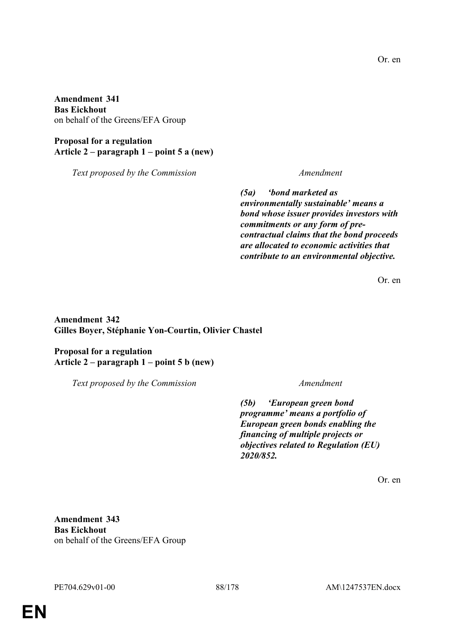**Amendment 341 Bas Eickhout** on behalf of the Greens/EFA Group

**Proposal for a regulation Article 2 – paragraph 1 – point 5 a (new)**

*Text proposed by the Commission Amendment*

*(5a) 'bond marketed as environmentally sustainable' means a bond whose issuer provides investors with commitments or any form of precontractual claims that the bond proceeds are allocated to economic activities that contribute to an environmental objective.* 

Or. en

**Amendment 342 Gilles Boyer, Stéphanie Yon-Courtin, Olivier Chastel**

**Proposal for a regulation Article 2 – paragraph 1 – point 5 b (new)**

*Text proposed by the Commission Amendment*

*(5b) 'European green bond programme' means a portfolio of European green bonds enabling the financing of multiple projects or objectives related to Regulation (EU) 2020/852.*

Or. en

**Amendment 343 Bas Eickhout** on behalf of the Greens/EFA Group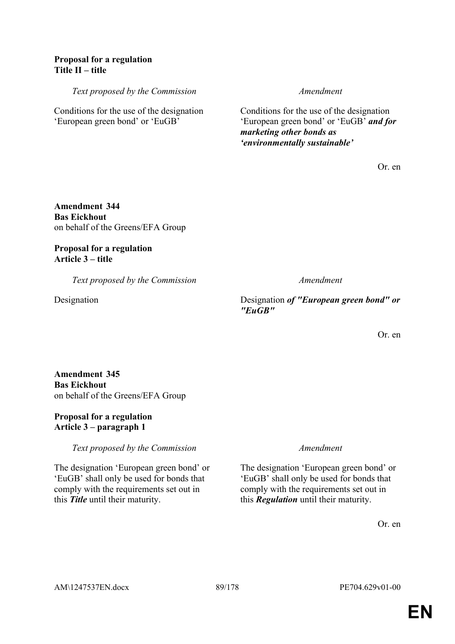### **Proposal for a regulation Title II – title**

*Text proposed by the Commission Amendment*

Conditions for the use of the designation 'European green bond' or 'EuGB'

Conditions for the use of the designation 'European green bond' or 'EuGB' *and for marketing other bonds as 'environmentally sustainable'*

Or. en

**Amendment 344 Bas Eickhout** on behalf of the Greens/EFA Group

**Proposal for a regulation Article 3 – title**

*Text proposed by the Commission Amendment*

Designation Designation *of "European green bond" or "EuGB"*

Or. en

**Amendment 345 Bas Eickhout** on behalf of the Greens/EFA Group

# **Proposal for a regulation Article 3 – paragraph 1**

*Text proposed by the Commission Amendment*

The designation 'European green bond' or 'EuGB' shall only be used for bonds that comply with the requirements set out in this *Title* until their maturity.

The designation 'European green bond' or 'EuGB' shall only be used for bonds that comply with the requirements set out in this *Regulation* until their maturity.

Or. en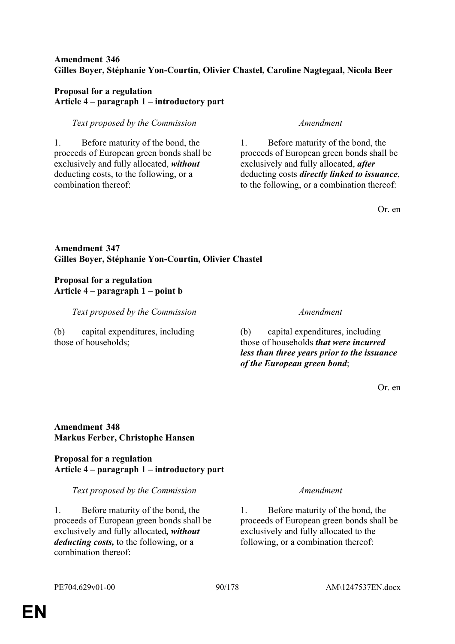# **Amendment 346 Gilles Boyer, Stéphanie Yon-Courtin, Olivier Chastel, Caroline Nagtegaal, Nicola Beer**

# **Proposal for a regulation Article 4 – paragraph 1 – introductory part**

# *Text proposed by the Commission Amendment*

1. Before maturity of the bond, the proceeds of European green bonds shall be exclusively and fully allocated, *without* deducting costs, to the following, or a combination thereof:

1. Before maturity of the bond, the proceeds of European green bonds shall be exclusively and fully allocated, *after* deducting costs *directly linked to issuance*, to the following, or a combination thereof:

Or. en

# **Amendment 347 Gilles Boyer, Stéphanie Yon-Courtin, Olivier Chastel**

# **Proposal for a regulation Article 4 – paragraph 1 – point b**

*Text proposed by the Commission Amendment*

(b) capital expenditures, including those of households;

(b) capital expenditures, including those of households *that were incurred less than three years prior to the issuance of the European green bond*;

Or. en

# **Amendment 348 Markus Ferber, Christophe Hansen**

# **Proposal for a regulation Article 4 – paragraph 1 – introductory part**

*Text proposed by the Commission Amendment*

1. Before maturity of the bond, the proceeds of European green bonds shall be exclusively and fully allocated*, without deducting costs,* to the following, or a combination thereof:

1. Before maturity of the bond, the proceeds of European green bonds shall be exclusively and fully allocated to the following, or a combination thereof: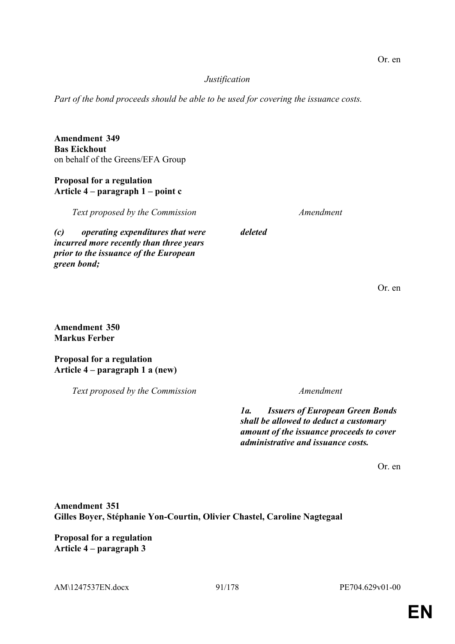### *Justification*

*Part of the bond proceeds should be able to be used for covering the issuance costs.*

**Amendment 349 Bas Eickhout** on behalf of the Greens/EFA Group

### **Proposal for a regulation Article 4 – paragraph 1 – point c**

*Text proposed by the Commission Amendment*

*(c) operating expenditures that were incurred more recently than three years prior to the issuance of the European* 

*deleted*

Or. en

## **Amendment 350 Markus Ferber**

*green bond;*

**Proposal for a regulation Article 4 – paragraph 1 a (new)**

*Text proposed by the Commission Amendment*

*1a. Issuers of European Green Bonds shall be allowed to deduct a customary amount of the issuance proceeds to cover administrative and issuance costs.*

Or. en

**Amendment 351 Gilles Boyer, Stéphanie Yon-Courtin, Olivier Chastel, Caroline Nagtegaal**

**Proposal for a regulation Article 4 – paragraph 3**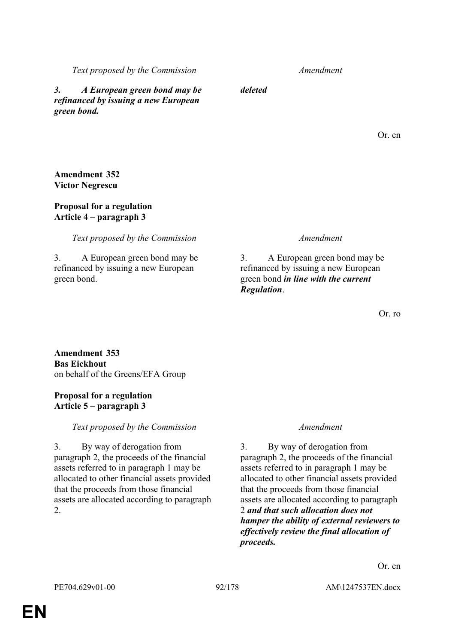Or. en

paragraph 2, the proceeds of the financial assets referred to in paragraph 1 may be allocated to other financial assets provided that the proceeds from those financial assets are allocated according to paragraph 2 *and that such allocation does not hamper the ability of external reviewers to effectively review the final allocation of proceeds.*

3. By way of derogation from

**Amendment 352 Victor Negrescu**

*green bond.*

# **Proposal for a regulation Article 4 – paragraph 3**

*Text proposed by the Commission Amendment*

3. A European green bond may be refinanced by issuing a new European green bond.

3. A European green bond may be refinanced by issuing a new European green bond *in line with the current Regulation*.

Or. ro

*Text proposed by the Commission Amendment*

*3. A European green bond may be refinanced by issuing a new European* 

*deleted*

**Article 5 – paragraph 3**

**Proposal for a regulation**

on behalf of the Greens/EFA Group

**Amendment 353 Bas Eickhout**

*Text proposed by the Commission Amendment*

3. By way of derogation from paragraph 2, the proceeds of the financial assets referred to in paragraph 1 may be allocated to other financial assets provided that the proceeds from those financial assets are allocated according to paragraph

**EN**

2.

Or. en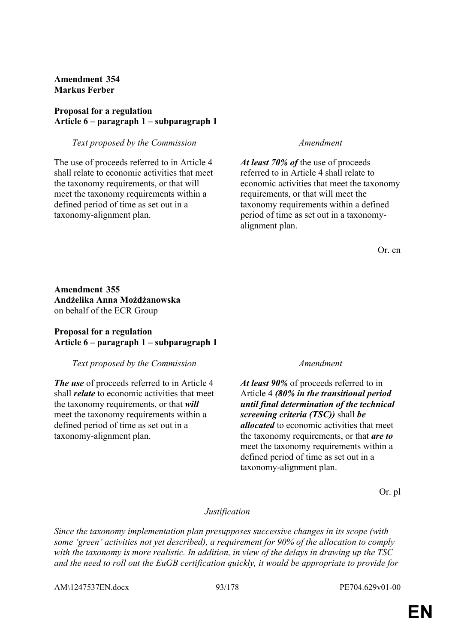# **Amendment 354 Markus Ferber**

# **Proposal for a regulation Article 6 – paragraph 1 – subparagraph 1**

*Text proposed by the Commission Amendment*

The use of proceeds referred to in Article 4 shall relate to economic activities that meet the taxonomy requirements, or that will meet the taxonomy requirements within a defined period of time as set out in a taxonomy-alignment plan.

*At least 70% of* the use of proceeds referred to in Article 4 shall relate to economic activities that meet the taxonomy requirements, or that will meet the taxonomy requirements within a defined period of time as set out in a taxonomyalignment plan.

Or. en

**Amendment 355 Andżelika Anna Możdżanowska** on behalf of the ECR Group

## **Proposal for a regulation Article 6 – paragraph 1 – subparagraph 1**

### *Text proposed by the Commission Amendment*

*The use* of proceeds referred to in Article 4 shall *relate* to economic activities that meet the taxonomy requirements, or that *will* meet the taxonomy requirements within a defined period of time as set out in a taxonomy-alignment plan.

*At least 90%* of proceeds referred to in Article 4 *(80% in the transitional period until final determination of the technical screening criteria (TSC))* shall *be allocated* to economic activities that meet the taxonomy requirements, or that *are to* meet the taxonomy requirements within a defined period of time as set out in a taxonomy-alignment plan.

Or. pl

*Justification*

*Since the taxonomy implementation plan presupposes successive changes in its scope (with some 'green' activities not yet described), a requirement for 90% of the allocation to comply with the taxonomy is more realistic. In addition, in view of the delays in drawing up the TSC and the need to roll out the EuGB certification quickly, it would be appropriate to provide for* 

AM\1247537EN.docx 93/178 PE704.629v01-00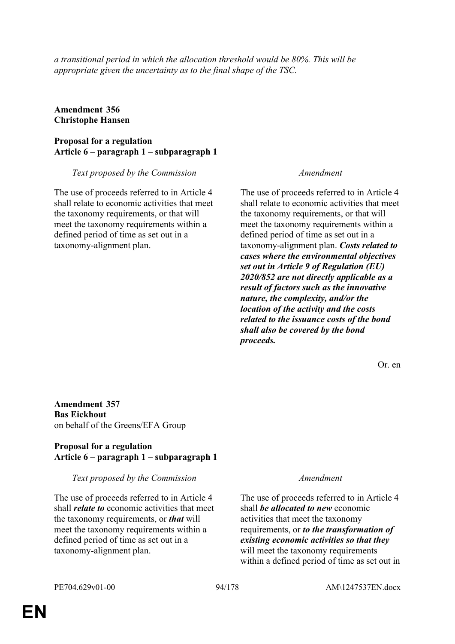*a transitional period in which the allocation threshold would be 80%. This will be appropriate given the uncertainty as to the final shape of the TSC.*

**Amendment 356 Christophe Hansen**

**Proposal for a regulation Article 6 – paragraph 1 – subparagraph 1**

*Text proposed by the Commission Amendment*

The use of proceeds referred to in Article 4 shall relate to economic activities that meet the taxonomy requirements, or that will meet the taxonomy requirements within a defined period of time as set out in a taxonomy-alignment plan.

The use of proceeds referred to in Article 4 shall relate to economic activities that meet the taxonomy requirements, or that will meet the taxonomy requirements within a defined period of time as set out in a taxonomy-alignment plan. *Costs related to cases where the environmental objectives set out in Article 9 of Regulation (EU) 2020/852 are not directly applicable as a result of factors such as the innovative nature, the complexity, and/or the location of the activity and the costs related to the issuance costs of the bond shall also be covered by the bond proceeds.*

Or. en

**Amendment 357 Bas Eickhout** on behalf of the Greens/EFA Group

## **Proposal for a regulation Article 6 – paragraph 1 – subparagraph 1**

### *Text proposed by the Commission Amendment*

The use of proceeds referred to in Article 4 shall *relate to* economic activities that meet the taxonomy requirements, or *that* will meet the taxonomy requirements within a defined period of time as set out in a taxonomy-alignment plan.

The use of proceeds referred to in Article 4 shall *be allocated to new* economic activities that meet the taxonomy requirements, or *to the transformation of existing economic activities so that they* will meet the taxonomy requirements within a defined period of time as set out in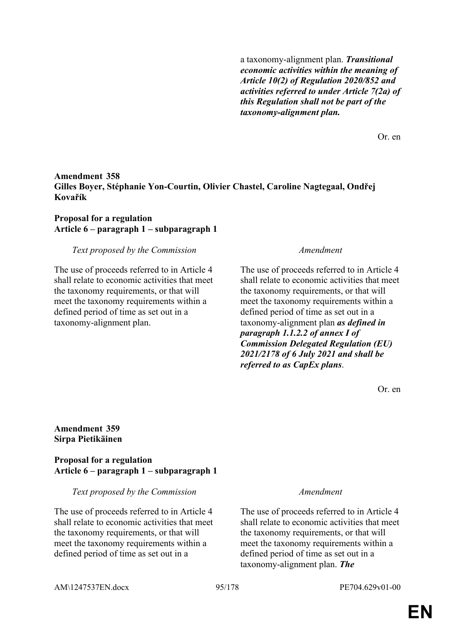a taxonomy-alignment plan. *Transitional economic activities within the meaning of Article 10(2) of Regulation 2020/852 and activities referred to under Article 7(2a) of this Regulation shall not be part of the taxonomy-alignment plan.*

Or. en

# **Amendment 358 Gilles Boyer, Stéphanie Yon-Courtin, Olivier Chastel, Caroline Nagtegaal, Ondřej Kovařík**

# **Proposal for a regulation Article 6 – paragraph 1 – subparagraph 1**

#### *Text proposed by the Commission Amendment*

The use of proceeds referred to in Article 4 shall relate to economic activities that meet the taxonomy requirements, or that will meet the taxonomy requirements within a defined period of time as set out in a taxonomy-alignment plan.

The use of proceeds referred to in Article 4 shall relate to economic activities that meet the taxonomy requirements, or that will meet the taxonomy requirements within a defined period of time as set out in a taxonomy-alignment plan *as defined in paragraph 1.1.2.2 of annex I of Commission Delegated Regulation (EU) 2021/2178 of 6 July 2021 and shall be referred to as CapEx plans*.

Or. en

### **Amendment 359 Sirpa Pietikäinen**

### **Proposal for a regulation Article 6 – paragraph 1 – subparagraph 1**

*Text proposed by the Commission Amendment*

The use of proceeds referred to in Article 4 shall relate to economic activities that meet the taxonomy requirements, or that will meet the taxonomy requirements within a defined period of time as set out in a

The use of proceeds referred to in Article 4 shall relate to economic activities that meet the taxonomy requirements, or that will meet the taxonomy requirements within a defined period of time as set out in a taxonomy-alignment plan. *The* 

AM\1247537EN.docx 95/178 PE704.629v01-00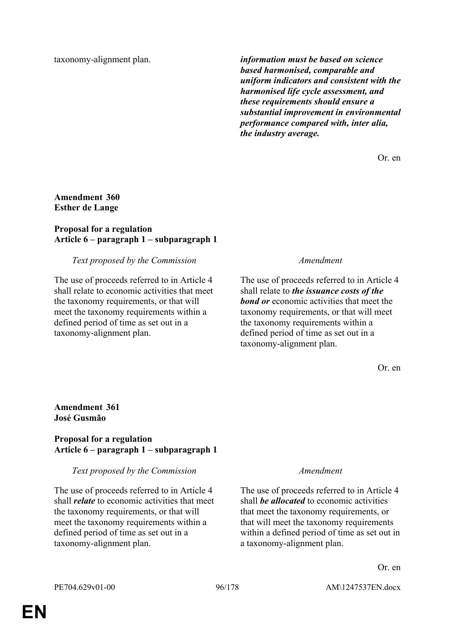taxonomy-alignment plan. *information must be based on science based harmonised, comparable and uniform indicators and consistent with the harmonised life cycle assessment, and these requirements should ensure a substantial improvement in environmental performance compared with, inter alia, the industry average.*

Or. en

### **Amendment 360 Esther de Lange**

## **Proposal for a regulation Article 6 – paragraph 1 – subparagraph 1**

### *Text proposed by the Commission Amendment*

The use of proceeds referred to in Article 4 shall relate to economic activities that meet the taxonomy requirements, or that will meet the taxonomy requirements within a defined period of time as set out in a taxonomy-alignment plan.

The use of proceeds referred to in Article 4 shall relate to *the issuance costs of the bond or* economic activities that meet the taxonomy requirements, or that will meet the taxonomy requirements within a defined period of time as set out in a taxonomy-alignment plan.

Or. en

# **Amendment 361 José Gusmão**

## **Proposal for a regulation Article 6 – paragraph 1 – subparagraph 1**

# *Text proposed by the Commission Amendment*

The use of proceeds referred to in Article 4 shall *relate* to economic activities that meet the taxonomy requirements, or that will meet the taxonomy requirements within a defined period of time as set out in a taxonomy-alignment plan.

The use of proceeds referred to in Article 4 shall *be allocated* to economic activities that meet the taxonomy requirements, or that will meet the taxonomy requirements within a defined period of time as set out in a taxonomy-alignment plan.

Or. en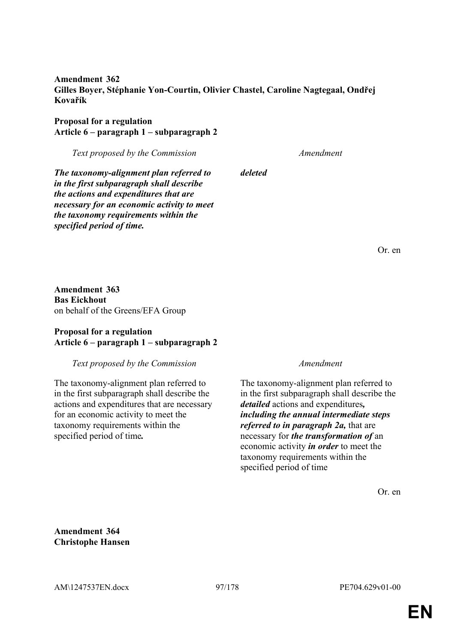**Amendment 362 Gilles Boyer, Stéphanie Yon-Courtin, Olivier Chastel, Caroline Nagtegaal, Ondřej Kovařík**

**Proposal for a regulation Article 6 – paragraph 1 – subparagraph 2**

*Text proposed by the Commission Amendment The taxonomy-alignment plan referred to in the first subparagraph shall describe the actions and expenditures that are necessary for an economic activity to meet the taxonomy requirements within the specified period of time. deleted*

Or. en

**Amendment 363 Bas Eickhout** on behalf of the Greens/EFA Group

## **Proposal for a regulation Article 6 – paragraph 1 – subparagraph 2**

### *Text proposed by the Commission Amendment*

The taxonomy-alignment plan referred to in the first subparagraph shall describe the actions and expenditures that are necessary for an economic activity to meet the taxonomy requirements within the specified period of time*.*

The taxonomy-alignment plan referred to in the first subparagraph shall describe the *detailed* actions and expenditures*, including the annual intermediate steps referred to in paragraph 2a,* that are necessary for *the transformation of* an economic activity *in order* to meet the taxonomy requirements within the specified period of time

Or. en

**Amendment 364 Christophe Hansen**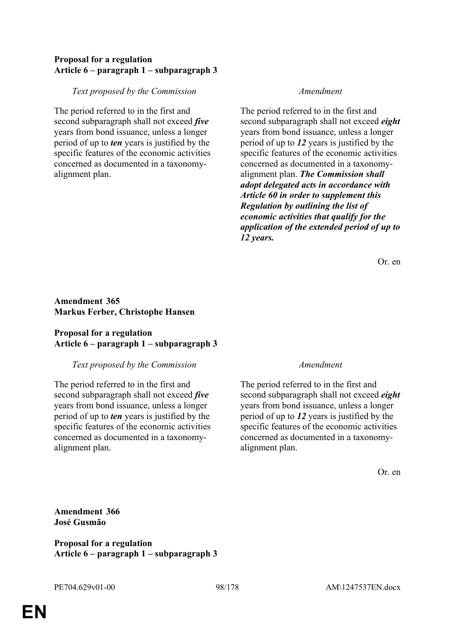# **Proposal for a regulation Article 6 – paragraph 1 – subparagraph 3**

### *Text proposed by the Commission Amendment*

The period referred to in the first and second subparagraph shall not exceed *five* years from bond issuance, unless a longer period of up to *ten* years is justified by the specific features of the economic activities concerned as documented in a taxonomyalignment plan.

The period referred to in the first and second subparagraph shall not exceed *eight* years from bond issuance, unless a longer period of up to *12* years is justified by the specific features of the economic activities concerned as documented in a taxonomyalignment plan. *The Commission shall adopt delegated acts in accordance with Article 60 in order to supplement this Regulation by outlining the list of economic activities that qualify for the application of the extended period of up to 12 years.*

Or. en

# **Amendment 365 Markus Ferber, Christophe Hansen**

## **Proposal for a regulation Article 6 – paragraph 1 – subparagraph 3**

# *Text proposed by the Commission Amendment*

The period referred to in the first and second subparagraph shall not exceed *five* years from bond issuance, unless a longer period of up to *ten* years is justified by the specific features of the economic activities concerned as documented in a taxonomyalignment plan.

The period referred to in the first and second subparagraph shall not exceed *eight* years from bond issuance, unless a longer period of up to *12* years is justified by the specific features of the economic activities concerned as documented in a taxonomyalignment plan.

Or. en

**Amendment 366 José Gusmão**

**Proposal for a regulation Article 6 – paragraph 1 – subparagraph 3**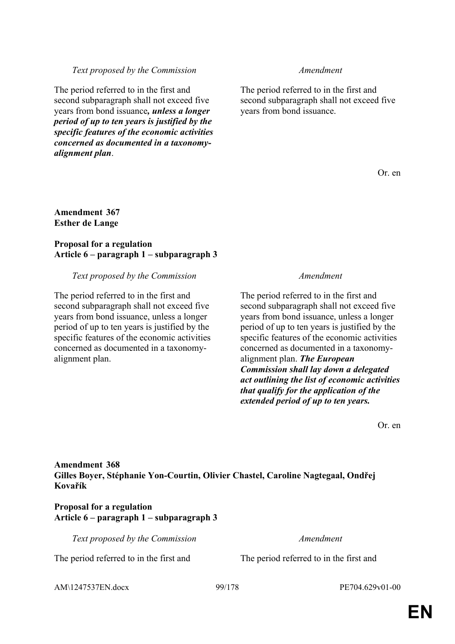*Text proposed by the Commission Amendment*

The period referred to in the first and second subparagraph shall not exceed five years from bond issuance*, unless a longer period of up to ten years is justified by the specific features of the economic activities concerned as documented in a taxonomyalignment plan*.

The period referred to in the first and second subparagraph shall not exceed five years from bond issuance.

Or. en

# **Amendment 367 Esther de Lange**

# **Proposal for a regulation Article 6 – paragraph 1 – subparagraph 3**

## *Text proposed by the Commission Amendment*

The period referred to in the first and second subparagraph shall not exceed five years from bond issuance, unless a longer period of up to ten years is justified by the specific features of the economic activities concerned as documented in a taxonomyalignment plan.

The period referred to in the first and second subparagraph shall not exceed five years from bond issuance, unless a longer period of up to ten years is justified by the specific features of the economic activities concerned as documented in a taxonomyalignment plan. *The European Commission shall lay down a delegated act outlining the list of economic activities that qualify for the application of the extended period of up to ten years.*

Or. en

### **Amendment 368 Gilles Boyer, Stéphanie Yon-Courtin, Olivier Chastel, Caroline Nagtegaal, Ondřej Kovařík**

### **Proposal for a regulation Article 6 – paragraph 1 – subparagraph 3**

*Text proposed by the Commission Amendment*

The period referred to in the first and The period referred to in the first and

AM\1247537EN.docx 99/178 PE704.629v01-00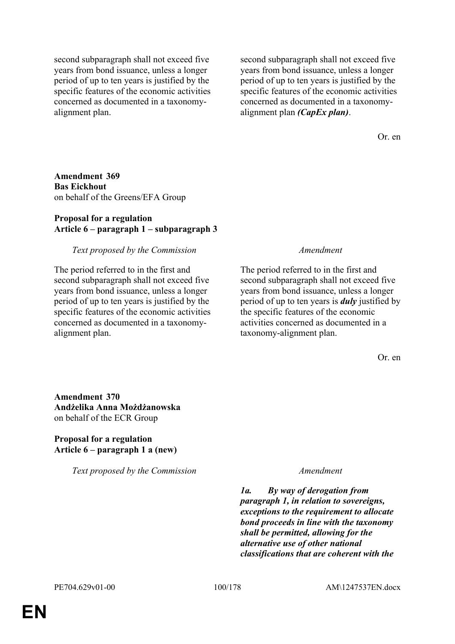second subparagraph shall not exceed five years from bond issuance, unless a longer period of up to ten years is justified by the specific features of the economic activities concerned as documented in a taxonomyalignment plan.

second subparagraph shall not exceed five years from bond issuance, unless a longer period of up to ten years is justified by the specific features of the economic activities concerned as documented in a taxonomyalignment plan *(CapEx plan)*.

Or. en

**Amendment 369 Bas Eickhout** on behalf of the Greens/EFA Group

## **Proposal for a regulation Article 6 – paragraph 1 – subparagraph 3**

#### *Text proposed by the Commission Amendment*

The period referred to in the first and second subparagraph shall not exceed five years from bond issuance, unless a longer period of up to ten years is justified by the specific features of the economic activities concerned as documented in a taxonomyalignment plan.

The period referred to in the first and second subparagraph shall not exceed five years from bond issuance, unless a longer period of up to ten years is *duly* justified by the specific features of the economic activities concerned as documented in a taxonomy-alignment plan.

Or. en

**Amendment 370 Andżelika Anna Możdżanowska** on behalf of the ECR Group

**Proposal for a regulation Article 6 – paragraph 1 a (new)**

*Text proposed by the Commission Amendment*

*1a. By way of derogation from paragraph 1, in relation to sovereigns, exceptions to the requirement to allocate bond proceeds in line with the taxonomy shall be permitted, allowing for the alternative use of other national classifications that are coherent with the*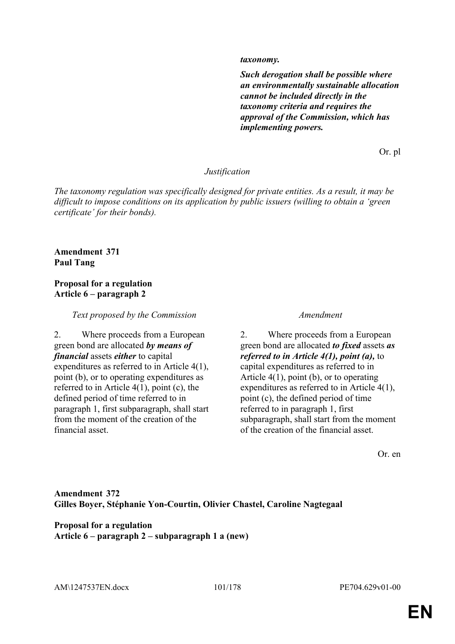#### *taxonomy.*

*Such derogation shall be possible where an environmentally sustainable allocation cannot be included directly in the taxonomy criteria and requires the approval of the Commission, which has implementing powers.*

Or. pl

### *Justification*

*The taxonomy regulation was specifically designed for private entities. As a result, it may be difficult to impose conditions on its application by public issuers (willing to obtain a 'green certificate' for their bonds).*

### **Amendment 371 Paul Tang**

#### **Proposal for a regulation Article 6 – paragraph 2**

*Text proposed by the Commission Amendment*

2. Where proceeds from a European green bond are allocated *by means of financial* assets *either* to capital expenditures as referred to in Article 4(1), point (b), or to operating expenditures as referred to in Article 4(1), point (c), the defined period of time referred to in paragraph 1, first subparagraph, shall start from the moment of the creation of the financial asset.

2. Where proceeds from a European green bond are allocated *to fixed* assets *as referred to in Article 4(1), point (a),* to capital expenditures as referred to in Article 4(1), point (b), or to operating expenditures as referred to in Article 4(1), point (c), the defined period of time referred to in paragraph 1, first subparagraph, shall start from the moment of the creation of the financial asset.

Or. en

# **Amendment 372 Gilles Boyer, Stéphanie Yon-Courtin, Olivier Chastel, Caroline Nagtegaal**

# **Proposal for a regulation Article 6 – paragraph 2 – subparagraph 1 a (new)**

AM\1247537EN.docx 101/178 PE704.629v01-00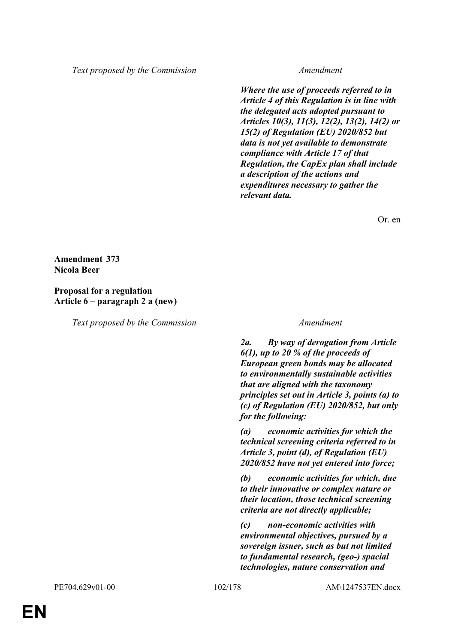*Text proposed by the Commission Amendment*

*Where the use of proceeds referred to in Article 4 of this Regulation is in line with the delegated acts adopted pursuant to Articles 10(3), 11(3), 12(2), 13(2), 14(2) or 15(2) of Regulation (EU) 2020/852 but data is not yet available to demonstrate compliance with Article 17 of that Regulation, the CapEx plan shall include a description of the actions and expenditures necessary to gather the relevant data.*

Or. en

## **Amendment 373 Nicola Beer**

### **Proposal for a regulation Article 6 – paragraph 2 a (new)**

*Text proposed by the Commission Amendment*

*2a. By way of derogation from Article 6(1), up to 20 % of the proceeds of European green bonds may be allocated to environmentally sustainable activities that are aligned with the taxonomy principles set out in Article 3, points (a) to (c) of Regulation (EU) 2020/852, but only for the following:*

*(a) economic activities for which the technical screening criteria referred to in Article 3, point (d), of Regulation (EU) 2020/852 have not yet entered into force;*

*(b) economic activities for which, due to their innovative or complex nature or their location, those technical screening criteria are not directly applicable;*

*(c) non-economic activities with environmental objectives, pursued by a sovereign issuer, such as but not limited to fundamental research, (geo-) spacial technologies, nature conservation and*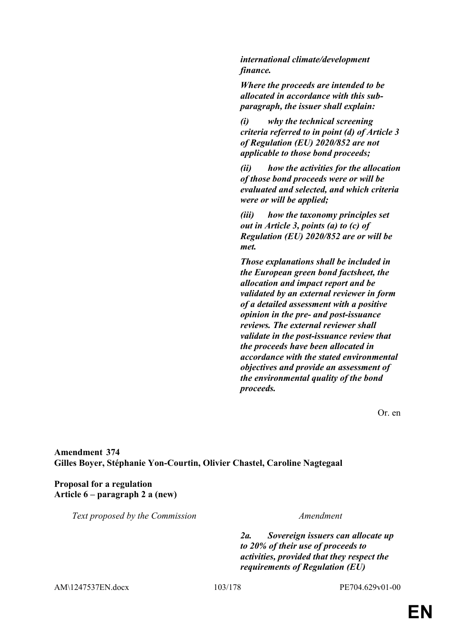*international climate/development finance.*

*Where the proceeds are intended to be allocated in accordance with this subparagraph, the issuer shall explain:*

*(i) why the technical screening criteria referred to in point (d) of Article 3 of Regulation (EU) 2020/852 are not applicable to those bond proceeds;*

*(ii) how the activities for the allocation of those bond proceeds were or will be evaluated and selected, and which criteria were or will be applied;*

*(iii) how the taxonomy principles set out in Article 3, points (a) to (c) of Regulation (EU) 2020/852 are or will be met.*

*Those explanations shall be included in the European green bond factsheet, the allocation and impact report and be validated by an external reviewer in form of a detailed assessment with a positive opinion in the pre- and post-issuance reviews. The external reviewer shall validate in the post-issuance review that the proceeds have been allocated in accordance with the stated environmental objectives and provide an assessment of the environmental quality of the bond proceeds.*

Or. en

## **Amendment 374 Gilles Boyer, Stéphanie Yon-Courtin, Olivier Chastel, Caroline Nagtegaal**

## **Proposal for a regulation Article 6 – paragraph 2 a (new)**

*Text proposed by the Commission Amendment*

*2a. Sovereign issuers can allocate up to 20% of their use of proceeds to activities, provided that they respect the requirements of Regulation (EU)* 

AM\1247537EN.docx 103/178 PE704.629v01-00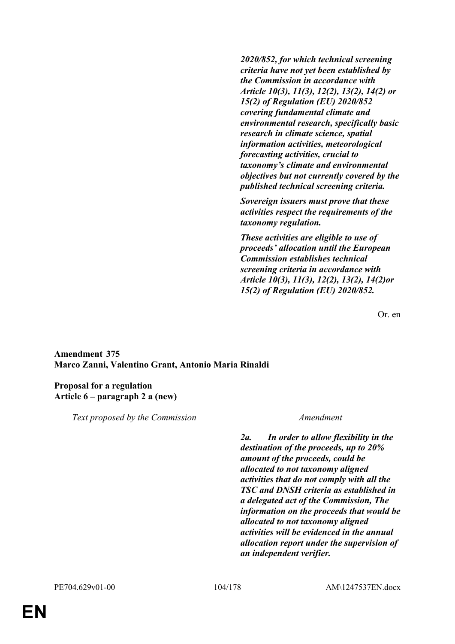*2020/852, for which technical screening criteria have not yet been established by the Commission in accordance with Article 10(3), 11(3), 12(2), 13(2), 14(2) or 15(2) of Regulation (EU) 2020/852 covering fundamental climate and environmental research, specifically basic research in climate science, spatial information activities, meteorological forecasting activities, crucial to taxonomy's climate and environmental objectives but not currently covered by the published technical screening criteria.*

*Sovereign issuers must prove that these activities respect the requirements of the taxonomy regulation.*

*These activities are eligible to use of proceeds' allocation until the European Commission establishes technical screening criteria in accordance with Article 10(3), 11(3), 12(2), 13(2), 14(2)or 15(2) of Regulation (EU) 2020/852.*

Or. en

#### **Amendment 375 Marco Zanni, Valentino Grant, Antonio Maria Rinaldi**

### **Proposal for a regulation Article 6 – paragraph 2 a (new)**

*Text proposed by the Commission Amendment*

*2a. In order to allow flexibility in the destination of the proceeds, up to 20% amount of the proceeds, could be allocated to not taxonomy aligned activities that do not comply with all the TSC and DNSH criteria as established in a delegated act of the Commission, The information on the proceeds that would be allocated to not taxonomy aligned activities will be evidenced in the annual allocation report under the supervision of an independent verifier.*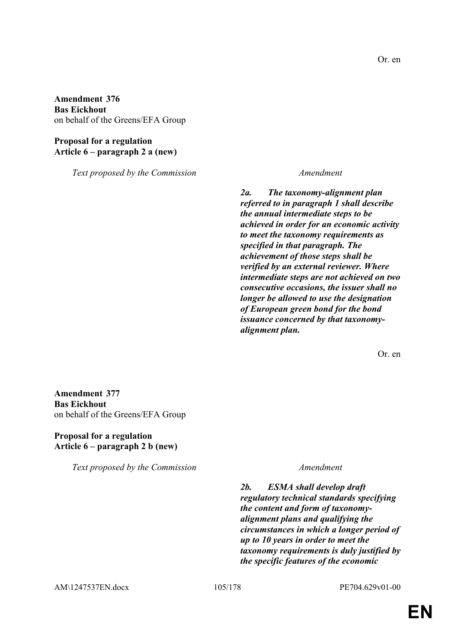**Amendment 376 Bas Eickhout** on behalf of the Greens/EFA Group

**Proposal for a regulation Article 6 – paragraph 2 a (new)**

*Text proposed by the Commission Amendment*

*2a. The taxonomy-alignment plan referred to in paragraph 1 shall describe the annual intermediate steps to be achieved in order for an economic activity to meet the taxonomy requirements as specified in that paragraph. The achievement of those steps shall be verified by an external reviewer. Where intermediate steps are not achieved on two consecutive occasions, the issuer shall no longer be allowed to use the designation of European green bond for the bond issuance concerned by that taxonomyalignment plan.*

Or. en

**Amendment 377 Bas Eickhout** on behalf of the Greens/EFA Group

# **Proposal for a regulation Article 6 – paragraph 2 b (new)**

*Text proposed by the Commission Amendment*

*2b. ESMA shall develop draft regulatory technical standards specifying the content and form of taxonomyalignment plans and qualifying the circumstances in which a longer period of up to 10 years in order to meet the taxonomy requirements is duly justified by the specific features of the economic* 

AM\1247537EN.docx 105/178 PE704.629v01-00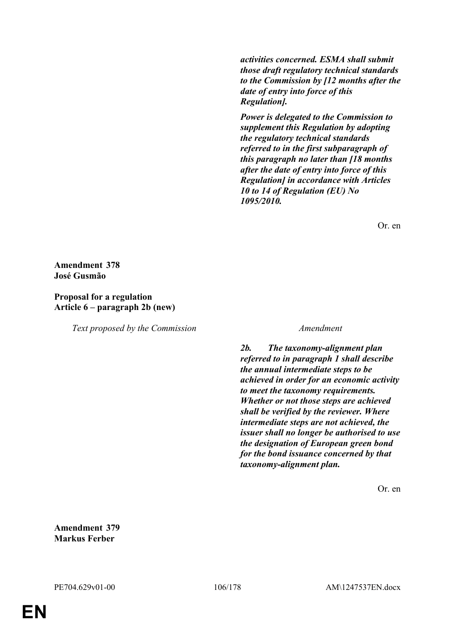*activities concerned. ESMA shall submit those draft regulatory technical standards to the Commission by [12 months after the date of entry into force of this Regulation].*

*Power is delegated to the Commission to supplement this Regulation by adopting the regulatory technical standards referred to in the first subparagraph of this paragraph no later than [18 months after the date of entry into force of this Regulation] in accordance with Articles 10 to 14 of Regulation (EU) No 1095/2010.*

Or. en

**Amendment 378 José Gusmão**

### **Proposal for a regulation Article 6 – paragraph 2b (new)**

*Text proposed by the Commission Amendment*

*2b. The taxonomy-alignment plan referred to in paragraph 1 shall describe the annual intermediate steps to be achieved in order for an economic activity to meet the taxonomy requirements. Whether or not those steps are achieved shall be verified by the reviewer. Where intermediate steps are not achieved, the issuer shall no longer be authorised to use the designation of European green bond for the bond issuance concerned by that taxonomy-alignment plan.*

Or. en

**Amendment 379 Markus Ferber**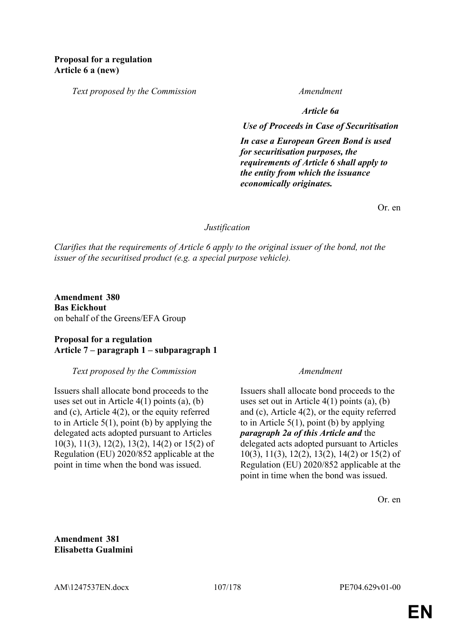*Text proposed by the Commission Amendment*

*Article 6a*

*Use of Proceeds in Case of Securitisation*

*In case a European Green Bond is used for securitisation purposes, the requirements of Article 6 shall apply to the entity from which the issuance economically originates.*

Or. en

### *Justification*

*Clarifies that the requirements of Article 6 apply to the original issuer of the bond, not the issuer of the securitised product (e.g. a special purpose vehicle).*

**Amendment 380 Bas Eickhout** on behalf of the Greens/EFA Group

## **Proposal for a regulation Article 7 – paragraph 1 – subparagraph 1**

*Text proposed by the Commission Amendment*

Issuers shall allocate bond proceeds to the uses set out in Article  $4(1)$  points  $(a)$ ,  $(b)$ and (c), Article 4(2), or the equity referred to in Article  $5(1)$ , point (b) by applying the delegated acts adopted pursuant to Articles 10(3), 11(3), 12(2), 13(2), 14(2) or 15(2) of Regulation (EU) 2020/852 applicable at the point in time when the bond was issued.

Issuers shall allocate bond proceeds to the uses set out in Article  $4(1)$  points  $(a)$ ,  $(b)$ and (c), Article 4(2), or the equity referred to in Article  $5(1)$ , point (b) by applying *paragraph 2a of this Article and* the delegated acts adopted pursuant to Articles 10(3), 11(3), 12(2), 13(2), 14(2) or 15(2) of Regulation (EU) 2020/852 applicable at the point in time when the bond was issued.

Or. en

**Amendment 381 Elisabetta Gualmini**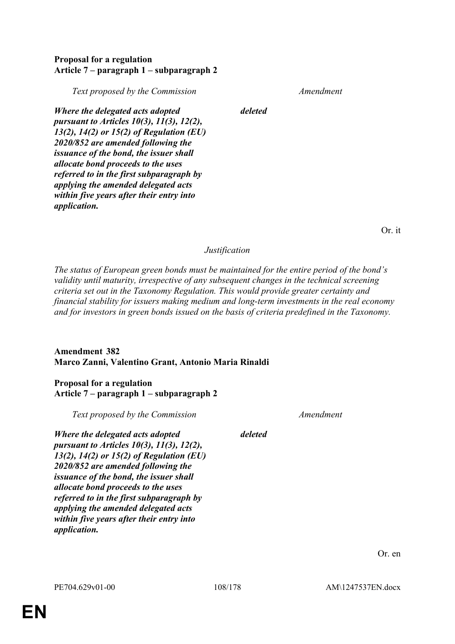## **Proposal for a regulation Article 7 – paragraph 1 – subparagraph 2**

*Text proposed by the Commission Amendment*

*deleted*

*Where the delegated acts adopted pursuant to Articles 10(3), 11(3), 12(2), 13(2), 14(2) or 15(2) of Regulation (EU) 2020/852 are amended following the issuance of the bond, the issuer shall allocate bond proceeds to the uses referred to in the first subparagraph by applying the amended delegated acts within five years after their entry into application.*

# *Justification*

*The status of European green bonds must be maintained for the entire period of the bond's validity until maturity, irrespective of any subsequent changes in the technical screening criteria set out in the Taxonomy Regulation. This would provide greater certainty and financial stability for issuers making medium and long-term investments in the real economy and for investors in green bonds issued on the basis of criteria predefined in the Taxonomy.*

# **Amendment 382 Marco Zanni, Valentino Grant, Antonio Maria Rinaldi**

# **Proposal for a regulation Article 7 – paragraph 1 – subparagraph 2**

*Text proposed by the Commission Amendment*

*deleted*

*Where the delegated acts adopted pursuant to Articles 10(3), 11(3), 12(2), 13(2), 14(2) or 15(2) of Regulation (EU) 2020/852 are amended following the issuance of the bond, the issuer shall allocate bond proceeds to the uses referred to in the first subparagraph by applying the amended delegated acts within five years after their entry into application.*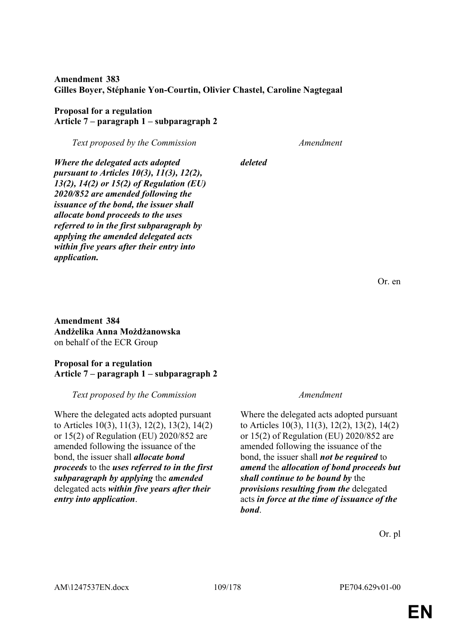# **Amendment 383 Gilles Boyer, Stéphanie Yon-Courtin, Olivier Chastel, Caroline Nagtegaal**

*deleted*

# **Proposal for a regulation Article 7 – paragraph 1 – subparagraph 2**

*Text proposed by the Commission Amendment*

*Where the delegated acts adopted pursuant to Articles 10(3), 11(3), 12(2), 13(2), 14(2) or 15(2) of Regulation (EU) 2020/852 are amended following the issuance of the bond, the issuer shall allocate bond proceeds to the uses referred to in the first subparagraph by applying the amended delegated acts within five years after their entry into application.*

**Amendment 384 Andżelika Anna Możdżanowska** on behalf of the ECR Group

### **Proposal for a regulation Article 7 – paragraph 1 – subparagraph 2**

*Text proposed by the Commission Amendment*

Where the delegated acts adopted pursuant to Articles 10(3), 11(3), 12(2), 13(2), 14(2) or 15(2) of Regulation (EU) 2020/852 are amended following the issuance of the bond, the issuer shall *allocate bond proceeds* to the *uses referred to in the first subparagraph by applying* the *amended* delegated acts *within five years after their entry into application*.

Where the delegated acts adopted pursuant to Articles 10(3), 11(3), 12(2), 13(2), 14(2) or 15(2) of Regulation (EU) 2020/852 are amended following the issuance of the bond, the issuer shall *not be required* to *amend* the *allocation of bond proceeds but shall continue to be bound by* the *provisions resulting from the* delegated acts *in force at the time of issuance of the bond*.

Or. pl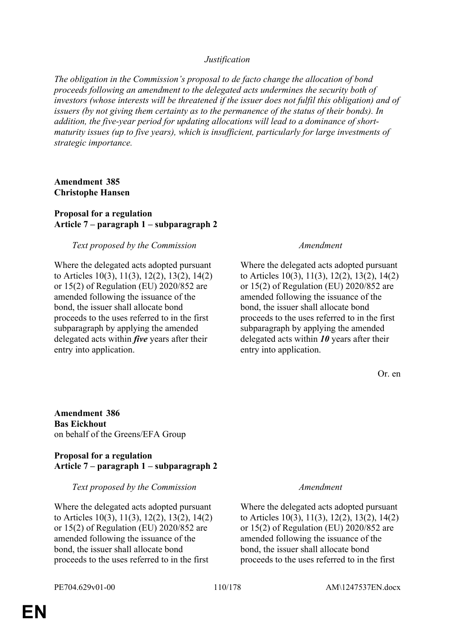# *Justification*

*The obligation in the Commission's proposal to de facto change the allocation of bond proceeds following an amendment to the delegated acts undermines the security both of investors (whose interests will be threatened if the issuer does not fulfil this obligation) and of issuers (by not giving them certainty as to the permanence of the status of their bonds). In addition, the five-year period for updating allocations will lead to a dominance of shortmaturity issues (up to five years), which is insufficient, particularly for large investments of strategic importance.*

### **Amendment 385 Christophe Hansen**

### **Proposal for a regulation Article 7 – paragraph 1 – subparagraph 2**

### *Text proposed by the Commission Amendment*

Where the delegated acts adopted pursuant to Articles 10(3), 11(3), 12(2), 13(2), 14(2) or 15(2) of Regulation (EU) 2020/852 are amended following the issuance of the bond, the issuer shall allocate bond proceeds to the uses referred to in the first subparagraph by applying the amended delegated acts within *five* years after their entry into application.

Where the delegated acts adopted pursuant to Articles 10(3), 11(3), 12(2), 13(2), 14(2) or 15(2) of Regulation (EU) 2020/852 are amended following the issuance of the bond, the issuer shall allocate bond proceeds to the uses referred to in the first subparagraph by applying the amended delegated acts within *10* years after their entry into application.

Or. en

**Amendment 386 Bas Eickhout** on behalf of the Greens/EFA Group

# **Proposal for a regulation Article 7 – paragraph 1 – subparagraph 2**

### *Text proposed by the Commission Amendment*

Where the delegated acts adopted pursuant to Articles 10(3), 11(3), 12(2), 13(2), 14(2) or 15(2) of Regulation (EU) 2020/852 are amended following the issuance of the bond, the issuer shall allocate bond proceeds to the uses referred to in the first

Where the delegated acts adopted pursuant to Articles 10(3), 11(3), 12(2), 13(2), 14(2) or 15(2) of Regulation (EU) 2020/852 are amended following the issuance of the bond, the issuer shall allocate bond proceeds to the uses referred to in the first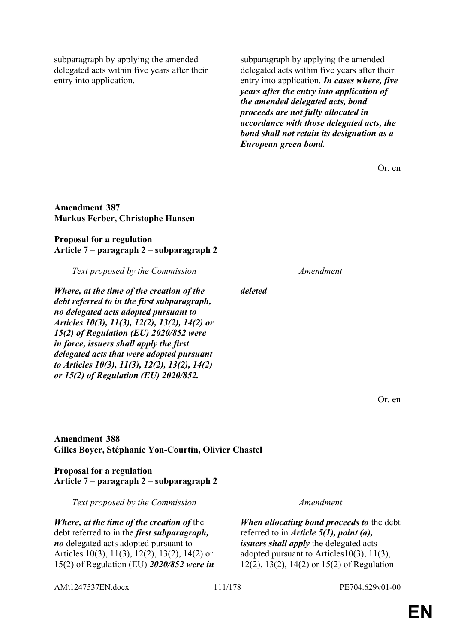subparagraph by applying the amended delegated acts within five years after their entry into application.

subparagraph by applying the amended delegated acts within five years after their entry into application. *In cases where, five years after the entry into application of the amended delegated acts, bond proceeds are not fully allocated in accordance with those delegated acts, the bond shall not retain its designation as a European green bond.*

Or. en

### **Amendment 387 Markus Ferber, Christophe Hansen**

### **Proposal for a regulation Article 7 – paragraph 2 – subparagraph 2**

*Text proposed by the Commission Amendment*

*Where, at the time of the creation of the debt referred to in the first subparagraph, no delegated acts adopted pursuant to Articles 10(3), 11(3), 12(2), 13(2), 14(2) or 15(2) of Regulation (EU) 2020/852 were in force, issuers shall apply the first delegated acts that were adopted pursuant to Articles 10(3), 11(3), 12(2), 13(2), 14(2) or 15(2) of Regulation (EU) 2020/852.*

Or. en

**Amendment 388 Gilles Boyer, Stéphanie Yon-Courtin, Olivier Chastel**

**Proposal for a regulation Article 7 – paragraph 2 – subparagraph 2**

*Text proposed by the Commission Amendment*

*Where, at the time of the creation of* the debt referred to in the *first subparagraph, no* delegated acts adopted pursuant to Articles 10(3), 11(3), 12(2), 13(2), 14(2) or 15(2) of Regulation (EU) *2020/852 were in* 

*When allocating bond proceeds to* the debt referred to in *Article 5(1), point (a), issuers shall apply* the delegated acts adopted pursuant to Articles10(3), 11(3), 12(2), 13(2), 14(2) or 15(2) of Regulation

AM\1247537EN.docx 111/178 PE704.629v01-00

*deleted*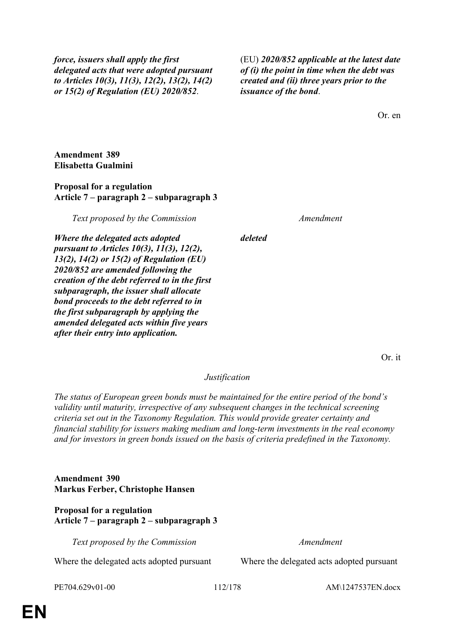*force, issuers shall apply the first delegated acts that were adopted pursuant to Articles 10(3), 11(3), 12(2), 13(2), 14(2) or 15(2) of Regulation (EU) 2020/852*.

(EU) *2020/852 applicable at the latest date of (i) the point in time when the debt was created and (ii) three years prior to the issuance of the bond*.

Or. en

# **Amendment 389 Elisabetta Gualmini**

### **Proposal for a regulation Article 7 – paragraph 2 – subparagraph 3**

*Text proposed by the Commission Amendment*

*deleted*

*Where the delegated acts adopted pursuant to Articles 10(3), 11(3), 12(2), 13(2), 14(2) or 15(2) of Regulation (EU) 2020/852 are amended following the creation of the debt referred to in the first subparagraph, the issuer shall allocate bond proceeds to the debt referred to in the first subparagraph by applying the amended delegated acts within five years after their entry into application.*

Or. it

### *Justification*

*The status of European green bonds must be maintained for the entire period of the bond's validity until maturity, irrespective of any subsequent changes in the technical screening criteria set out in the Taxonomy Regulation. This would provide greater certainty and financial stability for issuers making medium and long-term investments in the real economy and for investors in green bonds issued on the basis of criteria predefined in the Taxonomy.*

**Amendment 390 Markus Ferber, Christophe Hansen**

**Proposal for a regulation Article 7 – paragraph 2 – subparagraph 3**

*Text proposed by the Commission Amendment*

Where the delegated acts adopted pursuant Where the delegated acts adopted pursuant

PE704.629v01-00 112/178 AM\1247537EN.docx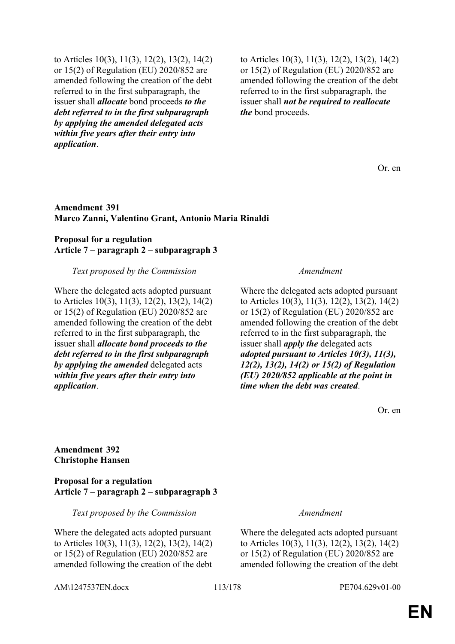to Articles 10(3), 11(3), 12(2), 13(2), 14(2) or 15(2) of Regulation (EU) 2020/852 are amended following the creation of the debt referred to in the first subparagraph, the issuer shall *allocate* bond proceeds *to the debt referred to in the first subparagraph by applying the amended delegated acts within five years after their entry into application*.

to Articles 10(3), 11(3), 12(2), 13(2), 14(2) or 15(2) of Regulation (EU) 2020/852 are amended following the creation of the debt referred to in the first subparagraph, the issuer shall *not be required to reallocate the* bond proceeds.

Or. en

### **Amendment 391 Marco Zanni, Valentino Grant, Antonio Maria Rinaldi**

### **Proposal for a regulation Article 7 – paragraph 2 – subparagraph 3**

### *Text proposed by the Commission Amendment*

Where the delegated acts adopted pursuant to Articles 10(3), 11(3), 12(2), 13(2), 14(2) or 15(2) of Regulation (EU) 2020/852 are amended following the creation of the debt referred to in the first subparagraph, the issuer shall *allocate bond proceeds to the debt referred to in the first subparagraph by applying the amended* delegated acts *within five years after their entry into application*.

Where the delegated acts adopted pursuant to Articles 10(3), 11(3), 12(2), 13(2), 14(2) or 15(2) of Regulation (EU) 2020/852 are amended following the creation of the debt referred to in the first subparagraph, the issuer shall *apply the* delegated acts *adopted pursuant to Articles 10(3), 11(3), 12(2), 13(2), 14(2) or 15(2) of Regulation (EU) 2020/852 applicable at the point in time when the debt was created*.

Or. en

# **Amendment 392 Christophe Hansen**

### **Proposal for a regulation Article 7 – paragraph 2 – subparagraph 3**

*Text proposed by the Commission Amendment*

Where the delegated acts adopted pursuant to Articles 10(3), 11(3), 12(2), 13(2), 14(2) or 15(2) of Regulation (EU) 2020/852 are amended following the creation of the debt

Where the delegated acts adopted pursuant to Articles 10(3), 11(3), 12(2), 13(2), 14(2) or 15(2) of Regulation (EU) 2020/852 are amended following the creation of the debt

AM\1247537EN.docx 113/178 PE704.629v01-00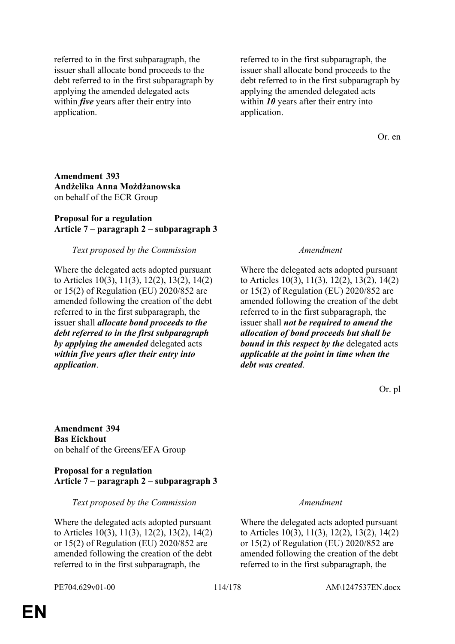referred to in the first subparagraph, the issuer shall allocate bond proceeds to the debt referred to in the first subparagraph by applying the amended delegated acts within *five* years after their entry into application.

referred to in the first subparagraph, the issuer shall allocate bond proceeds to the debt referred to in the first subparagraph by applying the amended delegated acts within **10** years after their entry into application.

Or. en

### **Amendment 393 Andżelika Anna Możdżanowska** on behalf of the ECR Group

### **Proposal for a regulation Article 7 – paragraph 2 – subparagraph 3**

### *Text proposed by the Commission Amendment*

Where the delegated acts adopted pursuant to Articles 10(3), 11(3), 12(2), 13(2), 14(2) or 15(2) of Regulation (EU) 2020/852 are amended following the creation of the debt referred to in the first subparagraph, the issuer shall *allocate bond proceeds to the debt referred to in the first subparagraph by applying the amended* delegated acts *within five years after their entry into application*.

Where the delegated acts adopted pursuant to Articles 10(3), 11(3), 12(2), 13(2), 14(2) or 15(2) of Regulation (EU) 2020/852 are amended following the creation of the debt referred to in the first subparagraph, the issuer shall *not be required to amend the allocation of bond proceeds but shall be bound in this respect by the* delegated acts *applicable at the point in time when the debt was created*.

Or. pl

**Amendment 394 Bas Eickhout** on behalf of the Greens/EFA Group

### **Proposal for a regulation Article 7 – paragraph 2 – subparagraph 3**

### *Text proposed by the Commission Amendment*

Where the delegated acts adopted pursuant to Articles 10(3), 11(3), 12(2), 13(2), 14(2) or 15(2) of Regulation (EU) 2020/852 are amended following the creation of the debt referred to in the first subparagraph, the

Where the delegated acts adopted pursuant to Articles 10(3), 11(3), 12(2), 13(2), 14(2) or 15(2) of Regulation (EU) 2020/852 are amended following the creation of the debt referred to in the first subparagraph, the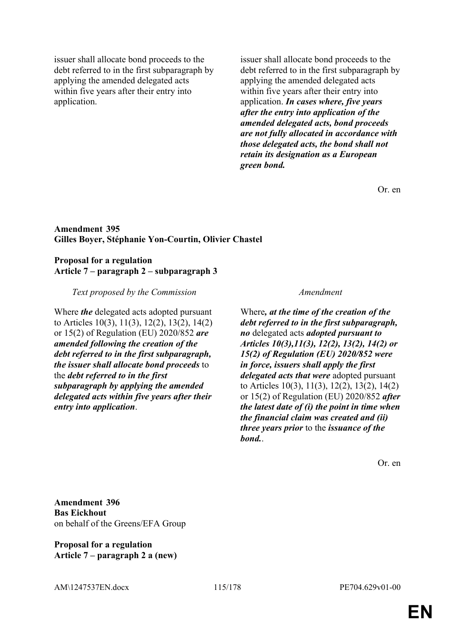issuer shall allocate bond proceeds to the debt referred to in the first subparagraph by applying the amended delegated acts within five years after their entry into application.

issuer shall allocate bond proceeds to the debt referred to in the first subparagraph by applying the amended delegated acts within five years after their entry into application. *In cases where, five years after the entry into application of the amended delegated acts, bond proceeds are not fully allocated in accordance with those delegated acts, the bond shall not retain its designation as a European green bond.*

Or. en

### **Amendment 395 Gilles Boyer, Stéphanie Yon-Courtin, Olivier Chastel**

### **Proposal for a regulation Article 7 – paragraph 2 – subparagraph 3**

*Text proposed by the Commission Amendment*

Where *the* delegated acts adopted pursuant to Articles 10(3), 11(3), 12(2), 13(2), 14(2) or 15(2) of Regulation (EU) 2020/852 *are amended following the creation of the debt referred to in the first subparagraph, the issuer shall allocate bond proceeds* to the *debt referred to in the first subparagraph by applying the amended delegated acts within five years after their entry into application*.

Where*, at the time of the creation of the debt referred to in the first subparagraph, no* delegated acts *adopted pursuant to Articles 10(3),11(3), 12(2), 13(2), 14(2) or 15(2) of Regulation (EU) 2020/852 were in force, issuers shall apply the first delegated acts that were* adopted pursuant to Articles 10(3), 11(3), 12(2), 13(2), 14(2) or 15(2) of Regulation (EU) 2020/852 *after the latest date of (i) the point in time when the financial claim was created and (ii) three years prior* to the *issuance of the bond.*.

Or. en

**Amendment 396 Bas Eickhout** on behalf of the Greens/EFA Group

**Proposal for a regulation Article 7 – paragraph 2 a (new)**

AM\1247537EN.docx 115/178 PE704.629v01-00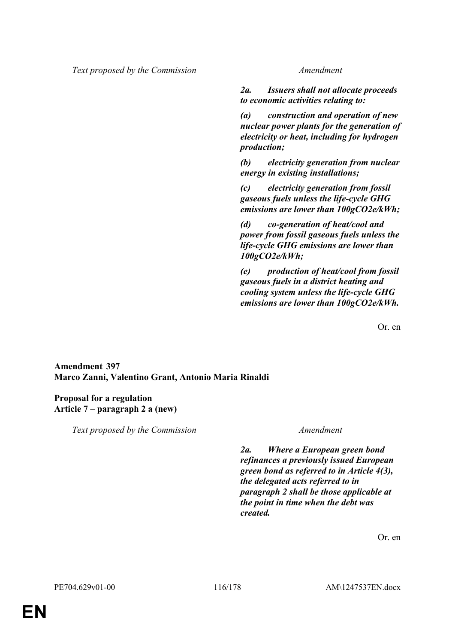*Text proposed by the Commission Amendment*

*2a. Issuers shall not allocate proceeds to economic activities relating to:*

*(a) construction and operation of new nuclear power plants for the generation of electricity or heat, including for hydrogen production;*

*(b) electricity generation from nuclear energy in existing installations;*

*(c) electricity generation from fossil gaseous fuels unless the life-cycle GHG emissions are lower than 100gCO2e/kWh;*

*(d) co-generation of heat/cool and power from fossil gaseous fuels unless the life-cycle GHG emissions are lower than 100gCO2e/kWh;*

*(e) production of heat/cool from fossil gaseous fuels in a district heating and cooling system unless the life-cycle GHG emissions are lower than 100gCO2e/kWh.*

Or. en

**Amendment 397 Marco Zanni, Valentino Grant, Antonio Maria Rinaldi**

**Proposal for a regulation Article 7 – paragraph 2 a (new)**

*Text proposed by the Commission Amendment*

*2a. Where a European green bond refinances a previously issued European green bond as referred to in Article 4(3), the delegated acts referred to in paragraph 2 shall be those applicable at the point in time when the debt was created.*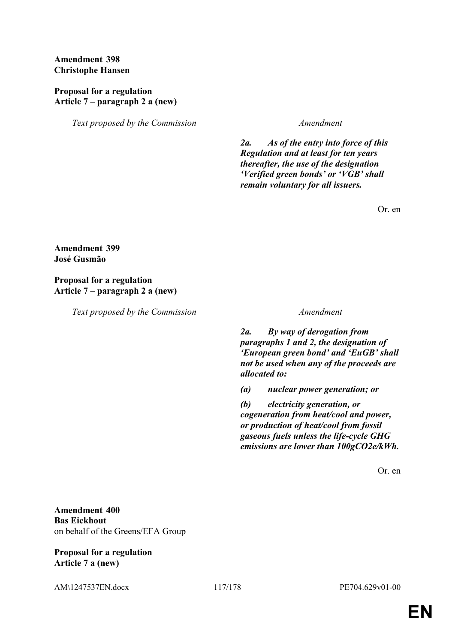# **Amendment 398 Christophe Hansen**

### **Proposal for a regulation Article 7 – paragraph 2 a (new)**

*Text proposed by the Commission Amendment*

*2a. As of the entry into force of this Regulation and at least for ten years thereafter, the use of the designation 'Verified green bonds' or 'VGB' shall remain voluntary for all issuers.*

Or. en

### **Amendment 399 José Gusmão**

### **Proposal for a regulation Article 7 – paragraph 2 a (new)**

*Text proposed by the Commission Amendment*

*2a. By way of derogation from paragraphs 1 and 2, the designation of 'European green bond' and 'EuGB' shall not be used when any of the proceeds are allocated to:*

*(a) nuclear power generation; or*

*(b) electricity generation, or cogeneration from heat/cool and power, or production of heat/cool from fossil gaseous fuels unless the life-cycle GHG emissions are lower than 100gCO2e/kWh.*

Or. en

**Amendment 400 Bas Eickhout** on behalf of the Greens/EFA Group

**Proposal for a regulation Article 7 a (new)**

AM\1247537EN.docx 117/178 PE704.629v01-00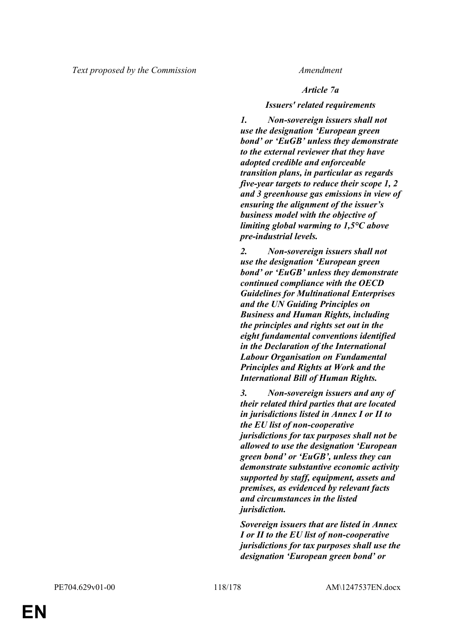### *Article 7a*

### *Issuers' related requirements*

*1. Non-sovereign issuers shall not use the designation 'European green bond' or 'EuGB' unless they demonstrate to the external reviewer that they have adopted credible and enforceable transition plans, in particular as regards five-year targets to reduce their scope 1, 2 and 3 greenhouse gas emissions in view of ensuring the alignment of the issuer's business model with the objective of limiting global warming to 1,5°C above pre-industrial levels.*

*2. Non-sovereign issuers shall not use the designation 'European green bond' or 'EuGB' unless they demonstrate continued compliance with the OECD Guidelines for Multinational Enterprises and the UN Guiding Principles on Business and Human Rights, including the principles and rights set out in the eight fundamental conventions identified in the Declaration of the International Labour Organisation on Fundamental Principles and Rights at Work and the International Bill of Human Rights.*

*3. Non-sovereign issuers and any of their related third parties that are located in jurisdictions listed in Annex I or II to the EU list of non-cooperative jurisdictions for tax purposes shall not be allowed to use the designation 'European green bond' or 'EuGB', unless they can demonstrate substantive economic activity supported by staff, equipment, assets and premises, as evidenced by relevant facts and circumstances in the listed jurisdiction.*

*Sovereign issuers that are listed in Annex I or II to the EU list of non-cooperative jurisdictions for tax purposes shall use the designation 'European green bond' or*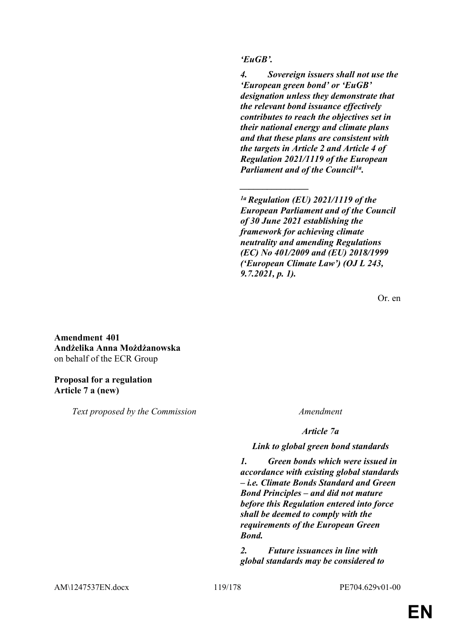*'EuGB'.*

*\_\_\_\_\_\_\_\_\_\_\_\_\_\_\_*

*4. Sovereign issuers shall not use the 'European green bond' or 'EuGB' designation unless they demonstrate that the relevant bond issuance effectively contributes to reach the objectives set in their national energy and climate plans and that these plans are consistent with the targets in Article 2 and Article 4 of Regulation 2021/1119 of the European Parliament and of the Council1a .*

*1a Regulation (EU) 2021/1119 of the European Parliament and of the Council of 30 June 2021 establishing the framework for achieving climate neutrality and amending Regulations (EC) No 401/2009 and (EU) 2018/1999 ('European Climate Law') (OJ L 243, 9.7.2021, p. 1).*

Or. en

**Amendment 401 Andżelika Anna Możdżanowska** on behalf of the ECR Group

# **Proposal for a regulation Article 7 a (new)**

*Text proposed by the Commission Amendment*

*Article 7a*

*Link to global green bond standards*

*1. Green bonds which were issued in accordance with existing global standards – i.e. Climate Bonds Standard and Green Bond Principles – and did not mature before this Regulation entered into force shall be deemed to comply with the requirements of the European Green Bond.*

*2. Future issuances in line with global standards may be considered to*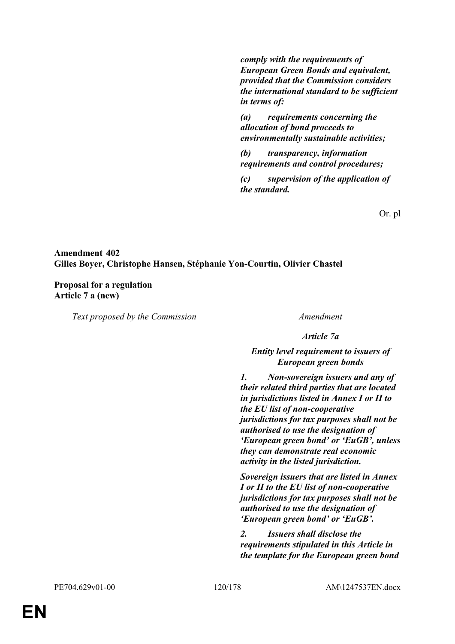*comply with the requirements of European Green Bonds and equivalent, provided that the Commission considers the international standard to be sufficient in terms of:*

*(a) requirements concerning the allocation of bond proceeds to environmentally sustainable activities;*

*(b) transparency, information requirements and control procedures;*

*(c) supervision of the application of the standard.*

Or. pl

### **Amendment 402 Gilles Boyer, Christophe Hansen, Stéphanie Yon-Courtin, Olivier Chastel**

# **Proposal for a regulation Article 7 a (new)**

*Text proposed by the Commission Amendment*

*Article 7a*

# *Entity level requirement to issuers of European green bonds*

*1. Non-sovereign issuers and any of their related third parties that are located in jurisdictions listed in Annex I or II to the EU list of non-cooperative jurisdictions for tax purposes shall not be authorised to use the designation of 'European green bond' or 'EuGB', unless they can demonstrate real economic activity in the listed jurisdiction.*

*Sovereign issuers that are listed in Annex I or II to the EU list of non-cooperative jurisdictions for tax purposes shall not be authorised to use the designation of 'European green bond' or 'EuGB'.*

*2. Issuers shall disclose the requirements stipulated in this Article in the template for the European green bond*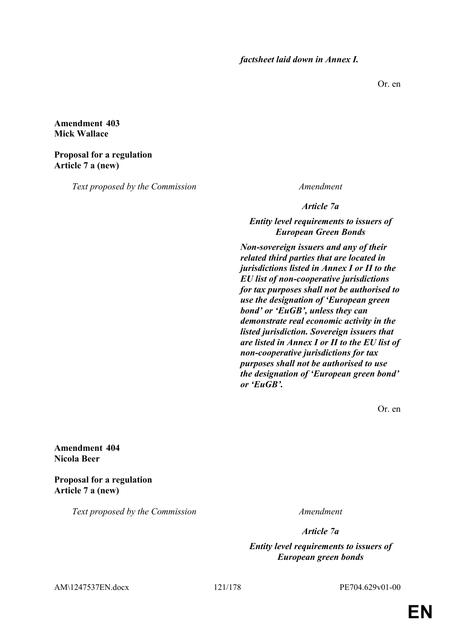Or. en

### **Amendment 403 Mick Wallace**

# **Proposal for a regulation Article 7 a (new)**

*Text proposed by the Commission Amendment*

*Article 7a*

*Entity level requirements to issuers of European Green Bonds*

*Non-sovereign issuers and any of their related third parties that are located in jurisdictions listed in Annex I or II to the EU list of non-cooperative jurisdictions for tax purposes shall not be authorised to use the designation of 'European green bond' or 'EuGB', unless they can demonstrate real economic activity in the listed jurisdiction. Sovereign issuers that are listed in Annex I or II to the EU list of non-cooperative jurisdictions for tax purposes shall not be authorised to use the designation of 'European green bond' or 'EuGB'.*

Or. en

**Amendment 404 Nicola Beer**

**Proposal for a regulation Article 7 a (new)**

*Text proposed by the Commission Amendment*

*Article 7a*

*Entity level requirements to issuers of European green bonds*

AM\1247537EN.docx 121/178 PE704.629v01-00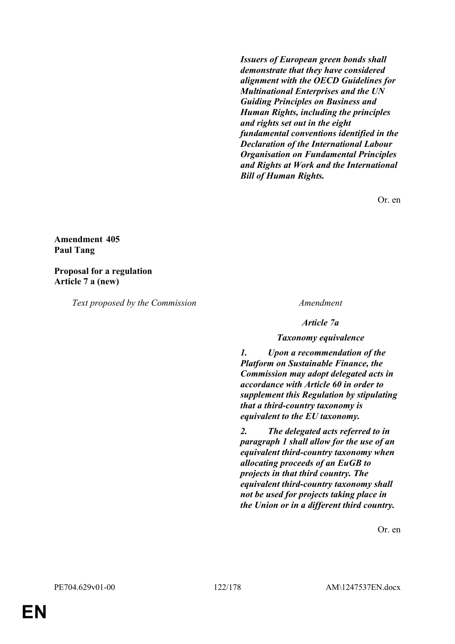*Issuers of European green bonds shall demonstrate that they have considered alignment with the OECD Guidelines for Multinational Enterprises and the UN Guiding Principles on Business and Human Rights, including the principles and rights set out in the eight fundamental conventions identified in the Declaration of the International Labour Organisation on Fundamental Principles and Rights at Work and the International Bill of Human Rights.*

Or. en

### **Amendment 405 Paul Tang**

**Proposal for a regulation Article 7 a (new)**

*Text proposed by the Commission Amendment*

*Article 7a*

*Taxonomy equivalence*

*1. Upon a recommendation of the Platform on Sustainable Finance, the Commission may adopt delegated acts in accordance with Article 60 in order to supplement this Regulation by stipulating that a third-country taxonomy is equivalent to the EU taxonomy.*

*2. The delegated acts referred to in paragraph 1 shall allow for the use of an equivalent third-country taxonomy when allocating proceeds of an EuGB to projects in that third country. The equivalent third-country taxonomy shall not be used for projects taking place in the Union or in a different third country.*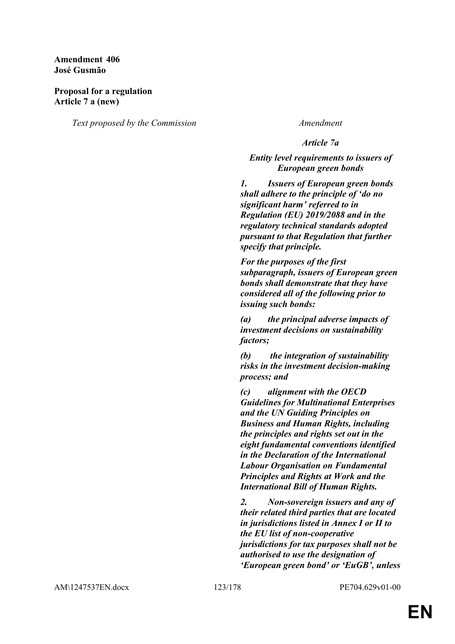### **Amendment 406 José Gusmão**

# **Proposal for a regulation Article 7 a (new)**

*Text proposed by the Commission Amendment*

### *Article 7a*

# *Entity level requirements to issuers of European green bonds*

*1. Issuers of European green bonds shall adhere to the principle of 'do no significant harm' referred to in Regulation (EU) 2019/2088 and in the regulatory technical standards adopted pursuant to that Regulation that further specify that principle.*

*For the purposes of the first subparagraph, issuers of European green bonds shall demonstrate that they have considered all of the following prior to issuing such bonds:*

*(a) the principal adverse impacts of investment decisions on sustainability factors;*

*(b) the integration of sustainability risks in the investment decision-making process; and*

*(c) alignment with the OECD Guidelines for Multinational Enterprises and the UN Guiding Principles on Business and Human Rights, including the principles and rights set out in the eight fundamental conventions identified in the Declaration of the International Labour Organisation on Fundamental Principles and Rights at Work and the International Bill of Human Rights.*

*2. Non-sovereign issuers and any of their related third parties that are located in jurisdictions listed in Annex I or II to the EU list of non-cooperative jurisdictions for tax purposes shall not be authorised to use the designation of 'European green bond' or 'EuGB', unless* 

AM\1247537EN.docx 123/178 PE704.629v01-00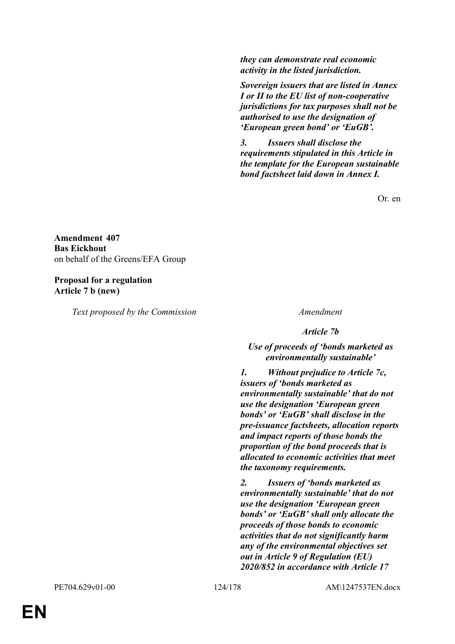*they can demonstrate real economic activity in the listed jurisdiction.*

*Sovereign issuers that are listed in Annex I or II to the EU list of non-cooperative jurisdictions for tax purposes shall not be authorised to use the designation of 'European green bond' or 'EuGB'.*

*3. Issuers shall disclose the requirements stipulated in this Article in the template for the European sustainable bond factsheet laid down in Annex I.*

Or. en

**Amendment 407 Bas Eickhout** on behalf of the Greens/EFA Group

### **Proposal for a regulation Article 7 b (new)**

*Text proposed by the Commission Amendment*

*Article 7b*

# *Use of proceeds of 'bonds marketed as environmentally sustainable'*

*1. Without prejudice to Article 7c, issuers of 'bonds marketed as environmentally sustainable' that do not use the designation 'European green bonds' or 'EuGB' shall disclose in the pre-issuance factsheets, allocation reports and impact reports of those bonds the proportion of the bond proceeds that is allocated to economic activities that meet the taxonomy requirements.*

*2. Issuers of 'bonds marketed as environmentally sustainable' that do not use the designation 'European green bonds' or 'EuGB' shall only allocate the proceeds of those bonds to economic activities that do not significantly harm any of the environmental objectives set out in Article 9 of Regulation (EU) 2020/852 in accordance with Article 17*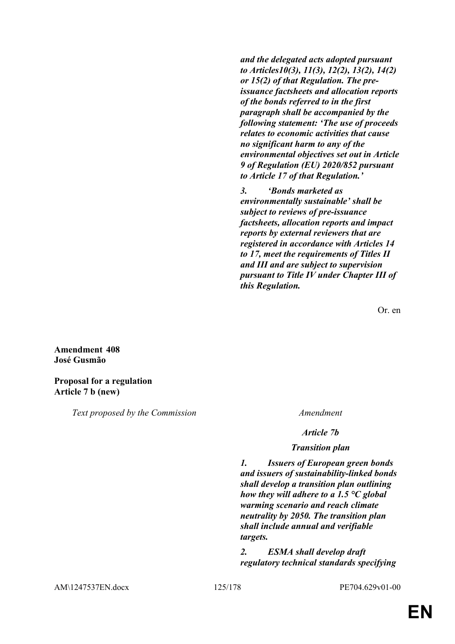*and the delegated acts adopted pursuant to Articles10(3), 11(3), 12(2), 13(2), 14(2) or 15(2) of that Regulation. The preissuance factsheets and allocation reports of the bonds referred to in the first paragraph shall be accompanied by the following statement: 'The use of proceeds relates to economic activities that cause no significant harm to any of the environmental objectives set out in Article 9 of Regulation (EU) 2020/852 pursuant to Article 17 of that Regulation.'*

*3. 'Bonds marketed as environmentally sustainable' shall be subject to reviews of pre-issuance factsheets, allocation reports and impact reports by external reviewers that are registered in accordance with Articles 14 to 17, meet the requirements of Titles II and III and are subject to supervision pursuant to Title IV under Chapter III of this Regulation.*

Or. en

**Amendment 408 José Gusmão**

**Proposal for a regulation Article 7 b (new)**

*Text proposed by the Commission Amendment*

*Article 7b*

*Transition plan*

*1. Issuers of European green bonds and issuers of sustainability-linked bonds shall develop a transition plan outlining how they will adhere to a 1.5 °C global warming scenario and reach climate neutrality by 2050. The transition plan shall include annual and verifiable targets.*

*2. ESMA shall develop draft regulatory technical standards specifying* 

AM\1247537EN.docx 125/178 PE704.629v01-00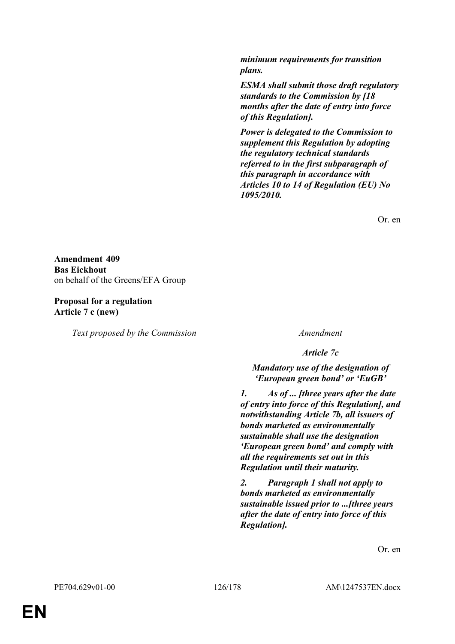*minimum requirements for transition plans.*

*ESMA shall submit those draft regulatory standards to the Commission by [18 months after the date of entry into force of this Regulation].*

*Power is delegated to the Commission to supplement this Regulation by adopting the regulatory technical standards referred to in the first subparagraph of this paragraph in accordance with Articles 10 to 14 of Regulation (EU) No 1095/2010.*

Or. en

**Amendment 409 Bas Eickhout** on behalf of the Greens/EFA Group

**Proposal for a regulation Article 7 c (new)**

*Text proposed by the Commission Amendment*

*Article 7c*

*Mandatory use of the designation of 'European green bond' or 'EuGB'*

*1. As of ... [three years after the date of entry into force of this Regulation], and notwithstanding Article 7b, all issuers of bonds marketed as environmentally sustainable shall use the designation 'European green bond' and comply with all the requirements set out in this Regulation until their maturity.* 

*2. Paragraph 1 shall not apply to bonds marketed as environmentally sustainable issued prior to ...[three years after the date of entry into force of this Regulation].*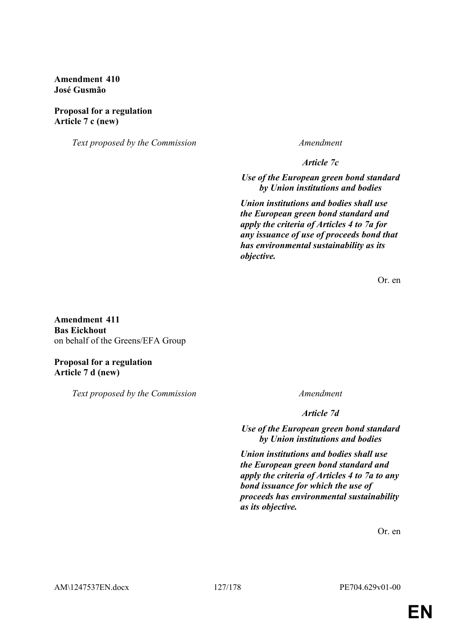**Amendment 410 José Gusmão**

### **Proposal for a regulation Article 7 c (new)**

*Text proposed by the Commission Amendment*

*Article 7c*

*Use of the European green bond standard by Union institutions and bodies*

*Union institutions and bodies shall use the European green bond standard and apply the criteria of Articles 4 to 7a for any issuance of use of proceeds bond that has environmental sustainability as its objective.*

Or. en

**Amendment 411 Bas Eickhout** on behalf of the Greens/EFA Group

**Proposal for a regulation Article 7 d (new)**

*Text proposed by the Commission Amendment*

*Article 7d*

*Use of the European green bond standard by Union institutions and bodies*

*Union institutions and bodies shall use the European green bond standard and apply the criteria of Articles 4 to 7a to any bond issuance for which the use of proceeds has environmental sustainability as its objective.*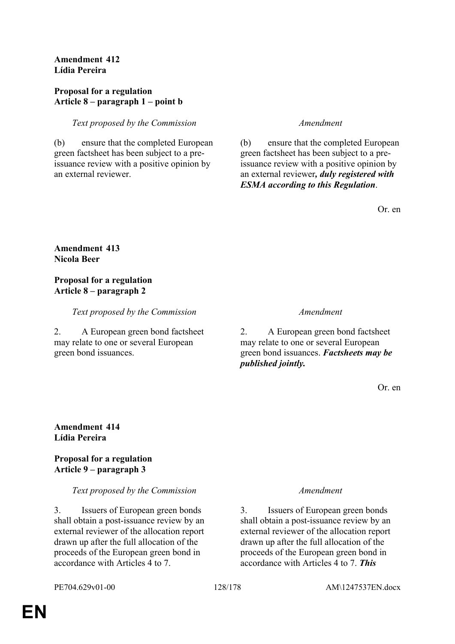# **Amendment 412 Lídia Pereira**

# **Proposal for a regulation Article 8 – paragraph 1 – point b**

# *Text proposed by the Commission Amendment*

(b) ensure that the completed European green factsheet has been subject to a preissuance review with a positive opinion by an external reviewer.

(b) ensure that the completed European green factsheet has been subject to a preissuance review with a positive opinion by an external reviewer*, duly registered with ESMA according to this Regulation*.

Or. en

# **Amendment 413 Nicola Beer**

# **Proposal for a regulation Article 8 – paragraph 2**

*Text proposed by the Commission Amendment*

2. A European green bond factsheet may relate to one or several European green bond issuances.

2. A European green bond factsheet may relate to one or several European green bond issuances. *Factsheets may be published jointly.*

Or. en

### **Amendment 414 Lídia Pereira**

# **Proposal for a regulation Article 9 – paragraph 3**

*Text proposed by the Commission Amendment*

3. Issuers of European green bonds shall obtain a post-issuance review by an external reviewer of the allocation report drawn up after the full allocation of the proceeds of the European green bond in accordance with Articles 4 to 7.

3. Issuers of European green bonds shall obtain a post-issuance review by an external reviewer of the allocation report drawn up after the full allocation of the proceeds of the European green bond in accordance with Articles 4 to 7. *This*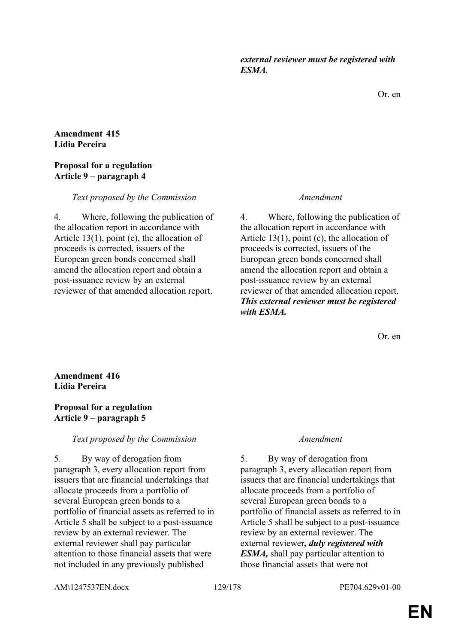*external reviewer must be registered with ESMA.*

Or. en

### **Amendment 415 Lídia Pereira**

### **Proposal for a regulation Article 9 – paragraph 4**

# *Text proposed by the Commission Amendment*

4. Where, following the publication of the allocation report in accordance with Article 13(1), point (c), the allocation of proceeds is corrected, issuers of the European green bonds concerned shall amend the allocation report and obtain a post-issuance review by an external reviewer of that amended allocation report.

4. Where, following the publication of the allocation report in accordance with Article 13(1), point (c), the allocation of proceeds is corrected, issuers of the European green bonds concerned shall amend the allocation report and obtain a post-issuance review by an external reviewer of that amended allocation report. *This external reviewer must be registered with ESMA.*

Or. en

# **Amendment 416 Lídia Pereira**

# **Proposal for a regulation Article 9 – paragraph 5**

# *Text proposed by the Commission Amendment*

5. By way of derogation from paragraph 3, every allocation report from issuers that are financial undertakings that allocate proceeds from a portfolio of several European green bonds to a portfolio of financial assets as referred to in Article 5 shall be subject to a post-issuance review by an external reviewer. The external reviewer shall pay particular attention to those financial assets that were not included in any previously published

5. By way of derogation from paragraph 3, every allocation report from issuers that are financial undertakings that allocate proceeds from a portfolio of several European green bonds to a portfolio of financial assets as referred to in Article 5 shall be subject to a post-issuance review by an external reviewer. The external reviewer*, duly registered with ESMA,* shall pay particular attention to those financial assets that were not

AM\1247537EN.docx 129/178 PE704.629v01-00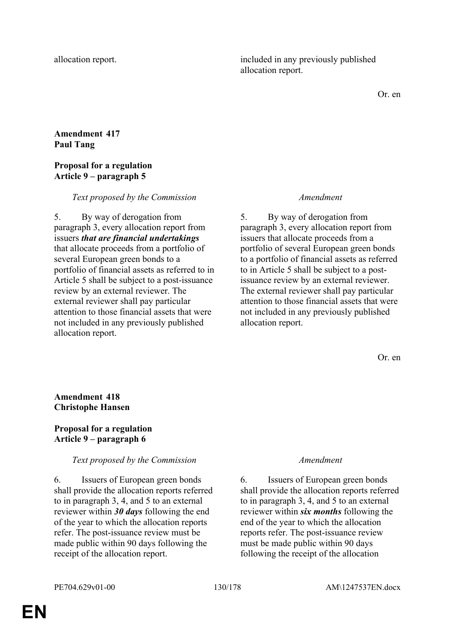allocation report. included in any previously published allocation report.

Or. en

### **Amendment 417 Paul Tang**

### **Proposal for a regulation Article 9 – paragraph 5**

# *Text proposed by the Commission Amendment*

5. By way of derogation from paragraph 3, every allocation report from issuers *that are financial undertakings* that allocate proceeds from a portfolio of several European green bonds to a portfolio of financial assets as referred to in Article 5 shall be subject to a post-issuance review by an external reviewer. The external reviewer shall pay particular attention to those financial assets that were not included in any previously published allocation report.

5. By way of derogation from paragraph 3, every allocation report from issuers that allocate proceeds from a portfolio of several European green bonds to a portfolio of financial assets as referred to in Article 5 shall be subject to a postissuance review by an external reviewer. The external reviewer shall pay particular attention to those financial assets that were not included in any previously published allocation report.

Or. en

# **Amendment 418 Christophe Hansen**

# **Proposal for a regulation Article 9 – paragraph 6**

# *Text proposed by the Commission Amendment*

6. Issuers of European green bonds shall provide the allocation reports referred to in paragraph 3, 4, and 5 to an external reviewer within *30 days* following the end of the year to which the allocation reports refer. The post-issuance review must be made public within 90 days following the receipt of the allocation report.

6. Issuers of European green bonds shall provide the allocation reports referred to in paragraph 3, 4, and 5 to an external reviewer within *six months* following the end of the year to which the allocation reports refer. The post-issuance review must be made public within 90 days following the receipt of the allocation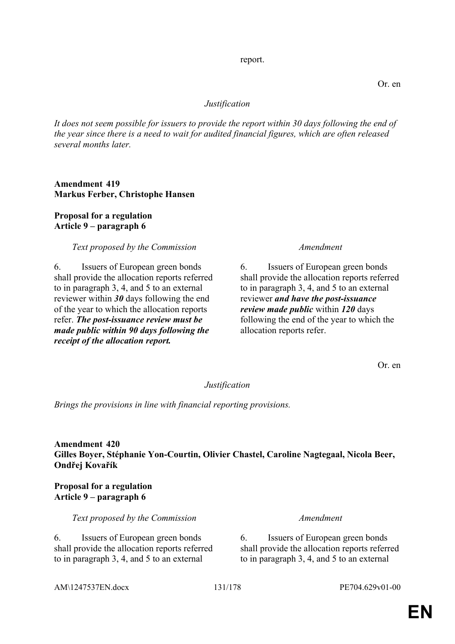# **EN**

Or. en

# *Justification*

report.

*It does not seem possible for issuers to provide the report within 30 days following the end of the year since there is a need to wait for audited financial figures, which are often released several months later.*

# **Amendment 419 Markus Ferber, Christophe Hansen**

# **Proposal for a regulation Article 9 – paragraph 6**

# *Text proposed by the Commission Amendment*

6. Issuers of European green bonds shall provide the allocation reports referred to in paragraph 3, 4, and 5 to an external reviewer within *30* days following the end of the year to which the allocation reports refer. *The post-issuance review must be made public within 90 days following the receipt of the allocation report.*

6. Issuers of European green bonds shall provide the allocation reports referred to in paragraph 3, 4, and 5 to an external reviewer *and have the post-issuance review made public* within *120* days following the end of the year to which the allocation reports refer.

6. Issuers of European green bonds shall provide the allocation reports referred to in paragraph 3, 4, and 5 to an external

Or. en

### *Justification*

*Brings the provisions in line with financial reporting provisions.*

**Amendment 420 Gilles Boyer, Stéphanie Yon-Courtin, Olivier Chastel, Caroline Nagtegaal, Nicola Beer, Ondřej Kovařík**

# **Proposal for a regulation Article 9 – paragraph 6**

*Text proposed by the Commission Amendment*

6. Issuers of European green bonds shall provide the allocation reports referred to in paragraph 3, 4, and 5 to an external

AM\1247537EN.docx 131/178 PE704.629v01-00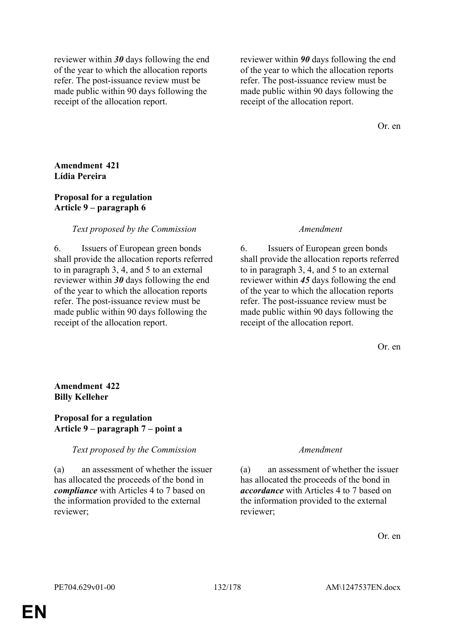reviewer within *30* days following the end of the year to which the allocation reports refer. The post-issuance review must be made public within 90 days following the receipt of the allocation report.

reviewer within *90* days following the end of the year to which the allocation reports refer. The post-issuance review must be made public within 90 days following the receipt of the allocation report.

Or. en

### **Amendment 421 Lídia Pereira**

### **Proposal for a regulation Article 9 – paragraph 6**

### *Text proposed by the Commission Amendment*

6. Issuers of European green bonds shall provide the allocation reports referred to in paragraph 3, 4, and 5 to an external reviewer within *30* days following the end of the year to which the allocation reports refer. The post-issuance review must be made public within 90 days following the receipt of the allocation report.

6. Issuers of European green bonds shall provide the allocation reports referred to in paragraph 3, 4, and 5 to an external reviewer within *45* days following the end of the year to which the allocation reports refer. The post-issuance review must be made public within 90 days following the receipt of the allocation report.

Or. en

### **Amendment 422 Billy Kelleher**

# **Proposal for a regulation Article 9 – paragraph 7 – point a**

### *Text proposed by the Commission Amendment*

(a) an assessment of whether the issuer has allocated the proceeds of the bond in *compliance* with Articles 4 to 7 based on the information provided to the external reviewer;

(a) an assessment of whether the issuer has allocated the proceeds of the bond in *accordance* with Articles 4 to 7 based on the information provided to the external reviewer;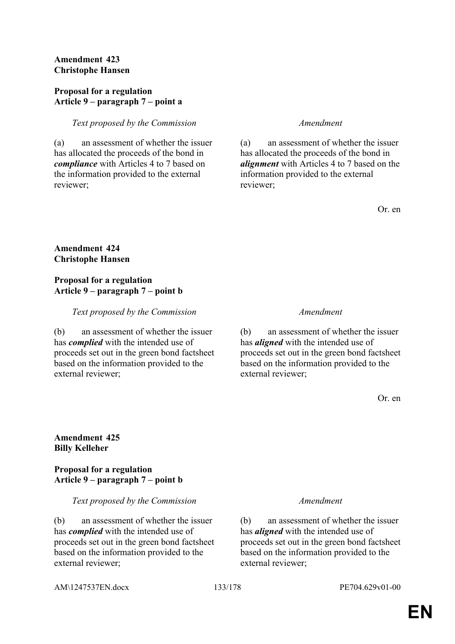# **Amendment 423 Christophe Hansen**

# **Proposal for a regulation Article 9 – paragraph 7 – point a**

# *Text proposed by the Commission Amendment*

(a) an assessment of whether the issuer has allocated the proceeds of the bond in *compliance* with Articles 4 to 7 based on the information provided to the external reviewer;

(a) an assessment of whether the issuer has allocated the proceeds of the bond in *alignment* with Articles 4 to 7 based on the information provided to the external reviewer;

Or. en

# **Amendment 424 Christophe Hansen**

### **Proposal for a regulation Article 9 – paragraph 7 – point b**

### *Text proposed by the Commission Amendment*

(b) an assessment of whether the issuer has *complied* with the intended use of proceeds set out in the green bond factsheet based on the information provided to the external reviewer;

(b) an assessment of whether the issuer has *aligned* with the intended use of proceeds set out in the green bond factsheet based on the information provided to the external reviewer;

Or. en

### **Amendment 425 Billy Kelleher**

### **Proposal for a regulation Article 9 – paragraph 7 – point b**

### *Text proposed by the Commission Amendment*

(b) an assessment of whether the issuer has *complied* with the intended use of proceeds set out in the green bond factsheet based on the information provided to the external reviewer;

(b) an assessment of whether the issuer has *aligned* with the intended use of proceeds set out in the green bond factsheet based on the information provided to the external reviewer;

AM\1247537EN.docx 133/178 PE704.629v01-00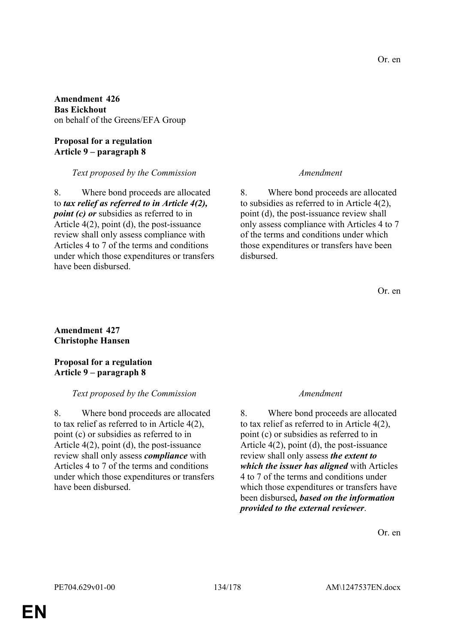**Amendment 426 Bas Eickhout** on behalf of the Greens/EFA Group

# **Proposal for a regulation Article 9 – paragraph 8**

# *Text proposed by the Commission Amendment*

8. Where bond proceeds are allocated to *tax relief as referred to in Article 4(2), point (c) or* subsidies as referred to in Article 4(2), point (d), the post-issuance review shall only assess compliance with Articles 4 to 7 of the terms and conditions under which those expenditures or transfers have been disbursed.

8. Where bond proceeds are allocated to subsidies as referred to in Article 4(2), point (d), the post-issuance review shall only assess compliance with Articles 4 to 7 of the terms and conditions under which those expenditures or transfers have been disbursed.

# **Amendment 427 Christophe Hansen**

**Proposal for a regulation Article 9 – paragraph 8**

### *Text proposed by the Commission Amendment*

8. Where bond proceeds are allocated to tax relief as referred to in Article 4(2), point (c) or subsidies as referred to in Article 4(2), point (d), the post-issuance review shall only assess *compliance* with Articles 4 to 7 of the terms and conditions under which those expenditures or transfers have been disbursed.

8. Where bond proceeds are allocated to tax relief as referred to in Article 4(2), point (c) or subsidies as referred to in Article 4(2), point (d), the post-issuance review shall only assess *the extent to which the issuer has aligned* with Articles 4 to 7 of the terms and conditions under which those expenditures or transfers have been disbursed*, based on the information provided to the external reviewer*.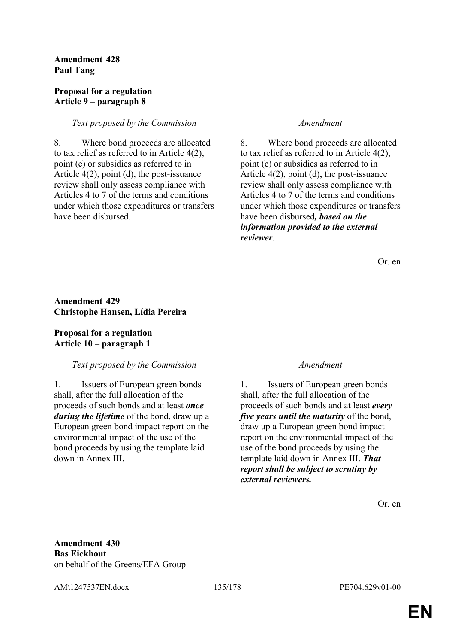# **Amendment 428 Paul Tang**

### **Proposal for a regulation Article 9 – paragraph 8**

# *Text proposed by the Commission Amendment*

8. Where bond proceeds are allocated to tax relief as referred to in Article 4(2), point (c) or subsidies as referred to in Article 4(2), point (d), the post-issuance review shall only assess compliance with Articles 4 to 7 of the terms and conditions under which those expenditures or transfers have been disbursed.

8. Where bond proceeds are allocated to tax relief as referred to in Article 4(2), point (c) or subsidies as referred to in Article 4(2), point (d), the post-issuance review shall only assess compliance with Articles 4 to 7 of the terms and conditions under which those expenditures or transfers have been disbursed*, based on the information provided to the external reviewer*.

Or. en

# **Amendment 429 Christophe Hansen, Lídia Pereira**

# **Proposal for a regulation Article 10 – paragraph 1**

# *Text proposed by the Commission Amendment*

1. Issuers of European green bonds shall, after the full allocation of the proceeds of such bonds and at least *once during the lifetime* of the bond, draw up a European green bond impact report on the environmental impact of the use of the bond proceeds by using the template laid down in Annex III.

1. Issuers of European green bonds shall, after the full allocation of the proceeds of such bonds and at least *every five years until the maturity* of the bond, draw up a European green bond impact report on the environmental impact of the use of the bond proceeds by using the template laid down in Annex III. *That report shall be subject to scrutiny by external reviewers.*

Or. en

**Amendment 430 Bas Eickhout** on behalf of the Greens/EFA Group

AM\1247537EN.docx 135/178 PE704.629v01-00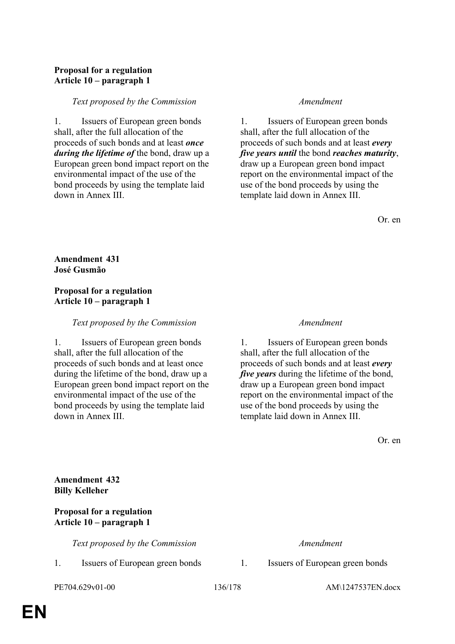# **Proposal for a regulation Article 10 – paragraph 1**

### *Text proposed by the Commission Amendment*

1. Issuers of European green bonds shall, after the full allocation of the proceeds of such bonds and at least *once during the lifetime of* the bond, draw up a European green bond impact report on the environmental impact of the use of the bond proceeds by using the template laid down in Annex III.

1. Issuers of European green bonds shall, after the full allocation of the proceeds of such bonds and at least *every five years until* the bond *reaches maturity*, draw up a European green bond impact report on the environmental impact of the use of the bond proceeds by using the template laid down in Annex III.

Or. en

**Amendment 431 José Gusmão**

# **Proposal for a regulation Article 10 – paragraph 1**

### *Text proposed by the Commission Amendment*

1. Issuers of European green bonds shall, after the full allocation of the proceeds of such bonds and at least once during the lifetime of the bond, draw up a European green bond impact report on the environmental impact of the use of the bond proceeds by using the template laid down in Annex III

1. Issuers of European green bonds shall, after the full allocation of the proceeds of such bonds and at least *every five years* during the lifetime of the bond, draw up a European green bond impact report on the environmental impact of the use of the bond proceeds by using the template laid down in Annex III.

Or. en

**Amendment 432 Billy Kelleher**

# **Proposal for a regulation Article 10 – paragraph 1**

*Text proposed by the Commission Amendment*

1. Issuers of European green bonds 1. Issuers of European green bonds

PE704.629v01-00 136/178 AM\1247537EN.docx

**EN**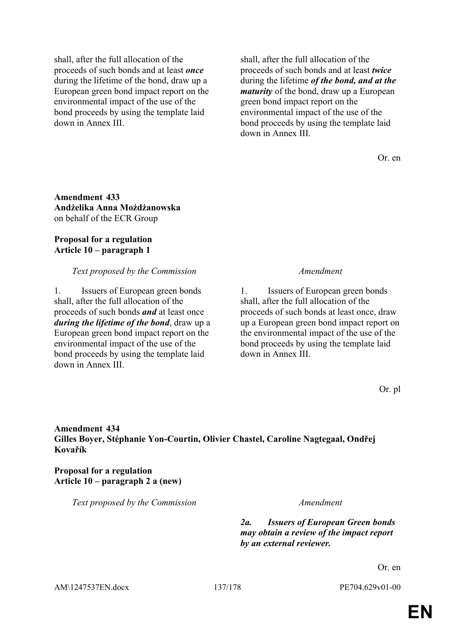shall, after the full allocation of the proceeds of such bonds and at least *once* during the lifetime of the bond, draw up a European green bond impact report on the environmental impact of the use of the bond proceeds by using the template laid down in Annex III.

shall, after the full allocation of the proceeds of such bonds and at least *twice* during the lifetime *of the bond, and at the maturity* of the bond, draw up a European green bond impact report on the environmental impact of the use of the bond proceeds by using the template laid down in Annex III.

Or. en

# **Amendment 433 Andżelika Anna Możdżanowska** on behalf of the ECR Group

### **Proposal for a regulation Article 10 – paragraph 1**

### *Text proposed by the Commission Amendment*

1. Issuers of European green bonds shall, after the full allocation of the proceeds of such bonds *and* at least once *during the lifetime of the bond*, draw up a European green bond impact report on the environmental impact of the use of the bond proceeds by using the template laid down in Annex III.

1. Issuers of European green bonds shall, after the full allocation of the proceeds of such bonds at least once, draw up a European green bond impact report on the environmental impact of the use of the bond proceeds by using the template laid down in Annex III.

Or. pl

# **Amendment 434 Gilles Boyer, Stéphanie Yon-Courtin, Olivier Chastel, Caroline Nagtegaal, Ondřej Kovařík**

**Proposal for a regulation Article 10 – paragraph 2 a (new)**

*Text proposed by the Commission Amendment*

*2a. Issuers of European Green bonds may obtain a review of the impact report by an external reviewer.*

Or. en

AM\1247537EN.docx 137/178 PE704.629v01-00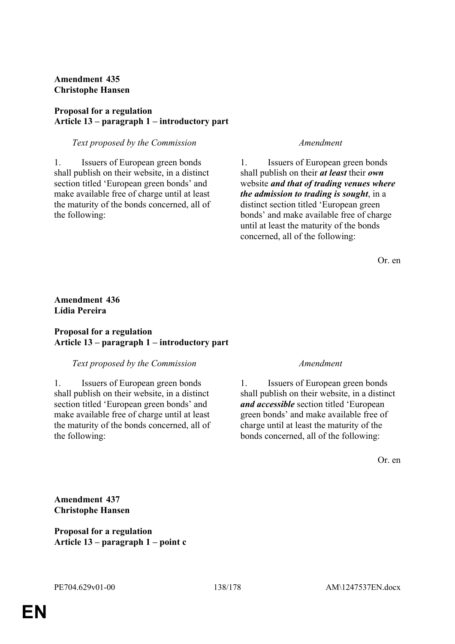# **Amendment 435 Christophe Hansen**

# **Proposal for a regulation Article 13 – paragraph 1 – introductory part**

# *Text proposed by the Commission Amendment*

1. Issuers of European green bonds shall publish on their website, in a distinct section titled 'European green bonds' and make available free of charge until at least the maturity of the bonds concerned, all of the following:

1. Issuers of European green bonds shall publish on their *at least* their *own*  website *and that of trading venues where the admission to trading is sought*, in a distinct section titled 'European green bonds' and make available free of charge until at least the maturity of the bonds concerned, all of the following:

Or. en

# **Amendment 436 Lídia Pereira**

# **Proposal for a regulation Article 13 – paragraph 1 – introductory part**

# *Text proposed by the Commission Amendment*

1. Issuers of European green bonds shall publish on their website, in a distinct section titled 'European green bonds' and make available free of charge until at least the maturity of the bonds concerned, all of the following:

1. Issuers of European green bonds shall publish on their website, in a distinct *and accessible* section titled 'European green bonds' and make available free of charge until at least the maturity of the bonds concerned, all of the following:

Or. en

**Amendment 437 Christophe Hansen**

**Proposal for a regulation Article 13 – paragraph 1 – point c**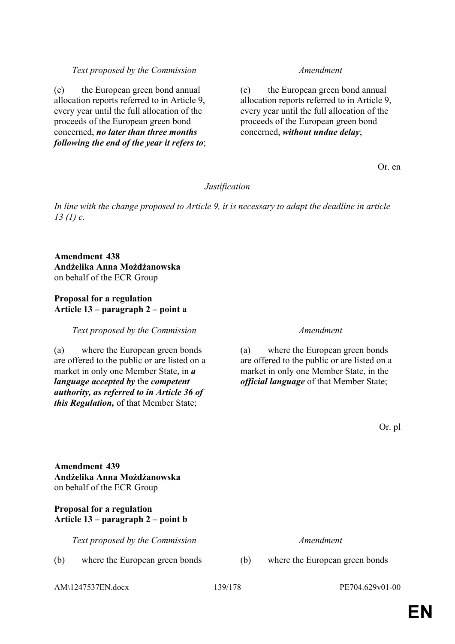**EN**

# *Text proposed by the Commission Amendment*

(c) the European green bond annual allocation reports referred to in Article 9, every year until the full allocation of the proceeds of the European green bond concerned, *no later than three months following the end of the year it refers to*;

(c) the European green bond annual allocation reports referred to in Article 9, every year until the full allocation of the proceeds of the European green bond concerned, *without undue delay*;

Or. en

### *Justification*

*In line with the change proposed to Article 9, it is necessary to adapt the deadline in article 13 (1) c.*

# **Amendment 438 Andżelika Anna Możdżanowska** on behalf of the ECR Group

### **Proposal for a regulation Article 13 – paragraph 2 – point a**

*Text proposed by the Commission Amendment*

(a) where the European green bonds are offered to the public or are listed on a market in only one Member State, in *a language accepted by* the *competent authority, as referred to in Article 36 of this Regulation,* of that Member State;

(a) where the European green bonds are offered to the public or are listed on a market in only one Member State, in the *official language* of that Member State;

Or. pl

**Amendment 439 Andżelika Anna Możdżanowska** on behalf of the ECR Group

# **Proposal for a regulation Article 13 – paragraph 2 – point b**

*Text proposed by the Commission Amendment*

(b) where the European green bonds (b) where the European green bonds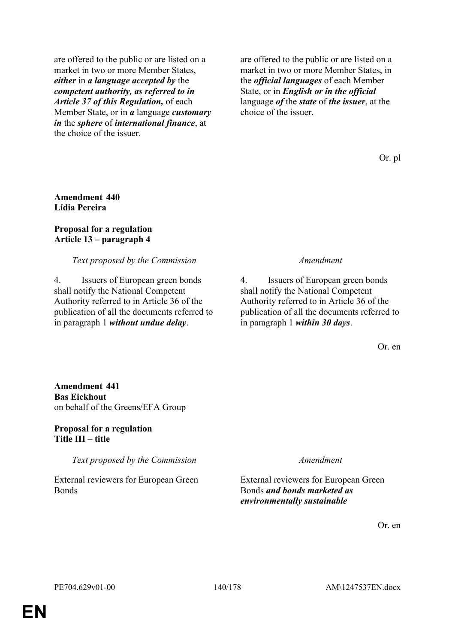are offered to the public or are listed on a market in two or more Member States, *either* in *a language accepted by* the *competent authority, as referred to in Article 37 of this Regulation,* of each Member State, or in *a* language *customary in* the *sphere* of *international finance*, at the choice of the issuer.

are offered to the public or are listed on a market in two or more Member States, in the *official languages* of each Member State, or in *English or in the official* language *of* the *state* of *the issuer*, at the choice of the issuer.

Or. pl

# **Amendment 440 Lídia Pereira**

# **Proposal for a regulation Article 13 – paragraph 4**

# *Text proposed by the Commission Amendment*

4. Issuers of European green bonds shall notify the National Competent Authority referred to in Article 36 of the publication of all the documents referred to in paragraph 1 *without undue delay*.

4. Issuers of European green bonds shall notify the National Competent Authority referred to in Article 36 of the publication of all the documents referred to in paragraph 1 *within 30 days*.

Or. en

**Amendment 441 Bas Eickhout** on behalf of the Greens/EFA Group

# **Proposal for a regulation Title III – title**

*Text proposed by the Commission Amendment*

External reviewers for European Green **Bonds** 

External reviewers for European Green Bonds *and bonds marketed as environmentally sustainable*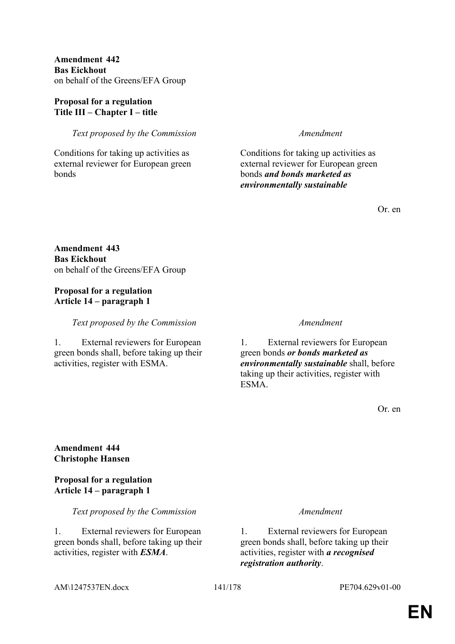**Amendment 442 Bas Eickhout** on behalf of the Greens/EFA Group

### **Proposal for a regulation Title III – Chapter I – title**

*Text proposed by the Commission Amendment*

Conditions for taking up activities as external reviewer for European green bonds

Conditions for taking up activities as external reviewer for European green bonds *and bonds marketed as environmentally sustainable*

Or. en

### **Amendment 443 Bas Eickhout** on behalf of the Greens/EFA Group

# **Proposal for a regulation Article 14 – paragraph 1**

*Text proposed by the Commission Amendment*

1. External reviewers for European green bonds shall, before taking up their activities, register with ESMA.

1. External reviewers for European green bonds *or bonds marketed as environmentally sustainable* shall, before taking up their activities, register with **ESMA** 

Or. en

# **Amendment 444 Christophe Hansen**

# **Proposal for a regulation Article 14 – paragraph 1**

*Text proposed by the Commission Amendment*

1. External reviewers for European green bonds shall, before taking up their activities, register with *ESMA*.

1. External reviewers for European green bonds shall, before taking up their activities, register with *a recognised registration authority*.

AM\1247537EN.docx 141/178 PE704.629v01-00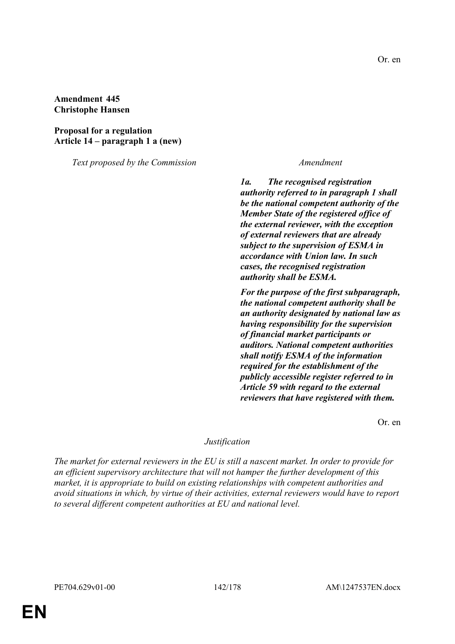### **Amendment 445 Christophe Hansen**

**Proposal for a regulation Article 14 – paragraph 1 a (new)**

*Text proposed by the Commission Amendment*

*1a. The recognised registration authority referred to in paragraph 1 shall be the national competent authority of the Member State of the registered office of the external reviewer, with the exception of external reviewers that are already subject to the supervision of ESMA in accordance with Union law. In such cases, the recognised registration authority shall be ESMA.*

*For the purpose of the first subparagraph, the national competent authority shall be an authority designated by national law as having responsibility for the supervision of financial market participants or auditors. National competent authorities shall notify ESMA of the information required for the establishment of the publicly accessible register referred to in Article 59 with regard to the external reviewers that have registered with them.*

Or. en

### *Justification*

*The market for external reviewers in the EU is still a nascent market. In order to provide for an efficient supervisory architecture that will not hamper the further development of this market, it is appropriate to build on existing relationships with competent authorities and avoid situations in which, by virtue of their activities, external reviewers would have to report to several different competent authorities at EU and national level.*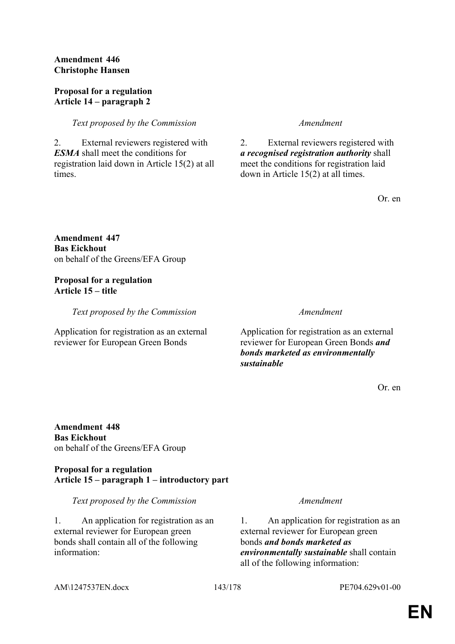# **Amendment 446 Christophe Hansen**

# **Proposal for a regulation Article 14 – paragraph 2**

# *Text proposed by the Commission Amendment*

2. External reviewers registered with *ESMA* shall meet the conditions for registration laid down in Article 15(2) at all times.

2. External reviewers registered with *a recognised registration authority* shall meet the conditions for registration laid down in Article 15(2) at all times.

Or. en

### **Amendment 447 Bas Eickhout** on behalf of the Greens/EFA Group

### **Proposal for a regulation Article 15 – title**

*Text proposed by the Commission Amendment*

Application for registration as an external reviewer for European Green Bonds

Application for registration as an external reviewer for European Green Bonds *and bonds marketed as environmentally sustainable*

Or. en

### **Amendment 448 Bas Eickhout** on behalf of the Greens/EFA Group

# **Proposal for a regulation Article 15 – paragraph 1 – introductory part**

*Text proposed by the Commission Amendment*

1. An application for registration as an external reviewer for European green bonds shall contain all of the following information:

1. An application for registration as an external reviewer for European green bonds *and bonds marketed as environmentally sustainable* shall contain all of the following information: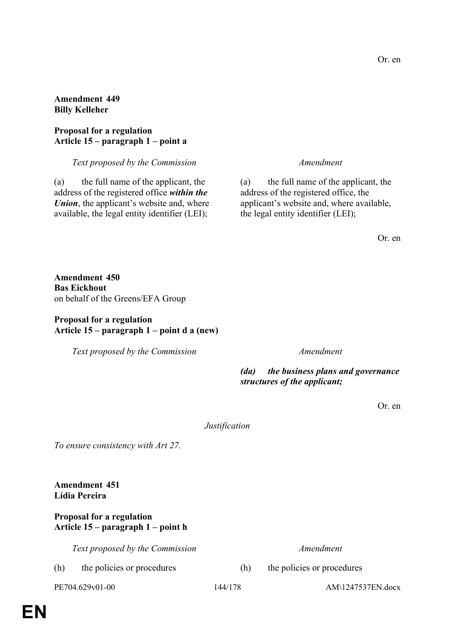### **Proposal for a regulation Article 15 – paragraph 1 – point a**

*Text proposed by the Commission Amendment*

(a) the full name of the applicant, the address of the registered office *within the Union*, the applicant's website and, where available, the legal entity identifier (LEI);

(a) the full name of the applicant, the address of the registered office, the applicant's website and, where available, the legal entity identifier (LEI);

Or. en

**Amendment 450 Bas Eickhout** on behalf of the Greens/EFA Group

# **Proposal for a regulation Article 15 – paragraph 1 – point d a (new)**

*Text proposed by the Commission Amendment*

*(da) the business plans and governance structures of the applicant;*

Or. en

*Justification*

*To ensure consistency with Art 27.*

**Amendment 451 Lídia Pereira**

# **Proposal for a regulation Article 15 – paragraph 1 – point h**

*Text proposed by the Commission Amendment*

(h) the policies or procedures (h) the policies or procedures

PE704.629v01-00 144/178 AM\1247537EN.docx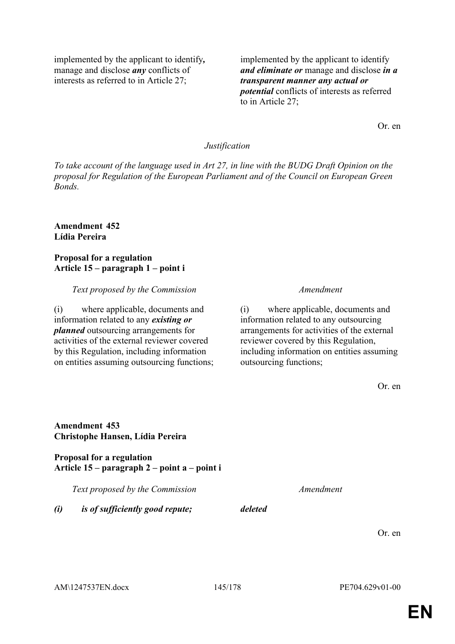implemented by the applicant to identify*,* manage and disclose *any* conflicts of interests as referred to in Article 27;

implemented by the applicant to identify *and eliminate or* manage and disclose *in a transparent manner any actual or potential* conflicts of interests as referred to in Article 27;

Or. en

### *Justification*

*To take account of the language used in Art 27, in line with the BUDG Draft Opinion on the proposal for Regulation of the European Parliament and of the Council on European Green Bonds.*

## **Amendment 452 Lídia Pereira**

**Proposal for a regulation Article 15 – paragraph 1 – point i**

*Text proposed by the Commission Amendment*

(i) where applicable, documents and information related to any *existing or planned* outsourcing arrangements for activities of the external reviewer covered by this Regulation, including information on entities assuming outsourcing functions;

(i) where applicable, documents and information related to any outsourcing arrangements for activities of the external reviewer covered by this Regulation, including information on entities assuming outsourcing functions;

Or. en

# **Amendment 453 Christophe Hansen, Lídia Pereira**

**Proposal for a regulation Article 15 – paragraph 2 – point a – point i**

*Text proposed by the Commission Amendment*

*(i) is of sufficiently good repute; deleted*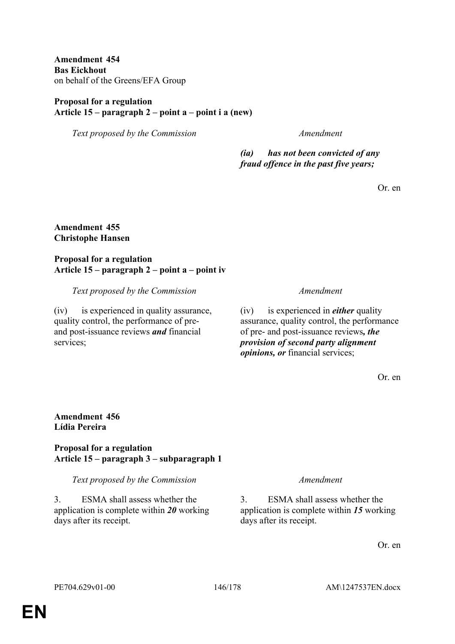**Amendment 454 Bas Eickhout** on behalf of the Greens/EFA Group

### **Proposal for a regulation Article 15 – paragraph 2 – point a – point i a (new)**

*Text proposed by the Commission Amendment*

*(ia) has not been convicted of any fraud offence in the past five years;*

Or. en

## **Amendment 455 Christophe Hansen**

## **Proposal for a regulation Article 15 – paragraph 2 – point a – point iv**

*Text proposed by the Commission Amendment*

(iv) is experienced in quality assurance, quality control, the performance of preand post-issuance reviews *and* financial services;

(iv) is experienced in *either* quality assurance, quality control, the performance of pre- and post-issuance reviews*, the provision of second party alignment opinions, or* financial services;

Or. en

## **Amendment 456 Lídia Pereira**

## **Proposal for a regulation Article 15 – paragraph 3 – subparagraph 1**

*Text proposed by the Commission Amendment*

3. ESMA shall assess whether the application is complete within *20* working days after its receipt.

3. ESMA shall assess whether the application is complete within *15* working days after its receipt.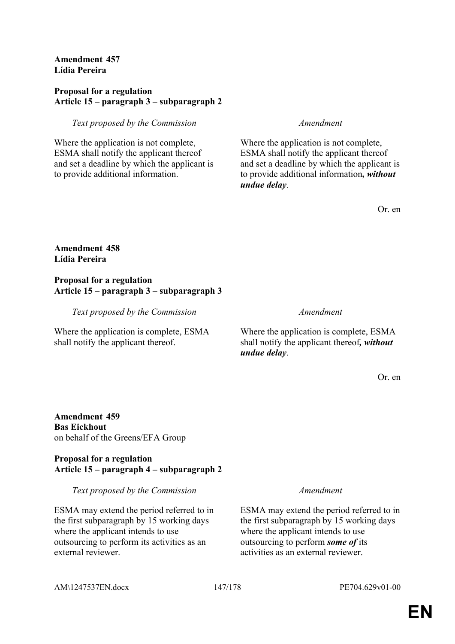## **Amendment 457 Lídia Pereira**

## **Proposal for a regulation Article 15 – paragraph 3 – subparagraph 2**

## *Text proposed by the Commission Amendment*

Where the application is not complete, ESMA shall notify the applicant thereof and set a deadline by which the applicant is to provide additional information.

Where the application is not complete, ESMA shall notify the applicant thereof and set a deadline by which the applicant is to provide additional information*, without undue delay*.

Or. en

## **Amendment 458 Lídia Pereira**

## **Proposal for a regulation Article 15 – paragraph 3 – subparagraph 3**

*Text proposed by the Commission Amendment*

Where the application is complete, ESMA shall notify the applicant thereof.

Where the application is complete, ESMA shall notify the applicant thereof*, without undue delay*.

Or. en

**Amendment 459 Bas Eickhout** on behalf of the Greens/EFA Group

## **Proposal for a regulation Article 15 – paragraph 4 – subparagraph 2**

*Text proposed by the Commission Amendment*

ESMA may extend the period referred to in the first subparagraph by 15 working days where the applicant intends to use outsourcing to perform its activities as an external reviewer.

ESMA may extend the period referred to in the first subparagraph by 15 working days where the applicant intends to use outsourcing to perform *some of* its activities as an external reviewer.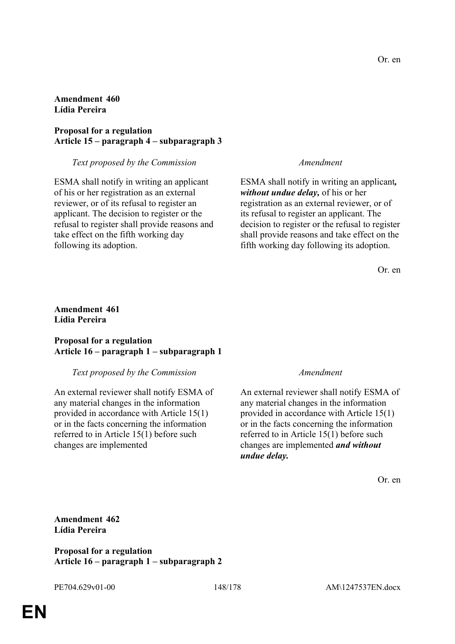### **Amendment 460 Lídia Pereira**

## **Proposal for a regulation Article 15 – paragraph 4 – subparagraph 3**

### *Text proposed by the Commission Amendment*

ESMA shall notify in writing an applicant of his or her registration as an external reviewer, or of its refusal to register an applicant. The decision to register or the refusal to register shall provide reasons and take effect on the fifth working day following its adoption.

ESMA shall notify in writing an applicant*, without undue delay,* of his or her registration as an external reviewer, or of its refusal to register an applicant. The decision to register or the refusal to register shall provide reasons and take effect on the fifth working day following its adoption.

Or. en

## **Amendment 461 Lídia Pereira**

## **Proposal for a regulation Article 16 – paragraph 1 – subparagraph 1**

### *Text proposed by the Commission Amendment*

An external reviewer shall notify ESMA of any material changes in the information provided in accordance with Article 15(1) or in the facts concerning the information referred to in Article 15(1) before such changes are implemented

An external reviewer shall notify ESMA of any material changes in the information provided in accordance with Article 15(1) or in the facts concerning the information referred to in Article 15(1) before such changes are implemented *and without undue delay.*

Or. en

**Amendment 462 Lídia Pereira**

**Proposal for a regulation Article 16 – paragraph 1 – subparagraph 2**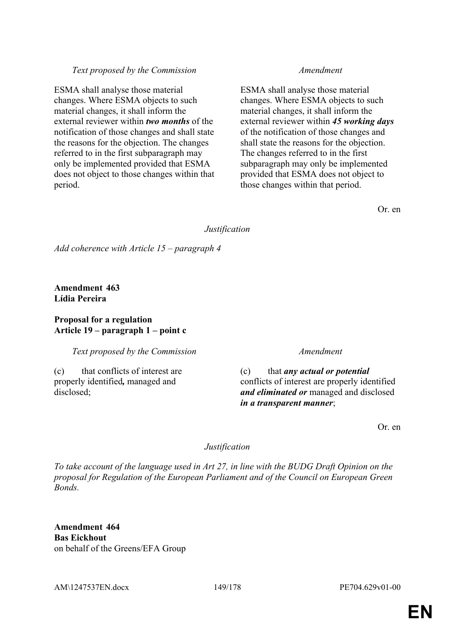### *Text proposed by the Commission Amendment*

ESMA shall analyse those material changes. Where ESMA objects to such material changes, it shall inform the external reviewer within *two months* of the notification of those changes and shall state the reasons for the objection. The changes referred to in the first subparagraph may only be implemented provided that ESMA does not object to those changes within that period.

ESMA shall analyse those material changes. Where ESMA objects to such material changes, it shall inform the external reviewer within *45 working days* of the notification of those changes and shall state the reasons for the objection. The changes referred to in the first subparagraph may only be implemented provided that ESMA does not object to those changes within that period.

Or. en

## *Justification*

*Add coherence with Article 15 – paragraph 4*

**Amendment 463 Lídia Pereira**

### **Proposal for a regulation Article 19 – paragraph 1 – point c**

*Text proposed by the Commission Amendment*

(c) that conflicts of interest are properly identified*,* managed and disclosed;

(c) that *any actual or potential* conflicts of interest are properly identified *and eliminated or* managed and disclosed *in a transparent manner*;

Or. en

## *Justification*

*To take account of the language used in Art 27, in line with the BUDG Draft Opinion on the proposal for Regulation of the European Parliament and of the Council on European Green Bonds.*

**Amendment 464 Bas Eickhout** on behalf of the Greens/EFA Group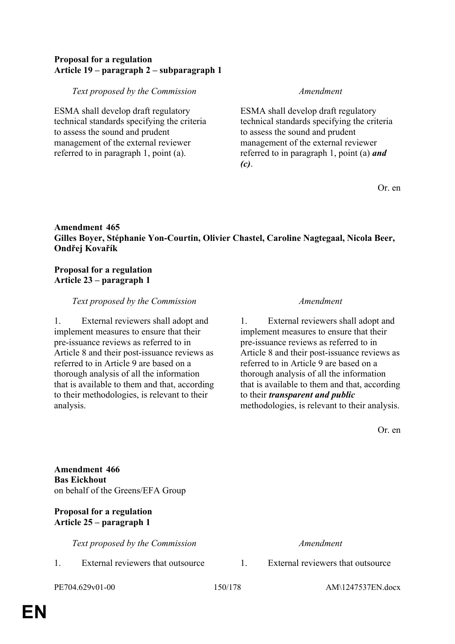## **Proposal for a regulation Article 19 – paragraph 2 – subparagraph 1**

## *Text proposed by the Commission Amendment*

ESMA shall develop draft regulatory technical standards specifying the criteria to assess the sound and prudent management of the external reviewer referred to in paragraph 1, point (a).

ESMA shall develop draft regulatory technical standards specifying the criteria to assess the sound and prudent management of the external reviewer referred to in paragraph 1, point (a) *and (c)*.

Or. en

## **Amendment 465 Gilles Boyer, Stéphanie Yon-Courtin, Olivier Chastel, Caroline Nagtegaal, Nicola Beer, Ondřej Kovařík**

## **Proposal for a regulation Article 23 – paragraph 1**

## *Text proposed by the Commission Amendment*

1. External reviewers shall adopt and implement measures to ensure that their pre-issuance reviews as referred to in Article 8 and their post-issuance reviews as referred to in Article 9 are based on a thorough analysis of all the information that is available to them and that, according to their methodologies, is relevant to their analysis.

1. External reviewers shall adopt and implement measures to ensure that their pre-issuance reviews as referred to in Article 8 and their post-issuance reviews as referred to in Article 9 are based on a thorough analysis of all the information that is available to them and that, according to their *transparent and public* methodologies, is relevant to their analysis.

Or. en

**Amendment 466 Bas Eickhout** on behalf of the Greens/EFA Group

## **Proposal for a regulation Article 25 – paragraph 1**

*Text proposed by the Commission Amendment*

1. External reviewers that outsource 1. External reviewers that outsource

PE704.629v01-00 150/178 AM\1247537EN.docx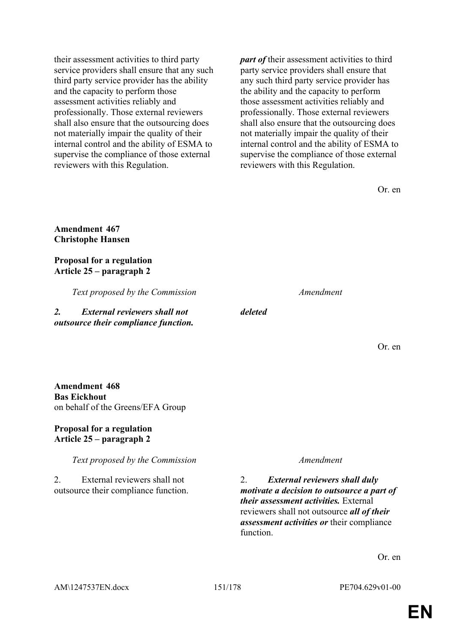their assessment activities to third party service providers shall ensure that any such third party service provider has the ability and the capacity to perform those assessment activities reliably and professionally. Those external reviewers shall also ensure that the outsourcing does not materially impair the quality of their internal control and the ability of ESMA to supervise the compliance of those external reviewers with this Regulation.

*part of* their assessment activities to third party service providers shall ensure that any such third party service provider has the ability and the capacity to perform those assessment activities reliably and professionally. Those external reviewers shall also ensure that the outsourcing does not materially impair the quality of their internal control and the ability of ESMA to supervise the compliance of those external reviewers with this Regulation.

Or. en

## **Amendment 467 Christophe Hansen**

## **Proposal for a regulation Article 25 – paragraph 2**

*Text proposed by the Commission Amendment*

*2. External reviewers shall not outsource their compliance function.*

Or. en

## **Amendment 468 Bas Eickhout** on behalf of the Greens/EFA Group

**Proposal for a regulation Article 25 – paragraph 2**

*Text proposed by the Commission Amendment*

2. External reviewers shall not outsource their compliance function.

2. *External reviewers shall duly motivate a decision to outsource a part of their assessment activities.* External reviewers shall not outsource *all of their assessment activities or* their compliance function.

Or. en

*deleted*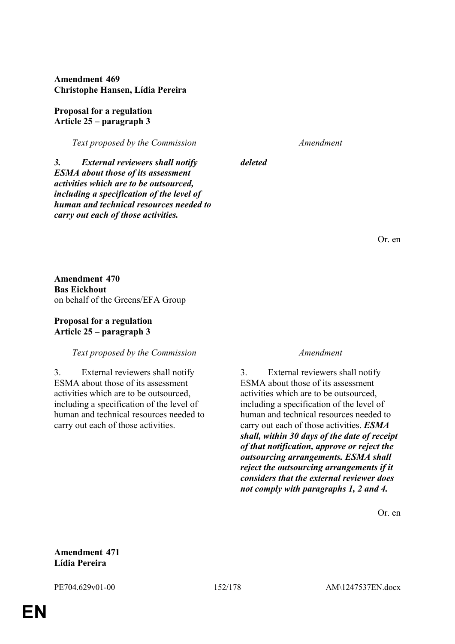**Amendment 469 Christophe Hansen, Lídia Pereira**

### **Proposal for a regulation Article 25 – paragraph 3**

*Text proposed by the Commission Amendment*

*deleted*

*3. External reviewers shall notify ESMA about those of its assessment activities which are to be outsourced, including a specification of the level of human and technical resources needed to carry out each of those activities.*

Or. en

**Amendment 470 Bas Eickhout** on behalf of the Greens/EFA Group

## **Proposal for a regulation Article 25 – paragraph 3**

### *Text proposed by the Commission Amendment*

3. External reviewers shall notify ESMA about those of its assessment activities which are to be outsourced, including a specification of the level of human and technical resources needed to carry out each of those activities.

3. External reviewers shall notify ESMA about those of its assessment activities which are to be outsourced, including a specification of the level of human and technical resources needed to carry out each of those activities. *ESMA shall, within 30 days of the date of receipt of that notification, approve or reject the outsourcing arrangements. ESMA shall reject the outsourcing arrangements if it considers that the external reviewer does not comply with paragraphs 1, 2 and 4.*

Or. en

### **Amendment 471 Lídia Pereira**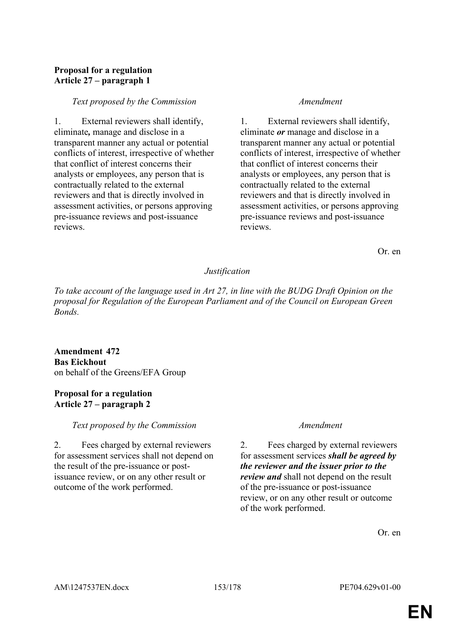## **Proposal for a regulation Article 27 – paragraph 1**

### *Text proposed by the Commission Amendment*

1. External reviewers shall identify, eliminate*,* manage and disclose in a transparent manner any actual or potential conflicts of interest, irrespective of whether that conflict of interest concerns their analysts or employees, any person that is contractually related to the external reviewers and that is directly involved in assessment activities, or persons approving pre-issuance reviews and post-issuance reviews.

1. External reviewers shall identify, eliminate *or* manage and disclose in a transparent manner any actual or potential conflicts of interest, irrespective of whether that conflict of interest concerns their analysts or employees, any person that is contractually related to the external reviewers and that is directly involved in assessment activities, or persons approving pre-issuance reviews and post-issuance reviews.

Or. en

## *Justification*

*To take account of the language used in Art 27, in line with the BUDG Draft Opinion on the proposal for Regulation of the European Parliament and of the Council on European Green Bonds.*

**Amendment 472 Bas Eickhout** on behalf of the Greens/EFA Group

## **Proposal for a regulation Article 27 – paragraph 2**

*Text proposed by the Commission Amendment*

2. Fees charged by external reviewers for assessment services shall not depend on the result of the pre-issuance or postissuance review, or on any other result or outcome of the work performed.

2. Fees charged by external reviewers for assessment services *shall be agreed by the reviewer and the issuer prior to the review and* shall not depend on the result of the pre-issuance or post-issuance review, or on any other result or outcome of the work performed.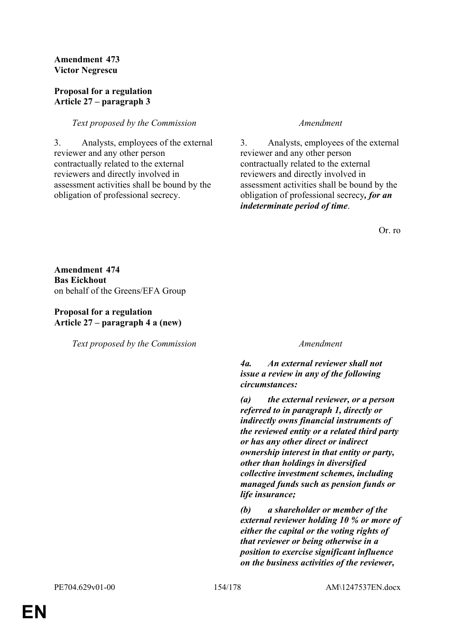## **Amendment 473 Victor Negrescu**

## **Proposal for a regulation Article 27 – paragraph 3**

## *Text proposed by the Commission Amendment*

3. Analysts, employees of the external reviewer and any other person contractually related to the external reviewers and directly involved in assessment activities shall be bound by the obligation of professional secrecy.

3. Analysts, employees of the external reviewer and any other person contractually related to the external reviewers and directly involved in assessment activities shall be bound by the obligation of professional secrecy*, for an indeterminate period of time*.

Or. ro

**Amendment 474 Bas Eickhout** on behalf of the Greens/EFA Group

## **Proposal for a regulation Article 27 – paragraph 4 a (new)**

*Text proposed by the Commission Amendment*

*4a. An external reviewer shall not issue a review in any of the following circumstances:*

*(a) the external reviewer, or a person referred to in paragraph 1, directly or indirectly owns financial instruments of the reviewed entity or a related third party or has any other direct or indirect ownership interest in that entity or party, other than holdings in diversified collective investment schemes, including managed funds such as pension funds or life insurance;*

*(b) a shareholder or member of the external reviewer holding 10 % or more of either the capital or the voting rights of that reviewer or being otherwise in a position to exercise significant influence on the business activities of the reviewer,*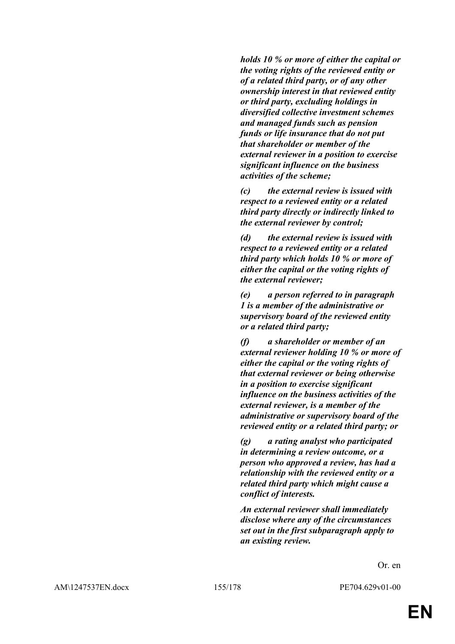*holds 10 % or more of either the capital or the voting rights of the reviewed entity or of a related third party, or of any other ownership interest in that reviewed entity or third party, excluding holdings in diversified collective investment schemes and managed funds such as pension funds or life insurance that do not put that shareholder or member of the external reviewer in a position to exercise significant influence on the business activities of the scheme;*

*(c) the external review is issued with respect to a reviewed entity or a related third party directly or indirectly linked to the external reviewer by control;*

*(d) the external review is issued with respect to a reviewed entity or a related third party which holds 10 % or more of either the capital or the voting rights of the external reviewer;*

*(e) a person referred to in paragraph 1 is a member of the administrative or supervisory board of the reviewed entity or a related third party;*

*(f) a shareholder or member of an external reviewer holding 10 % or more of either the capital or the voting rights of that external reviewer or being otherwise in a position to exercise significant influence on the business activities of the external reviewer, is a member of the administrative or supervisory board of the reviewed entity or a related third party; or*

*(g) a rating analyst who participated in determining a review outcome, or a person who approved a review, has had a relationship with the reviewed entity or a related third party which might cause a conflict of interests.*

*An external reviewer shall immediately disclose where any of the circumstances set out in the first subparagraph apply to an existing review.*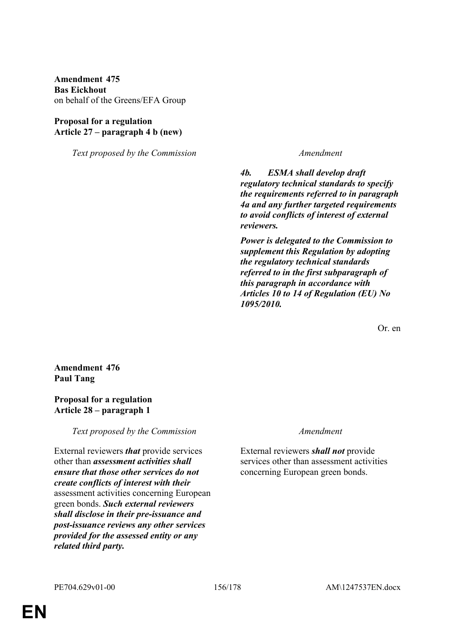**Amendment 475 Bas Eickhout** on behalf of the Greens/EFA Group

## **Proposal for a regulation Article 27 – paragraph 4 b (new)**

*Text proposed by the Commission Amendment*

*4b. ESMA shall develop draft regulatory technical standards to specify the requirements referred to in paragraph 4a and any further targeted requirements to avoid conflicts of interest of external reviewers.*

*Power is delegated to the Commission to supplement this Regulation by adopting the regulatory technical standards referred to in the first subparagraph of this paragraph in accordance with Articles 10 to 14 of Regulation (EU) No 1095/2010.*

Or. en

**Amendment 476 Paul Tang**

## **Proposal for a regulation Article 28 – paragraph 1**

*Text proposed by the Commission Amendment*

External reviewers *that* provide services other than *assessment activities shall ensure that those other services do not create conflicts of interest with their* assessment activities concerning European green bonds. *Such external reviewers shall disclose in their pre-issuance and post-issuance reviews any other services provided for the assessed entity or any related third party.*

External reviewers *shall not* provide services other than assessment activities concerning European green bonds.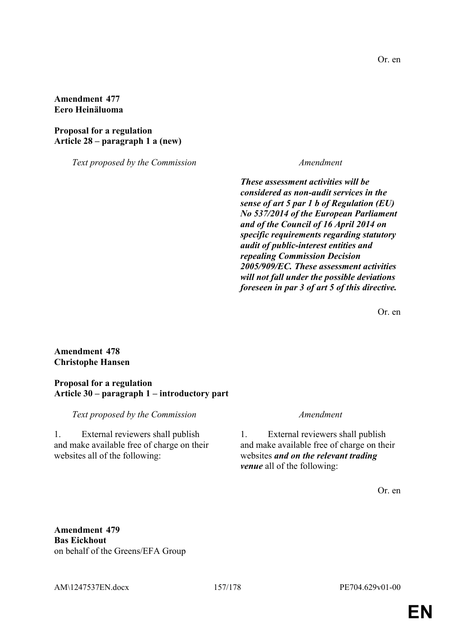**Amendment 477 Eero Heinäluoma**

**Proposal for a regulation Article 28 – paragraph 1 a (new)**

*Text proposed by the Commission Amendment*

*These assessment activities will be considered as non-audit services in the sense of art 5 par 1 b of Regulation (EU) No 537/2014 of the European Parliament and of the Council of 16 April 2014 on specific requirements regarding statutory audit of public-interest entities and repealing Commission Decision 2005/909/EC. These assessment activities will not fall under the possible deviations foreseen in par 3 of art 5 of this directive.* 

Or. en

**Amendment 478 Christophe Hansen**

**Proposal for a regulation Article 30 – paragraph 1 – introductory part**

*Text proposed by the Commission Amendment*

1. External reviewers shall publish and make available free of charge on their websites all of the following:

1. External reviewers shall publish and make available free of charge on their websites *and on the relevant trading venue* all of the following:

Or. en

**Amendment 479 Bas Eickhout** on behalf of the Greens/EFA Group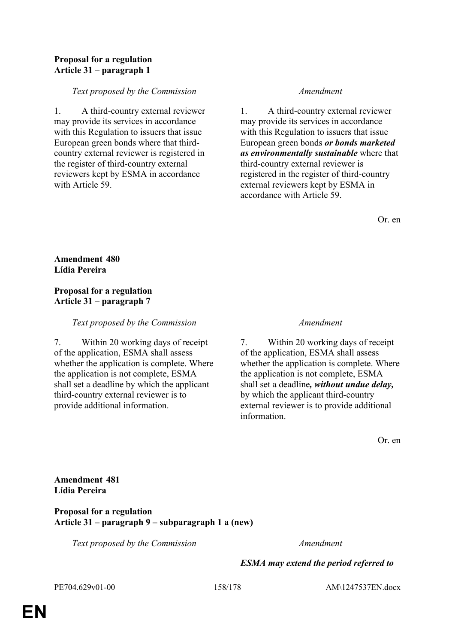## **Proposal for a regulation Article 31 – paragraph 1**

### *Text proposed by the Commission Amendment*

1. A third-country external reviewer may provide its services in accordance with this Regulation to issuers that issue European green bonds where that thirdcountry external reviewer is registered in the register of third-country external reviewers kept by ESMA in accordance with Article 59.

1. A third-country external reviewer may provide its services in accordance with this Regulation to issuers that issue European green bonds *or bonds marketed as environmentally sustainable* where that third-country external reviewer is registered in the register of third-country external reviewers kept by ESMA in accordance with Article 59.

Or. en

**Amendment 480 Lídia Pereira**

## **Proposal for a regulation Article 31 – paragraph 7**

## *Text proposed by the Commission Amendment*

7. Within 20 working days of receipt of the application, ESMA shall assess whether the application is complete. Where the application is not complete, ESMA shall set a deadline by which the applicant third-country external reviewer is to provide additional information.

7. Within 20 working days of receipt of the application, ESMA shall assess whether the application is complete. Where the application is not complete, ESMA shall set a deadline*, without undue delay,* by which the applicant third-country external reviewer is to provide additional information.

Or. en

**Amendment 481 Lídia Pereira**

**Proposal for a regulation Article 31 – paragraph 9 – subparagraph 1 a (new)**

*Text proposed by the Commission Amendment*

## *ESMA may extend the period referred to*

PE704.629v01-00 158/178 AM\1247537EN.docx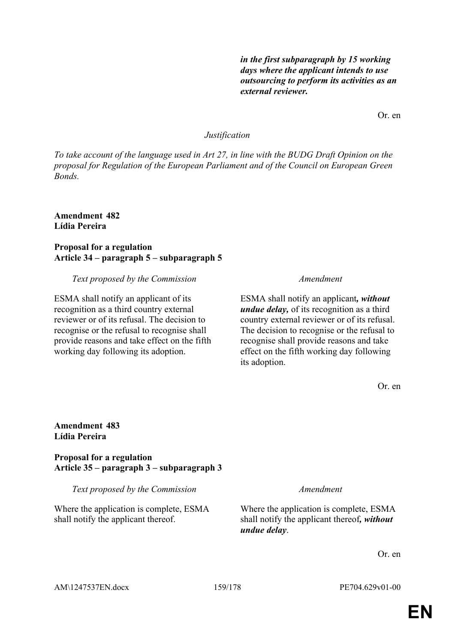*in the first subparagraph by 15 working days where the applicant intends to use outsourcing to perform its activities as an external reviewer.*

Or. en

### *Justification*

*To take account of the language used in Art 27, in line with the BUDG Draft Opinion on the proposal for Regulation of the European Parliament and of the Council on European Green Bonds.*

**Amendment 482 Lídia Pereira**

### **Proposal for a regulation Article 34 – paragraph 5 – subparagraph 5**

### *Text proposed by the Commission Amendment*

ESMA shall notify an applicant of its recognition as a third country external reviewer or of its refusal. The decision to recognise or the refusal to recognise shall provide reasons and take effect on the fifth working day following its adoption.

ESMA shall notify an applicant*, without undue delay,* of its recognition as a third country external reviewer or of its refusal. The decision to recognise or the refusal to recognise shall provide reasons and take effect on the fifth working day following its adoption.

Or. en

### **Amendment 483 Lídia Pereira**

**Proposal for a regulation Article 35 – paragraph 3 – subparagraph 3**

*Text proposed by the Commission Amendment*

Where the application is complete, ESMA shall notify the applicant thereof.

Where the application is complete, ESMA shall notify the applicant thereof*, without undue delay*.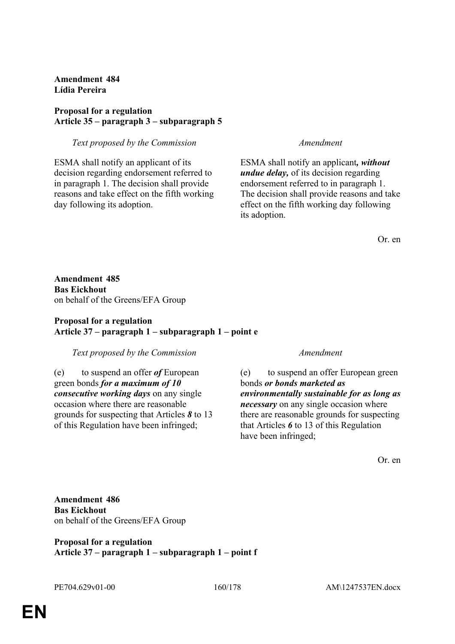**Amendment 484 Lídia Pereira**

## **Proposal for a regulation Article 35 – paragraph 3 – subparagraph 5**

*Text proposed by the Commission Amendment*

ESMA shall notify an applicant of its decision regarding endorsement referred to in paragraph 1. The decision shall provide reasons and take effect on the fifth working day following its adoption.

ESMA shall notify an applicant*, without undue delay,* of its decision regarding endorsement referred to in paragraph 1. The decision shall provide reasons and take effect on the fifth working day following its adoption.

Or. en

**Amendment 485 Bas Eickhout** on behalf of the Greens/EFA Group

## **Proposal for a regulation Article 37 – paragraph 1 – subparagraph 1 – point e**

*Text proposed by the Commission Amendment*

(e) to suspend an offer *of* European green bonds *for a maximum of 10 consecutive working days* on any single occasion where there are reasonable grounds for suspecting that Articles *8* to 13 of this Regulation have been infringed;

(e) to suspend an offer European green bonds *or bonds marketed as environmentally sustainable for as long as necessary* on any single occasion where there are reasonable grounds for suspecting that Articles *6* to 13 of this Regulation have been infringed;

Or. en

**Amendment 486 Bas Eickhout** on behalf of the Greens/EFA Group

**Proposal for a regulation Article 37 – paragraph 1 – subparagraph 1 – point f**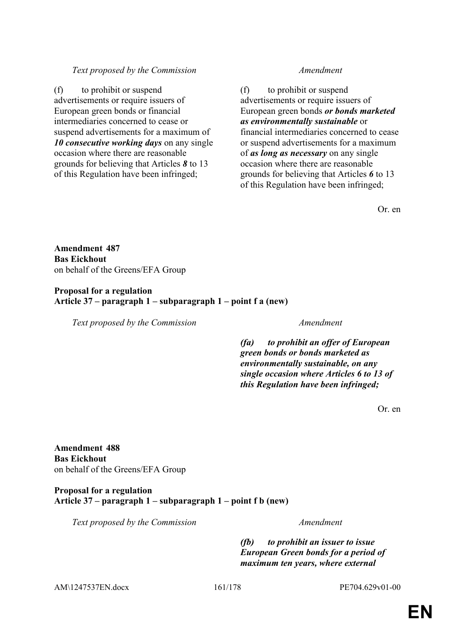## *Text proposed by the Commission Amendment*

(f) to prohibit or suspend advertisements or require issuers of European green bonds or financial intermediaries concerned to cease or suspend advertisements for a maximum of *10 consecutive working days* on any single occasion where there are reasonable grounds for believing that Articles *8* to 13 of this Regulation have been infringed;

(f) to prohibit or suspend advertisements or require issuers of European green bonds *or bonds marketed as environmentally sustainable* or financial intermediaries concerned to cease or suspend advertisements for a maximum of *as long as necessary* on any single occasion where there are reasonable grounds for believing that Articles *6* to 13 of this Regulation have been infringed;

Or. en

**Amendment 487 Bas Eickhout** on behalf of the Greens/EFA Group

**Proposal for a regulation Article 37 – paragraph 1 – subparagraph 1 – point f a (new)**

*Text proposed by the Commission Amendment*

*(fa) to prohibit an offer of European green bonds or bonds marketed as environmentally sustainable, on any single occasion where Articles 6 to 13 of this Regulation have been infringed;*

Or. en

**Amendment 488 Bas Eickhout** on behalf of the Greens/EFA Group

**Proposal for a regulation Article 37 – paragraph 1 – subparagraph 1 – point f b (new)**

*Text proposed by the Commission Amendment*

*(fb) to prohibit an issuer to issue European Green bonds for a period of maximum ten years, where external* 

AM\1247537EN.docx 161/178 PE704.629v01-00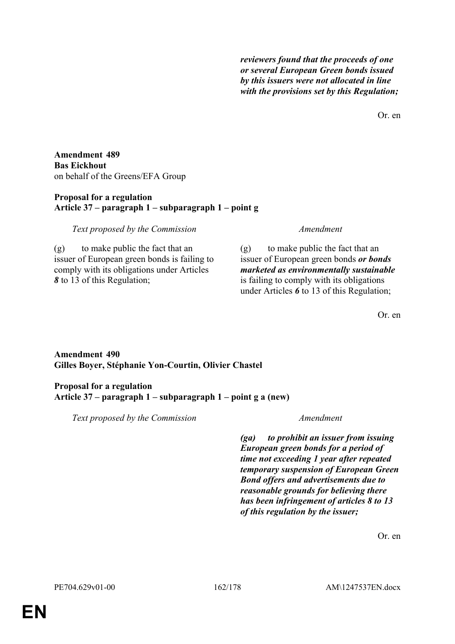*reviewers found that the proceeds of one or several European Green bonds issued by this issuers were not allocated in line with the provisions set by this Regulation;*

Or. en

**Amendment 489 Bas Eickhout** on behalf of the Greens/EFA Group

## **Proposal for a regulation Article 37 – paragraph 1 – subparagraph 1 – point g**

*Text proposed by the Commission Amendment*

(g) to make public the fact that an issuer of European green bonds is failing to comply with its obligations under Articles *8* to 13 of this Regulation;

(g) to make public the fact that an issuer of European green bonds *or bonds marketed as environmentally sustainable* is failing to comply with its obligations under Articles *6* to 13 of this Regulation;

Or. en

## **Amendment 490 Gilles Boyer, Stéphanie Yon-Courtin, Olivier Chastel**

## **Proposal for a regulation Article 37 – paragraph 1 – subparagraph 1 – point g a (new)**

*Text proposed by the Commission Amendment*

*(ga) to prohibit an issuer from issuing European green bonds for a period of time not exceeding 1 year after repeated temporary suspension of European Green Bond offers and advertisements due to reasonable grounds for believing there has been infringement of articles 8 to 13 of this regulation by the issuer;*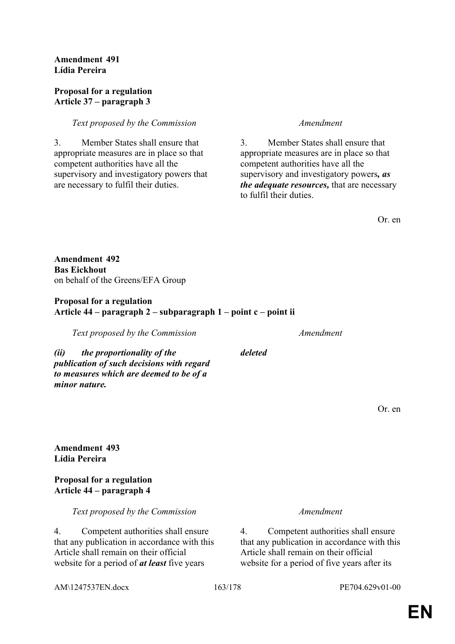## **Amendment 491 Lídia Pereira**

## **Proposal for a regulation Article 37 – paragraph 3**

## *Text proposed by the Commission Amendment*

3. Member States shall ensure that appropriate measures are in place so that competent authorities have all the supervisory and investigatory powers that are necessary to fulfil their duties.

3. Member States shall ensure that appropriate measures are in place so that competent authorities have all the supervisory and investigatory powers*, as the adequate resources,* that are necessary to fulfil their duties.

Or. en

**Amendment 492 Bas Eickhout** on behalf of the Greens/EFA Group

## **Proposal for a regulation Article 44 – paragraph 2 – subparagraph 1 – point c – point ii**

*Text proposed by the Commission Amendment*

*(ii) the proportionality of the publication of such decisions with regard to measures which are deemed to be of a minor nature.*

Or. en

## **Amendment 493 Lídia Pereira**

## **Proposal for a regulation Article 44 – paragraph 4**

*Text proposed by the Commission Amendment*

4. Competent authorities shall ensure that any publication in accordance with this Article shall remain on their official website for a period of *at least* five years

4. Competent authorities shall ensure that any publication in accordance with this Article shall remain on their official website for a period of five years after its

AM\1247537EN.docx 163/178 PE704.629v01-00

*deleted*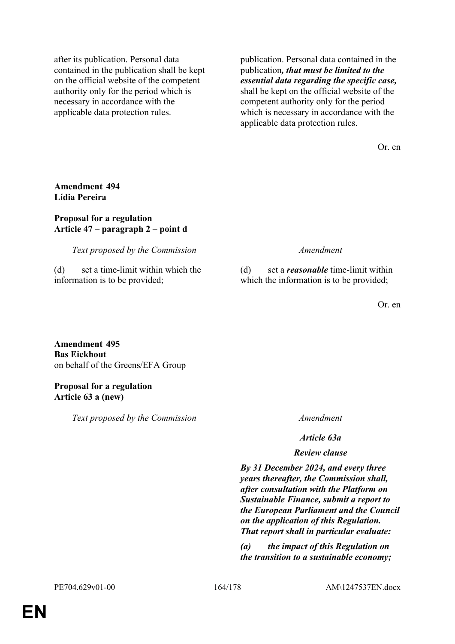after its publication. Personal data contained in the publication shall be kept on the official website of the competent authority only for the period which is necessary in accordance with the applicable data protection rules.

publication. Personal data contained in the publication*, that must be limited to the essential data regarding the specific case,* shall be kept on the official website of the competent authority only for the period which is necessary in accordance with the applicable data protection rules.

Or. en

## **Amendment 494 Lídia Pereira**

## **Proposal for a regulation Article 47 – paragraph 2 – point d**

*Text proposed by the Commission Amendment*

(d) set a time-limit within which the information is to be provided;

(d) set a *reasonable* time-limit within which the information is to be provided;

Or. en

**Amendment 495 Bas Eickhout** on behalf of the Greens/EFA Group

## **Proposal for a regulation Article 63 a (new)**

*Text proposed by the Commission Amendment*

*Article 63a*

### *Review clause*

*By 31 December 2024, and every three years thereafter, the Commission shall, after consultation with the Platform on Sustainable Finance, submit a report to the European Parliament and the Council on the application of this Regulation. That report shall in particular evaluate:*

*(a) the impact of this Regulation on the transition to a sustainable economy;*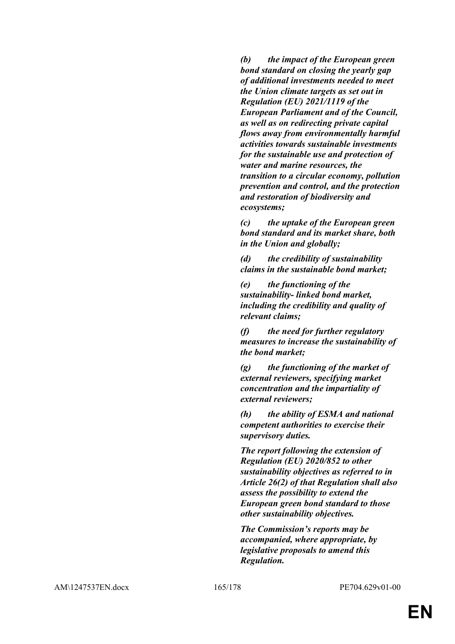*(b) the impact of the European green bond standard on closing the yearly gap of additional investments needed to meet the Union climate targets as set out in Regulation (EU) 2021/1119 of the European Parliament and of the Council, as well as on redirecting private capital flows away from environmentally harmful activities towards sustainable investments for the sustainable use and protection of water and marine resources, the transition to a circular economy, pollution prevention and control, and the protection and restoration of biodiversity and ecosystems;*

*(c) the uptake of the European green bond standard and its market share, both in the Union and globally;*

*(d) the credibility of sustainability claims in the sustainable bond market;*

*(e) the functioning of the sustainability- linked bond market, including the credibility and quality of relevant claims;*

*(f) the need for further regulatory measures to increase the sustainability of the bond market;*

*(g) the functioning of the market of external reviewers, specifying market concentration and the impartiality of external reviewers;*

*(h) the ability of ESMA and national competent authorities to exercise their supervisory duties.*

*The report following the extension of Regulation (EU) 2020/852 to other sustainability objectives as referred to in Article 26(2) of that Regulation shall also assess the possibility to extend the European green bond standard to those other sustainability objectives.*

*The Commission's reports may be accompanied, where appropriate, by legislative proposals to amend this Regulation.*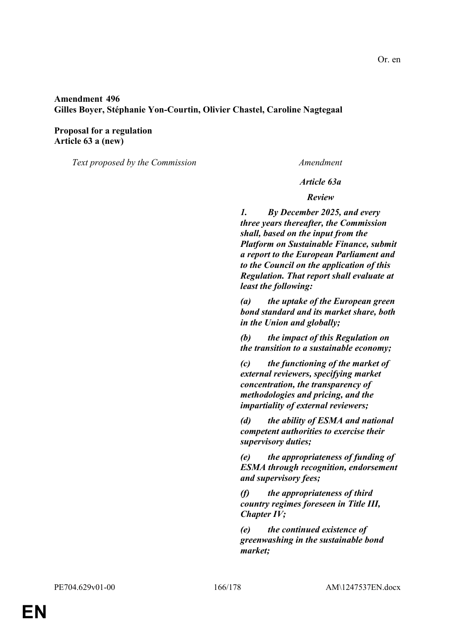## **Amendment 496 Gilles Boyer, Stéphanie Yon-Courtin, Olivier Chastel, Caroline Nagtegaal**

**Proposal for a regulation Article 63 a (new)**

*Text proposed by the Commission Amendment*

*Article 63a*

*Review*

*1. By December 2025, and every three years thereafter, the Commission shall, based on the input from the Platform on Sustainable Finance, submit a report to the European Parliament and to the Council on the application of this Regulation. That report shall evaluate at least the following:*

*(a) the uptake of the European green bond standard and its market share, both in the Union and globally;*

*(b) the impact of this Regulation on the transition to a sustainable economy;*

*(c) the functioning of the market of external reviewers, specifying market concentration, the transparency of methodologies and pricing, and the impartiality of external reviewers;*

*(d) the ability of ESMA and national competent authorities to exercise their supervisory duties;*

*(e) the appropriateness of funding of ESMA through recognition, endorsement and supervisory fees;*

*(f) the appropriateness of third country regimes foreseen in Title III, Chapter IV;*

*(e) the continued existence of greenwashing in the sustainable bond market;*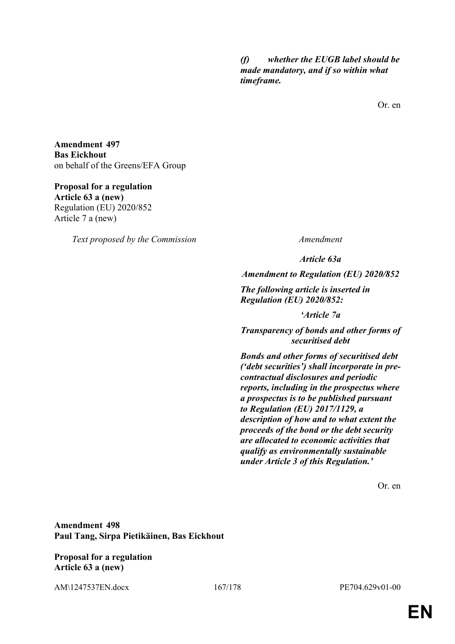*(f) whether the EUGB label should be made mandatory, and if so within what timeframe.*

Or. en

**Amendment 497 Bas Eickhout** on behalf of the Greens/EFA Group

## **Proposal for a regulation**

**Article 63 a (new)** Regulation (EU) 2020/852 Article 7 a (new)

*Text proposed by the Commission Amendment*

*Article 63a*

*Amendment to Regulation (EU) 2020/852*

*The following article is inserted in Regulation (EU) 2020/852:*

*'Article 7a*

*Transparency of bonds and other forms of securitised debt*

*Bonds and other forms of securitised debt ('debt securities') shall incorporate in precontractual disclosures and periodic reports, including in the prospectus where a prospectus is to be published pursuant to Regulation (EU) 2017/1129, a description of how and to what extent the proceeds of the bond or the debt security are allocated to economic activities that qualify as environmentally sustainable under Article 3 of this Regulation.'*

Or. en

**Amendment 498 Paul Tang, Sirpa Pietikäinen, Bas Eickhout**

**Proposal for a regulation Article 63 a (new)**

AM\1247537EN.docx 167/178 PE704.629v01-00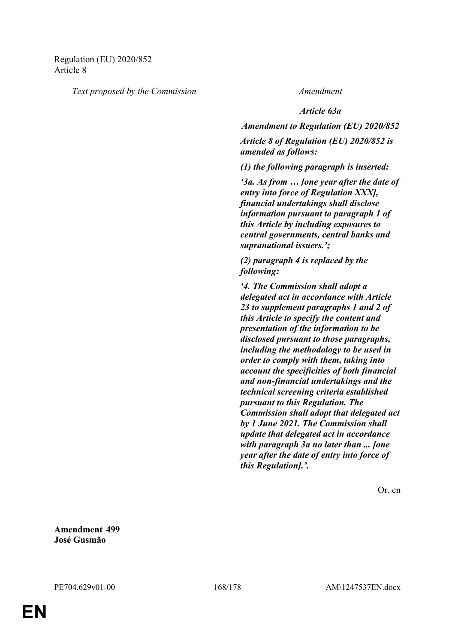*Text proposed by the Commission Amendment*

*Article 63a*

*Amendment to Regulation (EU) 2020/852*

*Article 8 of Regulation (EU) 2020/852 is amended as follows:*

*(1) the following paragraph is inserted:*

*'3a. As from … [one year after the date of entry into force of Regulation XXX], financial undertakings shall disclose information pursuant to paragraph 1 of this Article by including exposures to central governments, central banks and supranational issuers.';*

*(2) paragraph 4 is replaced by the following:*

*'4. The Commission shall adopt a delegated act in accordance with Article 23 to supplement paragraphs 1 and 2 of this Article to specify the content and presentation of the information to be disclosed pursuant to those paragraphs, including the methodology to be used in order to comply with them, taking into account the specificities of both financial and non-financial undertakings and the technical screening criteria established pursuant to this Regulation. The Commission shall adopt that delegated act by 1 June 2021. The Commission shall update that delegated act in accordance with paragraph 3a no later than ... [one year after the date of entry into force of this Regulation].'.*

Or. en

**Amendment 499 José Gusmão**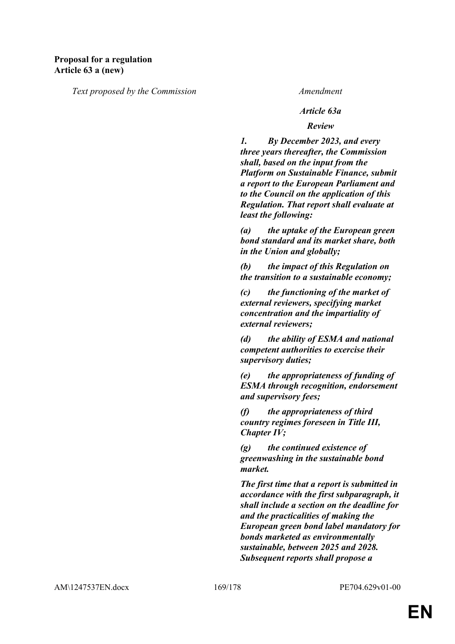*Text proposed by the Commission Amendment*

### *Article 63a*

### *Review*

*1. By December 2023, and every three years thereafter, the Commission shall, based on the input from the Platform on Sustainable Finance, submit a report to the European Parliament and to the Council on the application of this Regulation. That report shall evaluate at least the following:*

*(a) the uptake of the European green bond standard and its market share, both in the Union and globally;*

*(b) the impact of this Regulation on the transition to a sustainable economy;*

*(c) the functioning of the market of external reviewers, specifying market concentration and the impartiality of external reviewers;*

*(d) the ability of ESMA and national competent authorities to exercise their supervisory duties;*

*(e) the appropriateness of funding of ESMA through recognition, endorsement and supervisory fees;*

*(f) the appropriateness of third country regimes foreseen in Title III, Chapter IV;*

*(g) the continued existence of greenwashing in the sustainable bond market.*

*The first time that a report is submitted in accordance with the first subparagraph, it shall include a section on the deadline for and the practicalities of making the European green bond label mandatory for bonds marketed as environmentally sustainable, between 2025 and 2028. Subsequent reports shall propose a*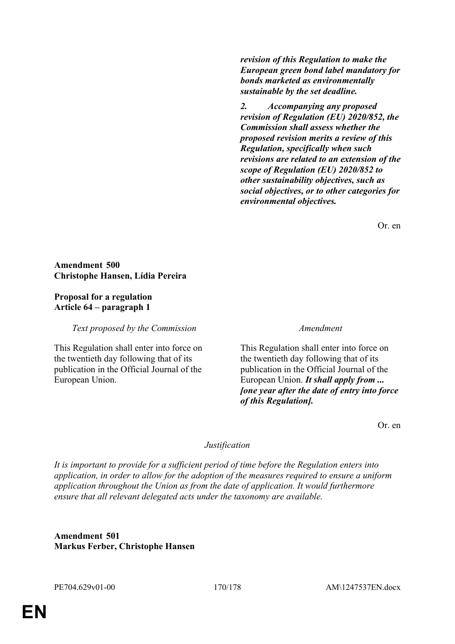*revision of this Regulation to make the European green bond label mandatory for bonds marketed as environmentally sustainable by the set deadline.*

*2. Accompanying any proposed revision of Regulation (EU) 2020/852, the Commission shall assess whether the proposed revision merits a review of this Regulation, specifically when such revisions are related to an extension of the scope of Regulation (EU) 2020/852 to other sustainability objectives, such as social objectives, or to other categories for environmental objectives.*

Or. en

## **Amendment 500 Christophe Hansen, Lídia Pereira**

## **Proposal for a regulation Article 64 – paragraph 1**

*Text proposed by the Commission Amendment*

This Regulation shall enter into force on the twentieth day following that of its publication in the Official Journal of the European Union.

This Regulation shall enter into force on the twentieth day following that of its publication in the Official Journal of the European Union. *It shall apply from ... [one year after the date of entry into force of this Regulation].*

Or. en

## *Justification*

*It is important to provide for a sufficient period of time before the Regulation enters into application, in order to allow for the adoption of the measures required to ensure a uniform application throughout the Union as from the date of application. It would furthermore ensure that all relevant delegated acts under the taxonomy are available.*

**Amendment 501 Markus Ferber, Christophe Hansen**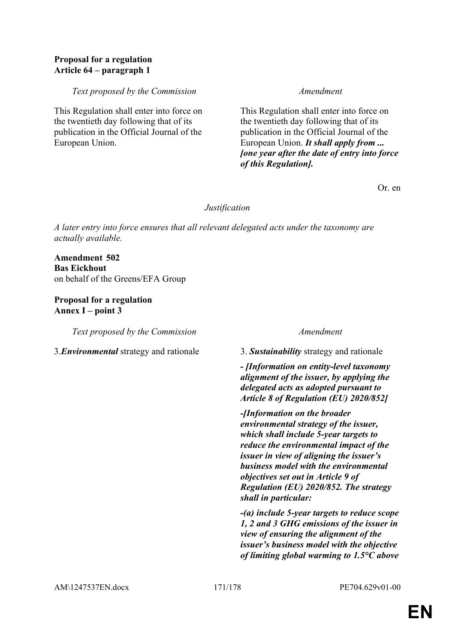## **Proposal for a regulation Article 64 – paragraph 1**

*Text proposed by the Commission Amendment*

This Regulation shall enter into force on the twentieth day following that of its publication in the Official Journal of the European Union.

This Regulation shall enter into force on the twentieth day following that of its publication in the Official Journal of the European Union. *It shall apply from ... [one year after the date of entry into force of this Regulation].*

Or. en

## *Justification*

*A later entry into force ensures that all relevant delegated acts under the taxonomy are actually available.*

**Amendment 502 Bas Eickhout** on behalf of the Greens/EFA Group

**Proposal for a regulation Annex I – point 3**

*Text proposed by the Commission Amendment*

3.*Environmental* strategy and rationale 3. *Sustainability* strategy and rationale

*- [Information on entity-level taxonomy alignment of the issuer, by applying the delegated acts as adopted pursuant to Article 8 of Regulation (EU) 2020/852]*

*-[Information on the broader environmental strategy of the issuer, which shall include 5-year targets to reduce the environmental impact of the issuer in view of aligning the issuer's business model with the environmental objectives set out in Article 9 of Regulation (EU) 2020/852. The strategy shall in particular:*

*-(a) include 5-year targets to reduce scope 1, 2 and 3 GHG emissions of the issuer in view of ensuring the alignment of the issuer's business model with the objective of limiting global warming to 1.5°C above*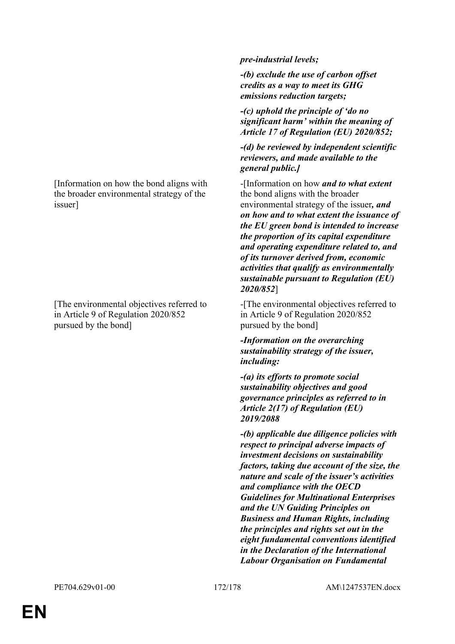[Information on how the bond aligns with the broader environmental strategy of the issuer]

[The environmental objectives referred to in Article 9 of Regulation 2020/852 pursued by the bond]

*pre-industrial levels;*

*-(b) exclude the use of carbon offset credits as a way to meet its GHG emissions reduction targets;*

*-(c) uphold the principle of 'do no significant harm' within the meaning of Article 17 of Regulation (EU) 2020/852;*

*-(d) be reviewed by independent scientific reviewers, and made available to the general public.]*

-[Information on how *and to what extent* the bond aligns with the broader environmental strategy of the issuer*, and on how and to what extent the issuance of the EU green bond is intended to increase the proportion of its capital expenditure and operating expenditure related to, and of its turnover derived from, economic activities that qualify as environmentally sustainable pursuant to Regulation (EU) 2020/852*]

-[The environmental objectives referred to in Article 9 of Regulation 2020/852 pursued by the bond]

*-Information on the overarching sustainability strategy of the issuer, including:*

*-(a) its efforts to promote social sustainability objectives and good governance principles as referred to in Article 2(17) of Regulation (EU) 2019/2088*

*-(b) applicable due diligence policies with respect to principal adverse impacts of investment decisions on sustainability factors, taking due account of the size, the nature and scale of the issuer's activities and compliance with the OECD Guidelines for Multinational Enterprises and the UN Guiding Principles on Business and Human Rights, including the principles and rights set out in the eight fundamental conventions identified in the Declaration of the International Labour Organisation on Fundamental*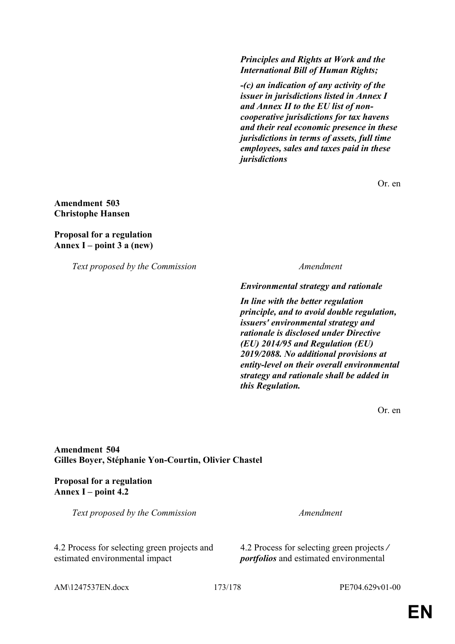*Principles and Rights at Work and the International Bill of Human Rights;*

*-(c) an indication of any activity of the issuer in jurisdictions listed in Annex I and Annex II to the EU list of noncooperative jurisdictions for tax havens and their real economic presence in these jurisdictions in terms of assets, full time employees, sales and taxes paid in these jurisdictions*

Or. en

**Amendment 503 Christophe Hansen**

### **Proposal for a regulation Annex I – point 3 a (new)**

*Text proposed by the Commission Amendment*

*Environmental strategy and rationale*

*In line with the better regulation principle, and to avoid double regulation, issuers' environmental strategy and rationale is disclosed under Directive (EU) 2014/95 and Regulation (EU) 2019/2088. No additional provisions at entity-level on their overall environmental strategy and rationale shall be added in this Regulation.*

Or. en

## **Amendment 504 Gilles Boyer, Stéphanie Yon-Courtin, Olivier Chastel**

**Proposal for a regulation Annex I – point 4.2**

*Text proposed by the Commission Amendment*

4.2 Process for selecting green projects and estimated environmental impact

4.2 Process for selecting green projects */ portfolios* and estimated environmental

AM\1247537EN.docx 173/178 PE704.629v01-00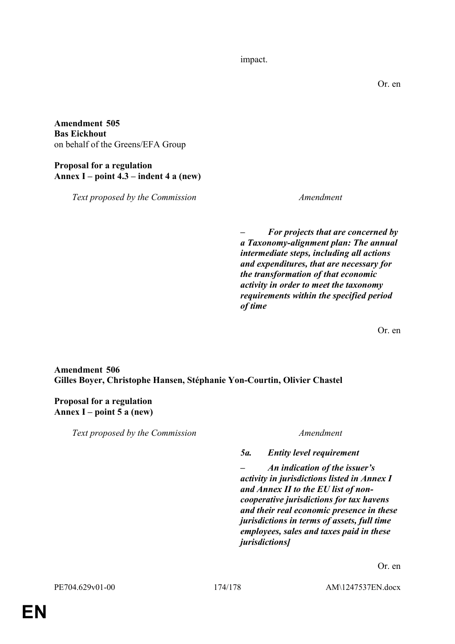impact.

**Amendment 505 Bas Eickhout** on behalf of the Greens/EFA Group

## **Proposal for a regulation Annex I – point 4.3 – indent 4 a (new)**

*Text proposed by the Commission Amendment*

*– For projects that are concerned by a Taxonomy-alignment plan: The annual intermediate steps, including all actions and expenditures, that are necessary for the transformation of that economic activity in order to meet the taxonomy requirements within the specified period of time*

Or. en

## **Amendment 506 Gilles Boyer, Christophe Hansen, Stéphanie Yon-Courtin, Olivier Chastel**

## **Proposal for a regulation Annex I – point 5 a (new)**

*Text proposed by the Commission Amendment*

*5a. Entity level requirement*

*– An indication of the issuer's activity in jurisdictions listed in Annex I and Annex II to the EU list of noncooperative jurisdictions for tax havens and their real economic presence in these jurisdictions in terms of assets, full time employees, sales and taxes paid in these jurisdictions]*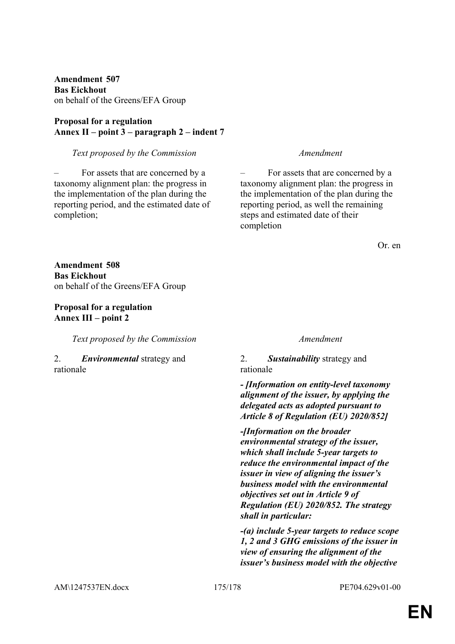**Amendment 507 Bas Eickhout** on behalf of the Greens/EFA Group

## **Proposal for a regulation Annex II – point 3 – paragraph 2 – indent 7**

## *Text proposed by the Commission Amendment*

– For assets that are concerned by a taxonomy alignment plan: the progress in the implementation of the plan during the reporting period, and the estimated date of completion;

– For assets that are concerned by a taxonomy alignment plan: the progress in the implementation of the plan during the reporting period, as well the remaining steps and estimated date of their completion

Or. en

**Amendment 508 Bas Eickhout** on behalf of the Greens/EFA Group

## **Proposal for a regulation Annex III – point 2**

*Text proposed by the Commission Amendment*

### 2. *Environmental* strategy and rationale

2. *Sustainability* strategy and rationale

*- [Information on entity-level taxonomy alignment of the issuer, by applying the delegated acts as adopted pursuant to Article 8 of Regulation (EU) 2020/852]*

*-[Information on the broader environmental strategy of the issuer, which shall include 5-year targets to reduce the environmental impact of the issuer in view of aligning the issuer's business model with the environmental objectives set out in Article 9 of Regulation (EU) 2020/852. The strategy shall in particular:*

*-(a) include 5-year targets to reduce scope 1, 2 and 3 GHG emissions of the issuer in view of ensuring the alignment of the issuer's business model with the objective*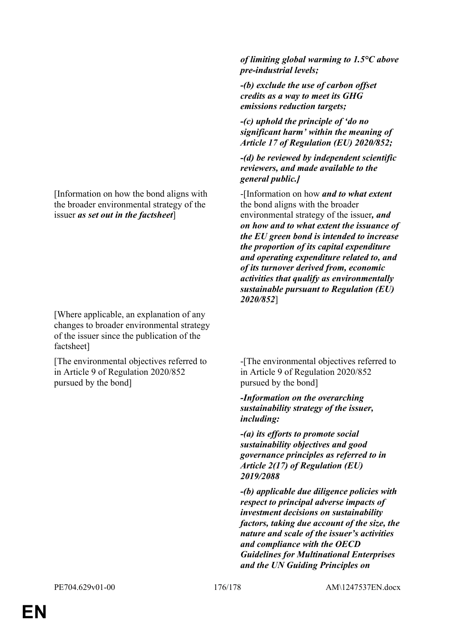[Information on how the bond aligns with the broader environmental strategy of the issuer *as set out in the factsheet*]

[Where applicable, an explanation of any changes to broader environmental strategy of the issuer since the publication of the factsheet]

[The environmental objectives referred to in Article 9 of Regulation 2020/852 pursued by the bond]

*of limiting global warming to 1.5°C above pre-industrial levels;*

*-(b) exclude the use of carbon offset credits as a way to meet its GHG emissions reduction targets;*

*-(c) uphold the principle of 'do no significant harm' within the meaning of Article 17 of Regulation (EU) 2020/852;*

*-(d) be reviewed by independent scientific reviewers, and made available to the general public.]*

-[Information on how *and to what extent* the bond aligns with the broader environmental strategy of the issuer*, and on how and to what extent the issuance of the EU green bond is intended to increase the proportion of its capital expenditure and operating expenditure related to, and of its turnover derived from, economic activities that qualify as environmentally sustainable pursuant to Regulation (EU) 2020/852*]

-[The environmental objectives referred to in Article 9 of Regulation 2020/852 pursued by the bond]

*-Information on the overarching sustainability strategy of the issuer, including:*

*-(a) its efforts to promote social sustainability objectives and good governance principles as referred to in Article 2(17) of Regulation (EU) 2019/2088*

*-(b) applicable due diligence policies with respect to principal adverse impacts of investment decisions on sustainability factors, taking due account of the size, the nature and scale of the issuer's activities and compliance with the OECD Guidelines for Multinational Enterprises and the UN Guiding Principles on*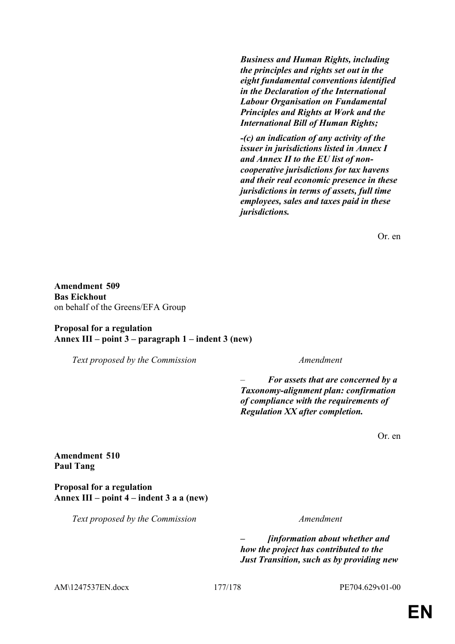*Business and Human Rights, including the principles and rights set out in the eight fundamental conventions identified in the Declaration of the International Labour Organisation on Fundamental Principles and Rights at Work and the International Bill of Human Rights;*

*-(c) an indication of any activity of the issuer in jurisdictions listed in Annex I and Annex II to the EU list of noncooperative jurisdictions for tax havens and their real economic presence in these jurisdictions in terms of assets, full time employees, sales and taxes paid in these jurisdictions.*

Or. en

**Amendment 509 Bas Eickhout** on behalf of the Greens/EFA Group

**Proposal for a regulation Annex III – point 3 – paragraph 1 – indent 3 (new)**

*Text proposed by the Commission Amendment*

– *For assets that are concerned by a Taxonomy-alignment plan: confirmation of compliance with the requirements of Regulation XX after completion.*

Or. en

**Amendment 510 Paul Tang**

**Proposal for a regulation Annex III – point 4 – indent 3 a a (new)**

*Text proposed by the Commission Amendment*

*– [information about whether and how the project has contributed to the Just Transition, such as by providing new* 

AM\1247537EN.docx 177/178 PE704.629v01-00